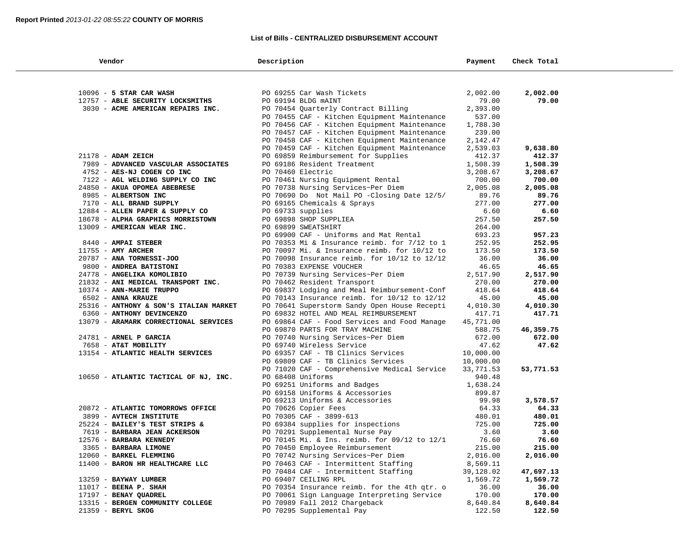#### **List of Bills - CENTRALIZED DISBURSEMENT ACCOUNT**

٠

| Vendor                                                           | Description                                                          | Payment            | Check Total        |  |
|------------------------------------------------------------------|----------------------------------------------------------------------|--------------------|--------------------|--|
|                                                                  |                                                                      |                    |                    |  |
| 10096 - 5 STAR CAR WASH                                          | PO 69255 Car Wash Tickets                                            | 2,002.00           | 2,002.00           |  |
| 12757 - ABLE SECURITY LOCKSMITHS                                 | PO 69194 BLDG MAINT                                                  | 79.00              | 79.00              |  |
| 3030 - ACME AMERICAN REPAIRS INC.                                | PO 70454 Quarterly Contract Billing                                  | 2,393.00           |                    |  |
|                                                                  | PO 70455 CAF - Kitchen Equipment Maintenance                         | 537.00             |                    |  |
|                                                                  | PO 70456 CAF - Kitchen Equipment Maintenance                         | 1,788.30           |                    |  |
|                                                                  | PO 70457 CAF - Kitchen Equipment Maintenance                         | 239.00             |                    |  |
|                                                                  | PO 70458 CAF - Kitchen Equipment Maintenance                         | 2,142.47           |                    |  |
|                                                                  | PO 70459 CAF - Kitchen Equipment Maintenance                         | 2,539.03           | 9,638.80           |  |
| $21178$ - ADAM ZEICH                                             | PO 69859 Reimbursement for Supplies                                  | 412.37             | 412.37             |  |
| 7989 - ADVANCED VASCULAR ASSOCIATES                              | PO 69186 Resident Treatment                                          | 1,508.39           | 1,508.39           |  |
| 4752 - AES-NJ COGEN CO INC                                       | PO 70460 Electric                                                    | 3,208.67           | 3,208.67           |  |
| 7122 - AGL WELDING SUPPLY CO INC                                 | PO 70461 Nursing Equipment Rental                                    | 700.00             | 700.00             |  |
| 24850 - AKUA OPOMEA ABEBRESE                                     | PO 70738 Nursing Services~Per Diem                                   | 2,005.08           | 2,005.08           |  |
| 8985 - ALBERTSON INC                                             | PO 70690 Do Not Mail PO -Closing Date 12/5/                          | 89.76              | 89.76              |  |
| 7170 - ALL BRAND SUPPLY                                          | PO 69165 Chemicals & Sprays                                          | 277.00             | 277.00             |  |
| 12884 - ALLEN PAPER & SUPPLY CO                                  | PO 69733 supplies                                                    | 6.60               | 6.60               |  |
| 18678 - ALPHA GRAPHICS MORRISTOWN                                | PO 69898 SHOP SUPPLIEA                                               | 257.50             | 257.50             |  |
| 13009 - AMERICAN WEAR INC.                                       | PO 69899 SWEATSHIRT                                                  | 264.00             |                    |  |
|                                                                  | PO 69900 CAF - Uniforms and Mat Rental                               | 693.23             | 957.23             |  |
| 8440 - AMPAI STEBER                                              | PO 70353 Mi & Insurance reimb. for 7/12 to 1                         | 252.95             | 252.95             |  |
| $11755$ - AMY ARCHER                                             | PO 70097 Mi. & Insurance reimb. for 10/12 to                         | 173.50             | 173.50             |  |
| 20787 - ANA TORNESSI-JOO                                         | PO 70098 Insurance reimb. for 10/12 to 12/12                         | 36.00              | 36.00              |  |
| 9800 - ANDREA BATISTONI                                          | PO 70383 EXPENSE VOUCHER                                             | 46.65              | 46.65              |  |
| 24778 - ANGELIKA KOMOLIBIO<br>21832 - ANI MEDICAL TRANSPORT INC. | PO 70739 Nursing Services~Per Diem<br>PO 70462 Resident Transport    | 2,517.90<br>270.00 | 2,517.90<br>270.00 |  |
| 10374 - ANN-MARIE TRUPPO                                         | PO 69837 Lodging and Meal Reimbursement-Conf                         | 418.64             | 418.64             |  |
| 6502 - ANNA KRAUZE                                               | PO 70143 Insurance reimb. for 10/12 to 12/12                         | 45.00              | 45.00              |  |
| 25316 - ANTHONY & SON'S ITALIAN MARKET                           | PO 70641 Superstorm Sandy Open House Recepti                         | 4,010.30           | 4,010.30           |  |
| 6360 - ANTHONY DEVINCENZO                                        | PO 69832 HOTEL AND MEAL REIMBURSEMENT                                | 417.71             | 417.71             |  |
| 13079 - ARAMARK CORRECTIONAL SERVICES                            | PO 69864 CAF - Food Services and Food Manage                         | 45,771.00          |                    |  |
|                                                                  | PO 69870 PARTS FOR TRAY MACHINE                                      | 588.75             | 46,359.75          |  |
| 24781 - ARNEL P GARCIA                                           | PO 70740 Nursing Services~Per Diem                                   | 672.00             | 672.00             |  |
| 7658 - AT&T MOBILITY                                             | PO 69740 Wireless Service                                            | 47.62              | 47.62              |  |
| 13154 - ATLANTIC HEALTH SERVICES                                 | PO 69357 CAF - TB Clinics Services                                   | 10,000.00          |                    |  |
|                                                                  | PO 69809 CAF - TB Clinics Services                                   | 10,000.00          |                    |  |
|                                                                  | PO 71020 CAF - Comprehensive Medical Service                         | 33,771.53          | 53,771.53          |  |
| 10650 - ATLANTIC TACTICAL OF NJ, INC.                            | PO 68408 Uniforms                                                    | 940.48             |                    |  |
|                                                                  | PO 69251 Uniforms and Badges                                         | 1,638.24           |                    |  |
|                                                                  | PO 69158 Uniforms & Accessories                                      | 899.87             |                    |  |
|                                                                  | PO 69213 Uniforms & Accessories                                      | 99.98              | 3,578.57           |  |
| 20872 - ATLANTIC TOMORROWS OFFICE                                | PO 70626 Copier Fees<br>PO 70305 CAF - 3899-613                      | 64.33              | 64.33              |  |
| 3899 - AVTECH INSTITUTE<br>25224 - BAILEY'S TEST STRIPS &        |                                                                      | 480.01<br>725.00   | 480.01<br>725.00   |  |
| 7619 - BARBARA JEAN ACKERSON                                     | PO 69384 supplies for inspections<br>PO 70291 Supplemental Nurse Pay | 3.60               | 3.60               |  |
| 12576 - BARBARA KENNEDY                                          | PO 70145 Mi. & Ins. reimb. for 09/12 to 12/1                         | 76.60              | 76.60              |  |
| 3365 - BARBARA LIMONE                                            | PO 70450 Employee Reimbursement                                      | 215.00             | 215.00             |  |
| $12060 -$<br><b>BARKEL FLEMMING</b>                              | PO 70742 Nursing Services~Per Diem                                   | 2,016.00           | 2,016.00           |  |
| $11400 -$<br>BARON HR HEALTHCARE LLC                             | PO 70463 CAF - Intermittent Staffing                                 | 8,569.11           |                    |  |
|                                                                  | PO 70484 CAF - Intermittent Staffing                                 | 39,128.02          | 47,697.13          |  |
| 13259 - BAYWAY LUMBER                                            | PO 69407 CEILING RPL                                                 | 1,569.72           | 1,569.72           |  |
| 11017 - BEENA P. SHAH                                            | PO 70354 Insurance reimb. for the 4th qtr. o                         | 36.00              | 36.00              |  |
| 17197 - BENAY QUADREL                                            | PO 70061 Sign Language Interpreting Service                          | 170.00             | 170.00             |  |
| 13315 - BERGEN COMMUNITY COLLEGE                                 | PO 70989 Fall 2012 Chargeback                                        | 8,640.84           | 8,640.84           |  |
| 21359 - BERYL SKOG                                               | PO 70295 Supplemental Pay                                            | 122.50             | 122.50             |  |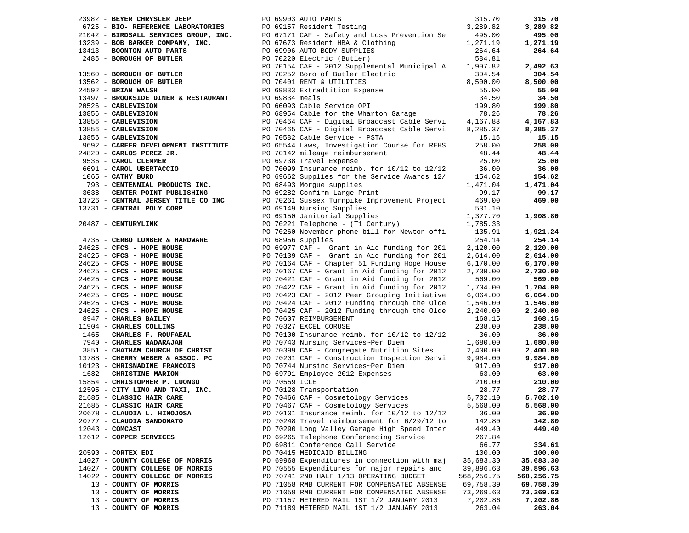| 23982 - BEYER CHRYSLER JEEP                                                                                                                                                                                                                   |                                             | PO 69903 AUTO PARTS                                                                                                                                                                                                                              | 315.70     | 315.70     |
|-----------------------------------------------------------------------------------------------------------------------------------------------------------------------------------------------------------------------------------------------|---------------------------------------------|--------------------------------------------------------------------------------------------------------------------------------------------------------------------------------------------------------------------------------------------------|------------|------------|
|                                                                                                                                                                                                                                               |                                             |                                                                                                                                                                                                                                                  |            | 3,289.82   |
|                                                                                                                                                                                                                                               |                                             |                                                                                                                                                                                                                                                  |            | 495.00     |
|                                                                                                                                                                                                                                               |                                             |                                                                                                                                                                                                                                                  |            | 1,271.19   |
|                                                                                                                                                                                                                                               |                                             |                                                                                                                                                                                                                                                  |            | 264.64     |
|                                                                                                                                                                                                                                               |                                             |                                                                                                                                                                                                                                                  |            |            |
|                                                                                                                                                                                                                                               |                                             |                                                                                                                                                                                                                                                  |            |            |
|                                                                                                                                                                                                                                               |                                             |                                                                                                                                                                                                                                                  |            | 2,492.63   |
|                                                                                                                                                                                                                                               |                                             |                                                                                                                                                                                                                                                  |            | 304.54     |
|                                                                                                                                                                                                                                               |                                             |                                                                                                                                                                                                                                                  |            | 8,500.00   |
| 24592 - BRIAN WALSH                                                                                                                                                                                                                           |                                             |                                                                                                                                                                                                                                                  | 55.00      | 55.00      |
| 13497 - BROOKSIDE DINER & RESTAURANT                                                                                                                                                                                                          |                                             |                                                                                                                                                                                                                                                  | 34.50      | 34.50      |
| 20526 - CABLEVISION                                                                                                                                                                                                                           |                                             | PO 70252 Boro of Butler Electric<br>PO 70252 Boro of Butler Electric<br>PO 70401 RENT & UTILITIES<br>PO 69833 Extradition Expense<br>PO 68954 Cable Service OPI<br>PO 68954 Cable for the Wharton Garage<br>PO 68954 Cable for the Wharton Garag | 199.80     | 199.80     |
| 20526 - CABLEVISION<br>13856 - CABLEVISION<br>13856 - CABLEVISION<br>13856 - CABLEVISION                                                                                                                                                      |                                             |                                                                                                                                                                                                                                                  | 78.26      | 78.26      |
|                                                                                                                                                                                                                                               |                                             | PO 70464 CAF - Digital Broadcast Cable Servi 4,167.83                                                                                                                                                                                            |            | 4,167.83   |
|                                                                                                                                                                                                                                               |                                             | PO 70465 CAF - Digital Broadcast Cable Servi                                                                                                                                                                                                     | 8,285.37   |            |
|                                                                                                                                                                                                                                               |                                             |                                                                                                                                                                                                                                                  |            | 8,285.37   |
|                                                                                                                                                                                                                                               |                                             | PO 70582 Cable Service - PSTA                                                                                                                                                                                                                    | 15.15      | 15.15      |
| 9692 - CAREER DEVELOPMENT INSTITUTE                                                                                                                                                                                                           |                                             | PO 65544 Laws, Investigation Course for REHS                                                                                                                                                                                                     | 258.00     | 258.00     |
| 24820 - CARLOS PEREZ JR.                                                                                                                                                                                                                      |                                             | PO 70142 mileage reimbursement                                                                                                                                                                                                                   | 48.44      | 48.44      |
| 9536 - CAROL CLEMMER                                                                                                                                                                                                                          |                                             | PO 69738 Travel Expense                                                                                                                                                                                                                          | 25.00      | 25.00      |
| 6691 - <b>CAROL UBERTACCIO</b><br>1065 - <b>CATHY BURD</b>                                                                                                                                                                                    |                                             | PO 70099 Insurance reimb. for 10/12 to 12/12                                                                                                                                                                                                     | 36.00      | 36.00      |
| 1065 - CATHY BURD                                                                                                                                                                                                                             |                                             | PO 69662 Supplies for the Service Awards 12/                                                                                                                                                                                                     | 154.62     | 154.62     |
| 793 - CENTENNIAL PRODUCTS INC.                                                                                                                                                                                                                |                                             | PO 68493 Morgue supplies                                                                                                                                                                                                                         | 1,471.04   | 1,471.04   |
| 3638 - CENTER POINT PUBLISHING                                                                                                                                                                                                                |                                             | 10 00000 noigue supplies<br>PO 69282 Confirm Large Print                                                                                                                                                                                         | 99.17      | 99.17      |
| 13726 - CENTRAL JERSEY TITLE CO INC                                                                                                                                                                                                           |                                             | PO 70261 Sussex Turnpike Improvement Project                                                                                                                                                                                                     | 469.00     | 469.00     |
| 13731 - CENTRAL POLY CORP                                                                                                                                                                                                                     |                                             | PO 69149 Nursing Supplies                                                                                                                                                                                                                        | 531.10     |            |
|                                                                                                                                                                                                                                               |                                             |                                                                                                                                                                                                                                                  |            |            |
|                                                                                                                                                                                                                                               |                                             | PO 69150 Janitorial Supplies<br>PO 70221 Telephone - (T1 Century)                                                                                                                                                                                | 1,377.70   | 1,908.80   |
| 20487 - CENTURYLINK                                                                                                                                                                                                                           |                                             |                                                                                                                                                                                                                                                  | 1,785.33   |            |
|                                                                                                                                                                                                                                               |                                             | PO 70260 November phone bill for Newton offi                                                                                                                                                                                                     | 135.91     | 1,921.24   |
| 4735 - CERBO LUMBER & HARDWARE                                                                                                                                                                                                                |                                             | PO 68956 supplies                                                                                                                                                                                                                                | 254.14     | 254.14     |
|                                                                                                                                                                                                                                               |                                             | PO 69977 CAF - Grant in Aid funding for 201                                                                                                                                                                                                      | 2,120.00   | 2,120.00   |
|                                                                                                                                                                                                                                               |                                             | PO 70139 CAF - Grant in Aid funding for 201                                                                                                                                                                                                      | 2,614.00   | 2,614.00   |
|                                                                                                                                                                                                                                               |                                             | PO 70164 CAF - Chapter 51 Funding Hope House                                                                                                                                                                                                     | 6,170.00   | 6,170.00   |
| 24625 - CFCS - HOPE HOUSE<br>24625 - CFCS - HOPE HOUSE<br>24625 - CFCS - HOPE HOUSE<br>24625 - CFCS - HOPE HOUSE<br>24625 - CFCS - HOPE HOUSE<br>24625 - CFCS - HOPE HOUSE<br>24625 - CFCS - HOPE HOUSE<br>24625 - CFCS - HOPE HOUSE<br>24625 |                                             | PO 70167 CAF - Grant in Aid funding for 2012                                                                                                                                                                                                     | 2,730.00   | 2,730.00   |
|                                                                                                                                                                                                                                               |                                             | PO 70421 CAF - Grant in Aid funding for 2012                                                                                                                                                                                                     | 569.00     | 569.00     |
|                                                                                                                                                                                                                                               |                                             | PO 70422 CAF - Grant in Aid funding for 2012                                                                                                                                                                                                     | 1,704.00   | 1,704.00   |
|                                                                                                                                                                                                                                               |                                             | PO 70423 CAF - 2012 Peer Grouping Initiative                                                                                                                                                                                                     | 6,064.00   | 6,064.00   |
|                                                                                                                                                                                                                                               |                                             | PO 70424 CAF - 2012 Funding through the Olde                                                                                                                                                                                                     | 1,546.00   | 1,546.00   |
|                                                                                                                                                                                                                                               |                                             |                                                                                                                                                                                                                                                  | 2,240.00   | 2,240.00   |
|                                                                                                                                                                                                                                               |                                             | PO 70425 CAF - 2012 Funding through the Olde                                                                                                                                                                                                     |            |            |
|                                                                                                                                                                                                                                               |                                             | PO 70607 REIMBURSEMENT                                                                                                                                                                                                                           | 168.15     | 168.15     |
|                                                                                                                                                                                                                                               |                                             | PO 70327 EXCEL CORUSE                                                                                                                                                                                                                            | 238.00     | 238.00     |
| 1465 - CHARLES F. ROUFAEAL                                                                                                                                                                                                                    |                                             | PO 70100 Insurance reimb. for 10/12 to 12/12                                                                                                                                                                                                     | 36.00      | 36.00      |
| 7940 - CHARLES NADARAJAH                                                                                                                                                                                                                      |                                             | PO 70743 Nursing Services~Per Diem                                                                                                                                                                                                               | 1,680.00   | 1,680.00   |
| 3851 - CHATHAM CHURCH OF CHRIST                                                                                                                                                                                                               |                                             | PO 70399 CAF - Congregate Nutrition Sites                                                                                                                                                                                                        | 2,400.00   | 2,400.00   |
| 13788 - CHERRY WEBER & ASSOC. PC                                                                                                                                                                                                              |                                             | PO 70201 CAF - Construction Inspection Servi                                                                                                                                                                                                     | 9,984.00   | 9,984.00   |
| 10123 - CHRISNADINE FRANCOIS                                                                                                                                                                                                                  |                                             |                                                                                                                                                                                                                                                  | 917.00     | 917.00     |
| 1682 - CHRISTINE MARION                                                                                                                                                                                                                       | PO 69791 L<br>PO 70559 ICLE<br>2 70128 Tran | PO 70744 Nursing Services~Per Diem<br>PO 69791 Employee 2012 Expenses                                                                                                                                                                            | 63.00      | 63.00      |
| 15854 - CHRISTOPHER P. LUONGO                                                                                                                                                                                                                 |                                             |                                                                                                                                                                                                                                                  | 210.00     | 210.00     |
|                                                                                                                                                                                                                                               |                                             |                                                                                                                                                                                                                                                  | 28.77      | 28.77      |
| 12595 - CITY LIMO AND TAXI, INC.<br>21685 - CLASSIC HAIR CARE REPRISE ROUGHOUSE PO 70466 CAF - Cosmetolo<br>21685 - CLASSIC HAIR CARE REPRISE PO 70467 CAF - Cosmetolo                                                                        |                                             | PO 70466 CAF - Cosmetology Services                                                                                                                                                                                                              | 5,702.10   | 5,702.10   |
| 21685 - CLASSIC HAIR CARE                                                                                                                                                                                                                     |                                             | PO 70467 CAF - Cosmetology Services                                                                                                                                                                                                              | 5,568.00   | 5,568.00   |
|                                                                                                                                                                                                                                               |                                             |                                                                                                                                                                                                                                                  |            |            |
| 20678 - CLAUDIA L. HINOJOSA                                                                                                                                                                                                                   |                                             | PO 70101 Insurance reimb. for 10/12 to 12/12                                                                                                                                                                                                     | 36.00      | 36.00      |
| 20777 - CLAUDIA SANDONATO                                                                                                                                                                                                                     |                                             | PO 70248 Travel reimbursement for 6/29/12 to                                                                                                                                                                                                     | 142.80     | 142.80     |
| $12043$ - COMCAST                                                                                                                                                                                                                             |                                             | PO 70290 Long Valley Garage High Speed Inter                                                                                                                                                                                                     | 449.40     | 449.40     |
| 12612 - COPPER SERVICES                                                                                                                                                                                                                       |                                             | PO 69265 Telephone Conferencing Service                                                                                                                                                                                                          | 267.84     |            |
|                                                                                                                                                                                                                                               |                                             | PO 69811 Conference Call Service                                                                                                                                                                                                                 | 66.77      | 334.61     |
| 20590 - CORTEX EDI                                                                                                                                                                                                                            |                                             | PO 70415 MEDICAID BILLING                                                                                                                                                                                                                        | 100.00     | 100.00     |
| 14027 - COUNTY COLLEGE OF MORRIS                                                                                                                                                                                                              |                                             | PO 69968 Expenditures in connection with maj                                                                                                                                                                                                     | 35,683.30  | 35,683.30  |
| 14027 - COUNTY COLLEGE OF MORRIS                                                                                                                                                                                                              |                                             | PO 70555 Expenditures for major repairs and                                                                                                                                                                                                      | 39,896.63  | 39,896.63  |
| 14022 - COUNTY COLLEGE OF MORRIS                                                                                                                                                                                                              |                                             | PO 70741 2ND HALF 1/13 OPERATING BUDGET                                                                                                                                                                                                          | 568,256.75 | 568,256.75 |
| 13 - COUNTY OF MORRIS                                                                                                                                                                                                                         |                                             | PO 71058 RMB CURRENT FOR COMPENSATED ABSENSE                                                                                                                                                                                                     | 69,758.39  | 69,758.39  |
| 13 - COUNTY OF MORRIS                                                                                                                                                                                                                         |                                             | PO 71059 RMB CURRENT FOR COMPENSATED ABSENSE                                                                                                                                                                                                     | 73,269.63  | 73,269.63  |
| 13 - COUNTY OF MORRIS                                                                                                                                                                                                                         |                                             | PO 71157 METERED MAIL 1ST 1/2 JANUARY 2013                                                                                                                                                                                                       | 7,202.86   | 7,202.86   |
| 13 - COUNTY OF MORRIS                                                                                                                                                                                                                         |                                             | PO 71189 METERED MAIL 1ST 1/2 JANUARY 2013                                                                                                                                                                                                       | 263.04     | 263.04     |
|                                                                                                                                                                                                                                               |                                             |                                                                                                                                                                                                                                                  |            |            |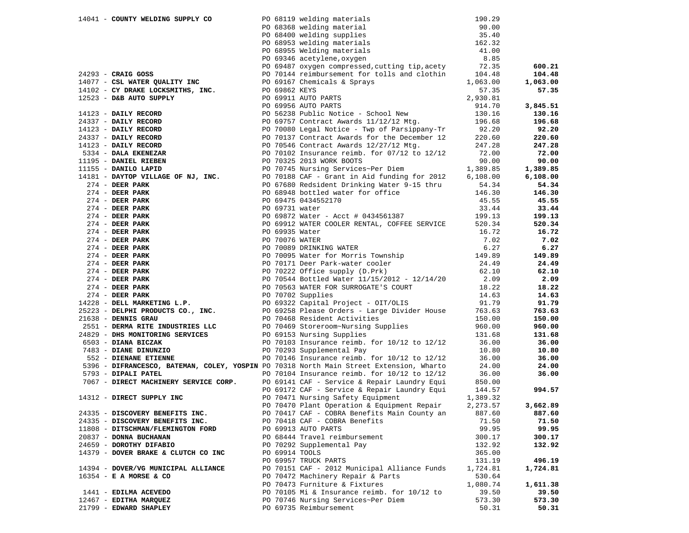|  | 14041 - COUNTY WELDING SUPPLY CO                                                                                                                                   |                | PO 68119 welding materials                                        | 190.29   |          |
|--|--------------------------------------------------------------------------------------------------------------------------------------------------------------------|----------------|-------------------------------------------------------------------|----------|----------|
|  |                                                                                                                                                                    |                | PO 68368 welding material                                         | 90.00    |          |
|  |                                                                                                                                                                    |                | PO 68400 welding supplies                                         | 35.40    |          |
|  |                                                                                                                                                                    |                | PO 68953 welding materials                                        | 162.32   |          |
|  |                                                                                                                                                                    |                | PO 68955 Welding materials                                        | 41.00    |          |
|  |                                                                                                                                                                    |                | PO 69346 acetylene, oxygen                                        | 8.85     |          |
|  |                                                                                                                                                                    |                | PO 69487 oxygen compressed, cutting tip, acety                    | 72.35    | 600.21   |
|  | $24293$ - CRAIG GOSS                                                                                                                                               |                | PO 70144 reimbursement for tolls and clothin                      | 104.48   | 104.48   |
|  | 14077 - CSL WATER QUALITY INC                                                                                                                                      |                | PO 69167 Chemicals & Sprays                                       | 1,063.00 | 1,063.00 |
|  | 14102 - CY DRAKE LOCKSMITHS, INC.                                                                                                                                  | PO 69862 KEYS  |                                                                   | 57.35    | 57.35    |
|  | 12523 - D&B AUTO SUPPLY                                                                                                                                            |                | PO 69911 AUTO PARTS                                               | 2,930.81 |          |
|  |                                                                                                                                                                    |                | PO 69956 AUTO PARTS                                               | 914.70   | 3,845.51 |
|  |                                                                                                                                                                    |                | PO 56238 Public Notice - School New                               |          |          |
|  | 14123 - DAILY RECORD                                                                                                                                               |                |                                                                   | 130.16   | 130.16   |
|  |                                                                                                                                                                    |                | PO 69757 Contract Awards 11/12/12 Mtg.                            | 196.68   | 196.68   |
|  |                                                                                                                                                                    |                | PO 70080 Legal Notice - Twp of Parsippany-Tr                      | 92.20    | 92.20    |
|  |                                                                                                                                                                    |                | PO 70137 Contract Awards for the December 12                      | 220.60   | 220.60   |
|  | 14123 - DAILY RECORD<br>24337 - DAILY RECORD<br>14123 - DAILY RECORD<br>24337 - DAILY RECORD<br>14123 - DAILY RECORD<br>5334 - DAILY RECORD<br>5334 - DAILY RECORD |                | PO 70546 Contract Awards 12/27/12 Mtg.                            | 247.28   | 247.28   |
|  |                                                                                                                                                                    |                | PO 70102 Insurance reimb. for 07/12 to 12/12                      | 72.00    | 72.00    |
|  | 11195 - DANIEL RIEBEN                                                                                                                                              |                | PO 70325 2013 WORK BOOTS                                          | 90.00    | 90.00    |
|  | 11155 - DANILO LAPID                                                                                                                                               |                | PO 70745 Nursing Services~Per Diem                                | 1,389.85 | 1,389.85 |
|  | 14181 - DAYTOP VILLAGE OF NJ, INC.                                                                                                                                 |                | PO 70188 CAF - Grant in Aid funding for 2012                      | 6,108.00 | 6,108.00 |
|  | $274$ - DEER PARK                                                                                                                                                  |                | PO 67680 Redsident Drinking Water 9-15 thru                       | 54.34    | 54.34    |
|  | $274$ - DEER PARK                                                                                                                                                  |                | PO 68948 bottled water for office                                 | 146.30   | 146.30   |
|  | $274$ - DEER PARK                                                                                                                                                  |                | PO 69475 0434552170                                               | 45.55    | 45.55    |
|  | $274$ - DEER PARK                                                                                                                                                  | PO 69731 water |                                                                   | 33.44    | 33.44    |
|  | $274$ - DEER PARK                                                                                                                                                  |                | PO 69872 Water - Acct # 0434561387                                | 199.13   | 199.13   |
|  | $274$ - DEER PARK                                                                                                                                                  |                | PO 69912 WATER COOLER RENTAL, COFFEE SERVICE                      | 520.34   | 520.34   |
|  | $274$ - DEER PARK                                                                                                                                                  | PO 69935 Water |                                                                   | 16.72    | 16.72    |
|  | $274$ - DEER PARK                                                                                                                                                  | PO 70076 WATER |                                                                   | 7.02     | 7.02     |
|  | $274$ - DEER PARK                                                                                                                                                  |                | PO 70089 DRINKING WATER                                           | 6.27     | 6.27     |
|  | $274$ - DEER PARK                                                                                                                                                  |                | PO 70095 Water for Morris Township                                | 149.89   | 149.89   |
|  | $274$ - DEER PARK                                                                                                                                                  |                |                                                                   | 24.49    | 24.49    |
|  | $274$ - DEER PARK                                                                                                                                                  |                | PO 70171 Deer Park-water cooler<br>PO 70222 Office supply (D.Prk) | 62.10    | 62.10    |
|  | $274$ - DEER PARK                                                                                                                                                  |                | PO 70544 Bottled Water 11/15/2012 - 12/14/20                      | 2.09     | 2.09     |
|  | $274$ - DEER PARK                                                                                                                                                  |                | PO 70563 WATER FOR SURROGATE'S COURT                              | 18.22    | 18.22    |
|  | $274$ - DEER PARK                                                                                                                                                  |                | PO 70702 Supplies                                                 | 14.63    | 14.63    |
|  | 14228 - DELL MARKETING L.P.                                                                                                                                        |                | PO 69322 Capital Project - OIT/OLIS                               | 91.79    | 91.79    |
|  | 25223 - DELPHI PRODUCTS CO., INC.                                                                                                                                  |                | PO 69258 Please Orders - Large Divider House                      | 763.63   | 763.63   |
|  | 21638 - DENNIS GRAU                                                                                                                                                |                | PO 70468 Resident Activities                                      | 150.00   | 150.00   |
|  | 2551 - DERMA RITE INDUSTRIES LLC                                                                                                                                   |                | PO 70469 Storeroom~Nursing Supplies                               | 960.00   | 960.00   |
|  | 24829 - DHS MONITORING SERVICES                                                                                                                                    |                | PO 69153 Nursing Supplies                                         | 131.68   | 131.68   |
|  | 6503 - DIANA BICZAK                                                                                                                                                |                | PO 70103 Insurance reimb. for 10/12 to 12/12                      | 36.00    | 36.00    |
|  | 7483 - DIANE DINUNZIO                                                                                                                                              |                | PO 70293 Supplemental Pay                                         | 10.80    | 10.80    |
|  | 552 - DIENANE ETIENNE                                                                                                                                              |                | PO 70146 Insurance reimb. for 10/12 to 12/12                      | 36.00    | 36.00    |
|  | 5396 - DIFRANCESCO, BATEMAN, COLEY, YOSPIN PO 70318 North Main Street Extension, Wharto                                                                            |                |                                                                   | 24.00    | 24.00    |
|  | 5793 - DIPALI PATEL                                                                                                                                                |                | PO 70104 Insurance reimb. for $10/12$ to $12/12$                  | 36.00    | 36.00    |
|  | 7067 - DIRECT MACHINERY SERVICE CORP.                                                                                                                              |                | PO 69141 CAF - Service & Repair Laundry Equi                      | 850.00   |          |
|  |                                                                                                                                                                    |                | PO 69172 CAF - Service & Repair Laundry Equi                      | 144.57   | 994.57   |
|  | 14312 - DIRECT SUPPLY INC                                                                                                                                          |                | PO 70471 Nursing Safety Equipment                                 | 1,389.32 |          |
|  |                                                                                                                                                                    |                | PO 70470 Plant Operation & Equipment Repair                       | 2,273.57 | 3,662.89 |
|  | 24335 - DISCOVERY BENEFITS INC.                                                                                                                                    |                | PO 70417 CAF - COBRA Benefits Main County an                      | 887.60   | 887.60   |
|  | 24335 - DISCOVERY BENEFITS INC.                                                                                                                                    |                | PO 70418 CAF - COBRA Benefits                                     | 71.50    | 71.50    |
|  | 11808 - DITSCHMAN/FLEMINGTON FORD                                                                                                                                  |                | PO 69913 AUTO PARTS                                               | 99.95    | 99.95    |
|  | 20837 - DONNA BUCHANAN                                                                                                                                             |                | PO 68444 Travel reimbursement                                     | 300.17   | 300.17   |
|  |                                                                                                                                                                    |                | PO 70292 Supplemental Pay                                         |          | 132.92   |
|  | 24659 - DOROTHY DIFABIO                                                                                                                                            |                |                                                                   | 132.92   |          |
|  | 14379 - DOVER BRAKE & CLUTCH CO INC                                                                                                                                | PO 69914 TOOLS |                                                                   | 365.00   |          |
|  |                                                                                                                                                                    |                | PO 69957 TRUCK PARTS                                              | 131.19   | 496.19   |
|  | 14394 - DOVER/VG MUNICIPAL ALLIANCE                                                                                                                                |                | PO 70151 CAF - 2012 Municipal Alliance Funds                      | 1,724.81 | 1,724.81 |
|  | 16354 - E A MORSE & CO                                                                                                                                             |                | PO 70472 Machinery Repair & Parts                                 | 530.64   |          |
|  |                                                                                                                                                                    |                | PO 70473 Furniture & Fixtures                                     | 1,080.74 | 1,611.38 |
|  | 1441 - EDILMA ACEVEDO                                                                                                                                              |                | PO 70105 Mi & Insurance reimb. for 10/12 to                       | 39.50    | 39.50    |
|  | 12467 - EDITHA MARQUEZ                                                                                                                                             |                | PO 70746 Nursing Services~Per Diem                                | 573.30   | 573.30   |
|  | 21799 - EDWARD SHAPLEY                                                                                                                                             |                | PO 69735 Reimbursement                                            | 50.31    | 50.31    |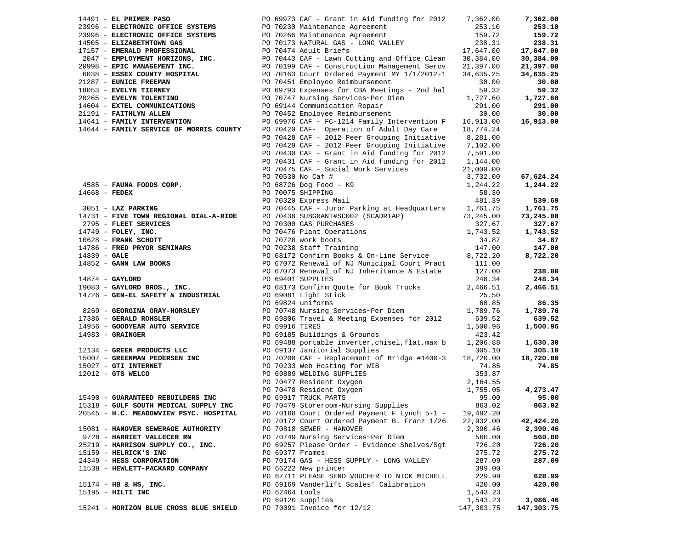|                 | $14491$ - EL PRIMER PASO                           |                 | PO 69973 CAF - Grant in Aid funding for 2012                                                                                                                                                                                                      | 7,362.00   | 7,362.00   |
|-----------------|----------------------------------------------------|-----------------|---------------------------------------------------------------------------------------------------------------------------------------------------------------------------------------------------------------------------------------------------|------------|------------|
|                 | 23996 - ELECTRONIC OFFICE SYSTEMS                  |                 | PO 70230 Maintenance Agreement<br>PO 70266 Maintenance Agreement                                                                                                                                                                                  | 253.10     | 253.10     |
|                 | 23996 - ELECTRONIC OFFICE SYSTEMS                  |                 |                                                                                                                                                                                                                                                   | 159.72     | 159.72     |
|                 | 14505 - ELIZABETHTOWN GAS                          |                 | PO 70173 NATURAL GAS - LONG VALLEY<br>PO 70474 Adult Briefs                                                                                                                                                                                       | 238.31     | 238.31     |
|                 | 17157 - EMERALD PROFESSIONAL                       |                 |                                                                                                                                                                                                                                                   | 17,647.00  | 17,647.00  |
|                 | 2047 - EMPLOYMENT HORIZONS, INC.                   |                 | PO 70443 CAF - Lawn Cutting and Office Clean 30,384.00                                                                                                                                                                                            |            | 30,384.00  |
|                 | 20998 - EPIC MANAGEMENT INC.                       |                 | PO 70199 CAF - Construction Management Sercv 21,397.00                                                                                                                                                                                            |            | 21,397.00  |
|                 | 6038 - ESSEX COUNTY HOSPITAL                       |                 | PO 70163 Court Ordered Payment MY 1/1/2012-1                                                                                                                                                                                                      | 34,635.25  | 34,635.25  |
|                 | 21287 - EUNICE FREEMAN                             |                 | PO 70451 Employee Reimbursement                                                                                                                                                                                                                   | 30.00      | 30.00      |
|                 | 18053 - EVELYN TIERNEY<br>20265 - EVELYN TOLENTINO |                 | PO 69793 Expenses for CBA Meetings - 2nd hal                                                                                                                                                                                                      | 59.32      | 59.32      |
|                 |                                                    |                 | PO 70747 Nursing Services~Per Diem                                                                                                                                                                                                                | 1,727.60   | 1,727.60   |
|                 | 14604 - EXTEL COMMUNICATIONS                       |                 | PO 69144 Communication Repair                                                                                                                                                                                                                     | 291.00     | 291.00     |
|                 | 21191 - FAITHLYN ALLEN                             |                 | PO 70452 Employee Reimbursement                                                                                                                                                                                                                   | 30.00      | 30.00      |
|                 | 14641 - FAMILY INTERVENTION                        |                 | PO 69976 CAF - FC-1214 Family Intervention F                                                                                                                                                                                                      | 16,913.00  | 16,913.00  |
|                 | 14644 - FAMILY SERVICE OF MORRIS COUNTY            |                 | PO 70420 CAF- Operation of Adult Day Care                                                                                                                                                                                                         | 18,774.24  |            |
|                 |                                                    |                 | PO 70428 CAF - 2012 Peer Grouping Initiative 8,281.00                                                                                                                                                                                             |            |            |
|                 |                                                    |                 | PO 70429 CAF - 2012 Peer Grouping Initiative                                                                                                                                                                                                      | 7,102.00   |            |
|                 |                                                    |                 | PO 70430 CAF - Grant in Aid funding for 2012                                                                                                                                                                                                      | 7,591.00   |            |
|                 |                                                    |                 | PO 70431 CAF - Grant in Aid funding for 2012                                                                                                                                                                                                      | 1,144.00   |            |
|                 |                                                    |                 | PO 70475 CAF - Social Work Services                                                                                                                                                                                                               | 21,000.00  |            |
|                 | 4585 - FAUNA FOODS CORP.                           |                 | PO 68726 Dog Food - K9<br>PO 68726 Dog Food - K9<br>PO 70075 SHIPPIMO                                                                                                                                                                             | 3,732.00   | 67,624.24  |
|                 |                                                    |                 |                                                                                                                                                                                                                                                   | 1,244.22   | 1,244.22   |
| $14668$ - FEDEX |                                                    |                 | PO 70075 SHIPPING                                                                                                                                                                                                                                 | 58.30      |            |
|                 | $3051 - LAZ PARKING$                               |                 | PO 70320 Express Mail                                                                                                                                                                                                                             | 481.39     | 539.69     |
|                 |                                                    |                 | PO 70445 CAF - Juror Parking at Headquarters 1,761.75                                                                                                                                                                                             |            | 1,761.75   |
|                 | 14731 - FIVE TOWN REGIONAL DIAL-A-RIDE             |                 | PO 70438 SUBGRANT#SC002 (SCADRTAP)                                                                                                                                                                                                                | 73,245.00  | 73,245.00  |
|                 |                                                    |                 |                                                                                                                                                                                                                                                   | 327.67     | 327.67     |
|                 |                                                    |                 |                                                                                                                                                                                                                                                   | 1,743.52   | 1,743.52   |
|                 |                                                    |                 |                                                                                                                                                                                                                                                   | 34.87      | 34.87      |
|                 |                                                    |                 |                                                                                                                                                                                                                                                   | 147.00     | 147.00     |
|                 |                                                    |                 |                                                                                                                                                                                                                                                   | 8,722.20   | 8,722.20   |
|                 |                                                    |                 |                                                                                                                                                                                                                                                   | 111.00     |            |
|                 |                                                    |                 |                                                                                                                                                                                                                                                   | 127.00     | 238.00     |
|                 |                                                    |                 |                                                                                                                                                                                                                                                   | 248.34     | 248.34     |
|                 |                                                    |                 | 14731 - FIVET SERVICES<br>1795 - FLEET SERVICES<br>1795 - FLEET SERVICES<br>1795 - FLEET SERVICES<br>1796 - FRANK SCHOTT<br>1796 - FRANK SCHOTT<br>1796 - FRED PRYOR SEMINARS<br>1786 - FRED PRYOR SEMINARS<br>1796 - GAILE<br>1839 - GAILE<br>18 | 2,466.51   | 2,466.51   |
|                 |                                                    |                 |                                                                                                                                                                                                                                                   | 25.50      |            |
|                 |                                                    |                 | PO 69824 uniforms                                                                                                                                                                                                                                 | 60.85      | 86.35      |
|                 | 8269 - GEORGINA GRAY-HORSLEY                       |                 | PO 70748 Nursing Services~Per Diem                                                                                                                                                                                                                | 1,789.76   | 1,789.76   |
|                 | 17386 - GERALD ROHSLER                             |                 | PO 69806 Travel & Meeting Expenses for 2012                                                                                                                                                                                                       | 639.52     | 639.52     |
|                 | 14956 - GOODYEAR AUTO SERVICE                      | PO 69916 TIRES  |                                                                                                                                                                                                                                                   | 1,500.96   | 1,500.96   |
|                 | $14983 -$ GRAINGER                                 |                 | PO 69185 Buildings & Grounds                                                                                                                                                                                                                      | 423.42     |            |
|                 |                                                    |                 | PO 69488 portable inverter, chisel, flat, max b                                                                                                                                                                                                   | 1,206.88   | 1,630.30   |
|                 | 12134 - GREEN PRODUCTS LLC                         |                 | PO 69137 Janitorial Supplies                                                                                                                                                                                                                      | 305.10     | 305.10     |
|                 | 15007 - GREENMAN PEDERSEN INC                      |                 | PO 70200 CAF - Replacement of Bridge #1400-3                                                                                                                                                                                                      | 18,720.00  | 18,720.00  |
|                 | 15027 - GTI INTERNET                               |                 | PO 70233 Web Hosting for WIB                                                                                                                                                                                                                      | 74.85      | 74.85      |
|                 | 12012 - GTS WELCO                                  |                 | PO 69889 WELDING SUPPLIES<br>PO 70477 Resident Oxygen<br>PO 70478 Resident Oxygen<br>PO 69917 TRUCK PARTS                                                                                                                                         | 353.87     |            |
|                 |                                                    |                 |                                                                                                                                                                                                                                                   | 2,164.55   |            |
|                 |                                                    |                 |                                                                                                                                                                                                                                                   | 1,755.05   | 4,273.47   |
|                 | 15490 - GUARANTEED REBUILDERS INC                  |                 |                                                                                                                                                                                                                                                   | 95.00      | 95.00      |
|                 | 15318 - GULF SOUTH MEDICAL SUPPLY INC              |                 | PO 70479 Storeroom~Nursing Supplies                                                                                                                                                                                                               | 863.02     | 863.02     |
|                 | 20545 - H.C. MEADOWVIEW PSYC. HOSPITAL             |                 | PO 70168 Court Ordered Payment F Lynch 5-1 -                                                                                                                                                                                                      | 19,492.20  |            |
|                 |                                                    |                 | PO 70172 Court Ordered Payment B. Franz 1/26                                                                                                                                                                                                      | 22,932.00  | 42,424.20  |
|                 | 15081 - HANOVER SEWERAGE AUTHORITY                 |                 | PO 70818 SEWER - HANOVER                                                                                                                                                                                                                          | 2,390.46   | 2,390.46   |
|                 | 9728 - HARRIET VALLECER RN                         |                 | PO 70749 Nursing Services~Per Diem                                                                                                                                                                                                                | 560.00     | 560.00     |
|                 | 25219 - HARRISON SUPPLY CO., INC.                  |                 | PO 69257 Please Order - Evidence Shelves/Sgt                                                                                                                                                                                                      | 726.20     | 726.20     |
|                 | 15159 - HELRICK'S INC                              | PO 69377 Frames |                                                                                                                                                                                                                                                   | 275.72     | 275.72     |
|                 | 24349 - HESS CORPORATION                           |                 | PO 70174 GAS - HESS SUPPLY - LONG VALLEY                                                                                                                                                                                                          | 287.09     | 287.09     |
|                 | 11538 - HEWLETT-PACKARD COMPANY                    |                 | PO 66222 New printer                                                                                                                                                                                                                              | 399.00     |            |
|                 |                                                    |                 | PO 67711 PLEASE SEND VOUCHER TO NICK MICHELL                                                                                                                                                                                                      | 229.99     | 628.99     |
|                 | $15174$ - HB & HS, INC.                            |                 | PO 69169 Vanderlift Scales' Calibration                                                                                                                                                                                                           | 420.00     | 420.00     |
|                 | 15195 - HILTI INC                                  | PO 62464 tools  |                                                                                                                                                                                                                                                   | 1,543.23   |            |
|                 |                                                    |                 | PO 69120 supplies                                                                                                                                                                                                                                 | 1,543.23   | 3,086.46   |
|                 | 15241 - HORIZON BLUE CROSS BLUE SHIELD             |                 | PO 70091 Invoice for 12/12                                                                                                                                                                                                                        | 147,303.75 | 147,303.75 |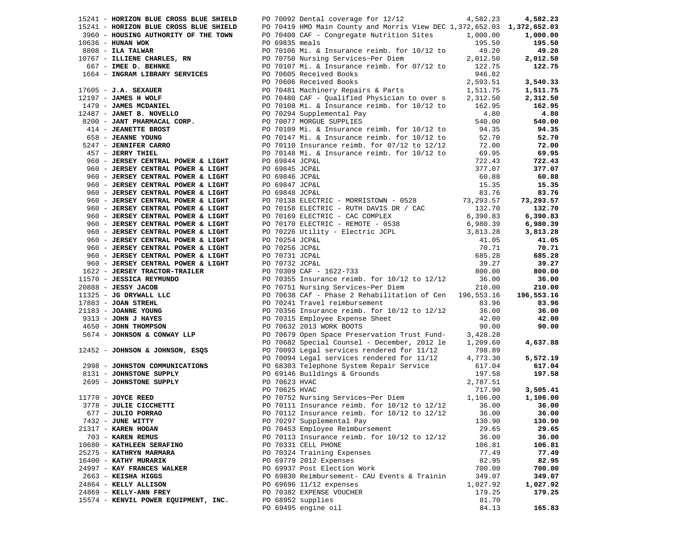| 15241 - HORIZON BLUE CROSS BLUE SHIELD                                                                                                                                  |                | PO 70092 Dental coverage for 12/12                                                                                                                                                                                                                                                              | 4,582.23   | 4,582.23   |
|-------------------------------------------------------------------------------------------------------------------------------------------------------------------------|----------------|-------------------------------------------------------------------------------------------------------------------------------------------------------------------------------------------------------------------------------------------------------------------------------------------------|------------|------------|
| 15241 - HORIZON BLUE CROSS BLUE SHIELD                                                                                                                                  |                | PO 70419 HMO Main County and Morris View DEC 1,372,652.03 1,372,652.03                                                                                                                                                                                                                          |            |            |
| 3960 - HOUSING AUTHORITY OF THE TOWN                                                                                                                                    |                | PO 70400 CAF - Congregate Nutrition Sites 1,000.00                                                                                                                                                                                                                                              |            | 1,000.00   |
| $10636$ - HUNAN WOK                                                                                                                                                     | PO 69835 meals |                                                                                                                                                                                                                                                                                                 | 195.50     | 195.50     |
| $8808$ - ILA TALWAR                                                                                                                                                     |                | PO 70106 Mi. & Insurance reimb. for 10/12 to                                                                                                                                                                                                                                                    | 49.20      | 49.20      |
| 10767 - ILLIENE CHARLES, RN                                                                                                                                             |                | PO 70750 Nursing Services~Per Diem                                                                                                                                                                                                                                                              | 2,012.50   | 2,012.50   |
| 667 - IMEE D. BEHNKE                                                                                                                                                    |                | PO 70107 Mi. & Insurance reimb. for 07/12 to                                                                                                                                                                                                                                                    | 122.75     | 122.75     |
| 1664 - INGRAM LIBRARY SERVICES                                                                                                                                          |                | PO 70605 Received Books                                                                                                                                                                                                                                                                         | 946.82     |            |
|                                                                                                                                                                         |                | PO 70606 Received Books                                                                                                                                                                                                                                                                         | 2,593.51   | 3,540.33   |
| $17605$ - J.A. SEXAUER                                                                                                                                                  |                | PO 70481 Machinery Repairs & Parts                                                                                                                                                                                                                                                              | 1,511.75   | 1,511.75   |
| $12197 - JAMES$ H WOLF                                                                                                                                                  |                | PO 70480 CAF - Qualified Physician to over $s$ 2,312.50                                                                                                                                                                                                                                         |            | 2,312.50   |
| 1479 - JAMES MCDANIEL<br>12487 - JANET B. NOVELLO                                                                                                                       |                | PO 70108 Mi. & Insurance reimb. for $10/12$ to $162.95$                                                                                                                                                                                                                                         |            | 162.95     |
|                                                                                                                                                                         |                | PO 70108 Mi. & Insurance r<br>PO 70294 Supplemental Pay                                                                                                                                                                                                                                         | 4.80       | 4.80       |
| 8200 - JANT PHARMACAL CORP.<br>414 - JERNETTE BROST                                                                                                                     |                | PO 70077 MORGUE SUPPLIES                                                                                                                                                                                                                                                                        | 540.00     | 540.00     |
|                                                                                                                                                                         |                | PO 70109 Mi. & Insurance reimb. for 10/12 to 94.35                                                                                                                                                                                                                                              |            | 94.35      |
| 658 - JEANNE YOUNG                                                                                                                                                      |                |                                                                                                                                                                                                                                                                                                 |            | 52.70      |
| 658 - JEANNE YOUNG<br>5247 - JENNIFER CARRO                                                                                                                             |                | PO 70147 Mi. & Insurance reimb. for 10/12 to 52.70<br>PO 70110 Insurance reimb. for 07/12 to 12/12 72.00                                                                                                                                                                                        |            | 72.00      |
| 457 - JERRY THIEL                                                                                                                                                       |                | PO 70148 Mi. & Insurance reimb. for 10/12 to 69.95                                                                                                                                                                                                                                              |            | 69.95      |
| 960 - JERSEY CENTRAL POWER & LIGHT                                                                                                                                      | PO 69844 JCP&L |                                                                                                                                                                                                                                                                                                 | 722.43     | 722.43     |
| 960 - JERSEY CENTRAL POWER & LIGHT                                                                                                                                      | PO 69845 JCP&L |                                                                                                                                                                                                                                                                                                 | 377.07     | 377.07     |
| 960 - JERSEY CENTRAL POWER & LIGHT                                                                                                                                      | PO 69846 JCP&L |                                                                                                                                                                                                                                                                                                 | 60.88      | 60.88      |
| 960 - JERSEY CENTRAL POWER & LIGHT                                                                                                                                      | PO 69847 JCP&L |                                                                                                                                                                                                                                                                                                 | 15.35      | 15.35      |
| 960 - JERSEY CENTRAL POWER & LIGHT                                                                                                                                      | PO 69848 JCP&L |                                                                                                                                                                                                                                                                                                 | 83.76      | 83.76      |
| 960 - JERSEY CENTRAL POWER & LIGHT                                                                                                                                      |                | PO 70138 ELECTRIC - MORRISTOWN - 0528                                                                                                                                                                                                                                                           | 73, 293.57 | 73,293.57  |
| 960 - JERSEY CENTRAL POWER & LIGHT                                                                                                                                      |                | PO 70158 ELECTRIC - RUTH DAVIS DR / CAC                                                                                                                                                                                                                                                         | 132.70     | 132.70     |
| 960 - JERSEY CENTRAL POWER & LIGHT                                                                                                                                      |                | PO 70169 ELECTRIC - CAC COMPLEX                                                                                                                                                                                                                                                                 | 6,390.83   | 6,390.83   |
| 960 - JERSEY CENTRAL POWER & LIGHT                                                                                                                                      |                | PO 70170 ELECTRIC - REMOTE - 0538                                                                                                                                                                                                                                                               | 6,980.39   | 6,980.39   |
|                                                                                                                                                                         |                |                                                                                                                                                                                                                                                                                                 | 3,813.28   | 3,813.28   |
|                                                                                                                                                                         |                |                                                                                                                                                                                                                                                                                                 | 41.05      | 41.05      |
|                                                                                                                                                                         |                |                                                                                                                                                                                                                                                                                                 | 70.71      | 70.71      |
|                                                                                                                                                                         |                |                                                                                                                                                                                                                                                                                                 | 685.28     | 685.28     |
|                                                                                                                                                                         |                |                                                                                                                                                                                                                                                                                                 | 39.27      | 39.27      |
|                                                                                                                                                                         |                | 360 - <b>JERSEY CENTRAL POWER &amp; LIGHT</b><br>960 - <b>JERSEY CENTRAL POWER &amp; LIGHT</b><br>960 - <b>JERSEY CENTRAL POWER &amp; LIGHT</b><br>960 - <b>JERSEY CENTRAL POWER &amp; LIGHT</b><br>960 - <b>JERSEY CENTRAL POWER &amp; LIGHT</b><br>960 - <b>JERSEY CENTRAL POWER &amp; LI</b> | 800.00     | 800.00     |
|                                                                                                                                                                         |                |                                                                                                                                                                                                                                                                                                 | 36.00      | 36.00      |
| 11570 - JESSICA REIMONDO<br>20888 - JESSY JACOB<br>11325 - JG DRYWALL LLC<br>17883 - JOAN STREHL<br>21183 - JOANNE YOUNG<br>9313 - JOHN J HAYES<br>4650 - JOHN THOMPSON |                |                                                                                                                                                                                                                                                                                                 | 210.00     | 210.00     |
|                                                                                                                                                                         |                | PO 70638 CAf - Phase 2 Rehabilitation of Cen 196,553.16                                                                                                                                                                                                                                         |            | 196,553.16 |
|                                                                                                                                                                         |                | PO 70241 Travel reimbursement                                                                                                                                                                                                                                                                   | 83.96      | 83.96      |
|                                                                                                                                                                         |                | PO 70356 Insurance reimb. for 10/12 to 12/12                                                                                                                                                                                                                                                    | 36.00      | 36.00      |
|                                                                                                                                                                         |                | PO 70315 Employee Expense Sheet                                                                                                                                                                                                                                                                 | 42.00      | 42.00      |
|                                                                                                                                                                         |                | PO 70632 2013 WORK BOOTS                                                                                                                                                                                                                                                                        | 90.00      | 90.00      |
| 5674 - JOHNSON & CONWAY LLP                                                                                                                                             |                | PO 70679 Open Space Preservation Trust Fund-                                                                                                                                                                                                                                                    | 3,428.28   |            |
|                                                                                                                                                                         |                | PO 70682 Special Counsel - December, 2012 le                                                                                                                                                                                                                                                    | 1,209.60   | 4,637.88   |
| 12452 - JOHNSON & JOHNSON, ESQS                                                                                                                                         |                | PO 70093 Legal services rendered for 11/12                                                                                                                                                                                                                                                      | 798.89     |            |
|                                                                                                                                                                         |                | PO 70094 Legal services rendered for 11/12                                                                                                                                                                                                                                                      | 4,773.30   | 5,572.19   |
| 2998 - JOHNSTON COMMUNICATIONS                                                                                                                                          |                | PO 68303 Telephone System Repair Service                                                                                                                                                                                                                                                        | 617.04     | 617.04     |
| 8131 - JOHNSTONE SUPPLY                                                                                                                                                 |                | PO 69146 Buildings & Grounds                                                                                                                                                                                                                                                                    | 197.58     | 197.58     |
| 2695 - JOHNSTONE SUPPLY                                                                                                                                                 | PO 70623 HVAC  |                                                                                                                                                                                                                                                                                                 | 2,787.51   |            |
|                                                                                                                                                                         | PO 70625 HVAC  |                                                                                                                                                                                                                                                                                                 | 717.90     | 3,505.41   |
| $11770$ - JOYCE REED                                                                                                                                                    |                | PO 70752 Nursing Services~Per Diem                                                                                                                                                                                                                                                              | 1,106.00   | 1,106.00   |
| 3778 - JULIE CICCHETTI                                                                                                                                                  |                | PO 70111 Insurance reimb. for 10/12 to 12/12 36.00                                                                                                                                                                                                                                              |            | 36.00      |
| 677 - JULIO PORRAO                                                                                                                                                      |                | PO 70112 Insurance reimb. for 10/12 to 12/12                                                                                                                                                                                                                                                    | 36.00      | 36.00      |
| 7432 - JUNE WITTY                                                                                                                                                       |                | PO 70297 Supplemental Pay                                                                                                                                                                                                                                                                       | 130.90     | 130.90     |
| 21317 - KAREN HOGAN                                                                                                                                                     |                | PO 70453 Employee Reimbursement                                                                                                                                                                                                                                                                 | 29.65      | 29.65      |
| 703 - KAREN REMUS                                                                                                                                                       |                | PO 70113 Insurance reimb. for 10/12 to 12/12                                                                                                                                                                                                                                                    | 36.00      | 36.00      |
| 10680 - KATHLEEN SERAFINO                                                                                                                                               |                | PO 70331 CELL PHONE                                                                                                                                                                                                                                                                             | 106.81     | 106.81     |
| 25275 - KATHRYN MARMARA                                                                                                                                                 |                | PO 70324 Training Expenses                                                                                                                                                                                                                                                                      | 77.49      | 77.49      |
| 16400 - KATHY MURARIK                                                                                                                                                   |                | PO 69779 2012 Expenses                                                                                                                                                                                                                                                                          | 82.95      | 82.95      |
| 24997 - KAY FRANCES WALKER                                                                                                                                              |                | PO 69937 Post Election Work                                                                                                                                                                                                                                                                     | 700.00     | 700.00     |
| 2663 - KEISHA HIGGS                                                                                                                                                     |                | PO 69830 Reimbursement- CAU Events & Trainin                                                                                                                                                                                                                                                    | 349.07     | 349.07     |
| 24864 - KELLY ALLISON                                                                                                                                                   |                | PO 69696 11/12 expenses                                                                                                                                                                                                                                                                         | 1,027.92   | 1,027.92   |
| 24869 - KELLY-ANN FREY                                                                                                                                                  |                | PO 70382 EXPENSE VOUCHER                                                                                                                                                                                                                                                                        | 179.25     | 179.25     |
| 15574 - KENVIL POWER EQUIPMENT, INC.                                                                                                                                    |                | PO 68952 supplies                                                                                                                                                                                                                                                                               | 81.70      |            |
|                                                                                                                                                                         |                | PO 69495 engine oil                                                                                                                                                                                                                                                                             | 84.13      | 165.83     |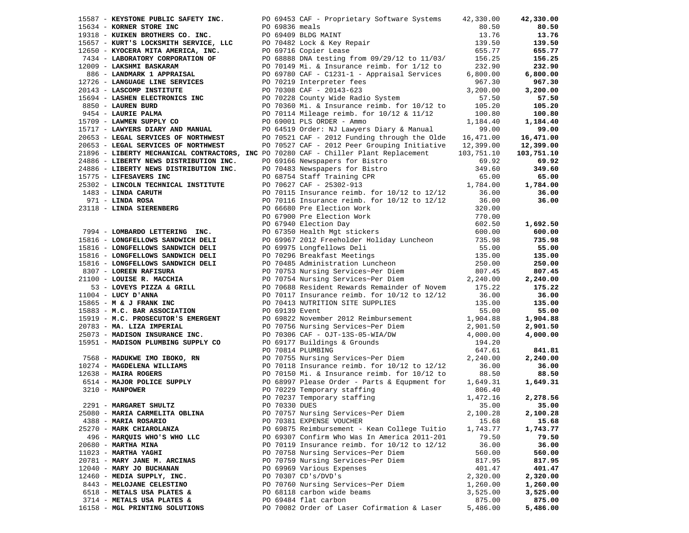|                                                                            | 15587 - KEYSTONE PUBLIC SAFETY INC. PO 69453 CAF - Proprietary Software Systems                                                                                                                                                                                                                                                                                                                                                                                                                                                        | 42,330.00 | 42,330.00       |
|----------------------------------------------------------------------------|----------------------------------------------------------------------------------------------------------------------------------------------------------------------------------------------------------------------------------------------------------------------------------------------------------------------------------------------------------------------------------------------------------------------------------------------------------------------------------------------------------------------------------------|-----------|-----------------|
|                                                                            | 15637 - KEYSTONE PUBLIC SAFETY INC.<br>15634 - KORNER STORE INC.<br>1978 - KURT'S LOCKSMITH SERVICE, LLC<br>1978 - KURT'S LOCKSMITH SERVICE, LLC<br>19818 - KURT'S LOCKSMITH SERVICE, LLC<br>19818 - KURT'S LOCKSMITH SERVICE, LLC<br>198                                                                                                                                                                                                                                                                                              |           | 80.50           |
|                                                                            |                                                                                                                                                                                                                                                                                                                                                                                                                                                                                                                                        |           | 13.76           |
|                                                                            |                                                                                                                                                                                                                                                                                                                                                                                                                                                                                                                                        |           | 139.50          |
|                                                                            |                                                                                                                                                                                                                                                                                                                                                                                                                                                                                                                                        |           | 655.77          |
|                                                                            |                                                                                                                                                                                                                                                                                                                                                                                                                                                                                                                                        |           | 156.25          |
|                                                                            |                                                                                                                                                                                                                                                                                                                                                                                                                                                                                                                                        |           | 232.90          |
|                                                                            |                                                                                                                                                                                                                                                                                                                                                                                                                                                                                                                                        |           | 6,800.00        |
|                                                                            |                                                                                                                                                                                                                                                                                                                                                                                                                                                                                                                                        |           | 967.30          |
|                                                                            |                                                                                                                                                                                                                                                                                                                                                                                                                                                                                                                                        |           | 3,200.00        |
|                                                                            |                                                                                                                                                                                                                                                                                                                                                                                                                                                                                                                                        |           | 57.50           |
|                                                                            |                                                                                                                                                                                                                                                                                                                                                                                                                                                                                                                                        |           | 105.20          |
|                                                                            |                                                                                                                                                                                                                                                                                                                                                                                                                                                                                                                                        |           | 100.80          |
|                                                                            |                                                                                                                                                                                                                                                                                                                                                                                                                                                                                                                                        |           | 1,184.40        |
| 15717 - LAWYERS DIARY AND MANUAL                                           | PO 64519 Order: NJ Lawyers Diary & Manual                                                                                                                                                                                                                                                                                                                                                                                                                                                                                              | 99.00     | 99.00           |
| 20653 - LEGAL SERVICES OF NORTHWEST<br>20653 - LEGAL SERVICES OF NORTHWEST | PO 70521 CAF - 2012 Funding through the Olde $16,471.00$                                                                                                                                                                                                                                                                                                                                                                                                                                                                               |           | 16,471.00       |
|                                                                            | PO 70527 CAF - 2012 Peer Grouping Initiative 12,399.00                                                                                                                                                                                                                                                                                                                                                                                                                                                                                 |           | 12,399.00       |
|                                                                            | 21896 - LIBERTY MECHANICAL CONTRACTORS, INC PO 70280 CAF - Chiller Plant Replacement 103,751.10                                                                                                                                                                                                                                                                                                                                                                                                                                        |           | 103,751.10      |
|                                                                            |                                                                                                                                                                                                                                                                                                                                                                                                                                                                                                                                        |           | 69.92           |
|                                                                            |                                                                                                                                                                                                                                                                                                                                                                                                                                                                                                                                        |           | 349.60          |
|                                                                            |                                                                                                                                                                                                                                                                                                                                                                                                                                                                                                                                        |           | 65.00           |
|                                                                            | ${\small \begin{tabular}{lcccccc} \textbf{24886 - LIBERT} \textbf{ NEWS DISTRIBUTION INC.} & & \textbf{PO 69166} \textbf{News papers for Bistro} & & \textbf{69.92} \\ \textbf{24886 - LIBERT} \textbf{ NEWS DISTRIBUTION INC.} & & \textbf{PO 70483} \textbf{ Newspapers for Bistro} & & \textbf{349.60} \\ \textbf{15775 - LIFESAVERS INC} & & \textbf{PO 70483} \textbf{ Newspapers for Bistro} & & \textbf{349.60} \\ \textbf{25302 - LINCOMM TECHNICAL INSTITUTE} &$                                                              |           | 1,784.00        |
|                                                                            |                                                                                                                                                                                                                                                                                                                                                                                                                                                                                                                                        |           | 36.00           |
| 1483 - LINDA CARUTH<br>971 - LINDA ROSA<br>23118 - LINDA SIERENBERG        | PO 70116 Insurance reimb. for 10/12 to 12/12 36.00<br>PO 66680 Pre Election Work 320.00                                                                                                                                                                                                                                                                                                                                                                                                                                                |           | 36.00           |
|                                                                            |                                                                                                                                                                                                                                                                                                                                                                                                                                                                                                                                        |           |                 |
|                                                                            |                                                                                                                                                                                                                                                                                                                                                                                                                                                                                                                                        |           |                 |
|                                                                            |                                                                                                                                                                                                                                                                                                                                                                                                                                                                                                                                        |           | 1,692.50        |
|                                                                            |                                                                                                                                                                                                                                                                                                                                                                                                                                                                                                                                        |           | 600.00          |
|                                                                            |                                                                                                                                                                                                                                                                                                                                                                                                                                                                                                                                        |           | 735.98          |
|                                                                            |                                                                                                                                                                                                                                                                                                                                                                                                                                                                                                                                        |           | 55.00           |
|                                                                            |                                                                                                                                                                                                                                                                                                                                                                                                                                                                                                                                        |           | 135.00          |
|                                                                            |                                                                                                                                                                                                                                                                                                                                                                                                                                                                                                                                        |           | 250.00          |
|                                                                            |                                                                                                                                                                                                                                                                                                                                                                                                                                                                                                                                        |           | 807.45          |
|                                                                            |                                                                                                                                                                                                                                                                                                                                                                                                                                                                                                                                        |           | 2,240.00        |
|                                                                            |                                                                                                                                                                                                                                                                                                                                                                                                                                                                                                                                        |           | 175.22          |
|                                                                            |                                                                                                                                                                                                                                                                                                                                                                                                                                                                                                                                        |           | 36.00           |
|                                                                            |                                                                                                                                                                                                                                                                                                                                                                                                                                                                                                                                        |           | 135.00          |
|                                                                            |                                                                                                                                                                                                                                                                                                                                                                                                                                                                                                                                        |           | 55.00           |
|                                                                            |                                                                                                                                                                                                                                                                                                                                                                                                                                                                                                                                        |           | 1,904.88        |
|                                                                            |                                                                                                                                                                                                                                                                                                                                                                                                                                                                                                                                        |           | 2,901.50        |
|                                                                            |                                                                                                                                                                                                                                                                                                                                                                                                                                                                                                                                        |           | 4,000.00        |
|                                                                            |                                                                                                                                                                                                                                                                                                                                                                                                                                                                                                                                        |           |                 |
|                                                                            | 971 - LINDA ROSA PO 70115 INSURENCE PO 10115 INTERNATION STREEN ARRESTS PO 66680 PER Election NorK 320.00<br>PO 66680 PER Election NorK 320.00<br>PO 67900 PER Election NorK 320.00<br>PO 67900 PER Election NorK 320.00<br>1994 - L<br>90 70814 PLUMBING<br>10274 - <b>MAGDELENA WILLIAMS</b><br>10274 - <b>MAGDELENA WILLIAMS</b><br>10274 - <b>MAGDELENA WILLIAMS</b><br>12638 - <b>MAIRA ROGERS</b><br><b>EQUEL SUPPLY</b><br>12638 - <b>MAIRA ROGERS</b><br><b>EQUEL SUPPLY</b><br>12639 - <b>MAIRA ROGERS</b><br><b>EQUEL SU</b> |           | 841.81          |
|                                                                            |                                                                                                                                                                                                                                                                                                                                                                                                                                                                                                                                        |           | 2,240.00        |
|                                                                            |                                                                                                                                                                                                                                                                                                                                                                                                                                                                                                                                        |           | 36.00           |
|                                                                            |                                                                                                                                                                                                                                                                                                                                                                                                                                                                                                                                        |           | 88.50           |
|                                                                            |                                                                                                                                                                                                                                                                                                                                                                                                                                                                                                                                        |           | 1,649.31        |
|                                                                            |                                                                                                                                                                                                                                                                                                                                                                                                                                                                                                                                        |           |                 |
|                                                                            |                                                                                                                                                                                                                                                                                                                                                                                                                                                                                                                                        |           | 2,278.56        |
|                                                                            |                                                                                                                                                                                                                                                                                                                                                                                                                                                                                                                                        |           | $35.00$ $35.00$ |
| 25080 - MARIA CARMELITA OBLINA                                             | PO 70757 Nursing Services~Per Diem                                                                                                                                                                                                                                                                                                                                                                                                                                                                                                     | 2,100.28  | 2,100.28        |
| 4388 - MARIA ROSARIO                                                       | PO 70381 EXPENSE VOUCHER                                                                                                                                                                                                                                                                                                                                                                                                                                                                                                               | 15.68     | 15.68           |
| 25270 - MARK CHIAROLANZA                                                   | PO 69875 Reimbursement - Kean College Tuitio                                                                                                                                                                                                                                                                                                                                                                                                                                                                                           | 1,743.77  | 1,743.77        |
| 496 - MARQUIS WHO'S WHO LLC                                                | PO 69307 Confirm Who Was In America 2011-201                                                                                                                                                                                                                                                                                                                                                                                                                                                                                           | 79.50     | 79.50           |
| $20680$ - MARTHA MINA                                                      | PO 70119 Insurance reimb. for 10/12 to 12/12                                                                                                                                                                                                                                                                                                                                                                                                                                                                                           | 36.00     | 36.00           |
| $11023$ - MARTHA YAGHI                                                     | PO 70758 Nursing Services~Per Diem                                                                                                                                                                                                                                                                                                                                                                                                                                                                                                     | 560.00    | 560.00          |
| 20781 - MARY JANE M. ARCINAS                                               | PO 70759 Nursing Services~Per Diem                                                                                                                                                                                                                                                                                                                                                                                                                                                                                                     | 817.95    | 817.95          |
| 12040 - MARY JO BUCHANAN                                                   | PO 69969 Various Expenses                                                                                                                                                                                                                                                                                                                                                                                                                                                                                                              | 401.47    | 401.47          |
| 12460 - MEDIA SUPPLY, INC.                                                 | PO 70307 CD's/DVD's                                                                                                                                                                                                                                                                                                                                                                                                                                                                                                                    | 2,320.00  | 2,320.00        |
| 8443 - MELOJANE CELESTINO                                                  | PO 70760 Nursing Services~Per Diem                                                                                                                                                                                                                                                                                                                                                                                                                                                                                                     | 1,260.00  | 1,260.00        |
| 6518 - METALS USA PLATES &                                                 | PO 68118 carbon wide beams                                                                                                                                                                                                                                                                                                                                                                                                                                                                                                             | 3,525.00  | 3,525.00        |
| 3714 - METALS USA PLATES &                                                 | PO 69484 flat carbon                                                                                                                                                                                                                                                                                                                                                                                                                                                                                                                   | 875.00    | 875.00          |
| 16158 - MGL PRINTING SOLUTIONS                                             | PO 70082 Order of Laser Cofirmation & Laser                                                                                                                                                                                                                                                                                                                                                                                                                                                                                            | 5,486.00  | 5,486.00        |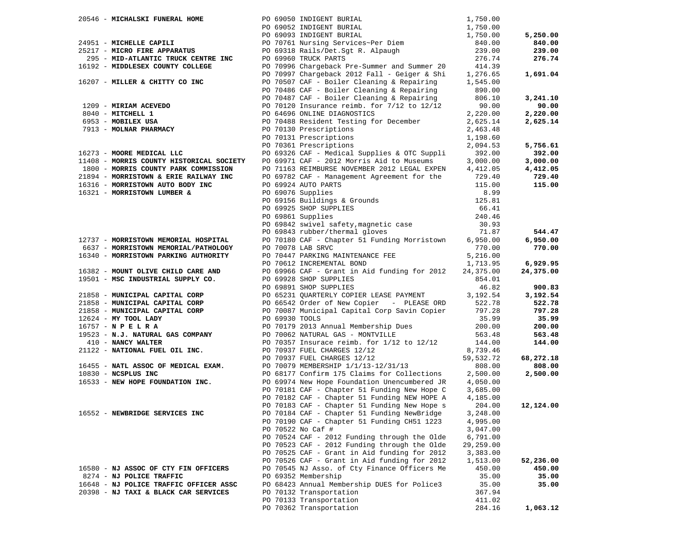| 20546 - MICHALSKI FUNERAL HOME                                                             |                |                                                                                                                                                             | 1,750.00             |           |
|--------------------------------------------------------------------------------------------|----------------|-------------------------------------------------------------------------------------------------------------------------------------------------------------|----------------------|-----------|
|                                                                                            |                |                                                                                                                                                             | 1,750.00             |           |
|                                                                                            |                | PO 69050 INDIGENT BURIAL<br>PO 69052 INDIGENT BURIAL<br>PO 69093 INDIGENT BURIAL<br>PO 70761 Nursing Services~Per Diem<br>PO 69318 Rails/Det.Sgt R. Alpaugh | 1,750.00<br>1,750.00 | 5,250.00  |
| 24951 - MICHELLE CAPILI                                                                    |                |                                                                                                                                                             | 840.00               | 840.00    |
| 25217 - MICRO FIRE APPARATUS                                                               |                |                                                                                                                                                             | 239.00               | 239.00    |
| 295 - MID-ATLANTIC TRUCK CENTRE INC                                                        |                | PO 69960 TRUCK PARTS                                                                                                                                        | 276.74               | 276.74    |
| 16192 - MIDDLESEX COUNTY COLLEGE                                                           |                | PO 70996 Chargeback Pre-Summer and Summer 20                                                                                                                | 414.39               |           |
|                                                                                            |                | PO 70997 Chargeback 2012 Fall - Geiger & Shi                                                                                                                | 1,276.65             | 1,691.04  |
| 16207 - MILLER & CHITTY CO INC                                                             |                | PO 70507 CAF - Boiler Cleaning & Repairing                                                                                                                  | 1,545.00             |           |
|                                                                                            |                | PO 70486 CAF - Boiler Cleaning & Repairing                                                                                                                  | 890.00               |           |
|                                                                                            |                | PO 70487 CAF - Boiler Cleaning & Repairing                                                                                                                  | 806.10               | 3,241.10  |
| 1209 - MIRIAM ACEVEDO<br>8040 - MITCHELL 1<br>6953 - MOBILEX USA<br>7913 - MOLNAR PHARMACY |                | PO 70120 Insurance reimb. for 7/12 to 12/12                                                                                                                 | 90.00                | 90.00     |
|                                                                                            |                | PO 64696 ONLINE DIAGNOSTICS                                                                                                                                 | 2,220.00             | 2,220.00  |
|                                                                                            |                | PO 70488 Resident Testing for December                                                                                                                      | 2,625.14             | 2,625.14  |
|                                                                                            |                | PO 70130 Prescriptions                                                                                                                                      | 2,463.48             |           |
|                                                                                            |                | PO 70131 Prescriptions<br>PO 70361 Prescriptions                                                                                                            | 1,198.60             |           |
|                                                                                            |                |                                                                                                                                                             | 2,094.53             | 5,756.61  |
| 16273 - MOORE MEDICAL LLC                                                                  |                | PO 69326 CAF - Medical Supplies & OTC Suppli                                                                                                                | 392.00               | 392.00    |
| 11408 - MORRIS COUNTY HISTORICAL SOCIETY                                                   |                | PO 69971 CAF - 2012 Morris Aid to Museums                                                                                                                   | 3,000.00             | 3,000.00  |
| 1800 - MORRIS COUNTY PARK COMMISSION                                                       |                | PO 71163 REIMBURSE NOVEMBER 2012 LEGAL EXPEN                                                                                                                | 4,412.05             | 4,412.05  |
| 21894 - MORRISTOWN & ERIE RAILWAY INC                                                      |                | PO 69782 CAF - Management Agreement for the                                                                                                                 | 729.40               | 729.40    |
| 16316 - MORRISTOWN AUTO BODY INC                                                           |                | PO 69924 AUTO PARTS                                                                                                                                         | 115.00               | 115.00    |
| 16321 - MORRISTOWN LUMBER &                                                                |                | PO 69076 Supplies                                                                                                                                           | 8.99                 |           |
|                                                                                            |                |                                                                                                                                                             | 125.81               |           |
|                                                                                            |                |                                                                                                                                                             | 66.41                |           |
|                                                                                            |                | PO 69156 Buildings & Grounds<br>PO 69925 SHOP SUPPLIES<br>PO 69861 Supplies                                                                                 | 240.46               |           |
|                                                                                            |                | PO 69842 swivel safety, magnetic case<br>PO 69843 rubber/thermal gloves<br>PO 69843 rubber/thermal gloves                                                   | 30.93                |           |
|                                                                                            |                |                                                                                                                                                             | 71.87                | 544.47    |
| 12737 - MORRISTOWN MEMORIAL HOSPITAL                                                       |                | PO 70180 CAF - Chapter 51 Funding Morristown                                                                                                                | 6,950.00             | 6,950.00  |
| 6637 - MORRISTOWN MEMORIAL/PATHOLOGY                                                       |                | PO 70078 LAB SRVC                                                                                                                                           | 770.00               | 770.00    |
| 16340 - MORRISTOWN PARKING AUTHORITY                                                       |                | PO 70447 PARKING MAINTENANCE FEE                                                                                                                            | 5,216.00             |           |
|                                                                                            |                | PO 70612 INCREMENTAL BOND                                                                                                                                   | 1,713.95             | 6,929.95  |
| 16382 - MOUNT OLIVE CHILD CARE AND                                                         |                | PO 69966 CAF - Grant in Aid funding for 2012                                                                                                                | 24,375.00            | 24,375.00 |
| 19501 - MSC INDUSTRIAL SUPPLY CO.                                                          |                | PO 69928 SHOP SUPPLIES                                                                                                                                      | 854.01               |           |
|                                                                                            |                | PO 69891 SHOP SUPPLIES                                                                                                                                      | 46.82                | 900.83    |
| 21858 - MUNICIPAL CAPITAL CORP                                                             |                | PO 65231 QUARTERLY COPIER LEASE PAYMENT                                                                                                                     | 3,192.54             | 3,192.54  |
| 21858 - MUNICIPAL CAPITAL CORP                                                             |                | PO 66542 Order of New Copier - PLEASE ORD                                                                                                                   | 522.78               | 522.78    |
| 21858 - MUNICIPAL CAPITAL CORP                                                             |                | PO 70087 Municipal Capital Corp Savin Copier                                                                                                                | 797.28               | 797.28    |
| 12624 - MY TOOL LADY                                                                       | PO 69930 TOOLS |                                                                                                                                                             | 35.99                | 35.99     |
| $16757 - N$ P E L R A                                                                      |                | PO 70179 2013 Annual Membership Dues                                                                                                                        | 200.00               | 200.00    |
| 19523 - N.J. NATURAL GAS COMPANY                                                           |                | PO 70062 NATURAL GAS - MONTVILLE                                                                                                                            | 563.48               | 563.48    |
| 410 - NANCY WALTER                                                                         |                | PO 70357 Insurace reimb. for 1/12 to 12/12                                                                                                                  | 144.00               | 144.00    |
| 21122 - NATIONAL FUEL OIL INC.                                                             |                | PO 70937 FUEL CHARGES 12/12                                                                                                                                 | 8,739.46             |           |
|                                                                                            |                | PO 70937 FUEL CHARGES 12/12                                                                                                                                 | 59,532.72            | 68,272.18 |
| 16455 - NATL ASSOC OF MEDICAL EXAM.                                                        |                | PO 70079 MEMBERSHIP 1/1/13-12/31/13                                                                                                                         | 808.00               | 808.00    |
| 10830 - NCSPLUS INC                                                                        |                | PO 68177 Confirm 175 Claims for Collections                                                                                                                 | 2,500.00             | 2,500.00  |
| 16533 - NEW HOPE FOUNDATION INC.                                                           |                | PO 69974 New Hope Foundation Unencumbered JR                                                                                                                | 4,050.00             |           |
|                                                                                            |                | PO 70181 CAF - Chapter 51 Funding New Hope C                                                                                                                | 3,685.00             |           |
|                                                                                            |                | PO 70182 CAF - Chapter 51 Funding NEW HOPE A                                                                                                                | 4,185.00             |           |
|                                                                                            |                | PO 70183 CAF - Chapter 51 Funding New Hope s                                                                                                                | 204.00               | 12,124.00 |
| 16552 - NEWBRIDGE SERVICES INC                                                             |                | PO 70184 CAF - Chapter 51 Funding NewBridge                                                                                                                 | 3,248.00             |           |
|                                                                                            |                | PO 70190 CAF - Chapter 51 Funding CH51 1223                                                                                                                 | 4,995.00             |           |
|                                                                                            |                | PO 70522 No Caf #                                                                                                                                           | 3,047.00             |           |
|                                                                                            |                | PO 70524 CAF - 2012 Funding through the Olde                                                                                                                | 6,791.00             |           |
|                                                                                            |                | PO 70523 CAF - 2012 Funding through the Olde                                                                                                                | 29,259.00            |           |
|                                                                                            |                | PO 70525 CAF - Grant in Aid funding for 2012                                                                                                                | 3,383.00             |           |
|                                                                                            |                | PO 70526 CAF - Grant in Aid funding for 2012                                                                                                                | 1,513.00             | 52,236.00 |
| 16580 - NJ ASSOC OF CTY FIN OFFICERS                                                       |                | PO 70545 NJ Asso. of Cty Finance Officers Me                                                                                                                | 450.00               | 450.00    |
| 8274 - NJ POLICE TRAFFIC                                                                   |                | PO 69352 Membership                                                                                                                                         | 35.00                | 35.00     |
| 16648 - NJ POLICE TRAFFIC OFFICER ASSC                                                     |                | PO 68423 Annual Membership DUES for Police3                                                                                                                 | 35.00                | 35.00     |
| 20398 - NJ TAXI & BLACK CAR SERVICES                                                       |                | PO 70132 Transportation                                                                                                                                     | 367.94               |           |
|                                                                                            |                | PO 70133 Transportation                                                                                                                                     | 411.02               |           |
|                                                                                            |                | PO 70362 Transportation                                                                                                                                     | 284.16               | 1,063.12  |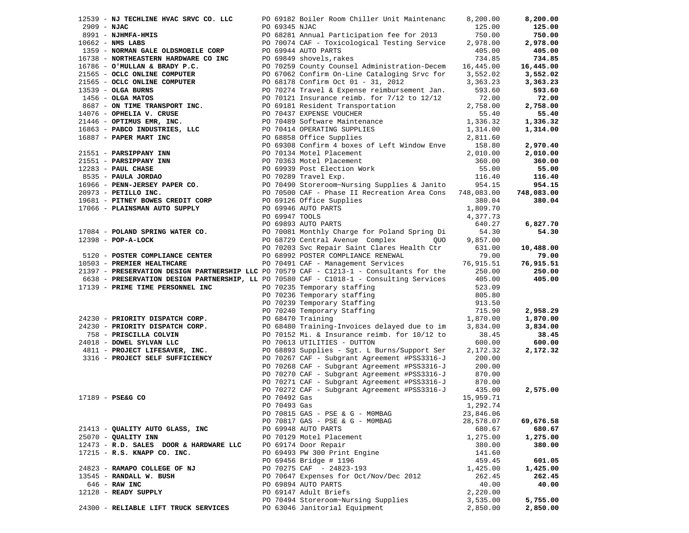|               | 12539 - NJ TECHLINE HVAC SRVC CO. LLC                                                                |               | PO 69182 Boiler Room Chiller Unit Maintenanc                                             | 8,200.00  | 8,200.00   |
|---------------|------------------------------------------------------------------------------------------------------|---------------|------------------------------------------------------------------------------------------|-----------|------------|
| $2909 - NJAC$ |                                                                                                      | PO 69345 NJAC |                                                                                          | 125.00    | 125.00     |
|               | 8991 - NJHMFA-HMIS                                                                                   |               | PO 68281 Annual Participation fee for 2013                                               | 750.00    | 750.00     |
|               | $10662$ - NMS LABS                                                                                   |               | PO 70074 CAF - Toxicological Testing Service                                             | 2,978.00  | 2,978.00   |
|               | 1359 - NORMAN GALE OLDSMOBILE CORP                                                                   |               | PO 69944 AUTO PARTS                                                                      | 405.00    | 405.00     |
|               | 16738 - NORTHEASTERN HARDWARE CO INC                                                                 |               | PO 69849 shovels, rakes                                                                  | 734.85    | 734.85     |
|               | 16786 - O'MULLAN & BRADY P.C.                                                                        |               |                                                                                          |           |            |
|               |                                                                                                      |               | PO 70259 County Counsel Administration-Decem                                             | 16,445.00 | 16,445.00  |
|               | 21565 - OCLC ONLINE COMPUTER                                                                         |               | PO 67062 Confirm On-Line Cataloging Srvc for                                             | 3,552.02  | 3,552.02   |
|               | 21565 - OCLC ONLINE COMPUTER                                                                         |               | PO 68178 Confirm Oct 01 - 31, 2012                                                       | 3,363.23  | 3,363.23   |
|               | 13539 - OLGA BURNS                                                                                   |               | PO 70274 Travel & Expense reimbursement Jan.                                             | 593.60    | 593.60     |
|               | $1456$ - OLGA MATOS                                                                                  |               | PO 70121 Insurance reimb. for 7/12 to 12/12                                              | 72.00     | 72.00      |
|               | 8687 - ON TIME TRANSPORT INC.                                                                        |               | PO 69181 Resident Transportation                                                         | 2,758.00  | 2,758.00   |
|               | 14076 - OPHELIA V. CRUSE                                                                             |               | PO 70437 EXPENSE VOUCHER                                                                 | 55.40     | 55.40      |
|               |                                                                                                      |               | PO 70489 Software Maintenance                                                            |           |            |
|               | 21446 - OPTIMUS EMR, INC.                                                                            |               |                                                                                          | 1,336.32  | 1,336.32   |
|               |                                                                                                      |               | PO 70414 OPERATING SUPPLIES                                                              | 1,314.00  | 1,314.00   |
|               | 16863 - PABCO INDUSTRIES, LLC<br>16887 - PAPER MART INC                                              |               | PO 68858 Office Supplies                                                                 | 2,811.60  |            |
|               |                                                                                                      |               | PO 69308 Confirm 4 boxes of Left Window Enve                                             | 158.80    | 2,970.40   |
|               | 21551 - PARSIPPANY INN                                                                               |               | PO 70134 Motel Placement                                                                 | 2,010.00  | 2,010.00   |
|               | 21551 - PARSIPPANY INN<br>12283 - PAUL CHASE<br>8535 - PAULA JORDAO<br>16966 - PENN-JERSEY PAPER CO. |               | PO 70363 Motel Placement                                                                 | 360.00    | 360.00     |
|               |                                                                                                      |               | PO 70363 Motel Placement<br>PO 69939 Post Election Work                                  | 55.00     | 55.00      |
|               |                                                                                                      |               | PO 70289 Travel Exp.                                                                     | 116.40    | 116.40     |
|               |                                                                                                      |               | PO 70490 Storeroom~Nursing Supplies & Janito                                             |           |            |
|               |                                                                                                      |               |                                                                                          | 954.15    | 954.15     |
|               | $20973$ - PETILLO INC.                                                                               |               | PO 70500 CAF - Phase II Recreation Area Cons 748,083.00                                  |           | 748,083.00 |
|               | 19681 - PITNEY BOWES CREDIT CORP                                                                     |               | PO 69126 Office Supplies                                                                 | 380.04    | 380.04     |
|               | 17066 - PLAINSMAN AUTO SUPPLY                                                                        |               | PO 69946 AUTO PARTS                                                                      | 1,809.70  |            |
|               |                                                                                                      |               | PO 69947 TOOLS                                                                           | 4,377.73  |            |
|               |                                                                                                      |               | PO 69893 AUTO PARTS                                                                      | 640.27    | 6,827.70   |
|               | 17084 - POLAND SPRING WATER CO.                                                                      |               | PO 70081 Monthly Charge for Poland Spring Di                                             | 54.30     | 54.30      |
|               | 12398 - POP-A-LOCK                                                                                   |               |                                                                                          |           |            |
|               |                                                                                                      |               | PO 68729 Central Avenue Complex QUO                                                      | 9,857.00  |            |
|               |                                                                                                      |               | PO 70203 Svc Repair Saint Clares Health Ctr                                              | 631.00    | 10,488.00  |
|               | 5120 - POSTER COMPLIANCE CENTER                                                                      |               | PO 68992 POSTER COMPLIANCE RENEWAL                                                       | 79.00     | 79.00      |
|               | 10503 - PREMIER HEALTHCARE                                                                           |               | PO 70491 CAF - Management Services                                                       | 76,915.51 | 76,915.51  |
|               |                                                                                                      |               | 21397 - PRESERVATION DESIGN PARTNERSHIP LLC PO 70579 CAF - C1213-1 - Consultants for the | 250.00    | 250.00     |
|               | 6638 - PRESERVATION DESIGN PARTNERSHIP, LL PO 70580 CAF - C1018-1 - Consulting Services              |               |                                                                                          | 405.00    | 405.00     |
|               | 17139 - PRIME TIME PERSONNEL INC                                                                     |               |                                                                                          | 523.09    |            |
|               |                                                                                                      |               | PO 70236 Temporary staffing                                                              | 805.80    |            |
|               |                                                                                                      |               |                                                                                          |           |            |
|               |                                                                                                      |               | PO 70239 Temporary Staffing                                                              | 913.50    |            |
|               |                                                                                                      |               | PO 70240 Temporary Staffing<br>po 68470 Training                                         | 715.90    | 2,958.29   |
|               | 24230 - PRIORITY DISPATCH CORP.                                                                      |               | PO 68470 Training                                                                        | 1,870.00  | 1,870.00   |
|               | 24230 - PRIORITY DISPATCH CORP.                                                                      |               | PO 68480 Training-Invoices delayed due to im                                             | 3,834.00  | 3,834.00   |
|               | 758 - PRISCILLA COLVIN                                                                               |               | PO 70152 Mi. & Insurance reimb. for 10/12 to                                             | 38.45     | 38.45      |
|               | 24018 - DOWEL SYLVAN LLC                                                                             |               | PO 70613 UTILITIES - DUTTON                                                              | 600.00    | 600.00     |
|               | 4811 - PROJECT LIFESAVER, INC.                                                                       |               | PO 68893 Supplies - Sgt. L Burns/Support Ser                                             | 2,172.32  | 2,172.32   |
|               | 3316 - PROJECT SELF SUFFICIENCY                                                                      |               | PO 70267 CAF - Subgrant Agreement #PSS3316-J                                             | 200.00    |            |
|               |                                                                                                      |               |                                                                                          |           |            |
|               |                                                                                                      |               | PO 70268 CAF - Subgrant Agreement #PSS3316-J                                             | 200.00    |            |
|               |                                                                                                      |               | PO 70270 CAF - Subgrant Agreement #PSS3316-J                                             | 870.00    |            |
|               |                                                                                                      |               | PO 70271 CAF - Subgrant Agreement #PSS3316-J                                             | 870.00    |            |
|               |                                                                                                      |               | PO 70272 CAF - Subgrant Agreement #PSS3316-J                                             | 435.00    | 2,575.00   |
|               | 17189 - PSE&G CO                                                                                     | PO 70492 Gas  |                                                                                          | 15,959.71 |            |
|               |                                                                                                      |               | PO 70493 Gas                                                                             | 1,292.74  |            |
|               |                                                                                                      |               | PO 70815 GAS - PSE & G - MOMBAG                                                          | 23,846.06 |            |
|               |                                                                                                      |               | PO 70817 GAS - PSE & G - MOMBAG                                                          | 28,578.07 | 69,676.58  |
|               | 21413 - QUALITY AUTO GLASS, INC                                                                      |               | PO 69948 AUTO PARTS                                                                      |           |            |
|               |                                                                                                      |               |                                                                                          | 680.67    | 680.67     |
|               | 25070 - QUALITY INN                                                                                  |               | PO 70129 Motel Placement                                                                 | 1,275.00  | 1,275.00   |
|               | 12473 - R.D. SALES DOOR & HARDWARE LLC                                                               |               | PO 69174 Door Repair                                                                     | 380.00    | 380.00     |
|               | 17215 - R.S. KNAPP CO. INC.                                                                          |               | PO 69493 PW 300 Print Engine                                                             | 141.60    |            |
|               |                                                                                                      |               | PO 69456 Bridge # 1196                                                                   | 459.45    | 601.05     |
|               | 24823 - RAMAPO COLLEGE OF NJ                                                                         |               | PO 70275 CAF - 24823-193                                                                 | 1,425.00  | 1,425.00   |
|               | 13545 - RANDALL W. BUSH                                                                              |               | PO 70647 Expenses for Oct/Nov/Dec 2012                                                   | 262.45    | 262.45     |
|               | 646 - RAW INC                                                                                        |               | PO 69894 AUTO PARTS                                                                      | 40.00     | 40.00      |
|               | 12128 - READY SUPPLY                                                                                 |               |                                                                                          |           |            |
|               |                                                                                                      |               | PO 69147 Adult Briefs                                                                    | 2,220.00  |            |
|               |                                                                                                      |               | PO 70494 Storeroom~Nursing Supplies                                                      | 3,535.00  | 5,755.00   |
|               | 24300 - RELIABLE LIFT TRUCK SERVICES                                                                 |               | PO 63046 Janitorial Equipment                                                            | 2,850.00  | 2,850.00   |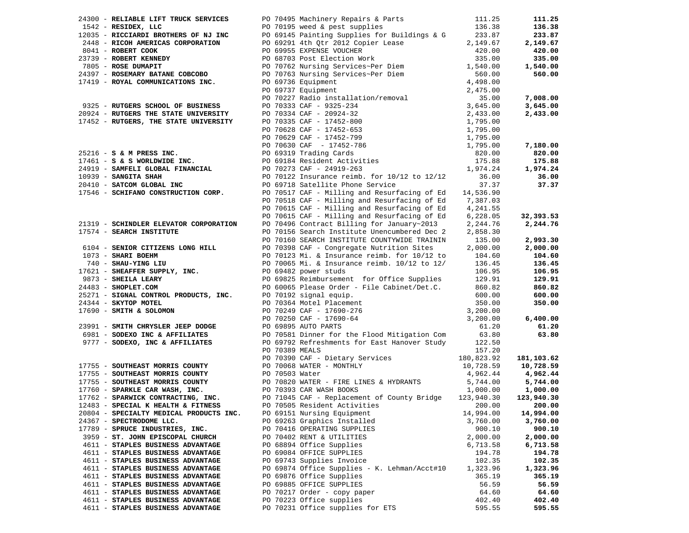|                                         |                                                                                                                                                                                                                                                                                                                                                                                                                                                                                             |           | 111.25     |
|-----------------------------------------|---------------------------------------------------------------------------------------------------------------------------------------------------------------------------------------------------------------------------------------------------------------------------------------------------------------------------------------------------------------------------------------------------------------------------------------------------------------------------------------------|-----------|------------|
|                                         |                                                                                                                                                                                                                                                                                                                                                                                                                                                                                             |           | 136.38     |
|                                         |                                                                                                                                                                                                                                                                                                                                                                                                                                                                                             |           | 233.87     |
|                                         |                                                                                                                                                                                                                                                                                                                                                                                                                                                                                             |           | 2,149.67   |
|                                         | 24300 - RELIABLE LIFT TRUCK SERVICES<br>1542 - RESIDEX, LLC<br>12035 - RICCIARDI BROTHERS OF NJ INC<br>2448 - RICCIARDI BROTHERS OF NJ INC<br>2448 - RICCH AMERICAS CORPORATION<br>26 - PO 69291 4th Qtr 2012 Copier Lease<br>2,149.67<br>2<br>2448 - RICOH AMERICAS CORPORATION<br>2448 - RICOH AMERICAS CORPORATION<br>24597 - ROBERT KENNEDY<br>24397 - ROSE DUMAPIT<br>24397 - ROSE DUMAPIT<br>24397 - ROSEMARY BATANE COBCOBO<br>24397 - ROSEMARY BATANE COBCOBO<br>24397 - ROSEMARY B |           | 420.00     |
|                                         |                                                                                                                                                                                                                                                                                                                                                                                                                                                                                             |           |            |
|                                         |                                                                                                                                                                                                                                                                                                                                                                                                                                                                                             |           | 335.00     |
|                                         |                                                                                                                                                                                                                                                                                                                                                                                                                                                                                             |           | 1,540.00   |
|                                         |                                                                                                                                                                                                                                                                                                                                                                                                                                                                                             |           | 560.00     |
|                                         | PO 69736 Equipment<br>PO 69737 Fournance                                                                                                                                                                                                                                                                                                                                                                                                                                                    |           |            |
|                                         |                                                                                                                                                                                                                                                                                                                                                                                                                                                                                             |           |            |
|                                         |                                                                                                                                                                                                                                                                                                                                                                                                                                                                                             |           |            |
|                                         |                                                                                                                                                                                                                                                                                                                                                                                                                                                                                             |           | 7,008.00   |
|                                         |                                                                                                                                                                                                                                                                                                                                                                                                                                                                                             |           | 3,645.00   |
|                                         |                                                                                                                                                                                                                                                                                                                                                                                                                                                                                             |           | 2,433.00   |
|                                         |                                                                                                                                                                                                                                                                                                                                                                                                                                                                                             |           |            |
|                                         |                                                                                                                                                                                                                                                                                                                                                                                                                                                                                             |           |            |
|                                         |                                                                                                                                                                                                                                                                                                                                                                                                                                                                                             |           |            |
|                                         |                                                                                                                                                                                                                                                                                                                                                                                                                                                                                             |           |            |
|                                         |                                                                                                                                                                                                                                                                                                                                                                                                                                                                                             |           | 7,180.00   |
|                                         |                                                                                                                                                                                                                                                                                                                                                                                                                                                                                             |           | 820.00     |
|                                         |                                                                                                                                                                                                                                                                                                                                                                                                                                                                                             |           | 175.88     |
|                                         |                                                                                                                                                                                                                                                                                                                                                                                                                                                                                             |           | 1,974.24   |
|                                         |                                                                                                                                                                                                                                                                                                                                                                                                                                                                                             |           | 36.00      |
|                                         |                                                                                                                                                                                                                                                                                                                                                                                                                                                                                             |           | 37.37      |
|                                         |                                                                                                                                                                                                                                                                                                                                                                                                                                                                                             |           |            |
|                                         |                                                                                                                                                                                                                                                                                                                                                                                                                                                                                             |           |            |
|                                         | PO 70518 CAF - Milling and Resurfacing of Ed 7,387.03                                                                                                                                                                                                                                                                                                                                                                                                                                       |           |            |
|                                         | PO 70615 CAF - Milling and Resurfacing of Ed                                                                                                                                                                                                                                                                                                                                                                                                                                                | 4,241.55  |            |
|                                         | PO 70615 CAF - Milling and Resurfacing of Ed                                                                                                                                                                                                                                                                                                                                                                                                                                                | 6,228.05  | 32,393.53  |
| 21319 - SCHINDLER ELEVATOR CORPORATION  | PO 70496 Contract Billing for January~2013                                                                                                                                                                                                                                                                                                                                                                                                                                                  | 2,244.76  | 2,244.76   |
| 17574 - SEARCH INSTITUTE                | PO 70156 Search Institute Unencumbered Dec 2                                                                                                                                                                                                                                                                                                                                                                                                                                                | 2,858.30  |            |
|                                         | PO 70160 SEARCH INSTITUTE COUNTYWIDE TRAININ                                                                                                                                                                                                                                                                                                                                                                                                                                                |           |            |
|                                         | 6104 - SENIOR CITTED 1073<br>1073 - SHARI BOEHM<br>740 - SHARI FOR LIU<br>17621 - SHARIFER SUPPLY, INC.<br>9873 - SHEILA LEARY 10669825 Reimbursement for OILLON<br>26973 - SHOELER COM<br>269825 Reimbursement for OILLON<br>269895 Reimbu                                                                                                                                                                                                                                                 | 135.00    | 2,993.30   |
|                                         | PO 70398 CAF - Congregate Nutrition Sites 2,000.00                                                                                                                                                                                                                                                                                                                                                                                                                                          |           | 2,000.00   |
|                                         |                                                                                                                                                                                                                                                                                                                                                                                                                                                                                             |           | 104.60     |
|                                         |                                                                                                                                                                                                                                                                                                                                                                                                                                                                                             |           | 136.45     |
|                                         |                                                                                                                                                                                                                                                                                                                                                                                                                                                                                             |           | 106.95     |
|                                         |                                                                                                                                                                                                                                                                                                                                                                                                                                                                                             |           | 129.91     |
|                                         |                                                                                                                                                                                                                                                                                                                                                                                                                                                                                             |           | 860.82     |
|                                         |                                                                                                                                                                                                                                                                                                                                                                                                                                                                                             |           | 600.00     |
|                                         |                                                                                                                                                                                                                                                                                                                                                                                                                                                                                             |           |            |
|                                         |                                                                                                                                                                                                                                                                                                                                                                                                                                                                                             |           | 350.00     |
|                                         |                                                                                                                                                                                                                                                                                                                                                                                                                                                                                             |           |            |
|                                         |                                                                                                                                                                                                                                                                                                                                                                                                                                                                                             |           | 6,400.00   |
|                                         |                                                                                                                                                                                                                                                                                                                                                                                                                                                                                             |           | 61.20      |
|                                         |                                                                                                                                                                                                                                                                                                                                                                                                                                                                                             |           | 63.80      |
|                                         |                                                                                                                                                                                                                                                                                                                                                                                                                                                                                             |           |            |
|                                         |                                                                                                                                                                                                                                                                                                                                                                                                                                                                                             |           |            |
|                                         |                                                                                                                                                                                                                                                                                                                                                                                                                                                                                             |           | 181,103.62 |
|                                         |                                                                                                                                                                                                                                                                                                                                                                                                                                                                                             |           |            |
|                                         | 23991 - SMITH CHRYSLER JEEP DODGE<br>23991 - SMITH CHRYSLER JEEP DODGE<br>23991 - SODEXO INC & AFFILIATES<br>23991 - SODEXO INC & AFFILIATES<br>23991 - SODEXO INC & AFFILIATES<br>23991 - SODEXO INC & AFFILIATES<br>23991 - SODEXO INC &                                                                                                                                                                                                                                                  |           | 10,728.59  |
|                                         |                                                                                                                                                                                                                                                                                                                                                                                                                                                                                             |           | 4,962.44   |
|                                         |                                                                                                                                                                                                                                                                                                                                                                                                                                                                                             |           | 5,744.00   |
|                                         |                                                                                                                                                                                                                                                                                                                                                                                                                                                                                             |           | 1,000.00   |
|                                         |                                                                                                                                                                                                                                                                                                                                                                                                                                                                                             |           | 123,940.30 |
| 12483 - SPECIAL K HEALTH & FITNESS      | PO 70505 Resident Activities 1999.00 100.00 200.00                                                                                                                                                                                                                                                                                                                                                                                                                                          |           |            |
| 20804 - SPECIALTY MEDICAL PRODUCTS INC. | PO 69151 Nursing Equipment                                                                                                                                                                                                                                                                                                                                                                                                                                                                  | 14,994.00 | 14,994.00  |
|                                         |                                                                                                                                                                                                                                                                                                                                                                                                                                                                                             |           |            |
| 24367 - SPECTRODOME LLC.                | PO 69263 Graphics Installed                                                                                                                                                                                                                                                                                                                                                                                                                                                                 | 3,760.00  | 3,760.00   |
| 17789 - SPRUCE INDUSTRIES, INC.         | PO 70416 OPERATING SUPPLIES                                                                                                                                                                                                                                                                                                                                                                                                                                                                 | 900.10    | 900.10     |
| 3959 - ST. JOHN EPISCOPAL CHURCH        | PO 70402 RENT & UTILITIES                                                                                                                                                                                                                                                                                                                                                                                                                                                                   | 2,000.00  | 2,000.00   |
| 4611 - STAPLES BUSINESS ADVANTAGE       | PO 68894 Office Supplies                                                                                                                                                                                                                                                                                                                                                                                                                                                                    | 6,713.58  | 6,713.58   |
| 4611 - STAPLES BUSINESS ADVANTAGE       | PO 69084 OFFICE SUPPLIES                                                                                                                                                                                                                                                                                                                                                                                                                                                                    | 194.78    | 194.78     |
| 4611 - STAPLES BUSINESS ADVANTAGE       | PO 69743 Supplies Invoice                                                                                                                                                                                                                                                                                                                                                                                                                                                                   | 102.35    | 102.35     |
| 4611 - STAPLES BUSINESS ADVANTAGE       | PO 69874 Office Supplies - K. Lehman/Acct#10                                                                                                                                                                                                                                                                                                                                                                                                                                                | 1,323.96  | 1,323.96   |
|                                         |                                                                                                                                                                                                                                                                                                                                                                                                                                                                                             | 365.19    |            |
| 4611 - STAPLES BUSINESS ADVANTAGE       | PO 69876 Office Supplies                                                                                                                                                                                                                                                                                                                                                                                                                                                                    |           | 365.19     |
| 4611 - STAPLES BUSINESS ADVANTAGE       | PO 69885 OFFICE SUPPLIES                                                                                                                                                                                                                                                                                                                                                                                                                                                                    | 56.59     | 56.59      |
| 4611 - STAPLES BUSINESS ADVANTAGE       | PO 70217 Order - copy paper                                                                                                                                                                                                                                                                                                                                                                                                                                                                 | 64.60     | 64.60      |
| 4611 - STAPLES BUSINESS ADVANTAGE       | PO 70223 Office supplies                                                                                                                                                                                                                                                                                                                                                                                                                                                                    | 402.40    | 402.40     |
| 4611 - STAPLES BUSINESS ADVANTAGE       | PO 70231 Office supplies for ETS                                                                                                                                                                                                                                                                                                                                                                                                                                                            | 595.55    | 595.55     |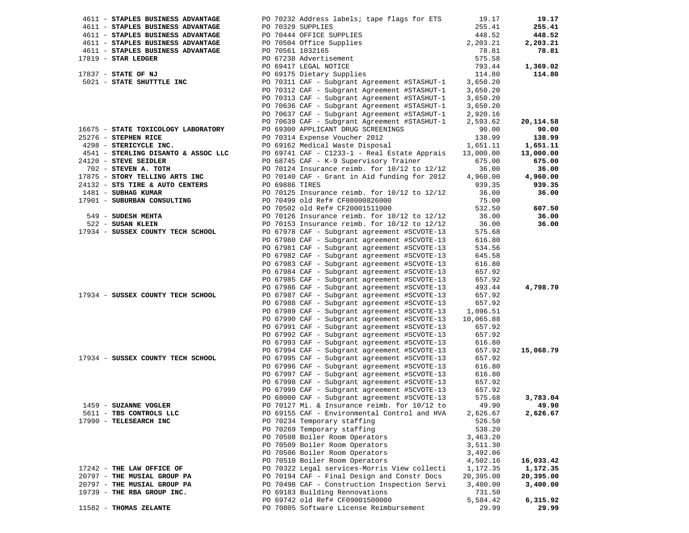| 4611 - STAPLES BUSINESS ADVANTAGE   |                | PO 70232 Address labels; tape flags for ETS                                                  | 19.17            | 19.17     |
|-------------------------------------|----------------|----------------------------------------------------------------------------------------------|------------------|-----------|
| 4611 - STAPLES BUSINESS ADVANTAGE   |                | PO 70329 SUPPLIES                                                                            | 255.41           | 255.41    |
| 4611 - STAPLES BUSINESS ADVANTAGE   |                | PO 70444 OFFICE SUPPLIES                                                                     | 448.52           | 448.52    |
| 4611 - STAPLES BUSINESS ADVANTAGE   |                | PO 70504 Office Supplies<br>PO 70561 1032165                                                 | 2,203.21         | 2,203.21  |
| 4611 - STAPLES BUSINESS ADVANTAGE   |                |                                                                                              | 78.81            | 78.81     |
| $17819$ - STAR LEDGER               |                | PO 67238 Advertisement<br>PO 69417 LEGAL NOTICE<br>PO 69175 Dietary Supplies<br>DO 70211 217 | 575.58           |           |
|                                     |                |                                                                                              | 793.44           | 1,369.02  |
| 17837 - STATE OF NJ                 |                |                                                                                              | 114.80           | 114.80    |
| 5021 - STATE SHUTTTLE INC           |                | PO 70311 CAF - Subgrant Agreement #STASHUT-1                                                 | 3,650.20         |           |
|                                     |                | PO 70312 CAF - Subgrant Agreement #STASHUT-1                                                 | 3,650.20         |           |
|                                     |                | PO 70313 CAF - Subgrant Agreement #STASHUT-1                                                 | 3,650.20         |           |
|                                     |                | PO 70636 CAF - Subgrant Agreement #STASHUT-1                                                 | 3,650.20         |           |
|                                     |                | PO 70637 CAF - Subgrant Agreement #STASHUT-1                                                 | 2,920.16         |           |
|                                     |                | PO 70639 CAF - Subgrant Agreement #STASHUT-1                                                 | 2,593.62         | 20,114.58 |
| 16675 - STATE TOXICOLOGY LABORATORY |                | PO 69300 APPLICANT DRUG SCREENINGS                                                           | 90.00            | 90.00     |
| 25276 - STEPHEN RICE                |                | PO 70314 Expense Voucher 2012                                                                | 138.99           | 138.99    |
| 4298 - STERICYCLE INC.              |                | PO 69162 Medical Waste Disposal                                                              | 1,651.11         | 1,651.11  |
| 4541 - STERLING DISANTO & ASSOC LLC |                | PO 69741 CAF - C1233-1 - Real Estate Apprais                                                 | 13,000.00        | 13,000.00 |
| 24120 - STEVE SEIDLER               |                | PO 68745 CAF - K-9 Supervisory Trainer                                                       | 675.00           | 675.00    |
| 702 - STEVEN A. TOTH                |                | PO 70124 Insurance reimb. for $10/12$ to $12/12$                                             | 36.00            | 36.00     |
| 17875 - STORY TELLING ARTS INC      |                | PO 70140 CAF - Grant in Aid funding for 2012                                                 | 4,960.00         | 4,960.00  |
| 24132 - STS TIRE & AUTO CENTERS     | PO 69886 TIRES |                                                                                              | 939.35           | 939.35    |
| 1481 - SUBHAG KUMAR                 |                | PO 70125 Insurance reimb. for $10/12$ to $12/12$                                             | 36.00            | 36.00     |
| 17901 - SUBURBAN CONSULTING         |                | PO 70499 old Ref# CF08000826000                                                              | 75.00            |           |
|                                     |                | PO 70502 old Ref# CF20001511000                                                              | 532.50           | 607.50    |
| 549 - SUDESH MEHTA                  |                | PO 70126 Insurance reimb. for $10/12$ to $12/12$                                             | 36.00            | 36.00     |
| 522 - SUSAN KLEIN                   |                | PO 70153 Insurance reimb. for 10/12 to 12/12                                                 | 36.00            | 36.00     |
| 17934 - SUSSEX COUNTY TECH SCHOOL   |                | PO 67978 CAF - Subgrant agreement #SCVOTE-13                                                 | 575.68           |           |
|                                     |                | PO 67980 CAF - Subgrant agreement #SCVOTE-13                                                 | 616.80           |           |
|                                     |                | PO 67981 CAF - Subgrant agreement #SCVOTE-13                                                 | 534.56           |           |
|                                     |                | PO 67982 CAF - Subgrant agreement #SCVOTE-13                                                 | 645.58           |           |
|                                     |                | PO 67983 CAF - Subgrant agreement #SCVOTE-13                                                 | 616.80           |           |
|                                     |                | PO 67984 CAF - Subgrant agreement #SCVOTE-13                                                 | 657.92           |           |
|                                     |                | PO 67985 CAF - Subgrant agreement #SCVOTE-13                                                 | 657.92           |           |
|                                     |                | PO 67986 CAF - Subgrant agreement #SCVOTE-13                                                 | 493.44           | 4,798.70  |
| 17934 - SUSSEX COUNTY TECH SCHOOL   |                | PO 67987 CAF - Subgrant agreement #SCVOTE-13                                                 | 657.92           |           |
|                                     |                | PO 67988 CAF - Subgrant agreement #SCVOTE-13                                                 | 657.92           |           |
|                                     |                | PO 67989 CAF - Subgrant agreement #SCVOTE-13                                                 | 1,096.51         |           |
|                                     |                | PO 67990 CAF - Subgrant agreement #SCVOTE-13                                                 | 10,065.88        |           |
|                                     |                | PO 67991 CAF - Subgrant agreement #SCVOTE-13                                                 | 657.92           |           |
|                                     |                | PO 67992 CAF - Subgrant agreement #SCVOTE-13                                                 | 657.92           |           |
|                                     |                | PO 67993 CAF - Subgrant agreement #SCVOTE-13<br>PO 67994 CAF - Subgrant agreement #SCVOTE-13 | 616.80<br>657.92 | 15,068.79 |
| 17934 - SUSSEX COUNTY TECH SCHOOL   |                | PO 67995 CAF - Subgrant agreement #SCVOTE-13                                                 | 657.92           |           |
|                                     |                | PO 67996 CAF - Subgrant agreement #SCVOTE-13                                                 | 616.80           |           |
|                                     |                | PO 67997 CAF - Subgrant agreement #SCVOTE-13                                                 | 616.80           |           |
|                                     |                | PO 67998 CAF - Subgrant agreement #SCVOTE-13                                                 | 657.92           |           |
|                                     |                | PO 67999 CAF - Subgrant agreement #SCVOTE-13                                                 | 657.92           |           |
|                                     |                | PO 68000 CAF - Subgrant agreement #SCVOTE-13                                                 | 575.68           | 3,783.04  |
| 1459 - SUZANNE VOGLER               |                | PO 70127 Mi. & Insurance reimb. for 10/12 to                                                 | 49.90            | 49.90     |
| 5611 - TBS CONTROLS LLC             |                | PO 69155 CAF - Environmental Control and HVA                                                 | 2,626.67         | 2,626.67  |
| 17990 - TELESEARCH INC              |                | PO 70234 Temporary staffing                                                                  | 526.50           |           |
|                                     |                | PO 70269 Temporary staffing                                                                  | 538.20           |           |
|                                     |                | PO 70508 Boiler Room Operators                                                               | 3,463.20         |           |
|                                     |                | PO 70509 Boiler Room Operators                                                               | 3,511.30         |           |
|                                     |                | PO 70506 Boiler Room Operators                                                               | 3,492.06         |           |
|                                     |                | PO 70510 Boiler Room Operators                                                               | 4,502.16         | 16,033.42 |
| 17242 - THE LAW OFFICE OF           |                | PO 70322 Legal services-Morris View collecti                                                 | 1,172.35         | 1,172.35  |
| 20797 - THE MUSIAL GROUP PA         |                | PO 70194 CAF - Final Design and Constr Docs                                                  | 20,395.00        | 20,395.00 |
| 20797 - THE MUSIAL GROUP PA         |                | PO 70498 CAF - Construction Inspection Servi                                                 | 3,400.00         | 3,400.00  |
| 19739 - THE RBA GROUP INC.          |                | PO 69183 Building Rennovations                                                               | 731.50           |           |
|                                     |                | PO 69742 old Ref# CF09001500000                                                              | 5,584.42         | 6,315.92  |
| 11582 - THOMAS ZELANTE              |                | PO 70805 Software License Reimbursement                                                      | 29.99            | 29.99     |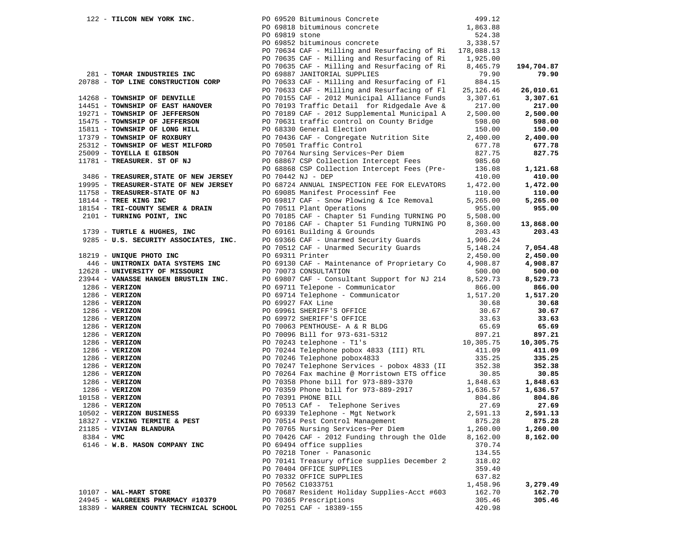| 122 - TILCON NEW YORK INC.             |  | PO 69520 Bituminous Concrete                                                                                                                                                                           | 499.12    |            |
|----------------------------------------|--|--------------------------------------------------------------------------------------------------------------------------------------------------------------------------------------------------------|-----------|------------|
|                                        |  | PO 69818 bituminous concrete                                                                                                                                                                           | 1,863.88  |            |
|                                        |  | PO 69819 stone                                                                                                                                                                                         | 524.38    |            |
|                                        |  | PO 69852 bituminous concrete                                                                                                                                                                           | 3,338.57  |            |
|                                        |  | PO 70634 CAF - Milling and Resurfacing of Ri 178,088.13                                                                                                                                                |           |            |
|                                        |  | PO 70635 CAF - Milling and Resurfacing of Ri                                                                                                                                                           | 1,925.00  |            |
|                                        |  | PO 70635 CAF - Milling and Resurfacing of Ri                                                                                                                                                           | 8,465.79  | 194,704.87 |
| 281 - TOMAR INDUSTRIES INC             |  | PO 69887 JANITORIAL SUPPLIES                                                                                                                                                                           | 79.90     | 79.90      |
| 20788 - TOP LINE CONSTRUCTION CORP     |  | PO 70633 CAF - Milling and Resurfacing of Fl                                                                                                                                                           | 884.15    |            |
|                                        |  | PO 70633 CAF - Milling and Resurfacing of Fl                                                                                                                                                           | 25,126.46 | 26,010.61  |
| 14268 - TOWNSHIP OF DENVILLE           |  | PO 70155 CAF - 2012 Municipal Alliance Funds                                                                                                                                                           | 3,307.61  | 3,307.61   |
| 14451 - TOWNSHIP OF EAST HANOVER       |  | PO 70193 Traffic Detail for Ridgedale Ave &                                                                                                                                                            | 217.00    | 217.00     |
| 19271 - TOWNSHIP OF JEFFERSON          |  | PO 70189 CAF - 2012 Supplemental Municipal A                                                                                                                                                           | 2,500.00  | 2,500.00   |
| 15475 - TOWNSHIP OF JEFFERSON          |  | PO 70631 traffic control on County Bridge                                                                                                                                                              | 598.00    | 598.00     |
| 15811 - TOWNSHIP OF LONG HILL          |  | PO 68330 General Election                                                                                                                                                                              | 150.00    | 150.00     |
| 17379 - TOWNSHIP OF ROXBURY            |  | PO 70436 CAF - Congregate Nutrition Site                                                                                                                                                               | 2,400.00  | 2,400.00   |
| 25312 - TOWNSHIP OF WEST MILFORD       |  | PO 70501 Traffic Control                                                                                                                                                                               | 677.78    | 677.78     |
| 25009 - TOYELLA E GIBSON               |  | PO 70764 Nursing Services~Per Diem                                                                                                                                                                     | 827.75    | 827.75     |
| 11781 - TREASURER. ST OF NJ            |  | PO 68867 CSP Collection Intercept Fees                                                                                                                                                                 | 985.60    |            |
|                                        |  | PO 68868 CSP Collection Intercept Fees (Pre-                                                                                                                                                           | 136.08    | 1,121.68   |
|                                        |  | PO 70442 NJ - DEP                                                                                                                                                                                      | 410.00    | 410.00     |
| 3486 - TREASURER, STATE OF NEW JERSEY  |  |                                                                                                                                                                                                        | 1,472.00  |            |
| 19995 - TREASURER-STATE OF NEW JERSEY  |  | PO 68724 ANNUAL INSPECTION FEE FOR ELEVATORS                                                                                                                                                           |           | 1,472.00   |
| 11758 - TREASURER-STATE OF NJ          |  | PO 69085 Manifest Processinf Fee                                                                                                                                                                       | 110.00    | 110.00     |
| 18144 - TREE KING INC                  |  | PO 69817 CAF - Snow Plowing & Ice Removal                                                                                                                                                              | 5,265.00  | 5,265.00   |
| 18154 - TRI-COUNTY SEWER & DRAIN       |  | PO 70511 Plant Operations                                                                                                                                                                              | 955.00    | 955.00     |
| 2101 - TURNING POINT, INC              |  | PO 70185 CAF - Chapter 51 Funding TURNING PO                                                                                                                                                           | 5,508.00  |            |
|                                        |  | PO 70186 CAF - Chapter 51 Funding TURNING PO                                                                                                                                                           | 8,360.00  | 13,868.00  |
| 1739 - TURTLE & HUGHES, INC            |  | PO 69161 Building & Grounds                                                                                                                                                                            | 203.43    | 203.43     |
| 9285 - U.S. SECURITY ASSOCIATES, INC.  |  | PO 69366 CAF - Unarmed Security Guards                                                                                                                                                                 | 1,906.24  |            |
|                                        |  | PO 70512 CAF - Unarmed Security Guards                                                                                                                                                                 | 5,148.24  | 7,054.48   |
| 18219 - UNIQUE PHOTO INC               |  | PO 69311 Printer                                                                                                                                                                                       | 2,450.00  | 2,450.00   |
| 446 - UNITRONIX DATA SYSTEMS INC       |  | PO 69130 CAF - Maintenance of Proprietary Co                                                                                                                                                           | 4,908.87  | 4,908.87   |
| 12628 - UNIVERSITY OF MISSOURI         |  | PO 70073 CONSULTATION                                                                                                                                                                                  | 500.00    | 500.00     |
| 23944 - VANASSE HANGEN BRUSTLIN INC.   |  | PO 69807 CAF - Consultant Support for NJ 214                                                                                                                                                           | 8,529.73  | 8,529.73   |
| $1286$ - VERIZON                       |  | PO 69711 Telepone - Communicator                                                                                                                                                                       | 866.00    | 866.00     |
| $1286$ - VERIZON                       |  | PO 69714 Telephone - Communicator                                                                                                                                                                      | 1,517.20  | 1,517.20   |
| $1286$ - VERIZON                       |  |                                                                                                                                                                                                        | 30.68     | 30.68      |
| $1286$ - VERIZON                       |  | PO 69927 FAX Line<br>PO 69927 FAX Line<br>PO 69972 SHERIFF'S OFFICE<br>PO 70063 PENTHOUSE- A & R BLDG<br>PO 70096 Bill for 973-631-5312<br>PO 70096 Bill for 973-631-5312<br>PO 70243 telephone - Tl's | 30.67     | 30.67      |
| $1286$ - VERIZON                       |  |                                                                                                                                                                                                        | 33.63     | 33.63      |
| $1286$ - VERIZON                       |  |                                                                                                                                                                                                        | 65.69     | 65.69      |
| $1286 - VERIZON$                       |  |                                                                                                                                                                                                        | 897.21    | 897.21     |
| $1286$ - VERIZON                       |  |                                                                                                                                                                                                        | 10,305.75 | 10,305.75  |
| $1286$ - VERIZON                       |  | PO 70244 Telephone pobox 4833 (III) RTL<br>PO 70246 Telephone pobox4833                                                                                                                                | 411.09    | 411.09     |
| $1286$ - VERIZON                       |  | PO 70246 Telephone pobox4833                                                                                                                                                                           | 335.25    | 335.25     |
| $1286$ - VERIZON                       |  | PO 70247 Telephone Services - pobox 4833 (II                                                                                                                                                           | 352.38    | 352.38     |
| $1286$ - VERIZON                       |  | PO 70264 Fax machine @ Morristown ETS office                                                                                                                                                           | 30.85     | 30.85      |
| $1286 - VERIZON$                       |  | PO 70358 Phone bill for 973-889-3370                                                                                                                                                                   | 1,848.63  | 1,848.63   |
| $1286$ - VERIZON                       |  | PO 70359 Phone bill for 973-889-2917                                                                                                                                                                   | 1,636.57  | 1,636.57   |
| 10158 - VERIZON                        |  | PO 70391 PHONE BILL                                                                                                                                                                                    | 804.86    | 804.86     |
| 1286 - VERIZON                         |  | PO 70513 CAf - Telephone Serives                                                                                                                                                                       | 27.69     | 27.69      |
| 10502 - VERIZON BUSINESS               |  | PO 69339 Telephone - Mgt Network                                                                                                                                                                       | 2,591.13  | 2,591.13   |
| 18327 - VIKING TERMITE & PEST          |  | PO 70514 Pest Control Management                                                                                                                                                                       | 875.28    | 875.28     |
| 21185 - VIVIAN BLANDURA                |  | PO 70765 Nursing Services~Per Diem                                                                                                                                                                     | 1,260.00  | 1,260.00   |
| $8384 - VMC$                           |  | PO 70426 CAF - 2012 Funding through the Olde                                                                                                                                                           | 8,162.00  | 8,162.00   |
| 6146 - W.B. MASON COMPANY INC          |  | PO 69494 office supplies                                                                                                                                                                               | 370.74    |            |
|                                        |  | PO 70218 Toner - Panasonic                                                                                                                                                                             | 134.55    |            |
|                                        |  | PO 70141 Treasury office supplies December 2                                                                                                                                                           | 318.02    |            |
|                                        |  | PO 70404 OFFICE SUPPLIES                                                                                                                                                                               | 359.40    |            |
|                                        |  | PO 70332 OFFICE SUPPLIES                                                                                                                                                                               | 637.82    |            |
|                                        |  | PO 70562 C1033751                                                                                                                                                                                      | 1,458.96  | 3,279.49   |
| $10107 - WAL-MART STORE$               |  | PO 70687 Resident Holiday Supplies-Acct #603                                                                                                                                                           | 162.70    | 162.70     |
| 24945 - WALGREENS PHARMACY #10379      |  | PO 70365 Prescriptions                                                                                                                                                                                 | 305.46    | 305.46     |
| 18389 - WARREN COUNTY TECHNICAL SCHOOL |  | PO 70251 CAF - 18389-155                                                                                                                                                                               | 420.98    |            |
|                                        |  |                                                                                                                                                                                                        |           |            |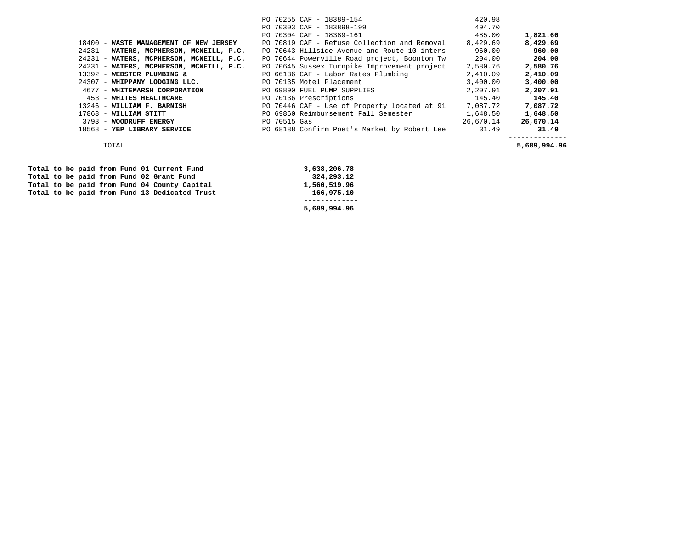|                                          | PO 70255 CAF - 18389-154                     | 420.98    |           |
|------------------------------------------|----------------------------------------------|-----------|-----------|
|                                          | PO 70303 CAF - 183898-199                    | 494.70    |           |
|                                          | PO 70304 CAF - 18389-161                     | 485.00    | 1,821.66  |
| 18400 - WASTE MANAGEMENT OF NEW JERSEY   | PO 70819 CAF - Refuse Collection and Removal | 8,429.69  | 8,429.69  |
| 24231 - WATERS, MCPHERSON, MCNEILL, P.C. | PO 70643 Hillside Avenue and Route 10 inters | 960.00    | 960.00    |
| 24231 - WATERS, MCPHERSON, MCNEILL, P.C. | PO 70644 Powerville Road project, Boonton Tw | 204.00    | 204.00    |
| 24231 - WATERS, MCPHERSON, MCNEILL, P.C. | PO 70645 Sussex Turnpike Improvement project | 2,580.76  | 2,580.76  |
| 13392 - WEBSTER PLUMBING &               | PO 66136 CAF - Labor Rates Plumbing          | 2,410.09  | 2,410.09  |
| 24307 - WHIPPANY LODGING LLC.            | PO 70135 Motel Placement                     | 3,400.00  | 3,400.00  |
| 4677 - WHITEMARSH CORPORATION            | PO 69890 FUEL PUMP SUPPLIES                  | 2,207.91  | 2,207.91  |
| 453 - WHITES HEALTHCARE                  | PO 70136 Prescriptions                       | 145.40    | 145.40    |
| 13246 - WILLIAM F. BARNISH               | PO 70446 CAF - Use of Property located at 91 | 7,087.72  | 7,087.72  |
| 17868 - WILLIAM STITT                    | PO 69860 Reimbursement Fall Semester         | 1,648.50  | 1,648.50  |
| 3793 - WOODRUFF ENERGY                   | PO 70515 Gas                                 | 26,670.14 | 26,670.14 |
| 18568 - YBP LIBRARY SERVICE              | PO 68188 Confirm Poet's Market by Robert Lee | 31.49     | 31.49     |

--------------

5,689,994.96 TOTAL **5,689,994.96** 

|  |  |  |  | Total to be paid from Fund 01 Current Fund    | 3,638,206.78 |
|--|--|--|--|-----------------------------------------------|--------------|
|  |  |  |  | Total to be paid from Fund 02 Grant Fund      | 324, 293. 12 |
|  |  |  |  | Total to be paid from Fund 04 County Capital  | 1,560,519.96 |
|  |  |  |  | Total to be paid from Fund 13 Dedicated Trust | 166,975.10   |
|  |  |  |  |                                               |              |
|  |  |  |  |                                               | 5,689,994.96 |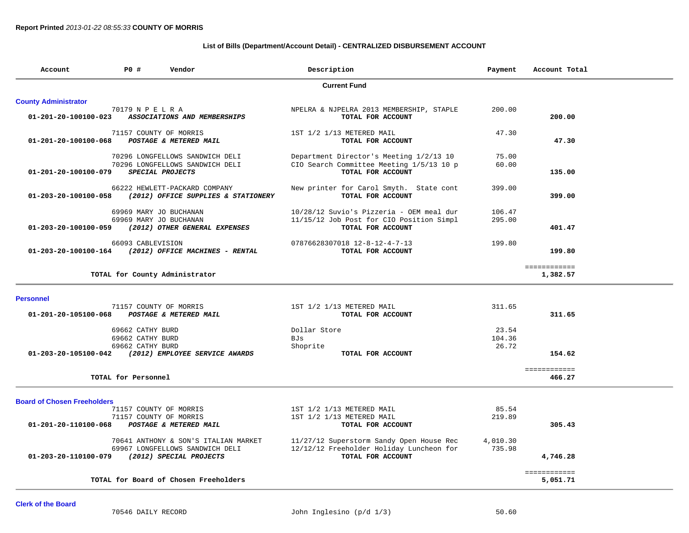#### **List of Bills (Department/Account Detail) - CENTRALIZED DISBURSEMENT ACCOUNT**

| Account                            | P0 #                                                     | Vendor                                                                                             | Description                                                                                                 | Payment                  | Account Total            |
|------------------------------------|----------------------------------------------------------|----------------------------------------------------------------------------------------------------|-------------------------------------------------------------------------------------------------------------|--------------------------|--------------------------|
|                                    |                                                          |                                                                                                    | <b>Current Fund</b>                                                                                         |                          |                          |
| <b>County Administrator</b>        |                                                          |                                                                                                    |                                                                                                             |                          |                          |
| 01-201-20-100100-023               | 70179 N P E L R A                                        | ASSOCIATIONS AND MEMBERSHIPS                                                                       | NPELRA & NJPELRA 2013 MEMBERSHIP, STAPLE<br>TOTAL FOR ACCOUNT                                               | 200.00                   | 200.00                   |
| 01-201-20-100100-068               |                                                          | 71157 COUNTY OF MORRIS<br>POSTAGE & METERED MAIL                                                   | 1ST 1/2 1/13 METERED MAIL<br>TOTAL FOR ACCOUNT                                                              | 47.30                    | 47.30                    |
| 01-201-20-100100-079               |                                                          | 70296 LONGFELLOWS SANDWICH DELI<br>70296 LONGFELLOWS SANDWICH DELI<br>SPECIAL PROJECTS             | Department Director's Meeting 1/2/13 10<br>CIO Search Committee Meeting 1/5/13 10 p<br>TOTAL FOR ACCOUNT    | 75.00<br>60.00           | 135.00                   |
| 01-203-20-100100-058               |                                                          | 66222 HEWLETT-PACKARD COMPANY<br>(2012) OFFICE SUPPLIES & STATIONERY                               | New printer for Carol Smyth. State cont<br>TOTAL FOR ACCOUNT                                                | 399.00                   | 399.00                   |
| 01-203-20-100100-059               |                                                          | 69969 MARY JO BUCHANAN<br>69969 MARY JO BUCHANAN<br>(2012) OTHER GENERAL EXPENSES                  | $10/28/12$ Suvio's Pizzeria - OEM meal dur<br>11/15/12 Job Post for CIO Position Simpl<br>TOTAL FOR ACCOUNT | 106.47<br>295.00         | 401.47                   |
| 01-203-20-100100-164               | 66093 CABLEVISION                                        | (2012) OFFICE MACHINES - RENTAL                                                                    | 07876628307018 12-8-12-4-7-13<br>TOTAL FOR ACCOUNT                                                          | 199.80                   | 199.80                   |
|                                    |                                                          | TOTAL for County Administrator                                                                     |                                                                                                             |                          | ============<br>1,382.57 |
| <b>Personnel</b>                   |                                                          |                                                                                                    |                                                                                                             |                          |                          |
| 01-201-20-105100-068               |                                                          | 71157 COUNTY OF MORRIS<br>POSTAGE & METERED MAIL                                                   | 1ST 1/2 1/13 METERED MAIL<br>TOTAL FOR ACCOUNT                                                              | 311.65                   | 311.65                   |
|                                    | 69662 CATHY BURD<br>69662 CATHY BURD<br>69662 CATHY BURD |                                                                                                    | Dollar Store<br>BJs<br>Shoprite                                                                             | 23.54<br>104.36<br>26.72 |                          |
| 01-203-20-105100-042               |                                                          | (2012) EMPLOYEE SERVICE AWARDS                                                                     | TOTAL FOR ACCOUNT                                                                                           |                          | 154.62                   |
|                                    | TOTAL for Personnel                                      |                                                                                                    |                                                                                                             |                          | ============<br>466.27   |
| <b>Board of Chosen Freeholders</b> |                                                          |                                                                                                    |                                                                                                             |                          |                          |
| 01-201-20-110100-068               |                                                          | 71157 COUNTY OF MORRIS<br>71157 COUNTY OF MORRIS<br>POSTAGE & METERED MAIL                         | 1ST 1/2 1/13 METERED MAIL<br>1ST 1/2 1/13 METERED MAIL<br>TOTAL FOR ACCOUNT                                 | 85.54<br>219.89          | 305.43                   |
| 01-203-20-110100-079               |                                                          | 70641 ANTHONY & SON'S ITALIAN MARKET<br>69967 LONGFELLOWS SANDWICH DELI<br>(2012) SPECIAL PROJECTS | 11/27/12 Superstorm Sandy Open House Rec<br>12/12/12 Freeholder Holiday Luncheon for<br>TOTAL FOR ACCOUNT   | 4,010.30<br>735.98       | 4,746.28                 |
|                                    |                                                          | TOTAL for Board of Chosen Freeholders                                                              |                                                                                                             |                          | ============<br>5,051.71 |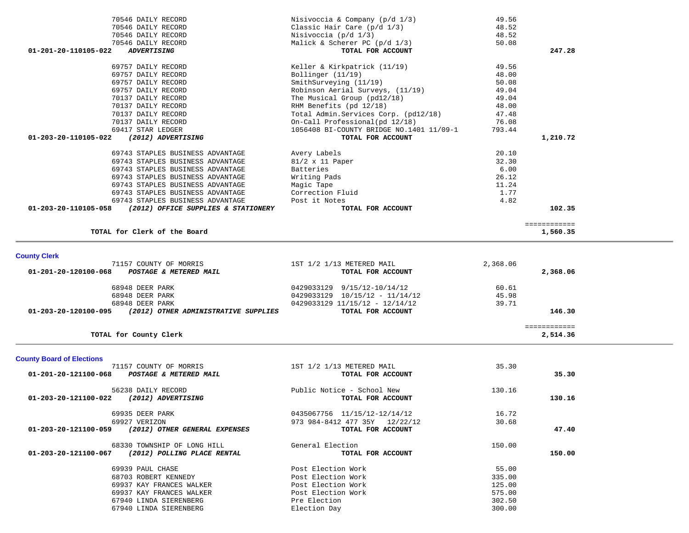| 70546 DAILY RECORD                                           | Nisivoccia ( $p/d$ 1/3)                  | 48.52            |              |
|--------------------------------------------------------------|------------------------------------------|------------------|--------------|
| 70546 DAILY RECORD                                           | Malick & Scherer PC $(p/d \ 1/3)$        | 50.08            |              |
| 01-201-20-110105-022<br><b>ADVERTISING</b>                   | TOTAL FOR ACCOUNT                        |                  | 247.28       |
|                                                              |                                          |                  |              |
|                                                              |                                          |                  |              |
| 69757 DAILY RECORD                                           | Keller & Kirkpatrick (11/19)             | 49.56            |              |
| 69757 DAILY RECORD                                           | Bollinger (11/19)                        | 48.00            |              |
| 69757 DAILY RECORD                                           | SmithSurveying (11/19)                   | 50.08            |              |
| 69757 DAILY RECORD                                           | Robinson Aerial Surveys, (11/19)         | 49.04            |              |
| 70137 DAILY RECORD                                           | The Musical Group (pd12/18)              | 49.04            |              |
|                                                              |                                          |                  |              |
| 70137 DAILY RECORD                                           | RHM Benefits (pd 12/18)                  | 48.00            |              |
| 70137 DAILY RECORD                                           | Total Admin.Services Corp. (pd12/18)     | 47.48            |              |
| 70137 DAILY RECORD                                           | On-Call Professional(pd 12/18)           | 76.08            |              |
| 69417 STAR LEDGER                                            | 1056408 BI-COUNTY BRIDGE NO.1401 11/09-1 | 793.44           |              |
| 01-203-20-110105-022<br>(2012) ADVERTISING                   | TOTAL FOR ACCOUNT                        |                  | 1,210.72     |
|                                                              |                                          |                  |              |
|                                                              |                                          |                  |              |
| 69743 STAPLES BUSINESS ADVANTAGE                             | Avery Labels                             | 20.10            |              |
| 69743 STAPLES BUSINESS ADVANTAGE                             | $81/2 \times 11$ Paper                   | 32.30            |              |
| 69743 STAPLES BUSINESS ADVANTAGE                             | Batteries                                | 6.00             |              |
| 69743 STAPLES BUSINESS ADVANTAGE                             | Writing Pads                             | 26.12            |              |
| 69743 STAPLES BUSINESS ADVANTAGE                             |                                          | 11.24            |              |
|                                                              | Magic Tape                               |                  |              |
| 69743 STAPLES BUSINESS ADVANTAGE                             | Correction Fluid                         | 1.77             |              |
| 69743 STAPLES BUSINESS ADVANTAGE                             | Post it Notes                            | 4.82             |              |
| 01-203-20-110105-058<br>(2012) OFFICE SUPPLIES & STATIONERY  | TOTAL FOR ACCOUNT                        |                  | 102.35       |
|                                                              |                                          |                  |              |
|                                                              |                                          |                  | ============ |
| TOTAL for Clerk of the Board                                 |                                          |                  | 1,560.35     |
|                                                              |                                          |                  |              |
|                                                              |                                          |                  |              |
| <b>County Clerk</b>                                          |                                          |                  |              |
| 71157 COUNTY OF MORRIS                                       | 1ST 1/2 1/13 METERED MAIL                | 2,368.06         |              |
| 01-201-20-120100-068<br>POSTAGE & METERED MAIL               | TOTAL FOR ACCOUNT                        |                  | 2,368.06     |
|                                                              |                                          |                  |              |
|                                                              |                                          | 60.61            |              |
| 68948 DEER PARK                                              | 0429033129 9/15/12-10/14/12              |                  |              |
| 68948 DEER PARK                                              | $0429033129$ $10/15/12 - 11/14/12$       | 45.98            |              |
| 68948 DEER PARK                                              | 0429033129 11/15/12 - 12/14/12           | 39.71            |              |
| 01-203-20-120100-095<br>(2012) OTHER ADMINISTRATIVE SUPPLIES | TOTAL FOR ACCOUNT                        |                  | 146.30       |
|                                                              |                                          |                  |              |
|                                                              |                                          |                  | ============ |
| TOTAL for County Clerk                                       |                                          |                  | 2,514.36     |
|                                                              |                                          |                  |              |
|                                                              |                                          |                  |              |
| <b>County Board of Elections</b>                             |                                          |                  |              |
| 71157 COUNTY OF MORRIS                                       | 1ST 1/2 1/13 METERED MAIL                | 35.30            |              |
| 01-201-20-121100-068<br>POSTAGE & METERED MAIL               | TOTAL FOR ACCOUNT                        |                  | 35.30        |
|                                                              |                                          |                  |              |
| 56238 DAILY RECORD                                           | Public Notice - School New               | 130.16           |              |
| (2012) ADVERTISING                                           |                                          |                  |              |
| 01-203-20-121100-022                                         | TOTAL FOR ACCOUNT                        |                  | 130.16       |
|                                                              |                                          |                  |              |
| 69935 DEER PARK                                              | 0435067756 11/15/12-12/14/12             | 16.72            |              |
| 69927 VERIZON                                                | 973 984-8412 477 35Y 12/22/12            | 30.68            |              |
| 01-203-20-121100-059<br>(2012) OTHER GENERAL EXPENSES        | TOTAL FOR ACCOUNT                        |                  | 47.40        |
|                                                              |                                          |                  |              |
| 68330 TOWNSHIP OF LONG HILL                                  | General Election                         | 150.00           |              |
| (2012) POLLING PLACE RENTAL<br>01-203-20-121100-067          | TOTAL FOR ACCOUNT                        |                  | 150.00       |
|                                                              |                                          |                  |              |
| 69939 PAUL CHASE                                             | Post Election Work                       | 55.00            |              |
|                                                              |                                          |                  |              |
| 68703 ROBERT KENNEDY                                         | Post Election Work                       | 335.00           |              |
| 69937 KAY FRANCES WALKER                                     | Post Election Work                       | 125.00           |              |
| 69937 KAY FRANCES WALKER                                     | Post Election Work                       | 575.00           |              |
|                                                              |                                          |                  |              |
|                                                              |                                          |                  |              |
| 67940 LINDA SIERENBERG<br>67940 LINDA SIERENBERG             | Pre Election<br>Election Day             | 302.50<br>300.00 |              |

 70546 DAILY RECORD Nisivoccia & Company (p/d 1/3) 49.56 70546 DAILY RECORD Classic Hair Care (p/d 1/3) 48.52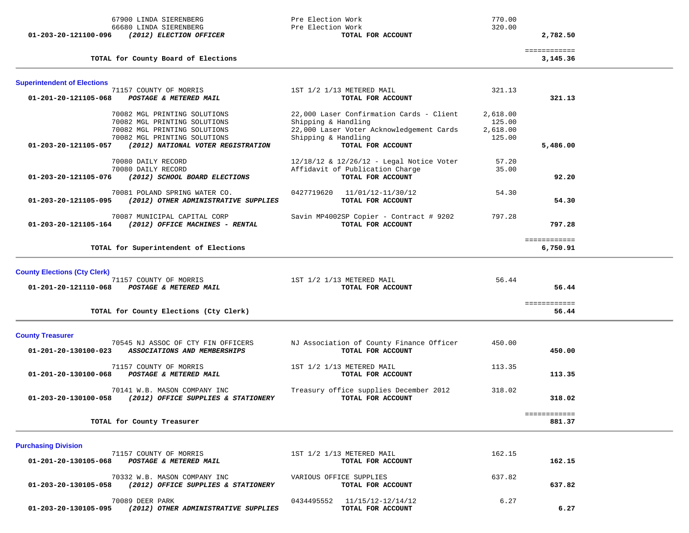| 67900 LINDA SIERENBERG<br>66680 LINDA SIERENBERG<br>(2012) ELECTION OFFICER<br>01-203-20-121100-096                          | Pre Election Work<br>Pre Election Work<br>TOTAL FOR ACCOUNT                                                                        | 770.00<br>320.00                         | 2,782.50                 |  |
|------------------------------------------------------------------------------------------------------------------------------|------------------------------------------------------------------------------------------------------------------------------------|------------------------------------------|--------------------------|--|
| TOTAL for County Board of Elections                                                                                          |                                                                                                                                    |                                          | ============<br>3,145.36 |  |
| <b>Superintendent of Elections</b>                                                                                           |                                                                                                                                    |                                          |                          |  |
| 71157 COUNTY OF MORRIS<br>01-201-20-121105-068<br>POSTAGE & METERED MAIL                                                     | 1ST 1/2 1/13 METERED MAIL<br>TOTAL FOR ACCOUNT                                                                                     | 321.13                                   | 321.13                   |  |
| 70082 MGL PRINTING SOLUTIONS<br>70082 MGL PRINTING SOLUTIONS<br>70082 MGL PRINTING SOLUTIONS<br>70082 MGL PRINTING SOLUTIONS | 22,000 Laser Confirmation Cards - Client<br>Shipping & Handling<br>22,000 Laser Voter Acknowledgement Cards<br>Shipping & Handling | 2,618.00<br>125.00<br>2,618.00<br>125.00 |                          |  |
| (2012) NATIONAL VOTER REGISTRATION<br>01-203-20-121105-057                                                                   | TOTAL FOR ACCOUNT                                                                                                                  |                                          | 5,486.00                 |  |
| 70080 DAILY RECORD<br>70080 DAILY RECORD<br>(2012) SCHOOL BOARD ELECTIONS<br>01-203-20-121105-076                            | 12/18/12 & 12/26/12 - Legal Notice Voter<br>Affidavit of Publication Charge<br>TOTAL FOR ACCOUNT                                   | 57.20<br>35.00                           | 92.20                    |  |
| 70081 POLAND SPRING WATER CO.<br>01-203-20-121105-095<br>(2012) OTHER ADMINISTRATIVE SUPPLIES                                | 0427719620<br>11/01/12-11/30/12<br>TOTAL FOR ACCOUNT                                                                               | 54.30                                    | 54.30                    |  |
| 70087 MUNICIPAL CAPITAL CORP<br>01-203-20-121105-164<br>(2012) OFFICE MACHINES - RENTAL                                      | Savin MP4002SP Copier - Contract # 9202<br>TOTAL FOR ACCOUNT                                                                       | 797.28                                   | 797.28                   |  |
| TOTAL for Superintendent of Elections                                                                                        |                                                                                                                                    |                                          | ============<br>6,750.91 |  |
| <b>County Elections (Cty Clerk)</b>                                                                                          |                                                                                                                                    |                                          |                          |  |
| 71157 COUNTY OF MORRIS<br>POSTAGE & METERED MAIL<br>01-201-20-121110-068                                                     | 1ST 1/2 1/13 METERED MAIL<br>TOTAL FOR ACCOUNT                                                                                     | 56.44                                    | 56.44                    |  |
| TOTAL for County Elections (Cty Clerk)                                                                                       |                                                                                                                                    |                                          | ============<br>56.44    |  |
| <b>County Treasurer</b>                                                                                                      |                                                                                                                                    |                                          |                          |  |
| 70545 NJ ASSOC OF CTY FIN OFFICERS<br>01-201-20-130100-023<br>ASSOCIATIONS AND MEMBERSHIPS                                   | NJ Association of County Finance Officer<br>TOTAL FOR ACCOUNT                                                                      | 450.00                                   | 450.00                   |  |
| 71157 COUNTY OF MORRIS<br>01-201-20-130100-068<br>POSTAGE & METERED MAIL                                                     | 1ST 1/2 1/13 METERED MAIL<br>TOTAL FOR ACCOUNT                                                                                     | 113.35                                   | 113.35                   |  |
| 70141 W.B. MASON COMPANY INC<br>(2012) OFFICE SUPPLIES & STATIONERY<br>01-203-20-130100-058                                  | Treasury office supplies December 2012<br>TOTAL FOR ACCOUNT                                                                        | 318.02                                   | 318.02                   |  |
| TOTAL for County Treasurer                                                                                                   |                                                                                                                                    |                                          | ============<br>881.37   |  |
| <b>Purchasing Division</b>                                                                                                   |                                                                                                                                    |                                          |                          |  |
| 71157 COUNTY OF MORRIS<br>01-201-20-130105-068<br>POSTAGE & METERED MAIL                                                     | 1ST 1/2 1/13 METERED MAIL<br>TOTAL FOR ACCOUNT                                                                                     | 162.15                                   | 162.15                   |  |
| 70332 W.B. MASON COMPANY INC<br>(2012) OFFICE SUPPLIES & STATIONERY<br>01-203-20-130105-058                                  | VARIOUS OFFICE SUPPLIES<br>TOTAL FOR ACCOUNT                                                                                       | 637.82                                   | 637.82                   |  |
| 70089 DEER PARK<br>(2012) OTHER ADMINISTRATIVE SUPPLIES<br>01-203-20-130105-095                                              | 11/15/12-12/14/12<br>0434495552<br>TOTAL FOR ACCOUNT                                                                               | 6.27                                     | 6.27                     |  |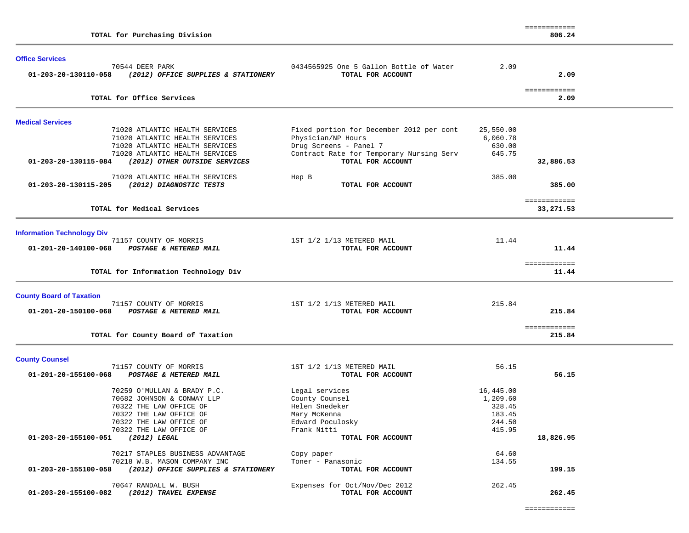|                                                                 |                                          |           | ============          |  |
|-----------------------------------------------------------------|------------------------------------------|-----------|-----------------------|--|
| TOTAL for Purchasing Division                                   |                                          |           | 806.24                |  |
| <b>Office Services</b>                                          |                                          |           |                       |  |
| 70544 DEER PARK                                                 | 0434565925 One 5 Gallon Bottle of Water  | 2.09      |                       |  |
| (2012) OFFICE SUPPLIES & STATIONERY<br>01-203-20-130110-058     | TOTAL FOR ACCOUNT                        |           | 2.09                  |  |
| TOTAL for Office Services                                       |                                          |           | ============<br>2.09  |  |
|                                                                 |                                          |           |                       |  |
| <b>Medical Services</b>                                         |                                          |           |                       |  |
| 71020 ATLANTIC HEALTH SERVICES                                  | Fixed portion for December 2012 per cont | 25,550.00 |                       |  |
| 71020 ATLANTIC HEALTH SERVICES                                  | Physician/NP Hours                       | 6,060.78  |                       |  |
| 71020 ATLANTIC HEALTH SERVICES                                  | Drug Screens - Panel 7                   | 630.00    |                       |  |
| 71020 ATLANTIC HEALTH SERVICES                                  | Contract Rate for Temporary Nursing Serv | 645.75    |                       |  |
| 01-203-20-130115-084<br>(2012) OTHER OUTSIDE SERVICES           | TOTAL FOR ACCOUNT                        |           | 32,886.53             |  |
| 71020 ATLANTIC HEALTH SERVICES                                  | Hep B                                    | 385.00    |                       |  |
| 01-203-20-130115-205<br>(2012) DIAGNOSTIC TESTS                 | TOTAL FOR ACCOUNT                        |           | 385.00                |  |
|                                                                 |                                          |           | ============          |  |
| TOTAL for Medical Services                                      |                                          |           | 33,271.53             |  |
| <b>Information Technology Div</b>                               |                                          |           |                       |  |
| 71157 COUNTY OF MORRIS                                          | 1ST 1/2 1/13 METERED MAIL                | 11.44     |                       |  |
| 01-201-20-140100-068<br>POSTAGE & METERED MAIL                  | TOTAL FOR ACCOUNT                        |           | 11.44                 |  |
|                                                                 |                                          |           |                       |  |
| TOTAL for Information Technology Div                            |                                          |           | ============<br>11.44 |  |
|                                                                 |                                          |           |                       |  |
| <b>County Board of Taxation</b>                                 |                                          |           |                       |  |
| 71157 COUNTY OF MORRIS                                          | 1ST 1/2 1/13 METERED MAIL                | 215.84    |                       |  |
| 01-201-20-150100-068<br>POSTAGE & METERED MAIL                  | TOTAL FOR ACCOUNT                        |           | 215.84                |  |
|                                                                 |                                          |           | ============          |  |
| TOTAL for County Board of Taxation                              |                                          |           | 215.84                |  |
|                                                                 |                                          |           |                       |  |
| <b>County Counsel</b><br>71157 COUNTY OF MORRIS                 | 1ST 1/2 1/13 METERED MAIL                | 56.15     |                       |  |
| 01-201-20-155100-068<br>POSTAGE & METERED MAIL                  | TOTAL FOR ACCOUNT                        |           | 56.15                 |  |
| 70259 O'MULLAN & BRADY P.C.                                     | Legal services                           | 16,445.00 |                       |  |
| 70682 JOHNSON & CONWAY LLP                                      | County Counsel                           | 1,209.60  |                       |  |
| 70322 THE LAW OFFICE OF                                         | Helen Snedeker                           | 328.45    |                       |  |
|                                                                 | Mary McKenna                             | 183.45    |                       |  |
| 70322 THE LAW OFFICE OF<br>70322 THE LAW OFFICE OF              |                                          | 244.50    |                       |  |
|                                                                 | Edward Poculosky                         |           |                       |  |
| 70322 THE LAW OFFICE OF<br>01-203-20-155100-051<br>(2012) LEGAL | Frank Nitti<br>TOTAL FOR ACCOUNT         | 415.95    | 18,826.95             |  |
|                                                                 |                                          |           |                       |  |
| 70217 STAPLES BUSINESS ADVANTAGE                                | Copy paper                               | 64.60     |                       |  |
| 70218 W.B. MASON COMPANY INC                                    | Toner - Panasonic                        | 134.55    |                       |  |
| (2012) OFFICE SUPPLIES & STATIONERY<br>01-203-20-155100-058     | TOTAL FOR ACCOUNT                        |           | 199.15                |  |
| 70647 RANDALL W. BUSH                                           | Expenses for Oct/Nov/Dec 2012            | 262.45    |                       |  |
| 01-203-20-155100-082<br>(2012) TRAVEL EXPENSE                   | TOTAL FOR ACCOUNT                        |           | 262.45                |  |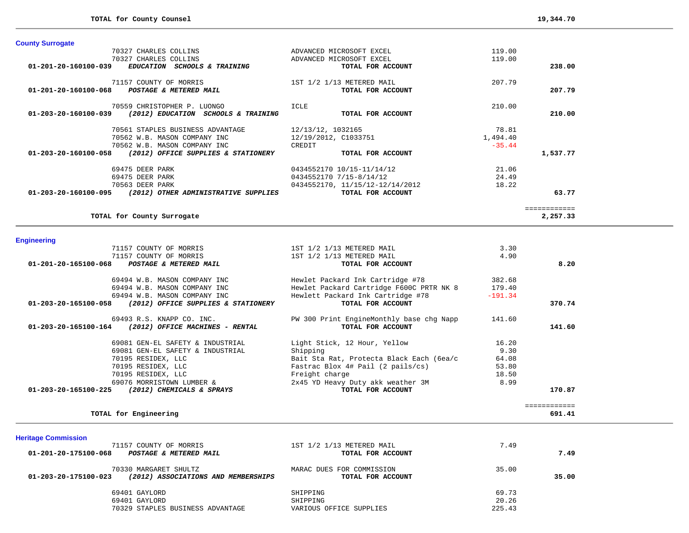| <b>County Surrogate</b>                                                             |                                 |          |              |
|-------------------------------------------------------------------------------------|---------------------------------|----------|--------------|
| 70327 CHARLES COLLINS                                                               | ADVANCED MICROSOFT EXCEL        | 119.00   |              |
| 70327 CHARLES COLLINS                                                               | ADVANCED MICROSOFT EXCEL        | 119.00   |              |
| $01 - 201 - 20 - 160100 - 039$<br><i>EDUCATION</i><br><b>SCHOOLS &amp; TRAINING</b> | TOTAL FOR ACCOUNT               |          | 238.00       |
| 71157 COUNTY OF MORRIS                                                              | 1ST 1/2 1/13 METERED MAIL       | 207.79   |              |
| $01 - 201 - 20 - 160100 - 068$<br>POSTAGE & METERED MAIL                            | TOTAL FOR ACCOUNT               |          | 207.79       |
| 70559 CHRISTOPHER P. LUONGO                                                         | ICLE                            | 210.00   |              |
| 01-203-20-160100-039<br>(2012) EDUCATION SCHOOLS & TRAINING                         | TOTAL FOR ACCOUNT               |          | 210.00       |
| 70561 STAPLES BUSINESS ADVANTAGE                                                    | 12/13/12, 1032165               | 78.81    |              |
| 70562 W.B. MASON COMPANY INC                                                        | 12/19/2012, C1033751            | 1,494.40 |              |
| 70562 W.B. MASON COMPANY INC                                                        | CREDIT                          | $-35.44$ |              |
| $01 - 203 - 20 - 160100 - 058$<br>(2012) OFFICE SUPPLIES & STATIONERY               | TOTAL FOR ACCOUNT               |          | 1,537.77     |
| 69475 DEER PARK                                                                     | 0434552170 10/15-11/14/12       | 21.06    |              |
| 69475 DEER PARK                                                                     | 0434552170 7/15-8/14/12         | 24.49    |              |
| 70563 DEER PARK                                                                     | 0434552170, 11/15/12-12/14/2012 | 18.22    |              |
| (2012) OTHER ADMINISTRATIVE SUPPLIES<br>$01 - 203 - 20 - 160100 - 095$              | TOTAL FOR ACCOUNT               |          | 63.77        |
|                                                                                     |                                 |          | ============ |
| TOTAL for County Surrogate                                                          |                                 |          | 2,257.33     |

## **Engineering**

| 71157 COUNTY OF MORRIS                                      | 1ST 1/2 1/13 METERED MAIL                | 3.30      |              |
|-------------------------------------------------------------|------------------------------------------|-----------|--------------|
| 71157 COUNTY OF MORRIS                                      | 1ST 1/2 1/13 METERED MAIL                | 4.90      |              |
| 01-201-20-165100-068<br>POSTAGE & METERED MAIL              | TOTAL FOR ACCOUNT                        |           | 8.20         |
| 69494 W.B. MASON COMPANY INC                                | Hewlet Packard Ink Cartridge #78         | 382.68    |              |
| 69494 W.B. MASON COMPANY INC                                | Hewlet Packard Cartridge F600C PRTR NK 8 | 179.40    |              |
| 69494 W.B. MASON COMPANY INC                                | Hewlett Packard Ink Cartridge #78        | $-191.34$ |              |
| 01-203-20-165100-058<br>(2012) OFFICE SUPPLIES & STATIONERY | TOTAL FOR ACCOUNT                        |           | 370.74       |
| 69493 R.S. KNAPP CO. INC.                                   | PW 300 Print EngineMonthly base chg Napp | 141.60    |              |
| 01-203-20-165100-164 (2012) OFFICE MACHINES - RENTAL        | TOTAL FOR ACCOUNT                        |           | 141.60       |
| 69081 GEN-EL SAFETY & INDUSTRIAL                            | Light Stick, 12 Hour, Yellow             | 16.20     |              |
| 69081 GEN-EL SAFETY & INDUSTRIAL                            | Shipping                                 | 9.30      |              |
| 70195 RESIDEX, LLC                                          | Bait Sta Rat, Protecta Black Each (6ea/c | 64.08     |              |
| 70195 RESIDEX, LLC                                          | Fastrac Blox 4# Pail (2 pails/cs)        | 53.80     |              |
| 70195 RESIDEX, LLC                                          | Freight charge                           | 18.50     |              |
| 69076 MORRISTOWN LUMBER &                                   | 2x45 YD Heavy Duty akk weather 3M        | 8.99      |              |
| 01-203-20-165100-225 (2012) CHEMICALS & SPRAYS              | TOTAL FOR ACCOUNT                        |           | 170.87       |
|                                                             |                                          |           | ============ |
|                                                             |                                          |           |              |

## **TOTAL for Engineering 691.41**

| <b>Heritage Commission</b> |  |
|----------------------------|--|

| 71157 COUNTY OF MORRIS                                                               | 1ST 1/2 1/13 METERED MAIL                      | 7.49   |       |
|--------------------------------------------------------------------------------------|------------------------------------------------|--------|-------|
| 01-201-20-175100-068<br><b>POSTAGE &amp; METERED MAIL</b>                            | TOTAL FOR ACCOUNT                              |        | 7.49  |
| 70330 MARGARET SHULTZ<br>01-203-20-175100-023<br>(2012) ASSOCIATIONS AND MEMBERSHIPS | MARAC DUES FOR COMMISSION<br>TOTAL FOR ACCOUNT | 35.00  | 35.00 |
| 69401 GAYLORD                                                                        | SHIPPING                                       | 69.73  |       |
| 69401 GAYLORD                                                                        | SHIPPING                                       | 20.26  |       |
| 70329 STAPLES BUSINESS ADVANTAGE                                                     | VARIOUS OFFICE SUPPLIES                        | 225.43 |       |
|                                                                                      |                                                |        |       |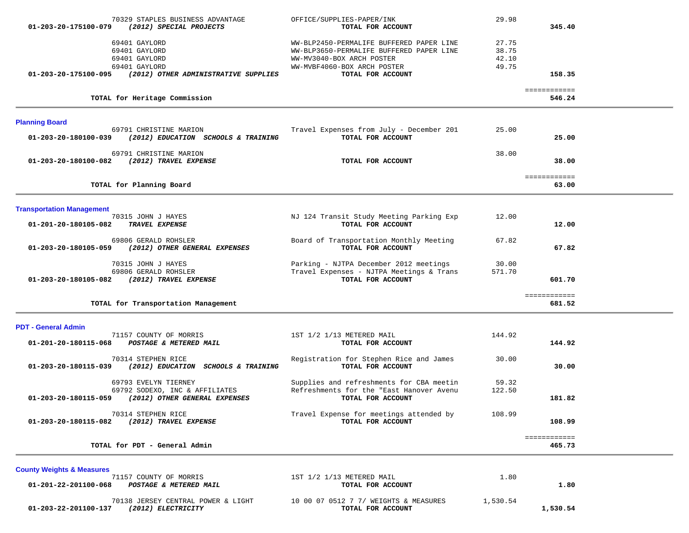| 70329 STAPLES BUSINESS ADVANTAGE<br>01-203-20-175100-079<br>(2012) SPECIAL PROJECTS                             | OFFICE/SUPPLIES-PAPER/INK<br>TOTAL FOR ACCOUNT                                                                    | 29.98                   | 345.40                 |  |
|-----------------------------------------------------------------------------------------------------------------|-------------------------------------------------------------------------------------------------------------------|-------------------------|------------------------|--|
| 69401 GAYLORD<br>69401 GAYLORD<br>69401 GAYLORD                                                                 | WW-BLP2450-PERMALIFE BUFFERED PAPER LINE<br>WW-BLP3650-PERMALIFE BUFFERED PAPER LINE<br>WW-MV3040-BOX ARCH POSTER | 27.75<br>38.75<br>42.10 |                        |  |
| 69401 GAYLORD<br>(2012) OTHER ADMINISTRATIVE SUPPLIES<br>01-203-20-175100-095                                   | WW-MVBF4060-BOX ARCH POSTER<br>TOTAL FOR ACCOUNT                                                                  | 49.75                   | 158.35                 |  |
| TOTAL for Heritage Commission                                                                                   |                                                                                                                   |                         | ============<br>546.24 |  |
| <b>Planning Board</b>                                                                                           |                                                                                                                   |                         |                        |  |
| 69791 CHRISTINE MARION<br>(2012) EDUCATION SCHOOLS & TRAINING<br>01-203-20-180100-039                           | Travel Expenses from July - December 201<br>TOTAL FOR ACCOUNT                                                     | 25.00                   | 25.00                  |  |
| 69791 CHRISTINE MARION<br>01-203-20-180100-082<br>(2012) TRAVEL EXPENSE                                         | TOTAL FOR ACCOUNT                                                                                                 | 38.00                   | 38.00                  |  |
| TOTAL for Planning Board                                                                                        |                                                                                                                   |                         | ============<br>63.00  |  |
| <b>Transportation Management</b>                                                                                |                                                                                                                   |                         |                        |  |
| 70315 JOHN J HAYES<br>01-201-20-180105-082<br>TRAVEL EXPENSE                                                    | NJ 124 Transit Study Meeting Parking Exp<br>TOTAL FOR ACCOUNT                                                     | 12.00                   | 12.00                  |  |
| 69806 GERALD ROHSLER<br>01-203-20-180105-059<br>(2012) OTHER GENERAL EXPENSES                                   | Board of Transportation Monthly Meeting<br>TOTAL FOR ACCOUNT                                                      | 67.82                   | 67.82                  |  |
| 70315 JOHN J HAYES<br>69806 GERALD ROHSLER<br>01-203-20-180105-082<br>(2012) TRAVEL EXPENSE                     | Parking - NJTPA December 2012 meetings<br>Travel Expenses - NJTPA Meetings & Trans<br>TOTAL FOR ACCOUNT           | 30.00<br>571.70         | 601.70                 |  |
| TOTAL for Transportation Management                                                                             |                                                                                                                   |                         | ============<br>681.52 |  |
| <b>PDT - General Admin</b>                                                                                      |                                                                                                                   |                         |                        |  |
| 71157 COUNTY OF MORRIS<br>01-201-20-180115-068<br>POSTAGE & METERED MAIL                                        | 1ST 1/2 1/13 METERED MAIL<br>TOTAL FOR ACCOUNT                                                                    | 144.92                  | 144.92                 |  |
| 70314 STEPHEN RICE<br>01-203-20-180115-039<br>(2012) EDUCATION SCHOOLS & TRAINING                               | Registration for Stephen Rice and James<br>TOTAL FOR ACCOUNT                                                      | 30.00                   | 30.00                  |  |
| 69793 EVELYN TIERNEY<br>69792 SODEXO, INC & AFFILIATES<br>(2012) OTHER GENERAL EXPENSES<br>01-203-20-180115-059 | Supplies and refreshments for CBA meetin<br>Refreshments for the "East Hanover Avenu<br>TOTAL FOR ACCOUNT         | 59.32<br>122.50         | 181.82                 |  |
| 70314 STEPHEN RICE<br>(2012) TRAVEL EXPENSE<br>01-203-20-180115-082                                             | Travel Expense for meetings attended by<br>TOTAL FOR ACCOUNT                                                      | 108.99                  | 108.99                 |  |
| TOTAL for PDT - General Admin                                                                                   |                                                                                                                   |                         | ============<br>465.73 |  |
| <b>County Weights &amp; Measures</b>                                                                            |                                                                                                                   |                         |                        |  |
| 71157 COUNTY OF MORRIS<br>POSTAGE & METERED MAIL<br>01-201-22-201100-068                                        | 1ST 1/2 1/13 METERED MAIL<br>TOTAL FOR ACCOUNT                                                                    | 1.80                    | 1.80                   |  |
| 70138 JERSEY CENTRAL POWER & LIGHT<br>01-203-22-201100-137<br>(2012) ELECTRICITY                                | 10 00 07 0512 7 7/ WEIGHTS & MEASURES<br>TOTAL FOR ACCOUNT                                                        | 1,530.54                | 1,530.54               |  |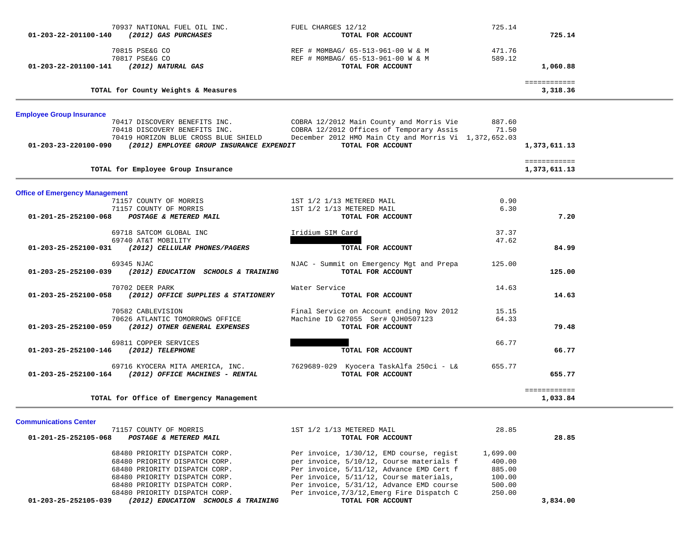|                                                               | 70937 NATIONAL FUEL OIL INC.<br>01-203-22-201100-140 (2012) GAS PURCHASES                                                                                                                                     | FUEL CHARGES 12/12<br>TOTAL FOR ACCOUNT                                                                                                                            | 725.14           | 725.14                                       |  |
|---------------------------------------------------------------|---------------------------------------------------------------------------------------------------------------------------------------------------------------------------------------------------------------|--------------------------------------------------------------------------------------------------------------------------------------------------------------------|------------------|----------------------------------------------|--|
|                                                               | 70815 PSE&G CO<br>70817 PSE&G CO<br>01-203-22-201100-141 (2012) NATURAL GAS                                                                                                                                   | REF # MOMBAG/ 65-513-961-00 W & M<br>REF # MOMBAG/ 65-513-961-00 W & M<br>TOTAL FOR ACCOUNT                                                                        | 471.76<br>589.12 | 1,060.88                                     |  |
|                                                               | TOTAL for County Weights & Measures                                                                                                                                                                           |                                                                                                                                                                    |                  | ============<br>3,318.36                     |  |
| <b>Employee Group Insurance</b>                               | 70417 DISCOVERY BENEFITS INC.<br>70418 DISCOVERY BENEFITS INC.<br>70419 HORIZON BLUE CROSS BLUE SHIELD<br>01-203-23-220100-090 (2012) EMPLOYEE GROUP INSURANCE EXPENDIT<br>TOTAL for Employee Group Insurance | COBRA 12/2012 Main County and Morris Vie<br>COBRA 12/2012 Offices of Temporary Assis<br>December 2012 HMO Main Cty and Morris Vi 1,372,652.03<br>TOTAL FOR ACCOUNT | 887.60<br>71.50  | 1,373,611.13<br>============<br>1,373,611.13 |  |
|                                                               |                                                                                                                                                                                                               |                                                                                                                                                                    |                  |                                              |  |
| <b>Office of Emergency Management</b><br>01-201-25-252100-068 | 71157 COUNTY OF MORRIS<br>71157 COUNTY OF MORRIS<br>POSTAGE & METERED MAIL                                                                                                                                    | 1ST 1/2 1/13 METERED MAIL<br>1ST 1/2 1/13 METERED MAIL<br>TOTAL FOR ACCOUNT                                                                                        | 0.90<br>6.30     | 7.20                                         |  |
|                                                               | 69718 SATCOM GLOBAL INC<br>69740 AT&T MOBILITY<br>01-203-25-252100-031 (2012) CELLULAR PHONES/PAGERS                                                                                                          | Iridium SIM Card<br>TOTAL FOR ACCOUNT                                                                                                                              | 37.37<br>47.62   | 84.99                                        |  |
|                                                               | 69345 NJAC<br>01-203-25-252100-039 (2012) EDUCATION SCHOOLS & TRAINING                                                                                                                                        | NJAC - Summit on Emergency Mgt and Prepa<br>TOTAL FOR ACCOUNT                                                                                                      | 125.00           | 125.00                                       |  |
|                                                               | 70702 DEER PARK<br>01-203-25-252100-058 (2012) OFFICE SUPPLIES & STATIONERY                                                                                                                                   | Water Service<br>TOTAL FOR ACCOUNT                                                                                                                                 | 14.63            | 14.63                                        |  |
|                                                               | 70582 CABLEVISION<br>70626 ATLANTIC TOMORROWS OFFICE<br>01-203-25-252100-059 (2012) OTHER GENERAL EXPENSES                                                                                                    | Final Service on Account ending Nov 2012<br>Machine ID G27055 Ser# QJH0507123<br>TOTAL FOR ACCOUNT                                                                 | 15.15<br>64.33   | 79.48                                        |  |
|                                                               | 69811 COPPER SERVICES<br>01-203-25-252100-146 (2012) TELEPHONE                                                                                                                                                | TOTAL FOR ACCOUNT                                                                                                                                                  | 66.77            | 66.77                                        |  |
|                                                               | 69716 KYOCERA MITA AMERICA, INC.<br>01-203-25-252100-164 (2012) OFFICE MACHINES - RENTAL                                                                                                                      | 7629689-029 Kyocera TaskAlfa 250ci - L&<br>TOTAL FOR ACCOUNT                                                                                                       | 655.77           | 655.77                                       |  |
|                                                               | TOTAL for Office of Emergency Management                                                                                                                                                                      |                                                                                                                                                                    |                  | ============<br>1,033.84                     |  |
| <b>Communications Center</b>                                  | 71157 COUNTY OF MORRIS                                                                                                                                                                                        | 1ST 1/2 1/13 METERED MAIL                                                                                                                                          | 28.85            |                                              |  |

| III) COUNTI OF MONTID<br>$01 - 201 - 25 - 252105 - 068$<br>POSTAGE & METERED MAIL | tot t/2 t/to MbibNbD MAID<br>TOTAL FOR ACCOUNT | 20.00<br>28.85 |
|-----------------------------------------------------------------------------------|------------------------------------------------|----------------|
| 68480 PRIORITY DISPATCH CORP.                                                     | Per invoice, 1/30/12, EMD course, regist       | 1,699.00       |
| 68480 PRIORITY DISPATCH CORP.                                                     | per invoice, 5/10/12, Course materials f       | 400.00         |
| 68480 PRIORITY DISPATCH CORP.                                                     | Per invoice, 5/11/12, Advance EMD Cert f       | 885.00         |
| 68480 PRIORITY DISPATCH CORP.                                                     | Per invoice, 5/11/12, Course materials,        | 100.00         |
| 68480 PRIORITY DISPATCH CORP.                                                     | Per invoice, 5/31/12, Advance EMD course       | 500.00         |
| 68480 PRIORITY DISPATCH CORP.                                                     | Per invoice, 7/3/12, Emerg Fire Dispatch C     | 250.00         |
| 01-203-25-252105-039<br>(2012) EDUCATION SCHOOLS & TRAINING                       | TOTAL FOR ACCOUNT                              | 3,834.00       |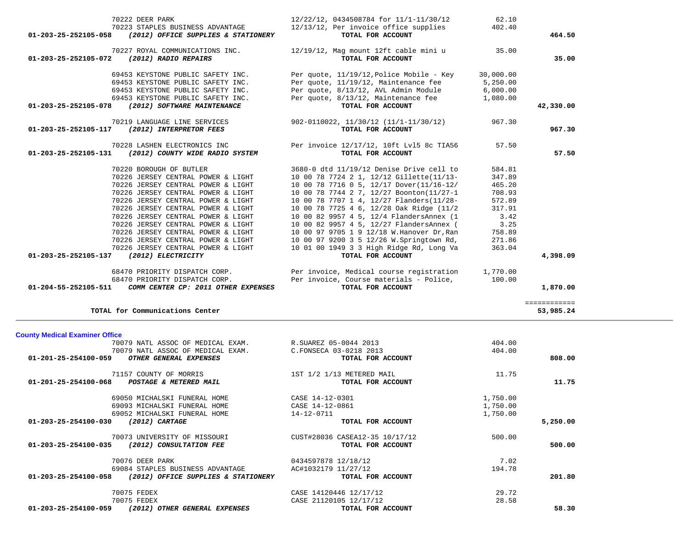| <b>County Medical Examiner Office</b>                       |                                |          |          |
|-------------------------------------------------------------|--------------------------------|----------|----------|
| 70079 NATL ASSOC OF MEDICAL EXAM. R.SUAREZ 05-0044 2013     |                                | 404.00   |          |
| 70079 NATL ASSOC OF MEDICAL EXAM.                           | C.FONSECA 03-0218 2013         | 404.00   |          |
| 01-201-25-254100-059<br>OTHER GENERAL EXPENSES              | TOTAL FOR ACCOUNT              |          | 808,00   |
| 71157 COUNTY OF MORRIS                                      | 1ST 1/2 1/13 METERED MAIL      | 11.75    |          |
| 01-201-25-254100-068<br>POSTAGE & METERED MAIL              | TOTAL FOR ACCOUNT              |          | 11.75    |
| 69050 MICHALSKI FUNERAL HOME                                | CASE 14-12-0301                | 1,750.00 |          |
| 69093 MICHALSKI FUNERAL HOME                                | CASE 14-12-0861                | 1,750.00 |          |
| 69052 MICHALSKI FUNERAL HOME                                | 14-12-0711                     | 1,750.00 |          |
| $(2012)$ CARTAGE<br>01-203-25-254100-030                    | TOTAL FOR ACCOUNT              |          | 5,250.00 |
| 70073 UNIVERSITY OF MISSOURI                                | CUST#28036 CASEA12-35 10/17/12 | 500.00   |          |
| 01-203-25-254100-035<br>(2012) CONSULTATION FEE             | TOTAL FOR ACCOUNT              |          | 500.00   |
| 70076 DEER PARK                                             | 0434597878 12/18/12            | 7.02     |          |
| 69084 STAPLES BUSINESS ADVANTAGE                            | AC#1032179 11/27/12            | 194.78   |          |
| 01-203-25-254100-058<br>(2012) OFFICE SUPPLIES & STATIONERY | TOTAL FOR ACCOUNT              |          | 201.80   |
| 70075 FEDEX                                                 | CASE 14120446 12/17/12         | 29.72    |          |
| 70075 FEDEX                                                 | CASE 21120105 12/17/12         | 28.58    |          |
| 01-203-25-254100-059<br>2012) OTHER GENERAL EXPENSES        | TOTAL FOR ACCOUNT              |          | 58.30    |

| 01-203-25-252105-078 | (2012) SOFTWARE MAINTENANCE                                     | TOTAL FOR ACCOUNT                                                     |        | 42,3 |
|----------------------|-----------------------------------------------------------------|-----------------------------------------------------------------------|--------|------|
| 01-203-25-252105-117 | 70219 LANGUAGE LINE SERVICES<br>(2012) INTERPRETOR FEES         | $902 - 0110022$ , $11/30/12$ ( $11/1-11/30/12$ )<br>TOTAL FOR ACCOUNT | 967.30 | 9    |
| 01-203-25-252105-131 | 70228 LASHEN ELECTRONICS INC<br>(2012) COUNTY WIDE RADIO SYSTEM | Per invoice 12/17/12, 10ft Lv15 8c TIA56<br>TOTAL FOR ACCOUNT         | 57.50  |      |
|                      | 70220 BOROUGH OF BUTLER                                         | 3680-0 dtd 11/19/12 Denise Drive cell to                              | 584.81 |      |
|                      | 70226 JERSEY CENTRAL POWER & LIGHT                              | 10 00 78 7724 2 1, 12/12 Gillette(11/13-                              | 347.89 |      |
|                      | 70226 JERSEY CENTRAL POWER & LIGHT                              | 10 00 78 7716 0 5, 12/17 Dover(11/16-12/                              | 465.20 |      |
|                      | 70226 JERSEY CENTRAL POWER & LIGHT                              | 10 00 78 7744 2 7, 12/27 Boonton(11/27-1                              | 708.93 |      |
|                      | 70226 JERSEY CENTRAL POWER & LIGHT                              | 10 00 78 7707 1 4, 12/27 Flanders(11/28-                              | 572.89 |      |
|                      | 70226 JERSEY CENTRAL POWER & LIGHT                              | 10 00 78 7725 4 6, 12/28 Oak Ridge (11/2                              | 317.91 |      |
|                      | 70226 JERSEY CENTRAL POWER & LIGHT                              | 10 00 82 9957 4 5, 12/4 FlandersAnnex (1                              | 3.42   |      |
|                      | 70226 JERSEY CENTRAL POWER & LIGHT                              | 10 00 82 9957 4 5, 12/27 FlandersAnnex (                              | 3.25   |      |
|                      | 70226 JERSEY CENTRAL POWER & LIGHT                              | 10 00 97 9705 1 9 12/18 W. Hanover Dr. Ran                            | 758.89 |      |

68470 PRIORITY DISPATCH CORP. Per invoice, Course materials - Police,

**TOTAL for Communications Center 53,985.24**

|           | 62.10     | 12/22/12, 0434508784 for 11/1-11/30/12         | 70222 DEER PARK                                             |
|-----------|-----------|------------------------------------------------|-------------------------------------------------------------|
|           | 402.40    | 12/13/12, Per invoice office supplies          | 70223 STAPLES BUSINESS ADVANTAGE                            |
| 464.50    |           | TOTAL FOR ACCOUNT                              | 01-203-25-252105-058<br>(2012) OFFICE SUPPLIES & STATIONERY |
|           | 35.00     | 12/19/12, Mag mount 12ft cable mini u          | 70227 ROYAL COMMUNICATIONS INC.                             |
| 35.00     |           | TOTAL FOR ACCOUNT                              | (2012) RADIO REPAIRS<br>01-203-25-252105-072                |
|           | 30,000.00 | Per quote, $11/19/12$ , Police Mobile - Key    | 69453 KEYSTONE PUBLIC SAFETY INC.                           |
|           | 5,250.00  | Per quote, 11/19/12, Maintenance fee           | 69453 KEYSTONE PUBLIC SAFETY INC.                           |
|           | 6,000.00  | Per quote, 8/13/12, AVL Admin Module           | 69453 KEYSTONE PUBLIC SAFETY INC.                           |
|           | 1,080.00  | Per quote, 8/13/12, Maintenance fee            | 69453 KEYSTONE PUBLIC SAFETY INC.                           |
| 42,330.00 |           | TOTAL FOR ACCOUNT                              | 01-203-25-252105-078<br>(2012) SOFTWARE MAINTENANCE         |
|           | 967.30    | $902 - 0110022$ , $11/30/12$ $(11/1-11/30/12)$ | 70219 LANGUAGE LINE SERVICES                                |
| 967.30    |           | TOTAL FOR ACCOUNT                              | 01-203-25-252105-117<br>(2012) INTERPRETOR FEES             |
|           | 57.50     | Per invoice 12/17/12, 10ft Lv15 8c TIA56       | 70228 LASHEN ELECTRONICS INC                                |
| 57.50     |           | TOTAL FOR ACCOUNT                              | 01-203-25-252105-131<br>(2012) COUNTY WIDE RADIO SYSTEM     |

 70226 JERSEY CENTRAL POWER & LIGHT 10 00 97 9200 3 5 12/26 W.Springtown Rd, 271.86 70226 JERSEY CENTRAL POWER & LIGHT 10 01 00 1949 3 3 High Ridge Rd, Long Va 363.04<br>7 (2012) ELECTRICITY  **01-203-25-252105-137** *(2012) ELECTRICITY* **TOTAL FOR ACCOUNT 4,398.09**

68470 PRIORITY DISPATCH CORP.<br>68470 PRIORITY DISPATCH CORP. Per invoice, Course materials - Police, 100.00

============<br>53,985.24

 **01-204-55-252105-511** *COMM CENTER CP: 2011 OTHER EXPENSES* **TOTAL FOR ACCOUNT 1,870.00**

============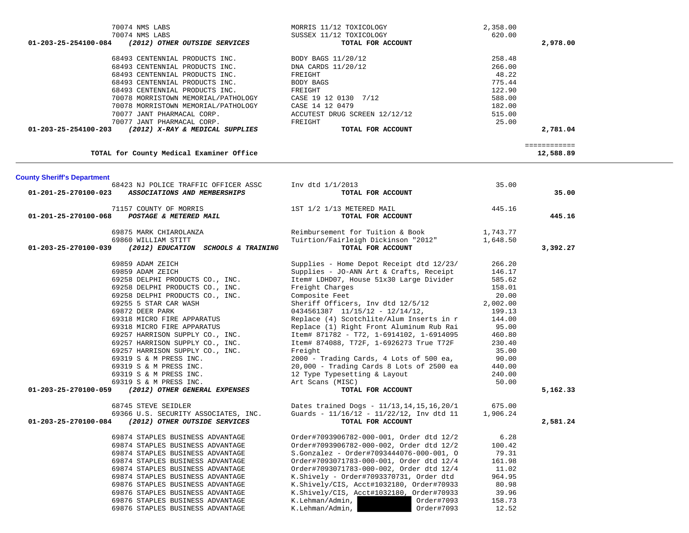| <b>County Sheriff's Department</b><br>68423 NJ POLICE TRAFFIC OFFICER ASSC | Inv dtd 1/1/2013              | 35.00                     |  |
|----------------------------------------------------------------------------|-------------------------------|---------------------------|--|
| TOTAL for County Medical Examiner Office                                   |                               | ============<br>12,588.89 |  |
|                                                                            |                               |                           |  |
| 01-203-25-254100-203<br>(2012) X-RAY & MEDICAL SUPPLIES                    | TOTAL FOR ACCOUNT             | 2,781.04                  |  |
| 70077 JANT PHARMACAL CORP.                                                 | FREIGHT                       | 25.00                     |  |
| 70077 JANT PHARMACAL CORP.                                                 | ACCUTEST DRUG SCREEN 12/12/12 | 515.00                    |  |
| 70078 MORRISTOWN MEMORIAL/PATHOLOGY                                        | CASE 14 12 0479               | 182.00                    |  |
| 70078 MORRISTOWN MEMORIAL/PATHOLOGY                                        | CASE 19 12 0130 7/12          | 588.00                    |  |
| 68493 CENTENNIAL PRODUCTS INC.                                             | FREIGHT                       | 122.90                    |  |
| 68493 CENTENNIAL PRODUCTS INC.                                             | BODY BAGS                     | 775.44                    |  |
| 68493 CENTENNIAL PRODUCTS INC.                                             | FREIGHT                       | 48.22                     |  |
| 68493 CENTENNIAL PRODUCTS INC.                                             | DNA CARDS 11/20/12            | 266.00                    |  |
| 68493 CENTENNIAL PRODUCTS INC.                                             | BODY BAGS 11/20/12            | 258.48                    |  |
| 01-203-25-254100-084<br>(2012) OTHER OUTSIDE SERVICES                      | TOTAL FOR ACCOUNT             | 2,978.00                  |  |
| 70074 NMS LABS                                                             | SUSSEX 11/12 TOXICOLOGY       | 620.00                    |  |
| 70074 NMS LABS                                                             | MORRIS 11/12 TOXICOLOGY       | 2,358.00                  |  |

| 01-201-25-270100-023 ASSOCIATIONS AND MEMBERSHIPS                                      | TOTAL FOR ACCOUNT                                                                                                                                                                                                                          |        | 35.00    |
|----------------------------------------------------------------------------------------|--------------------------------------------------------------------------------------------------------------------------------------------------------------------------------------------------------------------------------------------|--------|----------|
|                                                                                        | 71157 COUNTY OF MORRIS 1ST 1/2 1/13 METERED MAIL 445.16<br><b>01-201-25-270100-068</b> POSTAGE & METERED MAIL <b>1.13 TOTAL FOR ACCOUNT</b>                                                                                                |        | 445.16   |
|                                                                                        | 69875 MARK CHIAROLANZA <b>Example 2008</b> Reimbursement for Tuition & Book 1,743.77                                                                                                                                                       |        |          |
| 69860 WILLIAM STITT                                                                    |                                                                                                                                                                                                                                            |        |          |
| 01-203-25-270100-039 (2012) EDUCATION SCHOOLS & TRAINING                               | Tuirtion/Fairleigh Dickinson "2012" 1,648.50<br><b>TOTAL FOR ACCOUNT</b><br>TOTAL FOR ACCOUNT                                                                                                                                              |        | 3,392.27 |
| 69859 ADAM ZEICH                                                                       | Supplies - Home Depot Receipt dtd 12/23/ 266.20                                                                                                                                                                                            |        |          |
|                                                                                        |                                                                                                                                                                                                                                            |        |          |
|                                                                                        | Supplies - JO-ANN Art & Crafts, Receipt 146.17<br>Item# LDHD07, House 51x30 Large Divider 585.62<br>Item# LDHD07, House 51x30 Large Divider                                                                                                |        |          |
| 69859 ADAM ZEICH<br>69258 DELPHI PRODUCTS CO., INC.<br>69258 DELPHI PRODUCTS CO., INC. |                                                                                                                                                                                                                                            | 158.01 |          |
| 69258 DELPHI PRODUCTS CO., INC.                                                        | Supplies - 00-44<br>Item# LDHD07, Ho<br>Freight Charges<br>Composite Feet                                                                                                                                                                  | 20.00  |          |
| 69255 5 STAR CAR WASH                                                                  | Sheriff Officers, Inv dtd $12/5/12$ 2,002.00                                                                                                                                                                                               |        |          |
| 69872 DEER PARK                                                                        | $0434561387$ $11/15/12 - 12/14/12$ , 199.13                                                                                                                                                                                                |        |          |
|                                                                                        | 69318 MICRO FIRE APPARATUS Replace (4) Scotchlite/Alum Inserts in r 144.00                                                                                                                                                                 |        |          |
|                                                                                        | 9318 MICRO FIRE APPARATUS<br>69318 MICRO FIRE APPARATUS<br>69257 HARRISON SUPPLY CO., INC.<br>69257 HARRISON SUPPLY CO., INC.<br>69257 HARRISON SUPPLY CO., INC.<br>69257 HARRISON SUPPLY CO., INC.<br>10.00 - Trading Cards 8 Lots of 500 |        |          |
|                                                                                        |                                                                                                                                                                                                                                            |        |          |
|                                                                                        |                                                                                                                                                                                                                                            |        |          |
|                                                                                        |                                                                                                                                                                                                                                            |        |          |
|                                                                                        |                                                                                                                                                                                                                                            |        |          |
|                                                                                        |                                                                                                                                                                                                                                            |        |          |
|                                                                                        | 69319 S & M PRESS INC. 12 Type Typesetting & Layout 240.00                                                                                                                                                                                 |        |          |
| 69319 S & M PRESS INC.                                                                 | Art Scans (MISC)                                                                                                                                                                                                                           | 50.00  |          |
| 01-203-25-270100-059 (2012) OTHER GENERAL EXPENSES                                     | TOTAL FOR ACCOUNT                                                                                                                                                                                                                          |        | 5,162.33 |
|                                                                                        | 68745 STEVE SEIDLER Dates trained Dogs - 11/13,14,15,16,20/1 675.00<br>69366 U.S. SECURITY ASSOCIATES, INC. Guards - 11/16/12 - 11/22/12, Inv dtd 11 1,906.24                                                                              |        |          |
|                                                                                        |                                                                                                                                                                                                                                            |        |          |
| 01-203-25-270100-084 (2012) OTHER OUTSIDE SERVICES                                     | TOTAL FOR ACCOUNT                                                                                                                                                                                                                          |        | 2,581.24 |
| 69874 STAPLES BUSINESS ADVANTAGE                                                       | Order#7093906782-000-001, Order dtd 12/2 6.28                                                                                                                                                                                              |        |          |
| 69874 STAPLES BUSINESS ADVANTAGE                                                       | Order#7093906782-000-002, Order dtd 12/2                                                                                                                                                                                                   | 100.42 |          |
| 69874 STAPLES BUSINESS ADVANTAGE                                                       | S.Gonzalez - Order#7093444076-000-001, O                                                                                                                                                                                                   | 79.31  |          |
| 69874 STAPLES BUSINESS ADVANTAGE                                                       | S.Gonzalez - Ulusianoscalez .<br>Order#7093071783-000-001, Order dtd 12/4                                                                                                                                                                  | 161.98 |          |
| 69874 STAPLES BUSINESS ADVANTAGE                                                       | Order#7093071783-000-002, Order dtd 12/4                                                                                                                                                                                                   | 11.02  |          |
| 69874 STAPLES BUSINESS ADVANTAGE                                                       | K.Shively - Order#7093370731, Order dtd                                                                                                                                                                                                    | 964.95 |          |
| 69876 STAPLES BUSINESS ADVANTAGE                                                       | K.Shively/CIS, Acct#1032180, Order#70933 80.98                                                                                                                                                                                             |        |          |
| 69876 STAPLES BUSINESS ADVANTAGE                                                       | K.Shively/CIS, Acct#1032180, Order#70933                                                                                                                                                                                                   | 39.96  |          |
| 69876 STAPLES BUSINESS ADVANTAGE                                                       | K.Lehman/Admin. 0rder#7093                                                                                                                                                                                                                 | 158.73 |          |

69876 STAPLES BUSINESS ADVANTAGE K.Lehman/Admin, Order#7093 12.52

 $\overline{\phantom{a}}$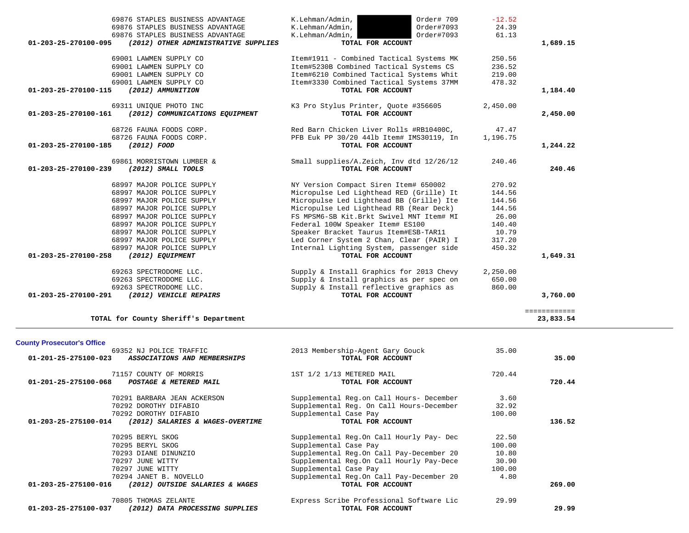|                                   | 69001 LAWMEN SUPPLY CO                           | Item#5230B Combined Tactical Systems CS  | 236.52   |              |
|-----------------------------------|--------------------------------------------------|------------------------------------------|----------|--------------|
|                                   | 69001 LAWMEN SUPPLY CO                           | Item#6210 Combined Tactical Systems Whit | 219.00   |              |
|                                   | 69001 LAWMEN SUPPLY CO                           | Item#3330 Combined Tactical Systems 37MM | 478.32   |              |
| 01-203-25-270100-115              | (2012) AMMUNITION                                | TOTAL FOR ACCOUNT                        |          | 1,184.40     |
|                                   |                                                  |                                          |          |              |
|                                   | 69311 UNIQUE PHOTO INC                           | K3 Pro Stylus Printer, Quote #356605     | 2,450.00 |              |
| 01-203-25-270100-161              | (2012) COMMUNICATIONS EQUIPMENT                  | TOTAL FOR ACCOUNT                        |          | 2,450.00     |
|                                   |                                                  |                                          |          |              |
|                                   | 68726 FAUNA FOODS CORP.                          | Red Barn Chicken Liver Rolls #RB10400C,  | 47.47    |              |
|                                   | 68726 FAUNA FOODS CORP.                          | PFB Euk PP 30/20 441b Item# IMS30119, In | 1,196.75 |              |
| 01-203-25-270100-185              | (2012) FOOD                                      | TOTAL FOR ACCOUNT                        |          | 1,244.22     |
|                                   | 69861 MORRISTOWN LUMBER &                        | Small supplies/A.Zeich, Inv dtd 12/26/12 | 240.46   |              |
| 01-203-25-270100-239              | $(2012)$ SMALL TOOLS                             | TOTAL FOR ACCOUNT                        |          | 240.46       |
|                                   |                                                  |                                          |          |              |
|                                   | 68997 MAJOR POLICE SUPPLY                        | NY Version Compact Siren Item# 650002    | 270.92   |              |
|                                   | 68997 MAJOR POLICE SUPPLY                        | Micropulse Led Lighthead RED (Grille) It | 144.56   |              |
|                                   | 68997 MAJOR POLICE SUPPLY                        | Micropulse Led Lighthead BB (Grille) Ite | 144.56   |              |
|                                   | 68997 MAJOR POLICE SUPPLY                        | Micropulse Led Lighthead RB (Rear Deck)  | 144.56   |              |
|                                   | 68997 MAJOR POLICE SUPPLY                        | FS MPSM6-SB Kit.Brkt Swivel MNT Item# MI | 26.00    |              |
|                                   | 68997 MAJOR POLICE SUPPLY                        | Federal 100W Speaker Item# ES100         | 140.40   |              |
|                                   |                                                  |                                          |          |              |
|                                   | 68997 MAJOR POLICE SUPPLY                        | Speaker Bracket Taurus Item#ESB-TAR11    | 10.79    |              |
|                                   | 68997 MAJOR POLICE SUPPLY                        | Led Corner System 2 Chan, Clear (PAIR) I | 317.20   |              |
|                                   | 68997 MAJOR POLICE SUPPLY                        | Internal Lighting System, passenger side | 450.32   |              |
| $01 - 203 - 25 - 270100 - 258$    | (2012) EQUIPMENT                                 | TOTAL FOR ACCOUNT                        |          | 1,649.31     |
|                                   | 69263 SPECTRODOME LLC.                           | Supply & Install Graphics for 2013 Chevy | 2,250.00 |              |
|                                   |                                                  | Supply & Install graphics as per spec on | 650.00   |              |
|                                   | 69263 SPECTRODOME LLC.<br>69263 SPECTRODOME LLC. | Supply & Install reflective graphics as  | 860.00   |              |
| 01-203-25-270100-291              | (2012) VEHICLE REPAIRS                           | TOTAL FOR ACCOUNT                        |          |              |
|                                   |                                                  |                                          |          | 3,760.00     |
|                                   |                                                  |                                          |          |              |
|                                   |                                                  |                                          |          | ============ |
|                                   | TOTAL for County Sheriff's Department            |                                          |          | 23,833.54    |
|                                   |                                                  |                                          |          |              |
|                                   |                                                  |                                          |          |              |
| <b>County Prosecutor's Office</b> |                                                  |                                          |          |              |
|                                   | 69352 NJ POLICE TRAFFIC                          | 2013 Membership-Agent Gary Gouck         | 35.00    |              |
| 01-201-25-275100-023              | ASSOCIATIONS AND MEMBERSHIPS                     | TOTAL FOR ACCOUNT                        |          | 35.00        |
|                                   |                                                  |                                          |          |              |
|                                   | 71157 COUNTY OF MORRIS                           | 1ST 1/2 1/13 METERED MAIL                | 720.44   |              |
| 01-201-25-275100-068              | POSTAGE & METERED MAIL                           | TOTAL FOR ACCOUNT                        |          | 720.44       |
|                                   |                                                  |                                          |          |              |
|                                   | 70291 BARBARA JEAN ACKERSON                      | Supplemental Reg.on Call Hours- December | 3.60     |              |
|                                   | 70292 DOROTHY DIFABIO                            | Supplemental Reg. On Call Hours-December | 32.92    |              |
|                                   | 70292 DOROTHY DIFABIO                            | Supplemental Case Pay                    | 100.00   |              |
| 01-203-25-275100-014              | (2012) SALARIES & WAGES-OVERTIME                 | TOTAL FOR ACCOUNT                        |          | 136.52       |
|                                   |                                                  |                                          |          |              |
|                                   | 70295 BERYL SKOG                                 | Supplemental Reg.On Call Hourly Pay- Dec | 22.50    |              |
|                                   | 70295 BERYL SKOG                                 | Supplemental Case Pay                    | 100.00   |              |
|                                   | 70293 DIANE DINUNZIO                             | Supplemental Reg.On Call Pay-December 20 | 10.80    |              |
|                                   | 70297 JUNE WITTY                                 | Supplemental Reg.On Call Hourly Pay-Dece | 30.90    |              |
|                                   | 70297 JUNE WITTY                                 | Supplemental Case Pay                    | 100.00   |              |
|                                   | 70294 JANET B. NOVELLO                           | Supplemental Reg.On Call Pay-December 20 | 4.80     |              |
| 01-203-25-275100-016              | (2012) OUTSIDE SALARIES & WAGES                  | TOTAL FOR ACCOUNT                        |          | 269.00       |
|                                   |                                                  |                                          |          |              |
|                                   | 70805 THOMAS ZELANTE                             | Express Scribe Professional Software Lic | 29.99    |              |
| 01-203-25-275100-037              | (2012) DATA PROCESSING SUPPLIES                  | TOTAL FOR ACCOUNT                        |          | 29.99        |
|                                   |                                                  |                                          |          |              |

 69876 STAPLES BUSINESS ADVANTAGE K.Lehman/Admin, Order# 709 -12.52 69876 STAPLES BUSINESS ADVANTAGE K.Lehman/Admin, Order#7093 24.39 69876 STAPLES BUSINESS ADVANTAGE K.Lehman/Admin, Order#7093 61.13  **01-203-25-270100-095** *(2012) OTHER ADMINISTRATIVE SUPPLIES* **TOTAL FOR ACCOUNT 1,689.15**

69001 LAWMEN SUPPLY CO Item#1911 - Combined Tactical Systems MK 250.56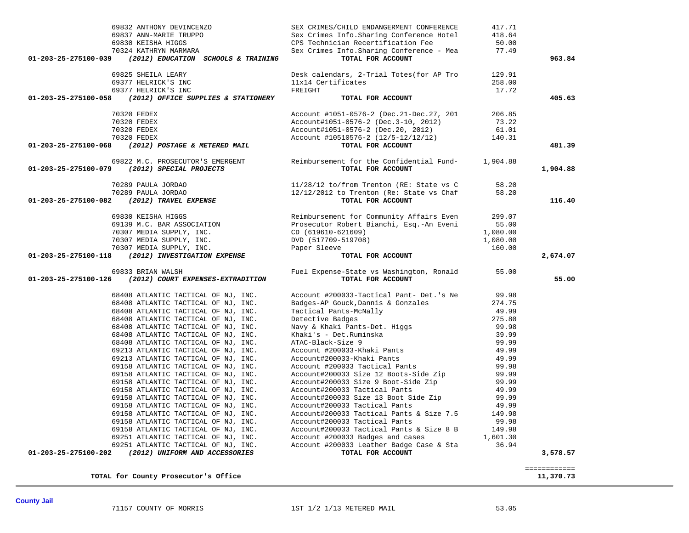69832 ANTHONY DEVINCENZO SEX CRIMES/CHILD ENDANGERMENT CONFERENCE 417.71

 **01-203-25-275100-039** *(2012) EDUCATION SCHOOLS & TRAINING* **TOTAL FOR ACCOUNT 963.84**

 **017AL FOR ACCOUNT 405.63** 

**TOTAL for County Prosecutor's Office 11,370.73**

| 01-203-25-275100-068 (2012) POSTAGE & METERED MAIL                                                                                                                                        | TOTAL FOR ACCOUNT                                                                                       |          | 481.39   |
|-------------------------------------------------------------------------------------------------------------------------------------------------------------------------------------------|---------------------------------------------------------------------------------------------------------|----------|----------|
| 01-203-25-275100-079<br>(2012) SPECIAL PROJECTS                                                                                                                                           | 69822 M.C. PROSECUTOR'S EMERGENT Reimbursement for the Confidential Fund- 1,904.88<br>TOTAL FOR ACCOUNT |          | 1,904.88 |
|                                                                                                                                                                                           |                                                                                                         | 58.20    |          |
|                                                                                                                                                                                           |                                                                                                         | 58.20    |          |
| 70289 PAULA JORDAO 11/28/12 to/from Trenton (RE: State vs C<br>70289 PAULA JORDAO 12/12/2012 to Trenton (Re: State vs Chaf<br>70289 CAULA JORDAO 12/12/2012 to Trenton (Re: State vs Chaf |                                                                                                         |          | 116.40   |
| 69830 KEISHA HIGGS                                                                                                                                                                        | Reimbursement for Community Affairs Even 299.07                                                         |          |          |
|                                                                                                                                                                                           | 69139 M.C. BAR ASSOCIATION Prosecutor Robert Bianchi, Esq.-An Eveni                                     | 55.00    |          |
|                                                                                                                                                                                           |                                                                                                         | 1,080.00 |          |
| 70307 MEDIA SUPPLY, INC.                                                                                                                                                                  |                                                                                                         | 1,080.00 |          |
| 70307 MEDIA SUPPLY, INC.                                                                                                                                                                  | DVD (517709-519708)<br>Paper Sleeve                                                                     | 160.00   |          |
| 01-203-25-275100-118 (2012) INVESTIGATION EXPENSE                                                                                                                                         | TOTAL FOR ACCOUNT                                                                                       |          | 2,674.07 |
| 69833 BRIAN WALSH<br>01-203-25-275100-126<br>(2012) COURT EXPENSES-EXTRADITION                                                                                                            | Fuel Expense-State vs Washington, Ronald<br>TOTAL FOR ACCOUNT                                           | 55.00    | 55.00    |
|                                                                                                                                                                                           |                                                                                                         |          |          |
| 68408 ATLANTIC TACTICAL OF NJ, INC.                                                                                                                                                       | Account #200033-Tactical Pant- Det.'s Ne                                                                | 99.98    |          |
| 68408 ATLANTIC TACTICAL OF NJ, INC.                                                                                                                                                       | Badges-AP Gouck, Dannis & Gonzales                                                                      | 274.75   |          |
| 68408 ATLANTIC TACTICAL OF NJ, INC.                                                                                                                                                       | Tactical Pants-McNally                                                                                  | 49.99    |          |
| 68408 ATLANTIC TACTICAL OF NJ, INC.                                                                                                                                                       | Detective Badges                                                                                        | 275.80   |          |
| 68408 ATLANTIC TACTICAL OF NJ, INC.                                                                                                                                                       | Detective Bauges<br>Navy & Khaki Pants-Det. Higgs<br>Khaki's - Det.Ruminska                             | 99.98    |          |
| 68408 ATLANTIC TACTICAL OF NJ, INC.                                                                                                                                                       |                                                                                                         | 39.99    |          |
| 68408 ATLANTIC TACTICAL OF NJ, INC.                                                                                                                                                       | ATAC-Black-Size 9                                                                                       | 99.99    |          |
| 69213 ATLANTIC TACTICAL OF NJ, INC.                                                                                                                                                       |                                                                                                         | 49.99    |          |
| 69213 ATLANTIC TACTICAL OF NJ, INC.                                                                                                                                                       |                                                                                                         | 49.99    |          |
| 69158 ATLANTIC TACTICAL OF NJ, INC.                                                                                                                                                       | Account #200033-Khaki Pants<br>Account#200033-Khaki Pants<br>Account #200033 Tactical Pants             | 99.98    |          |
| 69158 ATLANTIC TACTICAL OF NJ, INC.                                                                                                                                                       | Account#200033 Size 12 Boots-Side Zip                                                                   | 99.99    |          |
| 69158 ATLANTIC TACTICAL OF NJ, INC.                                                                                                                                                       | Account#200033 Size 9 Boot-Side Zip                                                                     | 99.99    |          |
| 69158 ATLANTIC TACTICAL OF NJ, INC.                                                                                                                                                       | Account#200033 Tactical Pants                                                                           | 49.99    |          |
| 69158 ATLANTIC TACTICAL OF NJ, INC.                                                                                                                                                       | Account#200033 Size 13 Boot Side Zip                                                                    | 99.99    |          |
| 69158 ATLANTIC TACTICAL OF NJ, INC.                                                                                                                                                       | Account#200033 Tactical Pants                                                                           | 49.99    |          |
| 69158 ATLANTIC TACTICAL OF NJ, INC.                                                                                                                                                       | Account#200033 Tactical Pants & Size 7.5 149.98                                                         |          |          |
| 69158 ATLANTIC TACTICAL OF NJ, INC.                                                                                                                                                       | Account#200033 Tactical Pants                                                                           | 99.98    |          |
| 69158 ATLANTIC TACTICAL OF NJ, INC.                                                                                                                                                       | Account#200033 Tactical Pants & Size 8 B 149.98                                                         |          |          |
| 69251 ATLANTIC TACTICAL OF NJ, INC.                                                                                                                                                       | Account #200033 Badges and cases 1,601.30                                                               |          |          |
| 69251 ATLANTIC TACTICAL OF NJ, INC.                                                                                                                                                       | Account #200033 Leather Badge Case & Sta                                                                | 36.94    |          |
| 01-203-25-275100-202 (2012) UNIFORM AND ACCESSORIES                                                                                                                                       | TOTAL FOR ACCOUNT                                                                                       |          | 3,578.57 |

| 69837 ANN-MARIE TRUPPO                                      | Sex Crimes Info. Sharing Conference Hotel  | 418.64 |
|-------------------------------------------------------------|--------------------------------------------|--------|
| 69830 KEISHA HIGGS                                          | CPS Technician Recertification Fee         | 50.00  |
| 70324 KATHRYN MARMARA                                       | Sex Crimes Info. Sharing Conference - Mea  | 77.49  |
| 01-203-25-275100-039<br>(2012) EDUCATION SCHOOLS & TRAINING | TOTAL FOR ACCOUNT                          |        |
| 69825 SHEILA LEARY                                          | Desk calendars, 2-Trial Totes (for AP Tro  | 129.91 |
| 69377 HELRICK'S INC                                         | 11x14 Certificates                         | 258.00 |
| 69377 HELRICK'S INC                                         | FREIGHT                                    | 17.72  |
|                                                             |                                            |        |
| 01-203-25-275100-058 (2012) OFFICE SUPPLIES & STATIONERY    | TOTAL FOR ACCOUNT                          |        |
| 70320 FEDEX                                                 | Account #1051-0576-2 (Dec. 21-Dec. 27, 201 | 206.85 |
| 70320 FEDEX                                                 | Account#1051-0576-2 (Dec.3-10, 2012)       | 73.22  |
| 70320 FEDEX                                                 | Account#1051-0576-2 (Dec.20, 2012)         | 61.01  |
| 70320 FEDEX                                                 | Account #10510576-2 (12/5-12/12/12)        | 140.31 |
| 01-203-25-275100-068<br>(2012) POSTAGE & METERED MAIL       | TOTAL FOR ACCOUNT                          |        |

 ============ 11,370.73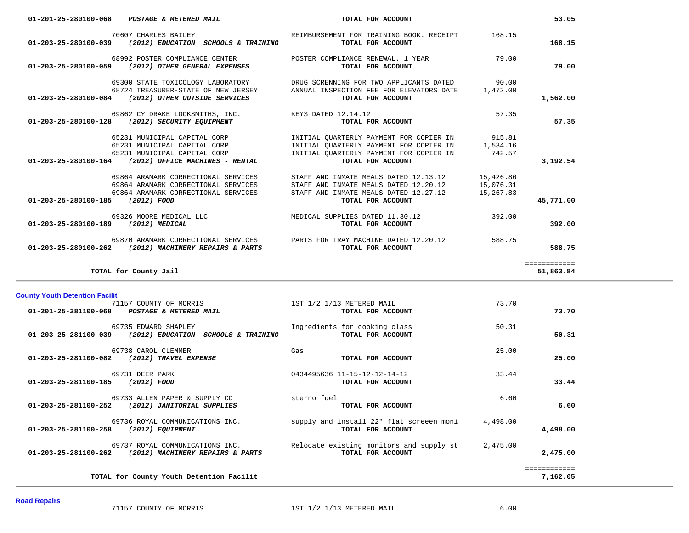| 01-201-25-280100-068                  | POSTAGE & METERED MAIL                                                                                                                               |                     | TOTAL FOR ACCOUNT                                                                                                                                  |                                     | 53.05                     |
|---------------------------------------|------------------------------------------------------------------------------------------------------------------------------------------------------|---------------------|----------------------------------------------------------------------------------------------------------------------------------------------------|-------------------------------------|---------------------------|
| 01-203-25-280100-039                  | 70607 CHARLES BAILEY<br>(2012) EDUCATION SCHOOLS & TRAINING                                                                                          |                     | REIMBURSEMENT FOR TRAINING BOOK. RECEIPT 168.15<br>TOTAL FOR ACCOUNT                                                                               |                                     | 168.15                    |
| 01-203-25-280100-059                  | 68992 POSTER COMPLIANCE CENTER<br>(2012) OTHER GENERAL EXPENSES                                                                                      |                     | POSTER COMPLIANCE RENEWAL. 1 YEAR<br>TOTAL FOR ACCOUNT                                                                                             | 79.00                               | 79.00                     |
| 01-203-25-280100-084                  | 69300 STATE TOXICOLOGY LABORATORY<br>68724 TREASURER-STATE OF NEW JERSEY<br>(2012) OTHER OUTSIDE SERVICES                                            |                     | DRUG SCRENNING FOR TWO APPLICANTS DATED<br>ANNUAL INSPECTION FEE FOR ELEVATORS DATE<br>TOTAL FOR ACCOUNT                                           | 90.00<br>1,472.00                   | 1,562.00                  |
|                                       | 69862 CY DRAKE LOCKSMITHS, INC.<br>01-203-25-280100-128 (2012) SECURITY EQUIPMENT                                                                    | KEYS DATED 12.14.12 | TOTAL FOR ACCOUNT                                                                                                                                  | 57.35                               | 57.35                     |
|                                       | 65231 MUNICIPAL CAPITAL CORP<br>65231 MUNICIPAL CAPITAL CORP<br>65231 MUNICIPAL CAPITAL CORP<br>01-203-25-280100-164 (2012) OFFICE MACHINES - RENTAL |                     | INITIAL QUARTERLY PAYMENT FOR COPIER IN<br>INITIAL QUARTERLY PAYMENT FOR COPIER IN<br>INITIAL QUARTERLY PAYMENT FOR COPIER IN<br>TOTAL FOR ACCOUNT | 915.81<br>1,534.16<br>742.57        | 3,192.54                  |
| 01-203-25-280100-185                  | 69864 ARAMARK CORRECTIONAL SERVICES<br>69864 ARAMARK CORRECTIONAL SERVICES<br>69864 ARAMARK CORRECTIONAL SERVICES<br><i>(2012) FOOD</i>              |                     | STAFF AND INMATE MEALS DATED 12.13.12<br>STAFF AND INMATE MEALS DATED 12.20.12<br>STAFF AND INMATE MEALS DATED 12.27.12<br>TOTAL FOR ACCOUNT       | 15,426.86<br>15,076.31<br>15,267.83 | 45,771.00                 |
| 01-203-25-280100-189                  | 69326 MOORE MEDICAL LLC<br><i>(2012) MEDICAL</i>                                                                                                     |                     | MEDICAL SUPPLIES DATED 11.30.12<br>TOTAL FOR ACCOUNT                                                                                               | 392.00                              | 392.00                    |
|                                       | 69870 ARAMARK CORRECTIONAL SERVICES<br>01-203-25-280100-262 (2012) MACHINERY REPAIRS & PARTS                                                         |                     | PARTS FOR TRAY MACHINE DATED 12.20.12<br>TOTAL FOR ACCOUNT                                                                                         | 588.75                              | 588.75                    |
|                                       | TOTAL for County Jail                                                                                                                                |                     |                                                                                                                                                    |                                     | ============<br>51,863.84 |
| <b>County Youth Detention Facilit</b> |                                                                                                                                                      |                     |                                                                                                                                                    |                                     |                           |
| 01-201-25-281100-068                  | 71157 COUNTY OF MORRIS<br>POSTAGE & METERED MAIL                                                                                                     |                     | 1ST 1/2 1/13 METERED MAIL<br>TOTAL FOR ACCOUNT                                                                                                     | 73.70                               | 73.70                     |
| 01-203-25-281100-039                  | 69735 EDWARD SHAPLEY<br>(2012) EDUCATION SCHOOLS & TRAINING                                                                                          |                     | Ingredients for cooking class<br>TOTAL FOR ACCOUNT                                                                                                 | 50.31                               | 50.31                     |
| 01-203-25-281100-082                  | 69738 CAROL CLEMMER<br>(2012) TRAVEL EXPENSE                                                                                                         | Gas                 | TOTAL FOR ACCOUNT                                                                                                                                  | 25.00                               | 25.00                     |
| 01-203-25-281100-185                  | 69731 DEER PARK<br>(2012) FOOD                                                                                                                       |                     | 0434495636 11-15-12-12-14-12<br>TOTAL FOR ACCOUNT                                                                                                  | 33.44                               | 33.44                     |
|                                       | 69733 ALLEN PAPER & SUPPLY CO<br>01-203-25-281100-252 (2012) JANITORIAL SUPPLIES                                                                     | sterno fuel         | TOTAL FOR ACCOUNT                                                                                                                                  | 6.60                                | 6.60                      |
| 01-203-25-281100-258 (2012) EQUIPMENT | 69736 ROYAL COMMUNICATIONS INC.                                                                                                                      |                     | supply and install 22" flat screeen moni<br>TOTAL FOR ACCOUNT                                                                                      | 4,498.00                            | 4,498.00                  |
|                                       |                                                                                                                                                      |                     |                                                                                                                                                    |                                     |                           |

 69737 ROYAL COMMUNICATIONS INC. Relocate existing monitors and supply st 2,475.00  **01-203-25-281100-262** *(2012) MACHINERY REPAIRS & PARTS* **TOTAL FOR ACCOUNT 2,475.00** ============

**TOTAL for County Youth Detention Facilit 7,162.05**

7,162.05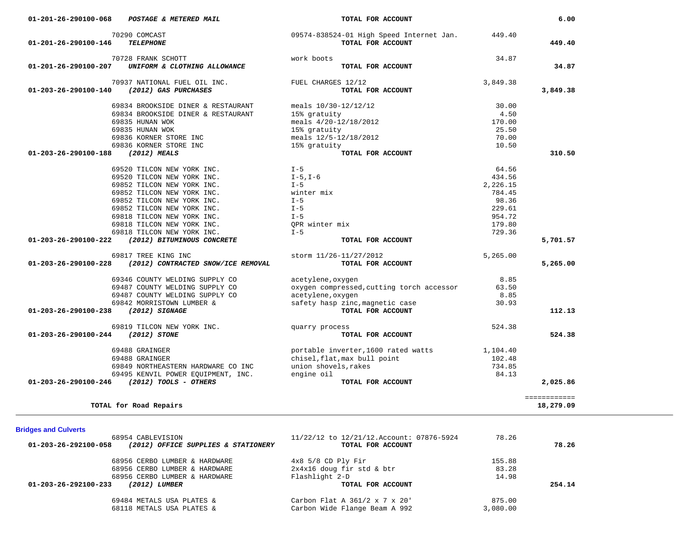| 01-201-26-290100-207        | UNIFORM & CLOTHING ALLOWANCE                                             | <b>TOTAL FOR ACCOUNT</b>                  |          | 34.87        |
|-----------------------------|--------------------------------------------------------------------------|-------------------------------------------|----------|--------------|
|                             | 70937 NATIONAL FUEL OIL INC.                                             | FUEL CHARGES 12/12                        | 3,849.38 |              |
| 01-203-26-290100-140        | (2012) GAS PURCHASES                                                     | TOTAL FOR ACCOUNT                         |          | 3,849.38     |
|                             |                                                                          |                                           |          |              |
|                             | 69834 BROOKSIDE DINER & RESTAURANT<br>69834 BROOKSIDE DINER & RESTAURANT | meals $10/30-12/12/12$                    | 30.00    |              |
|                             |                                                                          | 15% gratuity                              | 4.50     |              |
|                             | 69835 HUNAN WOK                                                          | meals 4/20-12/18/2012                     | 170.00   |              |
|                             | 69835 HUNAN WOK                                                          | 15% gratuity                              | 25.50    |              |
|                             | 69836 KORNER STORE INC                                                   | meals 12/5-12/18/2012                     | 70.00    |              |
|                             | 69836 KORNER STORE INC                                                   | 15% gratuity                              | 10.50    |              |
| 01-203-26-290100-188        | (2012) MEALS                                                             | TOTAL FOR ACCOUNT                         |          | 310.50       |
|                             | 69520 TILCON NEW YORK INC.                                               | $I - 5$                                   | 64.56    |              |
|                             | 69520 TILCON NEW YORK INC.                                               | $I-5$ , $I-6$                             | 434.56   |              |
|                             | 69852 TILCON NEW YORK INC.                                               | $I - 5$                                   | 2,226.15 |              |
|                             | 69852 TILCON NEW YORK INC.                                               | winter mix                                | 784.45   |              |
|                             | 69852 TILCON NEW YORK INC.                                               | $I - 5$                                   | 98.36    |              |
|                             | 69852 TILCON NEW YORK INC.                                               | $I - 5$                                   | 229.61   |              |
|                             | 69818 TILCON NEW YORK INC.                                               | $I - 5$                                   | 954.72   |              |
|                             | 69818 TILCON NEW YORK INC.                                               | OPR winter mix                            | 179.80   |              |
|                             | 69818 TILCON NEW YORK INC.                                               | $I - 5$                                   | 729.36   |              |
| 01-203-26-290100-222        | (2012) BITUMINOUS CONCRETE                                               | TOTAL FOR ACCOUNT                         |          | 5,701.57     |
|                             |                                                                          |                                           |          |              |
|                             | 69817 TREE KING INC                                                      | storm 11/26-11/27/2012                    | 5,265.00 |              |
| 01-203-26-290100-228        | (2012) CONTRACTED SNOW/ICE REMOVAL                                       | TOTAL FOR ACCOUNT                         |          | 5,265.00     |
|                             | 69346 COUNTY WELDING SUPPLY CO                                           | acetylene, oxygen                         | 8.85     |              |
|                             | 69487 COUNTY WELDING SUPPLY CO                                           | oxygen compressed, cutting torch accessor | 63.50    |              |
|                             | 69487 COUNTY WELDING SUPPLY CO                                           | acetylene, oxygen                         | 8.85     |              |
|                             | 69842 MORRISTOWN LUMBER &                                                | safety hasp zinc, magnetic case           | 30.93    |              |
| 01-203-26-290100-238        | $(2012)$ SIGNAGE                                                         | TOTAL FOR ACCOUNT                         |          | 112.13       |
|                             |                                                                          |                                           |          |              |
|                             | 69819 TILCON NEW YORK INC.                                               | quarry process                            | 524.38   |              |
| 01-203-26-290100-244        | (2012) STONE                                                             | TOTAL FOR ACCOUNT                         |          | 524.38       |
|                             | 69488 GRAINGER                                                           | portable inverter, 1600 rated watts       | 1,104.40 |              |
|                             | 69488 GRAINGER                                                           | chisel, flat, max bull point              | 102.48   |              |
|                             | 69849 NORTHEASTERN HARDWARE CO INC                                       | union shovels, rakes                      | 734.85   |              |
|                             |                                                                          | engine oil                                | 84.13    |              |
| 01-203-26-290100-246        | 69495 KENVIL POWER EQUIPMENT, INC.<br>$(2012)$ TOOLS - OTHERS            | TOTAL FOR ACCOUNT                         |          | 2,025.86     |
|                             |                                                                          |                                           |          |              |
|                             |                                                                          |                                           |          | ============ |
|                             | TOTAL for Road Repairs                                                   |                                           |          | 18,279.09    |
| <b>Bridges and Culverts</b> |                                                                          |                                           |          |              |
|                             | 68954 CABLEVISION                                                        | 11/22/12 to 12/21/12. Account: 07876-5924 | 78.26    |              |
| 01-203-26-292100-058        | (2012) OFFICE SUPPLIES & STATIONERY                                      | TOTAL FOR ACCOUNT                         |          | 78.26        |
|                             | 68956 CERBO LUMBER & HARDWARE                                            | $4x8$ 5/8 CD Ply Fir                      | 155.88   |              |
|                             |                                                                          |                                           |          |              |
|                             | 68956 CERBO LUMBER & HARDWARE                                            | 2x4x16 doug fir std & btr                 | 83.28    |              |
|                             | 68956 CERBO LUMBER & HARDWARE                                            | Flashlight 2-D                            | 14.98    |              |
|                             |                                                                          | TOTAL FOR ACCOUNT                         |          | 254.14       |
| 01-203-26-292100-233        | (2012) LUMBER                                                            |                                           |          |              |
|                             | 69484 METALS USA PLATES &                                                | Carbon Flat A 361/2 x 7 x 20'             | 875.00   |              |

 70290 COMCAST 09574-838524-01 High Speed Internet Jan. 449.40  **01-201-26-290100-146** *TELEPHONE* **TOTAL FOR ACCOUNT 449.40**

70728 FRANK SCHOTT work boots 34.87

 $6.00$ 

34.87

 **01-201-26-290100-068** *POSTAGE & METERED MAIL* **TOTAL FOR ACCOUNT 6.00**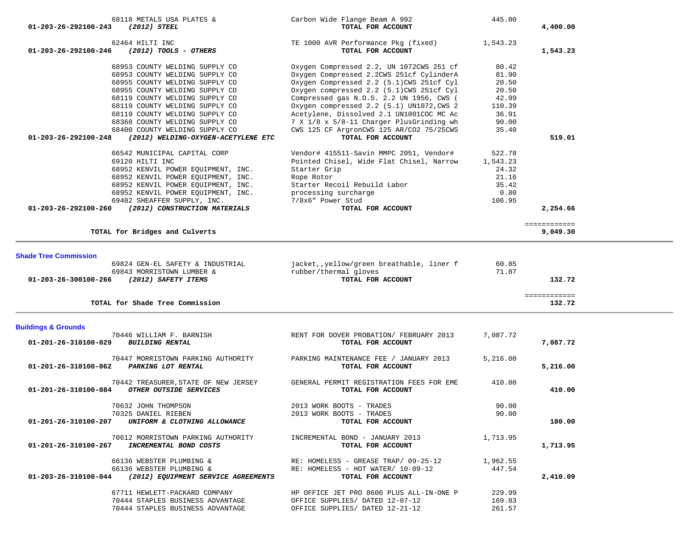|                                | 68118 METALS USA PLATES &                                                                                 | Carbon Wide Flange Beam A 992                                                           | 445.00          |                        |
|--------------------------------|-----------------------------------------------------------------------------------------------------------|-----------------------------------------------------------------------------------------|-----------------|------------------------|
| 01-203-26-292100-243           | (2012) STEEL                                                                                              | TOTAL FOR ACCOUNT                                                                       |                 | 4,400.00               |
| 01-203-26-292100-246           | 62464 HILTI INC<br><i>(2012) TOOLS - OTHERS</i>                                                           | TE 1000 AVR Performance Pkg (fixed)<br>TOTAL FOR ACCOUNT                                | 1,543.23        | 1,543.23               |
|                                | 68953 COUNTY WELDING SUPPLY CO                                                                            | Oxygen Compressed 2.2, UN 1072CWS 251 cf                                                | 80.42           |                        |
|                                | 68953 COUNTY WELDING SUPPLY CO                                                                            | Oxygen Compressed 2.2CWS 251cf CylinderA                                                | 81.90           |                        |
|                                | 68955 COUNTY WELDING SUPPLY CO                                                                            | Oxygen Compressed 2.2 (5.1)CWS 251cf Cyl                                                | 20.50           |                        |
|                                | 68955 COUNTY WELDING SUPPLY CO                                                                            | Oxygen compressed 2.2 (5.1)CWS 251cf Cyl                                                | 20.50           |                        |
|                                | 68119 COUNTY WELDING SUPPLY CO                                                                            | Compressed gas N.O.S. 2.2 UN 1956, CWS (                                                | 42.99           |                        |
|                                | 68119 COUNTY WELDING SUPPLY CO<br>68119 COUNTY WELDING SUPPLY CO                                          | Oxygen compressed 2.2 (5.1) UN1072, CWS 2<br>Acetylene, Dissolved 2.1 UN1001COC MC Ac   | 110.39<br>36.91 |                        |
|                                | 68368 COUNTY WELDING SUPPLY CO                                                                            | 7 X 1/8 x 5/8-11 Charger PlusGrinding wh                                                | 90.00           |                        |
|                                | 68400 COUNTY WELDING SUPPLY CO                                                                            | CWS 125 CF ArgronCWS 125 AR/CO2 75/25CWS                                                | 35.40           |                        |
| 01-203-26-292100-248           | (2012) WELDING-OXYGEN-ACETYLENE ETC                                                                       | TOTAL FOR ACCOUNT                                                                       |                 | 519.01                 |
|                                | 66542 MUNICIPAL CAPITAL CORP                                                                              | Vendor# 415511-Savin MMPC 2051, Vendor#                                                 | 522.78          |                        |
|                                | 69120 HILTI INC                                                                                           | Pointed Chisel, Wide Flat Chisel, Narrow                                                | 1,543.23        |                        |
|                                | 68952 KENVIL POWER EQUIPMENT, INC.                                                                        | Starter Grip                                                                            | 24.32           |                        |
|                                | 68952 KENVIL POWER EQUIPMENT, INC.                                                                        | Rope Rotor                                                                              | 21.16           |                        |
|                                | 68952 KENVIL POWER EQUIPMENT, INC.                                                                        | Starter Recoil Rebuild Labor                                                            | 35.42           |                        |
|                                | 68952 KENVIL POWER EQUIPMENT, INC.                                                                        | processing surcharge                                                                    | 0.80            |                        |
|                                | 69482 SHEAFFER SUPPLY, INC.                                                                               | 7/8x6" Power Stud                                                                       | 106.95          |                        |
| 01-203-26-292100-260           | (2012) CONSTRUCTION MATERIALS                                                                             | TOTAL FOR ACCOUNT                                                                       |                 | 2,254.66               |
|                                |                                                                                                           |                                                                                         |                 | ============           |
|                                | TOTAL for Bridges and Culverts                                                                            |                                                                                         |                 | 9,049.30               |
| <b>Shade Tree Commission</b>   | 69824 GEN-EL SAFETY & INDUSTRIAL<br>69843 MORRISTOWN LUMBER &<br>01-203-26-300100-266 (2012) SAFETY ITEMS | jacket,, yellow/green breathable, liner f<br>rubber/thermal gloves<br>TOTAL FOR ACCOUNT | 60.85<br>71.87  | 132.72                 |
|                                | TOTAL for Shade Tree Commission                                                                           |                                                                                         |                 | ============<br>132.72 |
| <b>Buildings &amp; Grounds</b> |                                                                                                           |                                                                                         |                 |                        |
| 01-201-26-310100-029           | 70446 WILLIAM F. BARNISH<br><b>BUILDING RENTAL</b>                                                        | RENT FOR DOVER PROBATION/ FEBRUARY 2013<br>TOTAL FOR ACCOUNT                            | 7,087.72        | 7,087.72               |
| 01-201-26-310100-062           | 70447 MORRISTOWN PARKING AUTHORITY<br><b>PARKING LOT RENTAL</b>                                           | PARKING MAINTENANCE FEE / JANUARY 2013<br>TOTAL FOR ACCOUNT                             | 5,216.00        | 5,216.00               |
| 01-201-26-310100-084           | 70442 TREASURER, STATE OF NEW JERSEY<br><i>OTHER OUTSIDE SERVICES</i>                                     | GENERAL PERMIT REGISTRATION FEES FOR EME<br>TOTAL FOR ACCOUNT                           | 410.00          | 410.00                 |
|                                | 70632 JOHN THOMPSON                                                                                       | 2013 WORK BOOTS - TRADES                                                                | 90.00           |                        |
|                                | 70325 DANIEL RIEBEN                                                                                       | 2013 WORK BOOTS - TRADES                                                                | 90.00           |                        |
|                                | 01-201-26-310100-207 UNIFORM & CLOTHING ALLOWANCE                                                         | TOTAL FOR ACCOUNT                                                                       |                 | 180.00                 |
|                                | 70612 MORRISTOWN PARKING AUTHORITY<br>01-201-26-310100-267 INCREMENTAL BOND COSTS                         | INCREMENTAL BOND - JANUARY 2013<br>TOTAL FOR ACCOUNT                                    | 1,713.95        | 1,713.95               |
|                                | 66136 WEBSTER PLUMBING &                                                                                  | RE: HOMELESS - GREASE TRAP/ 09-25-12                                                    | 1,962.55        |                        |
|                                | 66136 WEBSTER PLUMBING &                                                                                  | RE: HOMELESS - HOT WATER/ 10-09-12                                                      | 447.54          |                        |
|                                | 01-203-26-310100-044 (2012) EQUIPMENT SERVICE AGREEMENTS                                                  | TOTAL FOR ACCOUNT                                                                       |                 | 2,410.09               |
|                                | 67711 HEWLETT-PACKARD COMPANY                                                                             | HP OFFICE JET PRO 8600 PLUS ALL-IN-ONE P                                                | 229.99          |                        |
|                                |                                                                                                           |                                                                                         |                 |                        |
|                                | 70444 STAPLES BUSINESS ADVANTAGE                                                                          | OFFICE SUPPLIES/ DATED 12-07-12                                                         | 169.83          |                        |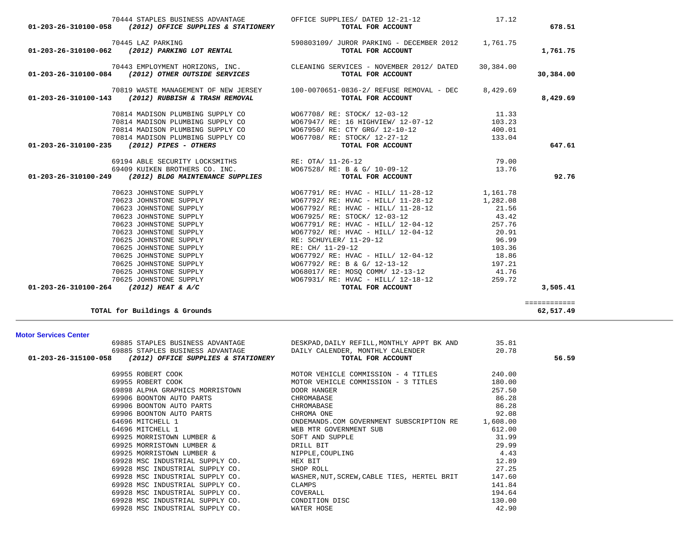| 01-203-26-315100-058 (2012) OFFICE SUPPLIES & STATIONERY                    | TOTAL FOR ACCOUNT                                                       |          | 56.59 |
|-----------------------------------------------------------------------------|-------------------------------------------------------------------------|----------|-------|
|                                                                             | 69955 ROBERT COOK THE RESOLUTION OF MOTOR VEHICLE COMMISSION - 4 TITLES | 240.00   |       |
| 69955 ROBERT COOK                                                           | MOTOR VEHICLE COMMISSION - 3 TITLES                                     | 180.00   |       |
| 69898 ALPHA GRAPHICS MORRISTOWN <b>THE SERVICE OF STATE SERVICE SERVICE</b> |                                                                         | 257.50   |       |
| 69906 BOONTON AUTO PARTS                                                    | CHROMABASE                                                              | 86.28    |       |
| 69906 BOONTON AUTO PARTS                                                    | CHROMABASE                                                              | 86.28    |       |
| 69906 BOONTON AUTO PARTS                                                    | CHROMA ONE                                                              | 92.08    |       |
| 64696 MITCHELL 1                                                            | ONDEMAND5.COM GOVERNMENT SUBSCRIPTION RE                                | 1,608.00 |       |
| 64696 MITCHELL 1 COVERNMENT SUB                                             |                                                                         | 612.00   |       |
| 69925 MORRISTOWN LUMBER & SOFT AND SUPPLE                                   |                                                                         | 31.99    |       |
| 69925 MORRISTOWN LUMBER &                                                   | DRILL BIT                                                               | 29.99    |       |
| 69925 MORRISTOWN LUMBER &                                                   | NIPPLE, COUPLING                                                        | 4.43     |       |
| 69928 MSC INDUSTRIAL SUPPLY CO.                                             | HEX BIT                                                                 | 12.89    |       |
| 69928 MSC INDUSTRIAL SUPPLY CO.                                             | SHOP ROLL                                                               | 27.25    |       |
| 69928 MSC INDUSTRIAL SUPPLY CO.                                             | WASHER, NUT, SCREW, CABLE TIES, HERTEL BRIT                             | 147.60   |       |
| 69928 MSC INDUSTRIAL SUPPLY CO.                                             | CLAMPS                                                                  | 141.84   |       |
| 69928 MSC INDUSTRIAL SUPPLY CO.                                             | COVERALL                                                                | 194.64   |       |
| 69928 MSC INDUSTRIAL SUPPLY CO. CONDITION DISC                              |                                                                         | 130.00   |       |
| 69928 MSC INDUSTRIAL SUPPLY CO. WATER HOSE                                  |                                                                         | 42.90    |       |
|                                                                             |                                                                         |          |       |

============<br>62,517.49

**Motor Services Center** 

 70625 JOHNSTONE SUPPLY WO67792/ RE: HVAC - HILL/ 12-04-12 18.86 70625 JOHNSTONE SUPPLY WO67792/ RE: B & G/ 12-13-12 197.21 70625 JOHNSTONE SUPPLY WO68017/ RE: MOSQ COMM/ 12-13-12 41.76 70625 JOHNSTONE SUPPLY WO67931/ RE: HVAC - HILL/ 12-18-12

TOTAL for Buildings & Grounds

|  | 01-203-26-310100-058 (2012) OFFICE SUPPLIES & STATIONERY | 70444 STAPLES BUSINESS ADVANTAGE <b>OFFICE SUPPLIES</b> / DATED 12-21-12 17.12<br><b>8</b> (2012) OFFICE SUPPLIES & STATIONERY <b>TOTAL FOR ACCOUNT</b>                                                                                                                                                                              |       | 678.51    |
|--|----------------------------------------------------------|--------------------------------------------------------------------------------------------------------------------------------------------------------------------------------------------------------------------------------------------------------------------------------------------------------------------------------------|-------|-----------|
|  |                                                          | 70445 LAZ PARKING<br>761.75 590803109/ JUROR PARKING - DECEMBER 2012 1,761.75<br>761.75 TOTAL FOR ACCOUNT                                                                                                                                                                                                                            |       | 1,761.75  |
|  | 01-203-26-310100-084 (2012) OTHER OUTSIDE SERVICES       | 70443 EMPLOYMENT HORIZONS, INC. CLEANING SERVICES - NOVEMBER 2012/ DATED 30,384.00<br>TOTAL FOR ACCOUNT                                                                                                                                                                                                                              |       | 30,384.00 |
|  | $01-203-26-310100-143$ (2012) RUBBISH & TRASH REMOVAL    | 70819 WASTE MANAGEMENT OF NEW JERSEY 100-0070651-0836-2/ REFUSE REMOVAL - DEC 8,429.69<br>TOTAL FOR ACCOUNT                                                                                                                                                                                                                          |       | 8,429.69  |
|  |                                                          |                                                                                                                                                                                                                                                                                                                                      |       |           |
|  |                                                          |                                                                                                                                                                                                                                                                                                                                      |       |           |
|  |                                                          |                                                                                                                                                                                                                                                                                                                                      |       |           |
|  |                                                          |                                                                                                                                                                                                                                                                                                                                      |       |           |
|  | 01-203-26-310100-235 (2012) PIPES - OTHERS               | $\begin{array}{lllllllllllllll} \text{70814 MADISON PLUMBING SUPPLY CO} & & & & & \text{W067950/ RE: CTY GRG/ 12-10-12} & & & & 400.01 \\ \text{70814 MADISON PLUMBING SUPPLY CO} & & & & & \text{W067708/ RE: STOCK/ 12-27-12} & & & & & 133.04 \\ \text{5} & & & & & & & \text{TOTAL FOR ACCOUNT} & & & & & 133.04 \\ \end{array}$ |       | 647.61    |
|  |                                                          | 69194 ABLE SECURITY LOCKSMITHS RE: OTA/ $11-26-12$<br>69409 KUIKEN BROTHERS CO. INC. WO67528/RE: B & G/ 10-09-12 13.76                                                                                                                                                                                                               |       |           |
|  |                                                          |                                                                                                                                                                                                                                                                                                                                      |       |           |
|  | 01-203-26-310100-249 (2012) BLDG MAINTENANCE SUPPLIES    |                                                                                                                                                                                                                                                                                                                                      |       | 92.76     |
|  |                                                          |                                                                                                                                                                                                                                                                                                                                      |       |           |
|  |                                                          |                                                                                                                                                                                                                                                                                                                                      |       |           |
|  |                                                          |                                                                                                                                                                                                                                                                                                                                      |       |           |
|  |                                                          |                                                                                                                                                                                                                                                                                                                                      |       |           |
|  |                                                          |                                                                                                                                                                                                                                                                                                                                      |       |           |
|  |                                                          | 10623 JOHNSTONE SUPPLY<br>10623 JOHNSTONE SUPPLY<br>10623 JOHNSTONE SUPPLY<br>10625 JOHNSTONE SUPPLY<br>10625 JOHNSTONE SUPPLY<br>10625 JOHNSTONE SUPPLY<br>103.36<br>103.36<br>103.36<br>103.36<br>20.91<br>RE: CH(/11-29-12<br>20.91<br>RE: CH(/11-29-                                                                             |       |           |
|  |                                                          |                                                                                                                                                                                                                                                                                                                                      |       |           |
|  |                                                          |                                                                                                                                                                                                                                                                                                                                      |       |           |
|  | TO625 JOHNSTONE SUPPLY                                   | MO67792/ RF: HVAC - HTT.T./ 12-04-12                                                                                                                                                                                                                                                                                                 | 18 RG |           |

 **01-203-26-310100-264** *(2012) HEAT & A/C* **TOTAL FOR ACCOUNT 3,505.41**

 69885 STAPLES BUSINESS ADVANTAGE DESKPAD,DAILY REFILL,MONTHLY APPT BK AND 35.81 69885 STAPLES BUSINESS ADVANTAGE DAILY CALENDER, MONTHLY CALENDER 20.78

============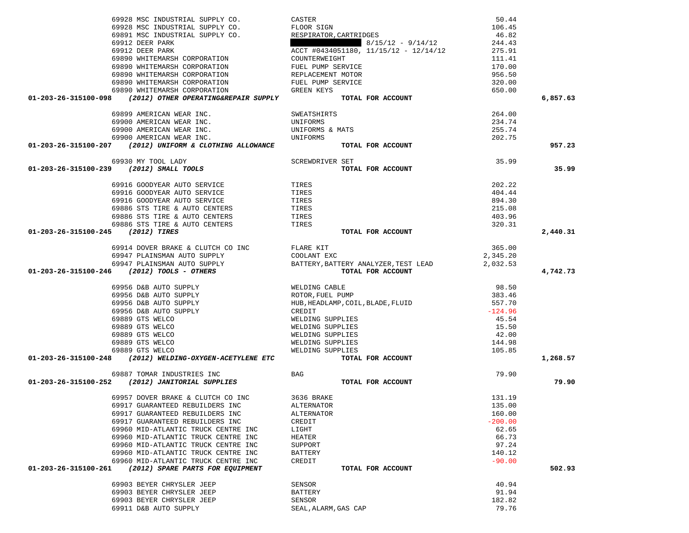| 69928 MSC INDUSTRIAL SUPPLY CO.                                                                                                                          | CASTER                                                                                                                                                            | 50.44     |          |
|----------------------------------------------------------------------------------------------------------------------------------------------------------|-------------------------------------------------------------------------------------------------------------------------------------------------------------------|-----------|----------|
| 69928 MSC INDUSTRIAL SUPPLY CO.                                                                                                                          | FLOOR SIGN                                                                                                                                                        | 106.45    |          |
| 69891 MSC INDUSTRIAL SUPPLY CO.                                                                                                                          | RESPIRATOR, CARTRIDGES                                                                                                                                            | 46.82     |          |
| 69912 DEER PARK                                                                                                                                          |                                                                                                                                                                   | 244.43    |          |
| 69912 DEER PARK                                                                                                                                          | RESPIRATOR, CARTRIDGES<br>8/15/12 - 9/14/12<br>ACCT #0434051180, 11/15/12 - 12/14/12                                                                              | 275.91    |          |
|                                                                                                                                                          |                                                                                                                                                                   | 111.41    |          |
|                                                                                                                                                          |                                                                                                                                                                   | 170.00    |          |
|                                                                                                                                                          |                                                                                                                                                                   | 956.50    |          |
|                                                                                                                                                          |                                                                                                                                                                   | 320.00    |          |
|                                                                                                                                                          |                                                                                                                                                                   |           |          |
|                                                                                                                                                          |                                                                                                                                                                   | 650.00    |          |
| 01-203-26-315100-098 (2012) OTHER OPERATING&REPAIR SUPPLY TOTAL FOR ACCOUNT                                                                              |                                                                                                                                                                   |           | 6,857.63 |
|                                                                                                                                                          |                                                                                                                                                                   |           |          |
| 69899 AMERICAN WEAR INC.                                                                                                                                 | SWEATSHIRTS                                                                                                                                                       | 264.00    |          |
| 69900 AMERICAN WEAR INC.                                                                                                                                 | UNIFORMS                                                                                                                                                          | 234.74    |          |
| 69900 AMERICAN WEAR INC.                                                                                                                                 | UNIFORMS & MATS                                                                                                                                                   | 255.74    |          |
| 69900 AMERICAN WEAR INC.                                                                                                                                 | UNIFORMS                                                                                                                                                          | 202.75    |          |
| 01-203-26-315100-207 (2012) UNIFORM & CLOTHING ALLOWANCE                                                                                                 | TOTAL FOR ACCOUNT                                                                                                                                                 |           | 957.23   |
|                                                                                                                                                          |                                                                                                                                                                   |           |          |
|                                                                                                                                                          | SCREWDRIVER SET                                                                                                                                                   | 35.99     |          |
| 69930 MY TOOL LADY<br>01-203-26-315100-239 (2012) SMALL TOOLS                                                                                            | TOTAL FOR ACCOUNT                                                                                                                                                 |           | 35.99    |
|                                                                                                                                                          |                                                                                                                                                                   |           |          |
| 69916 GOODYEAR AUTO SERVICE TIRES<br>69916 GOODYEAR AUTO SERVICE TIRES<br>69916 GOODYEAR AUTO SERVICE TIRES<br>69886 STS TIRE & AUTO CENTERS TIRES TIRES |                                                                                                                                                                   | 202.22    |          |
|                                                                                                                                                          |                                                                                                                                                                   | 404.44    |          |
|                                                                                                                                                          |                                                                                                                                                                   | 894.30    |          |
|                                                                                                                                                          |                                                                                                                                                                   | 215.08    |          |
| 69886 STS TIRE & AUTO CENTERS                                                                                                                            |                                                                                                                                                                   | 403.96    |          |
| 69886 STS TIRE & AUTO CENTERS                                                                                                                            | TIRES<br>TIRES                                                                                                                                                    | 320.31    |          |
| 01-203-26-315100-245 (2012) TIRES                                                                                                                        | TOTAL FOR ACCOUNT                                                                                                                                                 |           | 2,440.31 |
|                                                                                                                                                          |                                                                                                                                                                   |           |          |
| 69914 DOVER BRAKE & CLUTCH CO INC FLARE KIT                                                                                                              |                                                                                                                                                                   | 365.00    |          |
|                                                                                                                                                          |                                                                                                                                                                   |           |          |
| 69947 PLAINSMAN AUTO SUPPLY                                                                                                                              | COOLANT EXC                                                                                                                                                       | 2,345.20  |          |
| 69947 PLAINSMAN AUTO SUPPLY SUPPLY BATTERY, BATTERY ANALYZER, TEST LEAD                                                                                  |                                                                                                                                                                   | 2,032.53  |          |
| 01-203-26-315100-246 (2012) TOOLS - OTHERS                                                                                                               | TOTAL FOR ACCOUNT                                                                                                                                                 |           | 4,742.73 |
|                                                                                                                                                          |                                                                                                                                                                   |           |          |
|                                                                                                                                                          |                                                                                                                                                                   | 98.50     |          |
|                                                                                                                                                          |                                                                                                                                                                   | 383.46    |          |
|                                                                                                                                                          |                                                                                                                                                                   | 557.70    |          |
|                                                                                                                                                          | 69956 D&B AUTO SUPPLY<br>69956 D&B AUTO SUPPLY<br>69956 D&B AUTO SUPPLY<br>69956 D&B AUTO SUPPLY<br>69956 D&B AUTO SUPPLY<br>EREDIT<br>CREDIT<br>CREDIT<br>CREDIT | $-124.96$ |          |
| 69889 GTS WELCO                                                                                                                                          | WELDING SUPPLIES                                                                                                                                                  | 45.54     |          |
| 69889 GTS WELCO                                                                                                                                          | WELDING SUPPLIES<br>WELDING SUPPLIES                                                                                                                              | 15.50     |          |
| 69889 GTS WELCO                                                                                                                                          | WELDING SUPPLIES                                                                                                                                                  | 42.00     |          |
| 69889 GTS WELCO                                                                                                                                          | WELDING SUPPLIES                                                                                                                                                  | 144.98    |          |
| 69889 GTS WELCO                                                                                                                                          | WELDING SUPPLIES                                                                                                                                                  | 105.85    |          |
| $01-203-26-315100-248$ (2012) WELDING-OXYGEN-ACETYLENE ETC                                                                                               | TOTAL FOR ACCOUNT                                                                                                                                                 |           | 1,268.57 |
|                                                                                                                                                          |                                                                                                                                                                   |           |          |
| 69887 TOMAR INDUSTRIES INC                                                                                                                               | BAG                                                                                                                                                               |           |          |
| 01-203-26-315100-252 (2012) JANITORIAL SUPPLIES                                                                                                          | TOTAL FOR ACCOUNT                                                                                                                                                 | 79.90     | 79.90    |
|                                                                                                                                                          |                                                                                                                                                                   |           |          |
| 69957 DOVER BRAKE & CLUTCH CO INC                                                                                                                        | 3636 BRAKE                                                                                                                                                        | 131.19    |          |
|                                                                                                                                                          |                                                                                                                                                                   |           |          |
| 69917 GUARANTEED REBUILDERS INC                                                                                                                          | ALTERNATOR                                                                                                                                                        | 135.00    |          |
| 69917 GUARANTEED REBUILDERS INC                                                                                                                          | ALTERNATOR                                                                                                                                                        | 160.00    |          |
| 69917 GUARANTEED REBUILDERS INC                                                                                                                          | CREDIT                                                                                                                                                            | $-200.00$ |          |
| 69960 MID-ATLANTIC TRUCK CENTRE INC                                                                                                                      | LIGHT                                                                                                                                                             | 62.65     |          |
| 69960 MID-ATLANTIC TRUCK CENTRE INC                                                                                                                      | HEATER                                                                                                                                                            | 66.73     |          |
| 69960 MID-ATLANTIC TRUCK CENTRE INC                                                                                                                      | SUPPORT                                                                                                                                                           | 97.24     |          |
| 69960 MID-ATLANTIC TRUCK CENTRE INC                                                                                                                      | <b>BATTERY</b>                                                                                                                                                    | 140.12    |          |
| 69960 MID-ATLANTIC TRUCK CENTRE INC                                                                                                                      | CREDIT                                                                                                                                                            | $-90.00$  |          |
| 01-203-26-315100-261 (2012) SPARE PARTS FOR EQUIPMENT                                                                                                    | TOTAL FOR ACCOUNT                                                                                                                                                 |           | 502.93   |
|                                                                                                                                                          |                                                                                                                                                                   |           |          |
| 69903 BEYER CHRYSLER JEEP                                                                                                                                | SENSOR                                                                                                                                                            | 40.94     |          |
| 69903 BEYER CHRYSLER JEEP                                                                                                                                |                                                                                                                                                                   |           |          |
|                                                                                                                                                          | <b>BATTERY</b>                                                                                                                                                    | 91.94     |          |
| 69903 BEYER CHRYSLER JEEP                                                                                                                                | SENSOR                                                                                                                                                            | 182.82    |          |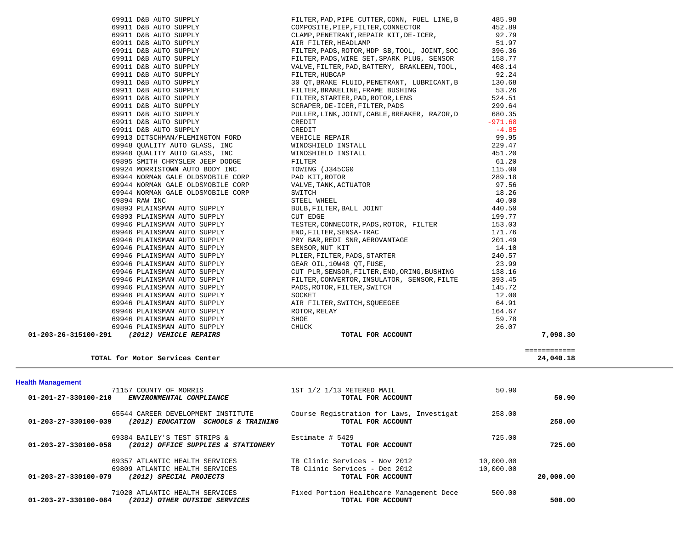| 69911 D&B AUTO SUPPLY<br>69911 D&B AUTO SUPPLY<br>69911 D&B AUTO SUPPLY<br>69911 D&B AUTO SUPPLY<br>69911 D&B AUTO SUPPLY<br>69911 D&B AUTO SUPPLY<br>69911 D&B AUTO SUPPLY<br>69911 D&B AUTO SUPPLY<br>69911 D&B AUTO SUPPLY<br>69911 D&B AUTO SUPPLY<br>69 | FILTER, PAD, PIPE CUTTER, CONN, FUEL LINE, B                                                                                                                                                                                                          | 485.98          |                           |  |
|--------------------------------------------------------------------------------------------------------------------------------------------------------------------------------------------------------------------------------------------------------------|-------------------------------------------------------------------------------------------------------------------------------------------------------------------------------------------------------------------------------------------------------|-----------------|---------------------------|--|
|                                                                                                                                                                                                                                                              | COMPOSITE, PIEP, FILTER, CONNECTOR                                                                                                                                                                                                                    | 452.89          |                           |  |
|                                                                                                                                                                                                                                                              | CUMPOSITE (FIRE ) A THEFT, P. CLAMP, PENETRANT, REPAIR KIT, DE-ICER,                                                                                                                                                                                  | 92.79           |                           |  |
|                                                                                                                                                                                                                                                              | AIR FILTER, HEADLAMP                                                                                                                                                                                                                                  | 51.97           |                           |  |
|                                                                                                                                                                                                                                                              |                                                                                                                                                                                                                                                       | 396.36          |                           |  |
|                                                                                                                                                                                                                                                              | FILTER, PADS, ROTOR, HDP SB, TOOL, JOINT, SOC<br>FILTER, PADS, WIRE SET, SPARK PLUG, SENSOR                                                                                                                                                           | 158.77          |                           |  |
|                                                                                                                                                                                                                                                              | VALVE, FILTER, PAD, BATTERY, BRAKLEEN, TOOL,                                                                                                                                                                                                          | 408.14          |                           |  |
|                                                                                                                                                                                                                                                              | FILTER, HUBCAP                                                                                                                                                                                                                                        | 92.24           |                           |  |
|                                                                                                                                                                                                                                                              | 30 QT, BRAKE FLUID, PENETRANT, LUBRICANT, B                                                                                                                                                                                                           | 130.68          |                           |  |
|                                                                                                                                                                                                                                                              |                                                                                                                                                                                                                                                       | 53.26           |                           |  |
|                                                                                                                                                                                                                                                              |                                                                                                                                                                                                                                                       | 524.51          |                           |  |
|                                                                                                                                                                                                                                                              | FILTER, BRAKELINE, FRAME BUSHING<br>FILTER, STARTER, PAD, ROTOR, LENS<br>SCRAPER, DE-ICER, FILTER, PADS                                                                                                                                               | 299.64          |                           |  |
| 69911 D&B AUTO SUPPLY                                                                                                                                                                                                                                        | PULLER, LINK, JOINT, CABLE, BREAKER, RAZOR, D                                                                                                                                                                                                         | 680.35          |                           |  |
| 69911 D&B AUTO SUPPLY                                                                                                                                                                                                                                        |                                                                                                                                                                                                                                                       | $-971.68$       |                           |  |
| 69911 D&B AUTO SUPPLY                                                                                                                                                                                                                                        |                                                                                                                                                                                                                                                       | $-4.85$         |                           |  |
| 69913 DITSCHMAN/FLEMINGTON FORD                                                                                                                                                                                                                              |                                                                                                                                                                                                                                                       | 99.95           |                           |  |
| 69948 QUALITY AUTO GLASS, INC                                                                                                                                                                                                                                |                                                                                                                                                                                                                                                       | 229.47          |                           |  |
| 69948 QUALITY AUTO GLASS, INC                                                                                                                                                                                                                                |                                                                                                                                                                                                                                                       | 451.20          |                           |  |
| 69895 SMITH CHRYSLER JEEP DODGE                                                                                                                                                                                                                              |                                                                                                                                                                                                                                                       | 61.20           |                           |  |
| 69924 MORRISTOWN AUTO BODY INC                                                                                                                                                                                                                               |                                                                                                                                                                                                                                                       | 115.00          |                           |  |
|                                                                                                                                                                                                                                                              |                                                                                                                                                                                                                                                       |                 |                           |  |
| 69944 NORMAN GALE OLDSMOBILE CORP<br>69944 NORMAN GALE OLDSMOBILE CORP                                                                                                                                                                                       | PULLER, LINK, JOINT, CABLE, BREAKER, RAZOR, D<br>CREDIT<br>CREDIT<br>VEHICLE REPAIR<br>WINDSHIELD INSTALL<br>WINDSHIELD INSTALL<br>FILTER<br>TOWING (J345CGO<br>PAD KIT, ROTOR<br>VALVE, TANK, ACTUATOR<br>SWITCH<br>SULER, FILTER, BALL JOINT<br>CUT | 289.18<br>97.56 |                           |  |
|                                                                                                                                                                                                                                                              |                                                                                                                                                                                                                                                       | 18.26           |                           |  |
| 69944 NORMAN GALE OLDSMOBILE CORP                                                                                                                                                                                                                            |                                                                                                                                                                                                                                                       |                 |                           |  |
| 69894 RAW INC                                                                                                                                                                                                                                                |                                                                                                                                                                                                                                                       | 40.00           |                           |  |
| 69893 PLAINSMAN AUTO SUPPLY                                                                                                                                                                                                                                  |                                                                                                                                                                                                                                                       | 440.50          |                           |  |
| 69893 PLAINSMAN AUTO SUPPLY                                                                                                                                                                                                                                  |                                                                                                                                                                                                                                                       | 199.77          |                           |  |
| 69946 PLAINSMAN AUTO SUPPLY                                                                                                                                                                                                                                  |                                                                                                                                                                                                                                                       | 153.03          |                           |  |
| 69946 PLAINSMAN AUTO SUPPLY                                                                                                                                                                                                                                  |                                                                                                                                                                                                                                                       | 171.76          |                           |  |
| 69946 PLAINSMAN AUTO SUPPLY                                                                                                                                                                                                                                  |                                                                                                                                                                                                                                                       | 201.49          |                           |  |
| 69946 PLAINSMAN AUTO SUPPLY                                                                                                                                                                                                                                  |                                                                                                                                                                                                                                                       | 14.10           |                           |  |
| 69946 PLAINSMAN AUTO SUPPLY                                                                                                                                                                                                                                  |                                                                                                                                                                                                                                                       | 240.57          |                           |  |
| 69946 PLAINSMAN AUTO SUPPLY                                                                                                                                                                                                                                  |                                                                                                                                                                                                                                                       | 23.99           |                           |  |
| 69946 PLAINSMAN AUTO SUPPLY                                                                                                                                                                                                                                  | CUT PLR, SENSOR, FILTER, END, ORING, BUSHING                                                                                                                                                                                                          | 138.16          |                           |  |
| 69946 PLAINSMAN AUTO SUPPLY                                                                                                                                                                                                                                  | FILTER, CONVERTOR, INSULATOR, SENSOR, FILTE                                                                                                                                                                                                           | 393.45          |                           |  |
| 69946 PLAINSMAN AUTO SUPPLY                                                                                                                                                                                                                                  |                                                                                                                                                                                                                                                       | 145.72          |                           |  |
| 69946 PLAINSMAN AUTO SUPPLY                                                                                                                                                                                                                                  |                                                                                                                                                                                                                                                       | 12.00           |                           |  |
| 69946 PLAINSMAN AUTO SUPPLY                                                                                                                                                                                                                                  |                                                                                                                                                                                                                                                       | 64.91           |                           |  |
| 69946 PLAINSMAN AUTO SUPPLY                                                                                                                                                                                                                                  |                                                                                                                                                                                                                                                       | 164.67          |                           |  |
| 69946 PLAINSMAN AUTO SUPPLY                                                                                                                                                                                                                                  |                                                                                                                                                                                                                                                       | 59.78           |                           |  |
| 69946 PLAINSMAN AUTO SUPPLY                                                                                                                                                                                                                                  | PADS, ROTOR, FILTER, SWITCH<br>SOCKET<br>AIR FILTER, SWITCH<br>AIR FILTER, SWITCH, SQUEEGEE<br>ROTOR, RELAY<br>SHOE<br>CHUCK<br>TOTAL FOR ACCOUNT                                                                                                     | 26.07           |                           |  |
| 01-203-26-315100-291 (2012) VEHICLE REPAIRS                                                                                                                                                                                                                  | TOTAL FOR ACCOUNT                                                                                                                                                                                                                                     |                 | 7,098.30                  |  |
|                                                                                                                                                                                                                                                              |                                                                                                                                                                                                                                                       |                 |                           |  |
| TOTAL for Motor Services Center                                                                                                                                                                                                                              |                                                                                                                                                                                                                                                       |                 | ============<br>24,040.18 |  |
|                                                                                                                                                                                                                                                              |                                                                                                                                                                                                                                                       |                 |                           |  |
|                                                                                                                                                                                                                                                              |                                                                                                                                                                                                                                                       |                 |                           |  |
| <b>Health Management</b><br>71157 COUNTY OF MORRIS                                                                                                                                                                                                           | 1ST 1/2 1/13 METERED MAIL                                                                                                                                                                                                                             | 50.90           |                           |  |
| 01-201-27-330100-210<br>ENVIRONMENTAL COMPLIANCE                                                                                                                                                                                                             | TOTAL FOR ACCOUNT                                                                                                                                                                                                                                     |                 | 50.90                     |  |
|                                                                                                                                                                                                                                                              |                                                                                                                                                                                                                                                       |                 |                           |  |
| 65544 CAREER DEVELOPMENT INSTITUTE                                                                                                                                                                                                                           | Course Registration for Laws, Investigat                                                                                                                                                                                                              | 258.00          |                           |  |
| (2012) EDUCATION SCHOOLS & TRAINING<br>01-203-27-330100-039                                                                                                                                                                                                  | TOTAL FOR ACCOUNT                                                                                                                                                                                                                                     |                 | 258.00                    |  |
| 69384 BAILEY'S TEST STRIPS &                                                                                                                                                                                                                                 | Estimate $# 5429$                                                                                                                                                                                                                                     | 725.00          |                           |  |
| (2012) OFFICE SUPPLIES & STATIONERY<br>01-203-27-330100-058                                                                                                                                                                                                  |                                                                                                                                                                                                                                                       |                 | 725.00                    |  |
|                                                                                                                                                                                                                                                              |                                                                                                                                                                                                                                                       |                 |                           |  |
|                                                                                                                                                                                                                                                              | TOTAL FOR ACCOUNT                                                                                                                                                                                                                                     |                 |                           |  |
| 69357 ATLANTIC HEALTH SERVICES                                                                                                                                                                                                                               | TB Clinic Services - Nov 2012                                                                                                                                                                                                                         | 10,000.00       |                           |  |
| 69809 ATLANTIC HEALTH SERVICES                                                                                                                                                                                                                               | TB Clinic Services - Dec 2012                                                                                                                                                                                                                         | 10,000.00       |                           |  |
| (2012) SPECIAL PROJECTS<br>01-203-27-330100-079                                                                                                                                                                                                              | TOTAL FOR ACCOUNT                                                                                                                                                                                                                                     |                 | 20,000.00                 |  |
|                                                                                                                                                                                                                                                              |                                                                                                                                                                                                                                                       |                 |                           |  |
| 71020 ATLANTIC HEALTH SERVICES                                                                                                                                                                                                                               | Fixed Portion Healthcare Management Dece                                                                                                                                                                                                              | 500.00          |                           |  |
| (2012) OTHER OUTSIDE SERVICES<br>01-203-27-330100-084                                                                                                                                                                                                        | TOTAL FOR ACCOUNT                                                                                                                                                                                                                                     |                 | 500.00                    |  |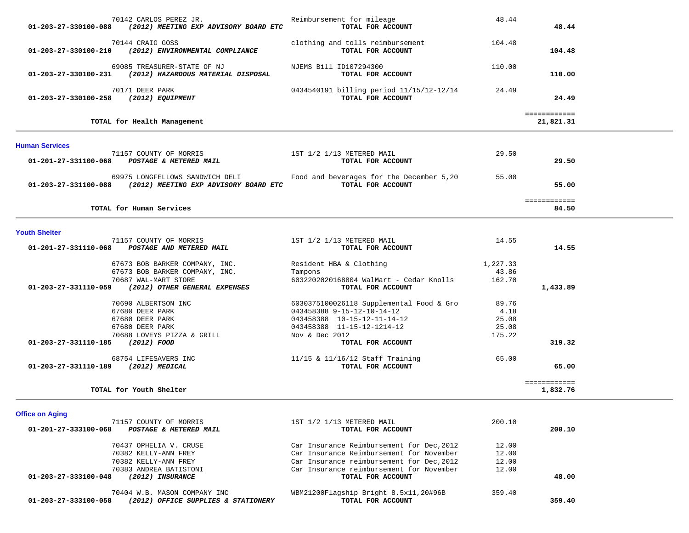| 70142 CARLOS PEREZ JR.<br>(2012) MEETING EXP ADVISORY BOARD ETC<br>01-203-27-330100-088                    | Reimbursement for mileage<br>TOTAL FOR ACCOUNT                                                                                                         | 48.44                                     | 48.44                     |  |
|------------------------------------------------------------------------------------------------------------|--------------------------------------------------------------------------------------------------------------------------------------------------------|-------------------------------------------|---------------------------|--|
| 70144 CRAIG GOSS<br>01-203-27-330100-210<br>(2012) ENVIRONMENTAL COMPLIANCE                                | clothing and tolls reimbursement<br>TOTAL FOR ACCOUNT                                                                                                  | 104.48                                    | 104.48                    |  |
| 69085 TREASURER-STATE OF NJ<br>(2012) HAZARDOUS MATERIAL DISPOSAL<br>01-203-27-330100-231                  | NJEMS Bill ID107294300<br>TOTAL FOR ACCOUNT                                                                                                            | 110.00                                    | 110.00                    |  |
| 70171 DEER PARK<br>(2012) EQUIPMENT<br>01-203-27-330100-258                                                | 0434540191 billing period 11/15/12-12/14<br>TOTAL FOR ACCOUNT                                                                                          | 24.49                                     | 24.49                     |  |
| TOTAL for Health Management                                                                                |                                                                                                                                                        |                                           | ============<br>21,821.31 |  |
| <b>Human Services</b>                                                                                      |                                                                                                                                                        |                                           |                           |  |
| 71157 COUNTY OF MORRIS<br>01-201-27-331100-068<br>POSTAGE & METERED MAIL                                   | 1ST 1/2 1/13 METERED MAIL<br>TOTAL FOR ACCOUNT                                                                                                         | 29.50                                     | 29.50                     |  |
| 69975 LONGFELLOWS SANDWICH DELI<br>01-203-27-331100-088<br>(2012) MEETING EXP ADVISORY BOARD ETC           | Food and beverages for the December 5,20<br>TOTAL FOR ACCOUNT                                                                                          | 55.00                                     | 55.00                     |  |
| TOTAL for Human Services                                                                                   |                                                                                                                                                        |                                           | ============<br>84.50     |  |
| <b>Youth Shelter</b>                                                                                       |                                                                                                                                                        |                                           |                           |  |
| 71157 COUNTY OF MORRIS<br>POSTAGE AND METERED MAIL<br>01-201-27-331110-068                                 | 1ST 1/2 1/13 METERED MAIL<br>TOTAL FOR ACCOUNT                                                                                                         | 14.55                                     | 14.55                     |  |
| 67673 BOB BARKER COMPANY, INC.<br>67673 BOB BARKER COMPANY, INC.<br>70687 WAL-MART STORE                   | Resident HBA & Clothing<br>Tampons<br>6032202020168804 WalMart - Cedar Knolls                                                                          | 1,227.33<br>43.86<br>162.70               |                           |  |
| 01-203-27-331110-059<br>(2012) OTHER GENERAL EXPENSES                                                      | TOTAL FOR ACCOUNT                                                                                                                                      |                                           | 1,433.89                  |  |
| 70690 ALBERTSON INC<br>67680 DEER PARK<br>67680 DEER PARK<br>67680 DEER PARK<br>70688 LOVEYS PIZZA & GRILL | 6030375100026118 Supplemental Food & Gro<br>043458388 9-15-12-10-14-12<br>043458388  10-15-12-11-14-12<br>043458388 11-15-12-1214-12<br>Nov & Dec 2012 | 89.76<br>4.18<br>25.08<br>25.08<br>175.22 |                           |  |
| 01-203-27-331110-185<br>(2012) FOOD                                                                        | TOTAL FOR ACCOUNT                                                                                                                                      |                                           | 319.32                    |  |
| 68754 LIFESAVERS INC<br>01-203-27-331110-189<br>$(2012)$ MEDICAL                                           | 11/15 & 11/16/12 Staff Training<br>TOTAL FOR ACCOUNT                                                                                                   | 65.00                                     | 65.00                     |  |
| TOTAL for Youth Shelter                                                                                    |                                                                                                                                                        |                                           | ============<br>1,832.76  |  |
| <b>Office on Aging</b>                                                                                     |                                                                                                                                                        |                                           |                           |  |
| 71157 COUNTY OF MORRIS<br>01-201-27-333100-068<br>POSTAGE & METERED MAIL                                   | 1ST 1/2 1/13 METERED MAIL<br>TOTAL FOR ACCOUNT                                                                                                         | 200.10                                    | 200.10                    |  |
| 70437 OPHELIA V. CRUSE<br>70382 KELLY-ANN FREY<br>70382 KELLY-ANN FREY                                     | Car Insurance Reimbursement for Dec, 2012<br>Car Insurance Reimbursement for November<br>Car Insurance reimbursement for Dec, 2012                     | 12.00<br>12.00<br>12.00                   |                           |  |

|                      | 70383 ANDREA BATISTONI              | Car Insurance reimbursement for November | .2.00  |        |
|----------------------|-------------------------------------|------------------------------------------|--------|--------|
| 01-203-27-333100-048 | (2012) INSURANCE                    | TOTAL FOR ACCOUNT                        |        | 48.00  |
|                      | 70404 W.B. MASON COMPANY INC        | WBM21200Flagship Bright 8.5x11,20#96B    | 359.40 |        |
| 01-203-27-333100-058 | (2012) OFFICE SUPPLIES & STATIONERY | TOTAL FOR ACCOUNT                        |        | 359.40 |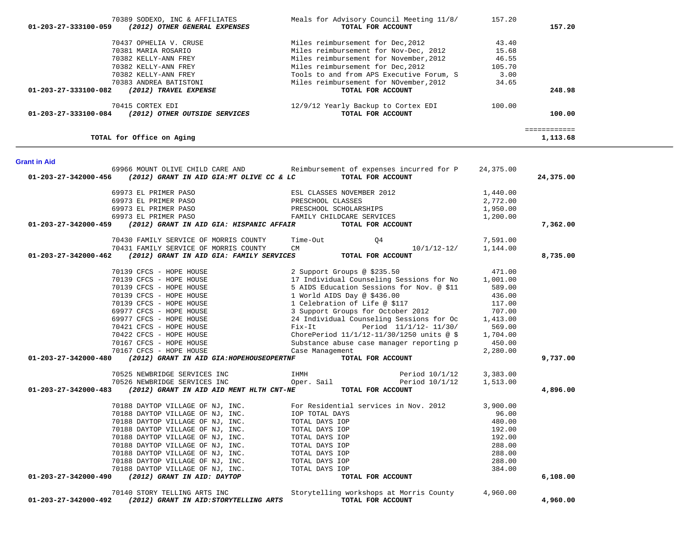|                                | 70382 KELLY-ANN FREY<br>70382 KELLY-ANN FREY                         | Miles reimbursement for November, 2012<br>Miles reimbursement for Dec, 2012 | 46.55<br>105.70 |              |
|--------------------------------|----------------------------------------------------------------------|-----------------------------------------------------------------------------|-----------------|--------------|
|                                | 70382 KELLY-ANN FREY                                                 | Tools to and from APS Executive Forum, S                                    | 3.00            |              |
|                                | 70383 ANDREA BATISTONI                                               | Miles reimbursement for NOvember, 2012                                      | 34.65           |              |
| 01-203-27-333100-082           | (2012) TRAVEL EXPENSE                                                | TOTAL FOR ACCOUNT                                                           |                 | 248.98       |
|                                |                                                                      |                                                                             |                 |              |
|                                | 70415 CORTEX EDI                                                     | 12/9/12 Yearly Backup to Cortex EDI                                         | 100.00          |              |
| 01-203-27-333100-084           | (2012) OTHER OUTSIDE SERVICES                                        | TOTAL FOR ACCOUNT                                                           |                 | 100.00       |
|                                |                                                                      |                                                                             |                 | ============ |
|                                | TOTAL for Office on Aging                                            |                                                                             |                 | 1,113.68     |
| <b>Grant in Aid</b>            |                                                                      |                                                                             |                 |              |
|                                | 69966 MOUNT OLIVE CHILD CARE AND                                     | Reimbursement of expenses incurred for P                                    | 24,375.00       |              |
| 01-203-27-342000-456           | (2012) GRANT IN AID GIA:MT OLIVE CC & LC                             | TOTAL FOR ACCOUNT                                                           |                 | 24,375.00    |
|                                | 69973 EL PRIMER PASO                                                 | ESL CLASSES NOVEMBER 2012                                                   | 1,440.00        |              |
|                                | 69973 EL PRIMER PASO                                                 | PRESCHOOL CLASSES                                                           | 2,772.00        |              |
|                                | 69973 EL PRIMER PASO                                                 | PRESCHOOL SCHOLARSHIPS                                                      | 1,950.00        |              |
|                                | 69973 EL PRIMER PASO                                                 | FAMILY CHILDCARE SERVICES                                                   | 1,200.00        |              |
| 01-203-27-342000-459           | (2012) GRANT IN AID GIA: HISPANIC AFFAIR                             | TOTAL FOR ACCOUNT                                                           |                 | 7,362.00     |
|                                |                                                                      |                                                                             |                 |              |
|                                | 70430 FAMILY SERVICE OF MORRIS COUNTY                                | Time-Out<br>O <sub>4</sub>                                                  | 7,591.00        |              |
|                                | 70431 FAMILY SERVICE OF MORRIS COUNTY                                | CM<br>$10/1/12 - 12/$                                                       | 1,144.00        |              |
| 01-203-27-342000-462           | (2012) GRANT IN AID GIA: FAMILY SERVICES                             | TOTAL FOR ACCOUNT                                                           |                 | 8,735.00     |
|                                | 70139 CFCS - HOPE HOUSE                                              | 2 Support Groups @ \$235.50                                                 | 471.00          |              |
|                                | 70139 CFCS - HOPE HOUSE                                              | 17 Individual Counseling Sessions for No                                    | 1,001.00        |              |
|                                | 70139 CFCS - HOPE HOUSE                                              | 5 AIDS Education Sessions for Nov. @ \$11                                   | 589.00          |              |
|                                | 70139 CFCS - HOPE HOUSE                                              | 1 World AIDS Day @ \$436.00                                                 | 436.00          |              |
|                                | 70139 CFCS - HOPE HOUSE                                              | 1 Celebration of Life @ \$117                                               | 117.00          |              |
|                                | 69977 CFCS - HOPE HOUSE                                              | 3 Support Groups for October 2012                                           | 707.00          |              |
|                                | 69977 CFCS - HOPE HOUSE                                              | 24 Individual Counseling Sessions for Oc                                    | 1,413.00        |              |
|                                | 70421 CFCS - HOPE HOUSE                                              | Fix-It<br>Period 11/1/12- 11/30/                                            | 569.00          |              |
|                                | 70422 CFCS - HOPE HOUSE                                              | ChorePeriod 11/1/12-11/30/1250 units @ \$                                   | 1,704.00        |              |
|                                | 70167 CFCS - HOPE HOUSE                                              |                                                                             | 450.00          |              |
|                                |                                                                      | Substance abuse case manager reporting p                                    |                 |              |
| 01-203-27-342000-480           | 70167 CFCS - HOPE HOUSE<br>(2012) GRANT IN AID GIA: HOPEHOUSEOPERTNF | Case Management<br>TOTAL FOR ACCOUNT                                        | 2,280.00        | 9,737.00     |
|                                |                                                                      |                                                                             |                 |              |
|                                | 70525 NEWBRIDGE SERVICES INC                                         | IHMH<br>Period 10/1/12                                                      | 3,383.00        |              |
|                                | 70526 NEWBRIDGE SERVICES INC                                         | Period 10/1/12<br>Oper. Sail                                                | 1,513.00        |              |
| $01 - 203 - 27 - 342000 - 483$ | (2012) GRANT IN AID AID MENT HLTH CNT-NE                             | TOTAL FOR ACCOUNT                                                           |                 | 4,896.00     |
|                                | 70188 DAYTOP VILLAGE OF NJ, INC.                                     | For Residential services in Nov. 2012                                       | 3,900.00        |              |
|                                | 70188 DAYTOP VILLAGE OF NJ, INC.                                     | IOP TOTAL DAYS                                                              | 96.00           |              |
|                                | 70188 DAYTOP VILLAGE OF NJ, INC.                                     | TOTAL DAYS IOP                                                              | 480.00          |              |
|                                | 70188 DAYTOP VILLAGE OF NJ, INC.                                     | TOTAL DAYS IOP                                                              | 192.00          |              |
|                                | 70188 DAYTOP VILLAGE OF NJ, INC.                                     | TOTAL DAYS IOP                                                              | 192.00          |              |
|                                | 70188 DAYTOP VILLAGE OF NJ, INC.                                     | TOTAL DAYS IOP                                                              | 288.00          |              |
|                                | 70188 DAYTOP VILLAGE OF NJ, INC.                                     | TOTAL DAYS IOP                                                              | 288.00          |              |
|                                | 70188 DAYTOP VILLAGE OF NJ, INC.                                     | TOTAL DAYS IOP                                                              | 288.00          |              |
|                                | 70188 DAYTOP VILLAGE OF NJ, INC.                                     | TOTAL DAYS IOP                                                              | 384.00          |              |
| 01-203-27-342000-490           | (2012) GRANT IN AID: DAYTOP                                          | TOTAL FOR ACCOUNT                                                           |                 | 6,108.00     |
|                                |                                                                      |                                                                             |                 |              |
|                                | 70140 STORY TELLING ARTS INC                                         | Storytelling workshops at Morris County                                     | 4,960.00        |              |
| 01-203-27-342000-492           | (2012) GRANT IN AID: STORYTELLING ARTS                               | TOTAL FOR ACCOUNT                                                           |                 | 4,960.00     |

 70389 SODEXO, INC & AFFILIATES Meals for Advisory Council Meeting 11/8/ 157.20  **01-203-27-333100-059** *(2012) OTHER GENERAL EXPENSES* **TOTAL FOR ACCOUNT 157.20**

> 70437 OPHELIA V. CRUSE Miles reimbursement for Dec,2012 43.40 70381 MARIA ROSARIO Miles reimbursement for Nov-Dec, 2012 15.68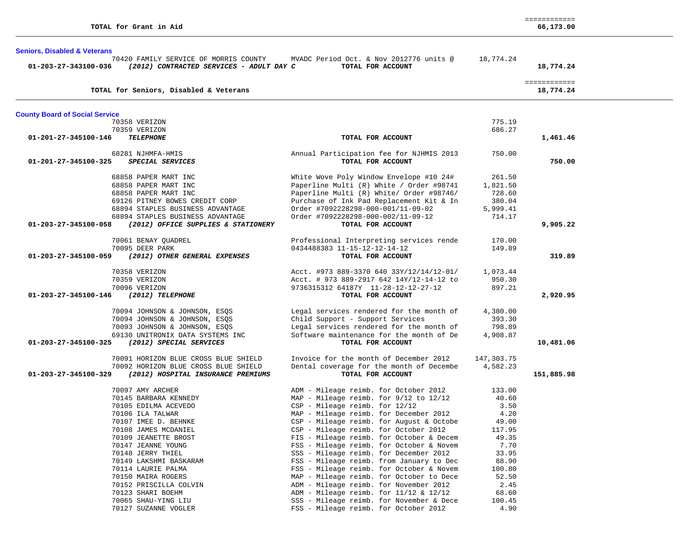|                                                                                  |                                                                                      |                 | ============              |  |
|----------------------------------------------------------------------------------|--------------------------------------------------------------------------------------|-----------------|---------------------------|--|
| TOTAL for Grant in Aid                                                           |                                                                                      |                 | 66,173.00                 |  |
| <b>Seniors, Disabled &amp; Veterans</b><br>70420 FAMILY SERVICE OF MORRIS COUNTY | MVADC Period Oct. & Nov 2012776 units @                                              | 18,774.24       |                           |  |
| (2012) CONTRACTED SERVICES - ADULT DAY C<br>01-203-27-343100-036                 | TOTAL FOR ACCOUNT                                                                    |                 | 18,774.24                 |  |
| TOTAL for Seniors, Disabled & Veterans                                           |                                                                                      |                 | ============<br>18,774.24 |  |
| <b>County Board of Social Service</b>                                            |                                                                                      |                 |                           |  |
| 70358 VERIZON                                                                    |                                                                                      | 775.19          |                           |  |
| 70359 VERIZON                                                                    |                                                                                      | 686.27          |                           |  |
| 01-201-27-345100-146<br><b>TELEPHONE</b>                                         | TOTAL FOR ACCOUNT                                                                    |                 | 1,461.46                  |  |
| 68281 NJHMFA-HMIS                                                                | Annual Participation fee for NJHMIS 2013                                             | 750.00          |                           |  |
| SPECIAL SERVICES<br>01-201-27-345100-325                                         | TOTAL FOR ACCOUNT                                                                    |                 | 750.00                    |  |
| 68858 PAPER MART INC                                                             | White Wove Poly Window Envelope #10 24#                                              | 261.50          |                           |  |
| 68858 PAPER MART INC                                                             | Paperline Multi (R) White / Order #98741                                             | 1,821.50        |                           |  |
| 68858 PAPER MART INC                                                             | Paperline Multi (R) White/ Order #98746/                                             | 728.60          |                           |  |
| 69126 PITNEY BOWES CREDIT CORP                                                   | Purchase of Ink Pad Replacement Kit & In                                             | 380.04          |                           |  |
| 68894 STAPLES BUSINESS ADVANTAGE                                                 | Order #7092228298-000-001/11-09-02                                                   | 5,999.41        |                           |  |
| 68894 STAPLES BUSINESS ADVANTAGE                                                 | Order #7092228298-000-002/11-09-12                                                   | 714.17          |                           |  |
| (2012) OFFICE SUPPLIES & STATIONERY<br>01-203-27-345100-058                      | TOTAL FOR ACCOUNT                                                                    |                 | 9,905.22                  |  |
| 70061 BENAY OUADREL                                                              | Professional Interpreting services rende                                             | 170.00          |                           |  |
| 70095 DEER PARK                                                                  | 0434488383 11-15-12-12-14-12                                                         | 149.89          |                           |  |
| 01-203-27-345100-059<br>(2012) OTHER GENERAL EXPENSES                            | TOTAL FOR ACCOUNT                                                                    |                 | 319.89                    |  |
| 70358 VERIZON                                                                    | Acct. #973 889-3370 640 33Y/12/14/12-01/                                             | 1,073.44        |                           |  |
| 70359 VERIZON                                                                    | Acct. # 973 889-2917 642 14Y/12-14-12 to                                             | 950.30          |                           |  |
| 70096 VERIZON                                                                    | 9736315312 64187Y 11-28-12-12-27-12                                                  | 897.21          |                           |  |
| 01-203-27-345100-146<br>$(2012)$ TELEPHONE                                       | TOTAL FOR ACCOUNT                                                                    |                 | 2,920.95                  |  |
| 70094 JOHNSON & JOHNSON, ESQS                                                    | Legal services rendered for the month of                                             | 4,380.00        |                           |  |
| 70094 JOHNSON & JOHNSON, ESQS                                                    | Child Support - Support Services                                                     | 393.30          |                           |  |
| 70093 JOHNSON & JOHNSON, ESQS                                                    | Legal services rendered for the month of                                             | 798.89          |                           |  |
| 69130 UNITRONIX DATA SYSTEMS INC                                                 | Software maintenance for the month of De                                             | 4,908.87        |                           |  |
| 01-203-27-345100-325<br>(2012) SPECIAL SERVICES                                  | TOTAL FOR ACCOUNT                                                                    |                 | 10,481.06                 |  |
| 70091 HORIZON BLUE CROSS BLUE SHIELD                                             | Invoice for the month of December 2012                                               | 147,303.75      |                           |  |
| 70092 HORIZON BLUE CROSS BLUE SHIELD                                             | Dental coverage for the month of Decembe                                             | 4,582.23        |                           |  |
| 01-203-27-345100-329<br>(2012) HOSPITAL INSURANCE PREMIUMS                       | TOTAL FOR ACCOUNT                                                                    |                 | 151,885.98                |  |
| 70097 AMY ARCHER                                                                 | ADM - Mileage reimb. for October 2012                                                | 133.00          |                           |  |
| 70145 BARBARA KENNEDY                                                            | MAP - Mileage reimb. for 9/12 to 12/12                                               | 40.60           |                           |  |
| 70105 EDILMA ACEVEDO                                                             | CSP - Mileage reimb. for 12/12                                                       | 3.50            |                           |  |
| 70106 ILA TALWAR                                                                 | MAP - Mileage reimb. for December 2012                                               | 4.20            |                           |  |
| 70107 IMEE D. BEHNKE                                                             | $CSP - Mileage$ reimb. for August & Octobe                                           | 49.00           |                           |  |
| 70108 JAMES MCDANIEL                                                             | CSP - Mileage reimb. for October 2012                                                | 117.95          |                           |  |
| 70109 JEANETTE BROST                                                             | FIS - Mileage reimb. for October & Decem                                             | 49.35           |                           |  |
| 70147 JEANNE YOUNG                                                               | FSS - Mileage reimb. for October & Novem                                             | 7.70            |                           |  |
| 70148 JERRY THIEL                                                                | SSS - Mileage reimb. for December 2012                                               | 33.95           |                           |  |
| 70149 LAKSHMI BASKARAM                                                           | FSS - Mileage reimb. from January to Dec                                             | 88.90           |                           |  |
| 70114 LAURIE PALMA<br>70150 MAIRA ROGERS                                         | FSS - Mileage reimb. for October & Novem<br>MAP - Mileage reimb. for October to Dece | 100.80<br>52.50 |                           |  |
| 70152 PRISCILLA COLVIN                                                           | ADM - Mileage reimb. for November 2012                                               | 2.45            |                           |  |
| 70123 SHARI BOEHM                                                                | $ADM - Mileage$ reimb. for $11/12$ & $12/12$                                         | 68.60           |                           |  |
| 70065 SHAU-YING LIU                                                              | SSS - Mileage reimb. for November & Dece                                             | 100.45          |                           |  |
| 70127 SUZANNE VOGLER                                                             | FSS - Mileage reimb. for October 2012                                                | 4.90            |                           |  |
|                                                                                  |                                                                                      |                 |                           |  |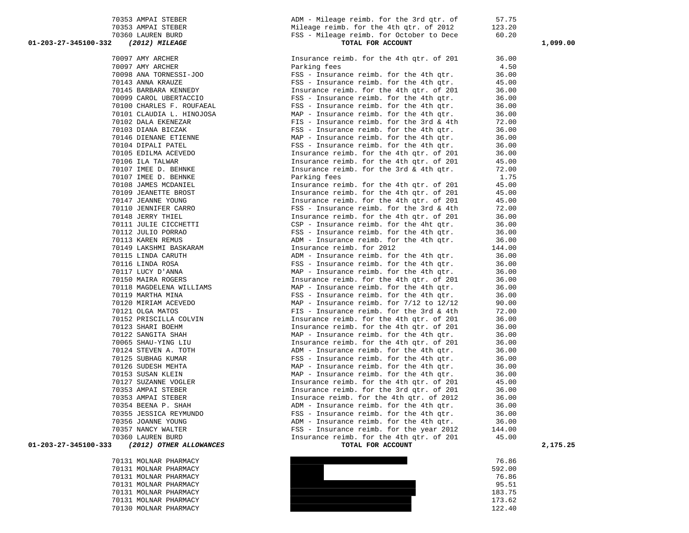| 70353 AMPAI STEBER                              | ADM - Mileage reimb. for the 3rd qtr. of                                             | 57.75          |
|-------------------------------------------------|--------------------------------------------------------------------------------------|----------------|
| 70353 AMPAI STEBER                              | Mileage reimb. for the 4th qtr. of 2012                                              | 123.20         |
| 70360 LAUREN BURD                               | FSS - Mileage reimb. for October to Dece                                             | 60.20          |
| 01-203-27-345100-332<br>$(2012)$ MILEAGE        | TOTAL FOR ACCOUNT                                                                    |                |
| 70097 AMY ARCHER                                | Insurance reimb. for the 4th qtr. of 201                                             | 36.00          |
| 70097 AMY ARCHER                                | Parking fees                                                                         | 4.50           |
| 70098 ANA TORNESSI-JOO                          | FSS - Insurance reimb. for the 4th qtr.                                              | 36.00          |
| 70143 ANNA KRAUZE                               | FSS - Insurance reimb. for the 4th qtr.                                              | 45.00          |
| 70145 BARBARA KENNEDY                           | Insurance reimb. for the 4th qtr. of 201                                             | 36.00          |
| 70099 CAROL UBERTACCIO                          | FSS - Insurance reimb. for the 4th qtr.                                              | 36.00          |
| 70100 CHARLES F. ROUFAEAL                       | FSS - Insurance reimb. for the 4th qtr.                                              | 36.00          |
| 70101 CLAUDIA L. HINOJOSA                       | MAP - Insurance reimb. for the 4th qtr.                                              | 36.00          |
| 70102 DALA EKENEZAR                             | FIS - Insurance reimb. for the 3rd & 4th                                             | 72.00          |
| 70103 DIANA BICZAK                              | FSS - Insurance reimb. for the 4th qtr.                                              | 36.00          |
| 70146 DIENANE ETIENNE                           | MAP - Insurance reimb. for the 4th qtr.                                              | 36.00          |
| 70104 DIPALI PATEL                              | FSS - Insurance reimb. for the 4th qtr.                                              | 36.00          |
| 70105 EDILMA ACEVEDO                            | Insurance reimb. for the 4th qtr. of 201                                             | 36.00          |
| 70106 ILA TALWAR                                | Insurance reimb. for the 4th qtr. of 201                                             | 45.00          |
| 70107 IMEE D. BEHNKE                            | Insurance reimb. for the 3rd & 4th qtr.                                              | 72.00          |
| 70107 IMEE D. BEHNKE                            | Parking fees                                                                         | 1.75           |
| 70108 JAMES MCDANIEL                            | Insurance reimb. for the 4th qtr. of 201                                             | 45.00          |
| 70109 JEANETTE BROST                            | Insurance reimb. for the 4th qtr. of 201                                             | 45.00          |
| 70147 JEANNE YOUNG                              | Insurance reimb. for the 4th qtr. of 201                                             | 45.00          |
| 70110 JENNIFER CARRO                            | FSS - Insurance reimb. for the 3rd & 4th                                             | 72.00          |
| 70148 JERRY THIEL                               | Insurance reimb. for the 4th qtr. of 201                                             | 36.00          |
| 70111 JULIE CICCHETTI                           | CSP - Insurance reimb. for the 4ht qtr.                                              | 36.00          |
| 70112 JULIO PORRAO                              | FSS - Insurance reimb. for the 4th qtr.                                              | 36.00          |
| 70113 KAREN REMUS                               | ADM - Insurance reimb. for the 4th qtr.                                              | 36.00          |
| 70149 LAKSHMI BASKARAM                          | Insurance reimb. for 2012                                                            | 144.00         |
| 70115 LINDA CARUTH                              | ADM - Insurance reimb. for the 4th qtr.                                              | 36.00          |
| 70116 LINDA ROSA                                | FSS - Insurance reimb. for the 4th qtr.                                              | 36.00          |
| 70117 LUCY D'ANNA                               | MAP - Insurance reimb. for the 4th qtr.                                              | 36.00          |
| 70150 MAIRA ROGERS                              | Insurance reimb. for the 4th qtr. of 201                                             | 36.00          |
| 70118 MAGDELENA WILLIAMS<br>70119 MARTHA MINA   | MAP - Insurance reimb. for the 4th qtr.                                              | 36.00          |
| 70119 MARTHA MINA                               | FSS - Insurance reimb. for the 4th qtr.                                              | 36.00          |
| 70120 MIRIAM ACEVEDO                            | MAP - Insurance reimb. for 7/12 to 12/12                                             | 90.00          |
| 70121 OLGA MATOS                                | FIS - Insurance reimb. for the 3rd & 4th                                             | 72.00          |
| 70152 PRISCILLA COLVIN                          | Insurance reimb. for the 4th qtr. of 201                                             | 36.00          |
| 70123 SHARI BOEHM                               | Insurance reimb. for the 4th qtr. of 201                                             | 36.00          |
| 70122 SANGITA SHAH                              | MAP - Insurance reimb. for the 4th qtr.                                              | 36.00          |
| 70065 SHAU-YING LIU                             | Insurance reimb. for the 4th qtr. of 201                                             | 36.00          |
| 70124 STEVEN A. TOTH                            | ADM - Insurance reimb. for the 4th qtr.                                              | 36.00          |
| 70125 SUBHAG KUMAR                              | FSS - Insurance reimb. for the 4th qtr.                                              | 36.00          |
| 70126 SUDESH MEHTA                              | MAP - Insurance reimb. for the 4th qtr.                                              | 36.00          |
| 70153 SUSAN KLEIN                               | MAP - Insurance reimb. for the 4th qtr.                                              | 36.00          |
| 70127 SUZANNE VOGLER                            | Insurance reimb. for the 4th qtr. of 201<br>Insurance reimb. for the 3rd qtr. of 201 | 45.00          |
| 70353 AMPAI STEBER                              |                                                                                      | 36.00          |
| 70353 AMPAI STEBER                              | Insurace reimb. for the 4th qtr. of 2012                                             | 36.00          |
| 70354 BEENA P. SHAH                             | ADM - Insurance reimb. for the 4th qtr.<br>FSS - Insurance reimb. for the 4th qtr.   | 36.00<br>36.00 |
| 70355 JESSICA REYMUNDO<br>70356 JOANNE YOUNG    |                                                                                      | 36.00          |
| 70357 NANCY WALTER                              | ADM - Insurance reimb. for the 4th qtr.<br>FSS - Insurance reimb. for the year 2012  | 144.00         |
| 70360 LAUREN BURD                               | Insurance reimb. for the 4th qtr. of 201                                             | 45.00          |
| 01-203-27-345100-333<br>(2012) OTHER ALLOWANCES | TOTAL FOR ACCOUNT                                                                    |                |
| 70131 MOLNAR PHARMACY                           |                                                                                      | 76.86          |
| 70131 MOLNAR PHARMACY                           |                                                                                      | 592.00         |
| 70131 MOLNAR PHARMACY                           |                                                                                      | 76.86          |
| 70131 MOLNAR PHARMACY                           |                                                                                      | 95.51          |
| 70131 MOLNAR PHARMACY                           |                                                                                      | 183.75         |



ADM - Mileage reimb. for the 3rd qtr. of 57.75 Mileage reimb. for the 4th gtr. of 2012 123.20 FSS - Mileage reimb. for October to Dece 60.20  **01-203-27-345100-332** *(2012) MILEAGE* **TOTAL FOR ACCOUNT 1,099.00** Insurance reimb. for the 4th qtr. of 201 36.00 FSS - Insurance reimb. for the 4th qtr. 36.00 FSS - Insurance reimb. for the 4th qtr. 45.00 Insurance reimb. for the 4th qtr. of 201 36.00 FSS - Insurance reimb. for the 4th qtr. 36.00 FSS - Insurance reimb. for the 4th qtr. 36.00 MAP - Insurance reimb. for the 4th qtr. 36.00 FIS - Insurance reimb. for the 3rd  $\&$  4th  $72.00$ FSS - Insurance reimb. for the 4th qtr. 36.00 MAP - Insurance reimb. for the 4th qtr. 36.00 FSS - Insurance reimb. for the 4th qtr. 36.00 Insurance reimb. for the 4th qtr. of 201 36.00 Insurance reimb. for the 4th qtr. of 201 45.00 Insurance reimb. for the 3rd & 4th qtr. 72.00 Insurance reimb. for the 4th qtr. of 201 45.00 Insurance reimb. for the 4th qtr. of 201 45.00 Insurance reimb. for the 4th qtr. of 201 45.00 FSS - Insurance reimb. for the 3rd & 4th 72.00 Insurance reimb. for the 4th qtr. of 201 36.00  $CSP - Insurance$  reimb. for the 4ht qtr.  $36.00$ FSS - Insurance reimb. for the 4th qtr. 36.00 ADM - Insurance reimb. for the 4th qtr. 36.00 Insurance reimb. for 2012 144.00 ADM - Insurance reimb. for the 4th qtr. 36.00 FSS - Insurance reimb. for the 4th qtr. 36.00 MAP - Insurance reimb. for the 4th qtr. 36.00 Insurance reimb. for the 4th qtr. of 201 36.00 MAP - Insurance reimb. for the 4th gtr. 36.00 FSS - Insurance reimb. for the 4th qtr. 36.00  $MAP - Insurance$  reimb. for  $7/12$  to  $12/12$  90.00 FIS - Insurance reimb. for the 3rd  $\&$  4th  $72.00$ Insurance reimb. for the 4th qtr. of 201 36.00 Insurance reimb. for the 4th qtr. of 201 36.00 MAP - Insurance reimb. for the 4th qtr. 36.00 Insurance reimb. for the 4th qtr. of 201 36.00 ADM - Insurance reimb. for the 4th qtr. 36.00 FSS - Insurance reimb. for the 4th qtr. 36.00 MAP - Insurance reimb. for the 4th qtr. 36.00 MAP - Insurance reimb. for the 4th qtr. 36.00 Insurance reimb. for the 4th qtr. of 201 45.00 Insurance reimb. for the 3rd qtr. of 201 36.00 Insurace reimb. for the 4th qtr. of 2012 36.00 ADM - Insurance reimb. for the 4th qtr. 36.00 FSS - Insurance reimb. for the 4th gtr. 36.00 ADM - Insurance reimb. for the 4th qtr. 36.00 FSS - Insurance reimb. for the year 2012 144.00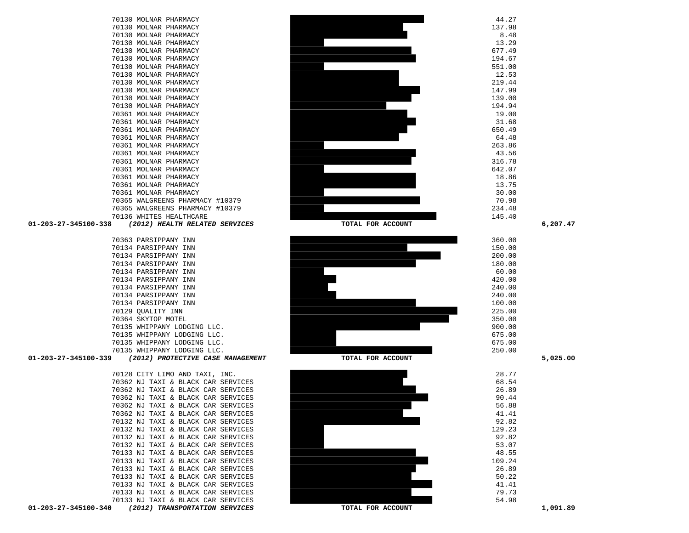| 01-203-27-345100-340<br>(2012) TRANSPORTATION SERVICES | TOTAL FOR ACCOUNT |        | 1,091.89 |
|--------------------------------------------------------|-------------------|--------|----------|
| 70133 NJ TAXI & BLACK CAR SERVICES                     |                   | 54.98  |          |
| 70133 NJ TAXI & BLACK CAR SERVICES                     |                   | 79.73  |          |
| 70133 NJ TAXI & BLACK CAR SERVICES                     |                   | 41.41  |          |
| 70133 NJ TAXI & BLACK CAR SERVICES                     |                   | 50.22  |          |
| 70133 NJ TAXI & BLACK CAR SERVICES                     |                   | 26.89  |          |
| 70133 NJ TAXI & BLACK CAR SERVICES                     |                   | 109.24 |          |
| 70133 NJ TAXI & BLACK CAR SERVICES                     |                   | 48.55  |          |
| 70132 NJ TAXI & BLACK CAR SERVICES                     |                   | 53.07  |          |
| 70132 NJ TAXI & BLACK CAR SERVICES                     |                   | 92.82  |          |
| 70132 NJ TAXI & BLACK CAR SERVICES                     |                   | 129.23 |          |
| 70132 NJ TAXI & BLACK CAR SERVICES                     |                   | 92.82  |          |
| 70362 NJ TAXI & BLACK CAR SERVICES                     |                   | 41.41  |          |
| 70362 NJ TAXI & BLACK CAR SERVICES                     |                   | 56.88  |          |
| 70362 NJ TAXI & BLACK CAR SERVICES                     |                   | 90.44  |          |
| 70362 NJ TAXI & BLACK CAR SERVICES                     |                   | 26.89  |          |
| 70362 NJ TAXI & BLACK CAR SERVICES                     |                   | 68.54  |          |
| 70128 CITY LIMO AND TAXI, INC.                         |                   | 28.77  |          |
|                                                        |                   |        |          |

| 70363 PARSIPPANY INN                                        | 360.00                   |
|-------------------------------------------------------------|--------------------------|
| 70134 PARSIPPANY INN                                        | 150.00                   |
| 70134 PARSIPPANY INN                                        | 200.00                   |
| 70134 PARSIPPANY INN                                        | 180.00                   |
| 70134 PARSIPPANY INN                                        | 60.00                    |
| 70134 PARSIPPANY INN                                        | 420.00                   |
| 70134 PARSIPPANY INN                                        | 240.00                   |
| 70134 PARSIPPANY INN                                        | 240.00                   |
| 70134 PARSIPPANY INN                                        | 100.00                   |
| 70129 OUALITY INN                                           | 225.00                   |
| 70364 SKYTOP MOTEL                                          | 350.00                   |
| 70135 WHIPPANY LODGING LLC.                                 | 900.00                   |
| 70135 WHIPPANY LODGING LLC.                                 | 675.00                   |
| 70135 WHIPPANY LODGING LLC.                                 | 675.00                   |
| 70135 WHIPPANY LODGING LLC.                                 | 250.00                   |
| מככ ההואות דה כהר וה<br>$(2012)$ DDOFFORTUE CACE MANAGEMENT | <b>MORAT DOD ACCOUNT</b> |

| 01-203-27-345100-338<br>(2012) HEALTH RELATED SERVICES | TOTAL FOR ACCOUNT | 6,207.47 |
|--------------------------------------------------------|-------------------|----------|
| 70136 WHITES HEALTHCARE                                |                   | 145.40   |
| 70365 WALGREENS PHARMACY #10379                        |                   | 234.48   |
| 70365 WALGREENS PHARMACY #10379                        |                   | 70.98    |
| 70361 MOLNAR PHARMACY                                  |                   | 30.00    |
| 70361 MOLNAR PHARMACY                                  |                   | 13.75    |
| 70361 MOLNAR PHARMACY                                  |                   | 18.86    |
| 70361 MOLNAR PHARMACY                                  |                   | 642.07   |
| 70361 MOLNAR PHARMACY                                  |                   | 316.78   |
| 70361 MOLNAR PHARMACY                                  |                   | 43.56    |
| 70361 MOLNAR PHARMACY                                  |                   | 263.86   |
| 70361 MOLNAR PHARMACY                                  |                   | 64.48    |
| 70361 MOLNAR PHARMACY                                  |                   | 650.49   |
| 70361 MOLNAR PHARMACY                                  |                   | 31.68    |
| 70361 MOLNAR PHARMACY                                  |                   | 19.00    |
| 70130 MOLNAR PHARMACY                                  |                   | 194.94   |
| 70130 MOLNAR PHARMACY                                  |                   | 139.00   |
| 70130 MOLNAR PHARMACY                                  |                   | 147.99   |
| 70130 MOLNAR PHARMACY                                  |                   | 219.44   |
| 70130 MOLNAR PHARMACY                                  |                   | 12.53    |
| 70130 MOLNAR PHARMACY                                  |                   | 551.00   |
| 70130 MOLNAR PHARMACY                                  |                   | 194.67   |
| 70130 MOLNAR PHARMACY                                  |                   | 677.49   |
| 70130 MOLNAR PHARMACY                                  |                   | 13.29    |
| 70130 MOLNAR PHARMACY                                  |                   | 8.48     |
| 70130 MOLNAR PHARMACY                                  |                   | 137.98   |
| 70130 MOLNAR PHARMACY                                  |                   | 44.27    |







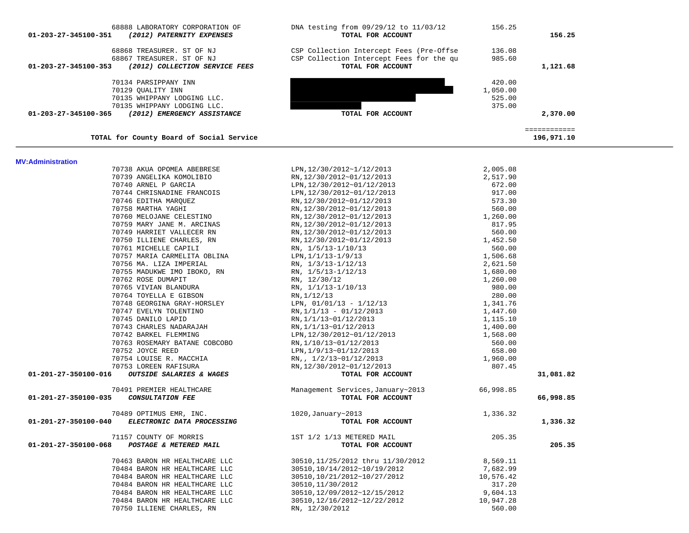| 68888 LABORATORY CORPORATION OF<br>(2012) PATERNITY EXPENSES<br>01-203-27-345100-351 | DNA testing from 09/29/12 to 11/03/12<br>TOTAL FOR ACCOUNT | 156.25             | 156.25                     |  |
|--------------------------------------------------------------------------------------|------------------------------------------------------------|--------------------|----------------------------|--|
| 68868 TREASURER. ST OF NJ                                                            | CSP Collection Intercept Fees (Pre-Offse                   | 136.08             |                            |  |
| 68867 TREASURER. ST OF NJ                                                            | CSP Collection Intercept Fees for the qu                   | 985.60             |                            |  |
| 01-203-27-345100-353<br>(2012) COLLECTION SERVICE FEES                               | TOTAL FOR ACCOUNT                                          |                    | 1,121.68                   |  |
| 70134 PARSIPPANY INN                                                                 |                                                            | 420.00             |                            |  |
| 70129 QUALITY INN                                                                    |                                                            | 1,050.00           |                            |  |
| 70135 WHIPPANY LODGING LLC.                                                          |                                                            | 525.00             |                            |  |
| 70135 WHIPPANY LODGING LLC.                                                          |                                                            | 375.00             |                            |  |
| (2012) EMERGENCY ASSISTANCE<br>01-203-27-345100-365                                  | TOTAL FOR ACCOUNT                                          |                    | 2,370.00                   |  |
| TOTAL for County Board of Social Service                                             |                                                            |                    | ============<br>196,971.10 |  |
| <b>MV:Administration</b>                                                             |                                                            |                    |                            |  |
| 70738 AKUA OPOMEA ABEBRESE                                                           | LPN, 12/30/2012~1/12/2013                                  | 2,005.08           |                            |  |
| 70739 ANGELIKA KOMOLIBIO                                                             | RN, 12/30/2012~01/12/2013                                  | 2,517.90           |                            |  |
| 70740 ARNEL P GARCIA                                                                 | LPN, 12/30/2012~01/12/2013                                 | 672.00             |                            |  |
| 70744 CHRISNADINE FRANCOIS                                                           | LPN, 12/30/2012~01/12/2013                                 | 917.00             |                            |  |
| 70746 EDITHA MARQUEZ                                                                 | RN, 12/30/2012~01/12/2013                                  | 573.30             |                            |  |
| 70758 MARTHA YAGHI                                                                   | RN, 12/30/2012~01/12/2013                                  | 560.00             |                            |  |
| 70760 MELOJANE CELESTINO                                                             | RN, 12/30/2012~01/12/2013                                  | 1,260.00           |                            |  |
| 70759 MARY JANE M. ARCINAS                                                           | RN, 12/30/2012~01/12/2013                                  | 817.95             |                            |  |
| 70749 HARRIET VALLECER RN                                                            | RN, 12/30/2012~01/12/2013                                  | 560.00             |                            |  |
| 70750 ILLIENE CHARLES, RN                                                            | RN, 12/30/2012~01/12/2013                                  | 1,452.50           |                            |  |
| 70761 MICHELLE CAPILI                                                                | RN, 1/5/13-1/10/13                                         | 560.00             |                            |  |
| 70757 MARIA CARMELITA OBLINA                                                         | LPN, 1/1/13-1/9/13                                         | 1,506.68           |                            |  |
| 70756 MA. LIZA IMPERIAL                                                              | RN, 1/3/13-1/12/13                                         | 2,621.50           |                            |  |
| 70755 MADUKWE IMO IBOKO, RN                                                          | RN, 1/5/13-1/12/13                                         | 1,680.00           |                            |  |
| 70762 ROSE DUMAPIT                                                                   | RN, 12/30/12<br>RN, 1/1/13-1/10/13                         | 1,260.00<br>980.00 |                            |  |
| 70765 VIVIAN BLANDURA<br>70764 TOYELLA E GIBSON                                      | RN, 1/12/13                                                | 280.00             |                            |  |
| 70748 GEORGINA GRAY-HORSLEY                                                          | LPN, $01/01/13 - 1/12/13$                                  | 1,341.76           |                            |  |
| 70747 EVELYN TOLENTINO                                                               | $RN, 1/1/13 - 01/12/2013$                                  | 1,447.60           |                            |  |
| 70745 DANILO LAPID                                                                   | RN, 1/1/13~01/12/2013                                      | 1,115.10           |                            |  |
| 70743 CHARLES NADARAJAH                                                              | RN, 1/1/13~01/12/2013                                      | 1,400.00           |                            |  |
| 70742 BARKEL FLEMMING                                                                | LPN, 12/30/2012~01/12/2013                                 | 1,568.00           |                            |  |
| 70763 ROSEMARY BATANE COBCOBO                                                        | RN, 1/10/13~01/12/2013                                     | 560.00             |                            |  |
| 70752 JOYCE REED                                                                     | LPN, 1/9/13~01/12/2013                                     | 658.00             |                            |  |
| 70754 LOUISE R. MACCHIA                                                              | RN,, 1/2/13~01/12/2013                                     | 1,960.00           |                            |  |
| 70753 LOREEN RAFISURA                                                                | RN, 12/30/2012~01/12/2013                                  | 807.45             |                            |  |
| 01-201-27-350100-016<br>OUTSIDE SALARIES & WAGES                                     | TOTAL FOR ACCOUNT                                          |                    | 31,081.82                  |  |
| 70491 PREMIER HEALTHCARE                                                             | Management Services, January~2013                          | 66,998.85          |                            |  |
| 01-201-27-350100-035<br><b>CONSULTATION FEE</b>                                      | TOTAL FOR ACCOUNT                                          |                    | 66,998.85                  |  |
| 70489 OPTIMUS EMR, INC.<br>01-201-27-350100-040<br>ELECTRONIC DATA PROCESSING        | 1020, January~2013<br>TOTAL FOR ACCOUNT                    | 1,336.32           | 1,336.32                   |  |
|                                                                                      |                                                            |                    |                            |  |
| 71157 COUNTY OF MORRIS                                                               | 1ST 1/2 1/13 METERED MAIL                                  | 205.35             |                            |  |
| 01-201-27-350100-068<br>POSTAGE & METERED MAIL                                       | TOTAL FOR ACCOUNT                                          |                    | 205.35                     |  |
| 70462 RADON IID URALTUGADE IIC                                                       | $20E10$ 11/25/2012 then $11/20/2012$                       | 0.56011            |                            |  |

 70463 BARON HR HEALTHCARE LLC 30510,11/25/2012 thru 11/30/2012 8,569.11 70484 BARON HR HEALTHCARE LLC 30510,10/14/2012~10/19/2012 7,682.99 70484 BARON HR HEALTHCARE LLC 30510,10/21/2012~10/27/2012 70484 BARON HR HEALTHCARE LLC 30510,11/30/2012 317.20 70484 BARON HR HEALTHCARE LLC 30510,12/09/2012~12/15/2012 9,604.13 70484 BARON HR HEALTHCARE LLC 30510,12/16/2012~12/22/2012 70750 ILLIENE CHARLES, RN RN, 12/30/2012 560.00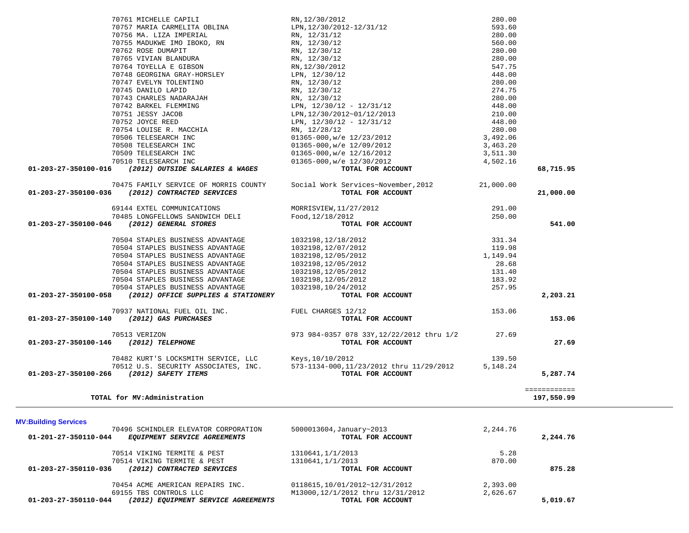| 70504 STAPLES BUSINESS ADVANTAGE<br>70504 STAPLES BUSINESS ADVANTAGE<br>01-203-27-350100-058<br>(2012) OFFICE SUPPLIES & STATIONERY | 1032198,12/05/2012<br>1032198,10/24/2012<br>TOTAL FOR ACCOUNT                            | 183.92<br>257.95     | 2,203.21                   |
|-------------------------------------------------------------------------------------------------------------------------------------|------------------------------------------------------------------------------------------|----------------------|----------------------------|
| 70937 NATIONAL FUEL OIL INC.<br>01-203-27-350100-140<br>(2012) GAS PURCHASES                                                        | FUEL CHARGES 12/12<br>TOTAL FOR ACCOUNT                                                  | 153.06               | 153.06                     |
| 70513 VERIZON<br>(2012) TELEPHONE<br>01-203-27-350100-146                                                                           | 973 984-0357 078 33Y, 12/22/2012 thru 1/2<br>TOTAL FOR ACCOUNT                           | 27.69                | 27.69                      |
| 70482 KURT'S LOCKSMITH SERVICE, LLC<br>70512 U.S. SECURITY ASSOCIATES, INC.<br>01-203-27-350100-266<br>(2012) SAFETY ITEMS          | Keys, 10/10/2012<br>573-1134-000, 11/23/2012 thru 11/29/2012<br>TOTAL FOR ACCOUNT        | 139.50<br>5,148.24   | 5,287.74                   |
| TOTAL for MV:Administration                                                                                                         |                                                                                          |                      | ============<br>197,550.99 |
| <b>MV:Building Services</b>                                                                                                         |                                                                                          |                      |                            |
| 70496 SCHINDLER ELEVATOR CORPORATION<br>01-201-27-350110-044<br>EQUIPMENT SERVICE AGREEMENTS                                        | 5000013604, January~2013<br>TOTAL FOR ACCOUNT                                            | 2,244.76             | 2,244.76                   |
| 70514 VIKING TERMITE & PEST<br>70514 VIKING TERMITE & PEST<br>01-203-27-350110-036<br>(2012) CONTRACTED SERVICES                    | 1310641, 1/1/2013<br>1310641, 1/1/2013<br>TOTAL FOR ACCOUNT                              | 5.28<br>870.00       | 875.28                     |
| 70454 ACME AMERICAN REPAIRS INC.<br>69155 TBS CONTROLS LLC<br>01-203-27-350110-044<br>(2012) EQUIPMENT SERVICE AGREEMENTS           | 0118615, 10/01/2012~12/31/2012<br>M13000, 12/1/2012 thru 12/31/2012<br>TOTAL FOR ACCOUNT | 2,393.00<br>2,626.67 | 5,019.67                   |
|                                                                                                                                     |                                                                                          |                      |                            |

| 70757 MARIA CARMELITA OBLINA                            | LPN, 12/30/2012-12/31/12                                                            | 593.60   |           |
|---------------------------------------------------------|-------------------------------------------------------------------------------------|----------|-----------|
| 70756 MA. LIZA IMPERIAL                                 | RN, 12/31/12                                                                        | 280.00   |           |
| 70755 MADUKWE IMO IBOKO, RN                             | RN, 12/30/12                                                                        | 560.00   |           |
| 70762 ROSE DUMAPIT                                      |                                                                                     | 280.00   |           |
| 70765 VIVIAN BLANDURA                                   | RN, 12/30/12<br>RN, 12/30/12                                                        | 280.00   |           |
| 70764 TOYELLA E GIBSON                                  | RN, 12/30/2012                                                                      | 547.75   |           |
| 70748 GEORGINA GRAY-HORSLEY LPN, 12/30/12               |                                                                                     | 448.00   |           |
| 70747 EVELYN TOLENTINO                                  | RN, 12/30/12                                                                        | 280.00   |           |
| 70745 DANILO LAPID                                      | RN, 12/30/12                                                                        | 274.75   |           |
| 70743 CHARLES NADARAJAH                                 | RN, 12/30/12                                                                        | 280.00   |           |
| 70742 BARKEL FLEMMING                                   | LPN, $12/30/12 - 12/31/12$                                                          | 448.00   |           |
| 70751 JESSY JACOB                                       | LPN, 12/30/2012~01/12/2013                                                          | 210.00   |           |
| 70752 JOYCE REED                                        | LPN, $12/30/12 - 12/31/12$                                                          | 448.00   |           |
| 70754 LOUISE R. MACCHIA                                 | RN, 12/28/12                                                                        | 280.00   |           |
| 70506 TELESEARCH INC                                    | 01365-000,w/e 12/23/2012<br>01365-000,w/e 12/09/2012                                | 3,492.06 |           |
| 70508 TELESEARCH INC                                    |                                                                                     | 3,463.20 |           |
| 70509 TELESEARCH INC                                    | 01365-000,w/e 12/16/2012                                                            | 3,511.30 |           |
| 70510 TELESEARCH INC                                    | 01365-000,w/e 12/30/2012                                                            | 4,502.16 |           |
| 01-203-27-350100-016<br>(2012) OUTSIDE SALARIES & WAGES | TOTAL FOR ACCOUNT                                                                   |          | 68,715.95 |
|                                                         | 70475 FAMILY SERVICE OF MORRIS COUNTY Social Work Services~November, 2012 21,000.00 |          |           |
| 01-203-27-350100-036 (2012) CONTRACTED SERVICES         | TOTAL FOR ACCOUNT                                                                   |          | 21,000.00 |
| 69144 EXTEL COMMUNICATIONS                              | MORRISVIEW, 11/27/2012                                                              | 291.00   |           |
| 70485 LONGFELLOWS SANDWICH DELI Food, 12/18/2012        |                                                                                     | 250.00   |           |
| 01-203-27-350100-046<br>(2012) GENERAL STORES           | TOTAL FOR ACCOUNT                                                                   |          | 541.00    |
| 70504 STAPLES BUSINESS ADVANTAGE                        | 1032198,12/18/2012                                                                  | 331.34   |           |
| 70504 STAPLES BUSINESS ADVANTAGE                        | 1032198,12/07/2012                                                                  | 119.98   |           |
| 70504 STAPLES BUSINESS ADVANTAGE                        | 1032198,12/05/2012                                                                  | 1,149.94 |           |
| 70504 STAPLES BUSINESS ADVANTAGE                        | 1032198,12/05/2012                                                                  | 28.68    |           |
| 70504 STAPLES BUSINESS ADVANTAGE                        | 1032198,12/05/2012                                                                  | 131.40   |           |
| 70504 STAPLES BUSINESS ADVANTAGE                        | 1032198,12/05/2012                                                                  | 183.92   |           |
| 70504 STAPLES BUSINESS ADVANTAGE                        | 1032198,10/24/2012                                                                  | 257.95   |           |
|                                                         |                                                                                     |          | $- - - -$ |

70761 MICHELLE CAPILI RN,12/30/2012 280.00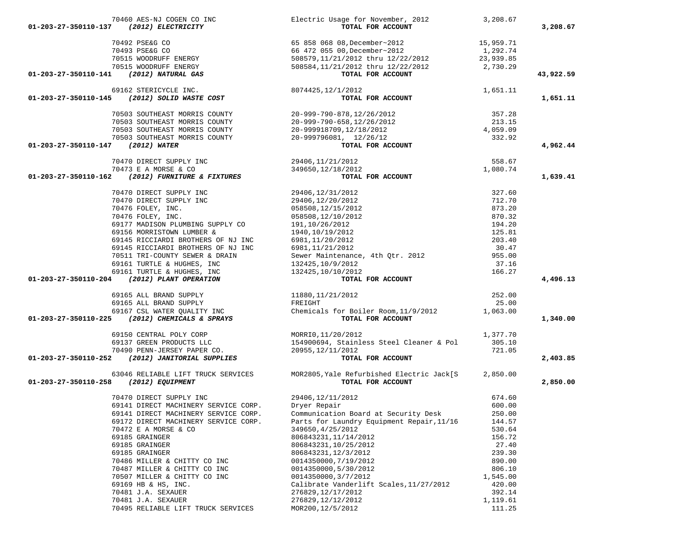|                                       | 70460 AES-NJ COGEN CO INC                      | Electric Usage for November, 2012                                                                                 | 3,208.67  |           |
|---------------------------------------|------------------------------------------------|-------------------------------------------------------------------------------------------------------------------|-----------|-----------|
| 01-203-27-350110-137                  | (2012) ELECTRICITY                             |                                                                                                                   |           | 3,208.67  |
|                                       |                                                | TOTAL FOR ACCOUNT<br>55 858 068 08, December~2012<br>66 472 055 00, December~2012<br>508570 11.100, December~2011 |           |           |
|                                       | 70492 PSE&G CO                                 |                                                                                                                   | 15,959.71 |           |
|                                       | 70493 PSE&G CO                                 | 66 472 055 00, December~2012<br>508579, 11/21/2012 thru 12/22/2012                                                | 1,292.74  |           |
|                                       | 70515 WOODRUFF ENERGY                          |                                                                                                                   | 23,939.85 |           |
|                                       |                                                | 508584, 11/21/2012 thru 12/22/2012                                                                                |           |           |
|                                       | 70515 WOODRUFF ENERGY                          |                                                                                                                   | 2,730.29  |           |
| 01-203-27-350110-141                  | (2012) NATURAL GAS                             | TOTAL FOR ACCOUNT                                                                                                 |           | 43,922.59 |
|                                       | 69162 STERICYCLE INC.                          | 8074425,12/1/2012                                                                                                 | 1,651.11  |           |
| 01-203-27-350110-145                  | (2012) SOLID WASTE COST                        | TOTAL FOR ACCOUNT                                                                                                 |           | 1,651.11  |
|                                       |                                                |                                                                                                                   |           |           |
|                                       | 70503 SOUTHEAST MORRIS COUNTY                  | 20-999-790-878,12/26/2012                                                                                         | 357.28    |           |
|                                       | 70503 SOUTHEAST MORRIS COUNTY                  | 20-999-790-658,12/26/2012                                                                                         | 213.15    |           |
|                                       | 70503 SOUTHEAST MORRIS COUNTY                  | 20-999918709,12/18/2012                                                                                           | 4,059.09  |           |
|                                       | 70503 SOUTHEAST MORRIS COUNTY                  | 20-999796081, 12/26/12                                                                                            | 332.92    |           |
| 01-203-27-350110-147                  | (2012) WATER                                   | TOTAL FOR ACCOUNT                                                                                                 |           | 4,962.44  |
|                                       | 70470 DIRECT SUPPLY INC                        | 29406, 11/21/2012                                                                                                 | 558.67    |           |
|                                       | 70473 E A MORSE & CO                           | 349650, 12/18/2012                                                                                                | 1,080.74  |           |
|                                       | (2012) FURNITURE & FIXTURES                    |                                                                                                                   |           |           |
| 01-203-27-350110-162                  |                                                | TOTAL FOR ACCOUNT                                                                                                 |           | 1,639.41  |
|                                       | 70470 DIRECT SUPPLY INC                        | 29406, 12/31/2012                                                                                                 | 327.60    |           |
|                                       | 70470 DIRECT SUPPLY INC                        | 29406,12/20/2012                                                                                                  | 712.70    |           |
|                                       | 70476 FOLEY, INC.                              | 058508,12/15/2012                                                                                                 | 873.20    |           |
|                                       | 70476 FOLEY, INC.                              | 058508,12/10/2012                                                                                                 | 870.32    |           |
|                                       |                                                |                                                                                                                   | 194.20    |           |
|                                       | 69177 MADISON PLUMBING SUPPLY CO               | 191,10/26/2012                                                                                                    |           |           |
|                                       | 69156 MORRISTOWN LUMBER &                      | 1940,10/19/2012                                                                                                   | 125.81    |           |
|                                       | 69145 RICCIARDI BROTHERS OF NJ INC             | 6981,11/20/2012                                                                                                   | 203.40    |           |
|                                       | 69145 RICCIARDI BROTHERS OF NJ INC             | 6981,11/21/2012                                                                                                   | 30.47     |           |
|                                       | 70511 TRI-COUNTY SEWER & DRAIN                 | Sewer Maintenance, 4th Qtr. 2012                                                                                  | 955.00    |           |
|                                       | 69161 TURTLE & HUGHES, INC                     | 132425, 10/9/2012                                                                                                 | 37.16     |           |
|                                       | 69161 TURTLE & HUGHES, INC                     | 132425,10/10/2012                                                                                                 | 166.27    |           |
|                                       | 01-203-27-350110-204 (2012) PLANT OPERATION    | TOTAL FOR ACCOUNT                                                                                                 |           | 4,496.13  |
|                                       | 69165 ALL BRAND SUPPLY                         |                                                                                                                   | 252.00    |           |
|                                       | 69165 ALL BRAND SUPPLY                         | 11880, 11/21/2012<br>FREIGHT                                                                                      | 25.00     |           |
|                                       |                                                |                                                                                                                   |           |           |
|                                       | 69167 CSL WATER QUALITY INC                    | Chemicals for Boiler Room, 11/9/2012 1,063.00                                                                     |           |           |
|                                       | 01-203-27-350110-225 (2012) CHEMICALS & SPRAYS | TOTAL FOR ACCOUNT                                                                                                 |           | 1,340.00  |
|                                       | 69150 CENTRAL POLY CORP                        | MORRIO, 11/20/2012                                                                                                | 1,377.70  |           |
|                                       | 69137 GREEN PRODUCTS LLC                       | 154900694, Stainless Steel Cleaner & Pol                                                                          | 305.10    |           |
|                                       | 70490 PENN-JERSEY PAPER CO.                    | 20955, 12/11/2012                                                                                                 | 721.05    |           |
| 01-203-27-350110-252                  | (2012) JANITORIAL SUPPLIES                     | TOTAL FOR ACCOUNT                                                                                                 |           | 2,403.85  |
|                                       |                                                |                                                                                                                   |           |           |
|                                       | 63046 RELIABLE LIFT TRUCK SERVICES             | MOR2805, Yale Refurbished Electric Jack[S                                                                         | 2,850.00  |           |
| 01-203-27-350110-258 (2012) EQUIPMENT |                                                | TOTAL FOR ACCOUNT                                                                                                 |           | 2,850.00  |
|                                       | 70470 DIRECT SUPPLY INC                        | 29406, 12/11/2012                                                                                                 | 674.60    |           |
|                                       | 69141 DIRECT MACHINERY SERVICE CORP.           | Dryer Repair                                                                                                      | 600.00    |           |
|                                       | 69141 DIRECT MACHINERY SERVICE CORP.           | Communication Board at Security Desk                                                                              | 250.00    |           |
|                                       |                                                | Parts for Laundry Equipment Repair, 11/16                                                                         | 144.57    |           |
|                                       | 69172 DIRECT MACHINERY SERVICE CORP.           |                                                                                                                   |           |           |
|                                       | 70472 E A MORSE & CO                           | 349650, 4/25/2012                                                                                                 | 530.64    |           |
|                                       | 69185 GRAINGER                                 | 806843231, 11/14/2012                                                                                             | 156.72    |           |
|                                       | 69185 GRAINGER                                 | 806843231, 10/25/2012                                                                                             | 27.40     |           |
|                                       | 69185 GRAINGER                                 | 806843231, 12/3/2012                                                                                              | 239.30    |           |
|                                       | 70486 MILLER & CHITTY CO INC                   | 0014350000, 7/19/2012                                                                                             | 890.00    |           |
|                                       | 70487 MILLER & CHITTY CO INC                   | 0014350000,5/30/2012                                                                                              | 806.10    |           |
|                                       | 70507 MILLER & CHITTY CO INC                   | 0014350000, 3/7/2012                                                                                              | 1,545.00  |           |
|                                       | 69169 HB & HS, INC.                            | Calibrate Vanderlift Scales, 11/27/2012                                                                           | 420.00    |           |
|                                       |                                                | 276829, 12/17/2012                                                                                                | 392.14    |           |
|                                       | 70481 J.A. SEXAUER                             |                                                                                                                   |           |           |
|                                       | 70481 J.A. SEXAUER                             | 276829, 12/12/2012                                                                                                | 1,119.61  |           |
|                                       | 70495 RELIABLE LIFT TRUCK SERVICES             | MOR200, 12/5/2012                                                                                                 | 111.25    |           |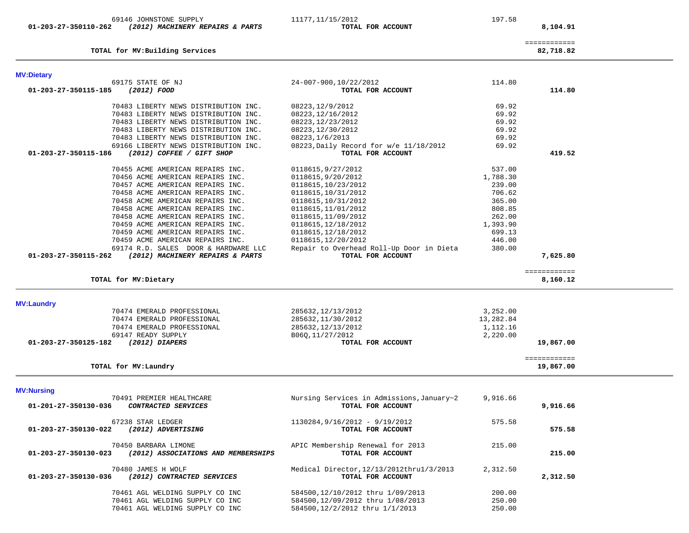| <b>MV:Dietary</b>                                                                                |                                                               |                      |              |
|--------------------------------------------------------------------------------------------------|---------------------------------------------------------------|----------------------|--------------|
| 69175 STATE OF NJ                                                                                | 24-007-900,10/22/2012                                         | 114.80               |              |
| (2012) FOOD<br>01-203-27-350115-185                                                              | TOTAL FOR ACCOUNT                                             |                      | 114.80       |
|                                                                                                  |                                                               |                      |              |
| 70483 LIBERTY NEWS DISTRIBUTION INC.                                                             | 08223, 12/9/2012                                              | 69.92                |              |
| 70483 LIBERTY NEWS DISTRIBUTION INC.                                                             | 08223, 12/16/2012                                             | 69.92                |              |
| 70483 LIBERTY NEWS DISTRIBUTION INC.                                                             | 08223, 12/23/2012                                             | 69.92                |              |
| 70483 LIBERTY NEWS DISTRIBUTION INC.                                                             | 08223, 12/30/2012                                             | 69.92                |              |
| 70483 LIBERTY NEWS DISTRIBUTION INC.                                                             | 08223, 1/6/2013                                               | 69.92                |              |
| 69166 LIBERTY NEWS DISTRIBUTION INC.                                                             | 08223, Daily Record for w/e 11/18/2012                        | 69.92                |              |
| 01-203-27-350115-186<br>(2012) COFFEE / GIFT SHOP                                                | TOTAL FOR ACCOUNT                                             |                      | 419.52       |
| 70455 ACME AMERICAN REPAIRS INC.                                                                 | 0118615,9/27/2012                                             | 537.00               |              |
| 70456 ACME AMERICAN REPAIRS INC.                                                                 | 0118615,9/20/2012                                             | 1,788.30             |              |
| 70457 ACME AMERICAN REPAIRS INC.                                                                 | 0118615,10/23/2012                                            | 239.00               |              |
| 70458 ACME AMERICAN REPAIRS INC.                                                                 | 0118615, 10/31/2012                                           | 706.62               |              |
| 70458 ACME AMERICAN REPAIRS INC.                                                                 | 0118615,10/31/2012                                            | 365.00               |              |
| 70458 ACME AMERICAN REPAIRS INC.                                                                 | 0118615, 11/01/2012                                           | 808.85               |              |
| 70458 ACME AMERICAN REPAIRS INC.                                                                 | 0118615, 11/09/2012                                           | 262.00               |              |
| 70459 ACME AMERICAN REPAIRS INC.                                                                 | 0118615, 12/18/2012                                           | 1,393.90             |              |
| 70459 ACME AMERICAN REPAIRS INC.                                                                 | 0118615, 12/18/2012                                           | 699.13               |              |
| 70459 ACME AMERICAN REPAIRS INC.                                                                 | 0118615, 12/20/2012                                           | 446.00               |              |
|                                                                                                  |                                                               | 380.00               |              |
| 69174 R.D. SALES DOOR & HARDWARE LLC<br>01-203-27-350115-262<br>(2012) MACHINERY REPAIRS & PARTS | Repair to Overhead Roll-Up Door in Dieta<br>TOTAL FOR ACCOUNT |                      |              |
|                                                                                                  |                                                               |                      | 7,625.80     |
|                                                                                                  |                                                               |                      | ============ |
| TOTAL for MV: Dietary                                                                            |                                                               |                      | 8,160.12     |
|                                                                                                  |                                                               |                      |              |
| <b>MV:Laundry</b>                                                                                |                                                               |                      |              |
| 70474 EMERALD PROFESSIONAL                                                                       | 285632, 12/13/2012                                            | 3,252.00             |              |
| 70474 EMERALD PROFESSIONAL                                                                       | 285632, 11/30/2012                                            | 13,282.84            |              |
| 70474 EMERALD PROFESSIONAL                                                                       |                                                               |                      |              |
| 69147 READY SUPPLY                                                                               | 285632, 12/13/2012                                            | 1,112.16<br>2,220.00 |              |
| (2012) DIAPERS<br>01-203-27-350125-182                                                           | B06Q, 11/27/2012<br>TOTAL FOR ACCOUNT                         |                      | 19,867.00    |
|                                                                                                  |                                                               |                      |              |
|                                                                                                  |                                                               |                      | ============ |
| TOTAL for MV: Laundry                                                                            |                                                               |                      | 19,867.00    |
|                                                                                                  |                                                               |                      |              |
| <b>MV:Nursing</b>                                                                                |                                                               |                      |              |
| 70491 PREMIER HEALTHCARE                                                                         | Nursing Services in Admissions, January~2                     | 9,916.66             |              |
| 01-201-27-350130-036<br>CONTRACTED SERVICES                                                      | TOTAL FOR ACCOUNT                                             |                      | 9,916.66     |
|                                                                                                  |                                                               |                      |              |
| 67238 STAR LEDGER                                                                                | $1130284, 9/16/2012 - 9/19/2012$                              | 575.58               |              |
| (2012) ADVERTISING<br>01-203-27-350130-022                                                       | TOTAL FOR ACCOUNT                                             |                      | 575.58       |
|                                                                                                  |                                                               |                      |              |
| 70450 BARBARA LIMONE                                                                             | APIC Membership Renewal for 2013                              | 215.00               |              |
| (2012) ASSOCIATIONS AND MEMBERSHIPS<br>01-203-27-350130-023                                      | TOTAL FOR ACCOUNT                                             |                      | 215.00       |
|                                                                                                  |                                                               |                      |              |
| 70480 JAMES H WOLF                                                                               | Medical Director, 12/13/2012thru1/3/2013                      | 2,312.50             |              |
|                                                                                                  |                                                               |                      |              |
| 01-203-27-350130-036<br>(2012) CONTRACTED SERVICES                                               | TOTAL FOR ACCOUNT                                             |                      | 2,312.50     |
|                                                                                                  |                                                               |                      |              |
| 70461 AGL WELDING SUPPLY CO INC                                                                  | 584500,12/10/2012 thru 1/09/2013                              | 200.00               |              |
| 70461 AGL WELDING SUPPLY CO INC                                                                  | 584500,12/09/2012 thru 1/08/2013                              | 250.00               |              |
| 70461 AGL WELDING SUPPLY CO INC                                                                  | 584500, 12/2/2012 thru 1/1/2013                               | 250.00               |              |
|                                                                                                  |                                                               |                      |              |

# ============

**TOTAL for MV:Building Services 82,718.82**

 69146 JOHNSTONE SUPPLY 11177,11/15/2012 197.58  **01-203-27-350110-262** *(2012) MACHINERY REPAIRS & PARTS* **TOTAL FOR ACCOUNT 8,104.91**

82,718.82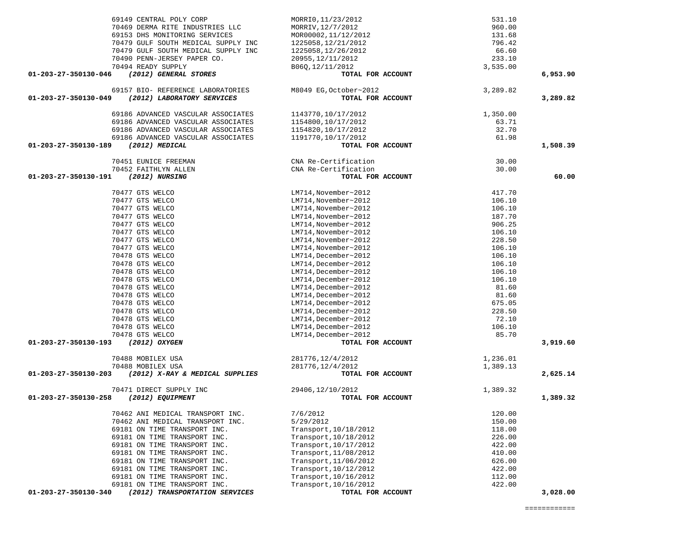| 69149 CENTRAL POLY CORP                                 | MORRIO, 11/23/2012     | 531.10   |          |
|---------------------------------------------------------|------------------------|----------|----------|
| 70469 DERMA RITE INDUSTRIES LLC                         | MORRIV, 12/7/2012      | 960.00   |          |
| 69153 DHS MONITORING SERVICES                           | MOR00002,11/12/2012    | 131.68   |          |
| 70479 GULF SOUTH MEDICAL SUPPLY INC                     | 1225058, 12/21/2012    | 796.42   |          |
| 70479 GULF SOUTH MEDICAL SUPPLY INC                     | 1225058,12/26/2012     | 66.60    |          |
| 70490 PENN-JERSEY PAPER CO.                             | 20955, 12/11/2012      | 233.10   |          |
| 70494 READY SUPPLY                                      | B06Q, 12/11/2012       | 3,535.00 |          |
| (2012) GENERAL STORES<br>01-203-27-350130-046           | TOTAL FOR ACCOUNT      |          | 6,953.90 |
| 69157 BIO- REFERENCE LABORATORIES                       | M8049 EG, October~2012 | 3,289.82 |          |
| 01-203-27-350130-049<br>(2012) LABORATORY SERVICES      | TOTAL FOR ACCOUNT      |          | 3,289.82 |
| 69186 ADVANCED VASCULAR ASSOCIATES                      | 1143770,10/17/2012     | 1,350.00 |          |
| 69186 ADVANCED VASCULAR ASSOCIATES                      | 1154800,10/17/2012     | 63.71    |          |
| 69186 ADVANCED VASCULAR ASSOCIATES                      | 1154820, 10/17/2012    | 32.70    |          |
| 69186 ADVANCED VASCULAR ASSOCIATES                      | 1191770,10/17/2012     | 61.98    |          |
| 01-203-27-350130-189<br>$(2012)$ MEDICAL                | TOTAL FOR ACCOUNT      |          | 1,508.39 |
| 70451 EUNICE FREEMAN                                    | CNA Re-Certification   | 30.00    |          |
| 70452 FAITHLYN ALLEN                                    | CNA Re-Certification   | 30.00    |          |
| 01-203-27-350130-191<br>(2012) NURSING                  | TOTAL FOR ACCOUNT      |          | 60.00    |
| 70477 GTS WELCO                                         | LM714, November~2012   | 417.70   |          |
| 70477 GTS WELCO                                         | LM714, November~2012   | 106.10   |          |
| 70477 GTS WELCO                                         | LM714, November~2012   | 106.10   |          |
| 70477 GTS WELCO                                         | LM714, November~2012   | 187.70   |          |
| 70477 GTS WELCO                                         | LM714, November~2012   | 906.25   |          |
| 70477 GTS WELCO                                         | LM714, November~2012   | 106.10   |          |
| 70477 GTS WELCO                                         | LM714, November~2012   | 228.50   |          |
| 70477 GTS WELCO                                         | LM714, November~2012   | 106.10   |          |
| 70478 GTS WELCO                                         | LM714, December~2012   | 106.10   |          |
| 70478 GTS WELCO                                         | LM714, December~2012   | 106.10   |          |
| 70478 GTS WELCO                                         | LM714, December~2012   | 106.10   |          |
| 70478 GTS WELCO                                         | LM714, December~2012   | 106.10   |          |
| 70478 GTS WELCO                                         | LM714, December~2012   | 81.60    |          |
| 70478 GTS WELCO                                         | LM714, December~2012   | 81.60    |          |
| 70478 GTS WELCO                                         | LM714, December~2012   | 675.05   |          |
| 70478 GTS WELCO                                         | LM714, December~2012   | 228.50   |          |
| 70478 GTS WELCO                                         | LM714, December~2012   | 72.10    |          |
| 70478 GTS WELCO                                         | LM714, December~2012   | 106.10   |          |
| 70478 GTS WELCO                                         | LM714, December~2012   | 85.70    |          |
| 01-203-27-350130-193<br>(2012) OXYGEN                   | TOTAL FOR ACCOUNT      |          | 3,919.60 |
| 70488 MOBILEX USA                                       | 281776, 12/4/2012      | 1,236.01 |          |
| 70488 MOBILEX USA                                       | 281776, 12/4/2012      | 1,389.13 |          |
| 01-203-27-350130-203<br>(2012) X-RAY & MEDICAL SUPPLIES | TOTAL FOR ACCOUNT      |          | 2,625.14 |
| 70471 DIRECT SUPPLY INC                                 | 29406,12/10/2012       | 1,389.32 |          |
| 01-203-27-350130-258<br>(2012) EQUIPMENT                | TOTAL FOR ACCOUNT      |          | 1,389.32 |
| 70462 ANI MEDICAL TRANSPORT INC.                        | 7/6/2012               | 120.00   |          |
| 70462 ANI MEDICAL TRANSPORT INC.                        | 5/29/2012              | 150.00   |          |
| 69181 ON TIME TRANSPORT INC.                            | Transport, 10/18/2012  | 118.00   |          |
| 69181 ON TIME TRANSPORT INC.                            | Transport, 10/18/2012  | 226.00   |          |
| 69181 ON TIME TRANSPORT INC.                            | Transport, 10/17/2012  | 422.00   |          |
| 69181 ON TIME TRANSPORT INC.                            | Transport, 11/08/2012  | 410.00   |          |
| 69181 ON TIME TRANSPORT INC.                            | Transport, 11/06/2012  | 626.00   |          |
| 69181 ON TIME TRANSPORT INC.                            | Transport, 10/12/2012  | 422.00   |          |
| 69181 ON TIME TRANSPORT INC.                            | Transport, 10/16/2012  | 112.00   |          |
| 69181 ON TIME TRANSPORT INC.                            | Transport, 10/16/2012  | 422.00   |          |
| 01-203-27-350130-340<br>(2012) TRANSPORTATION SERVICES  | TOTAL FOR ACCOUNT      |          | 3,028.00 |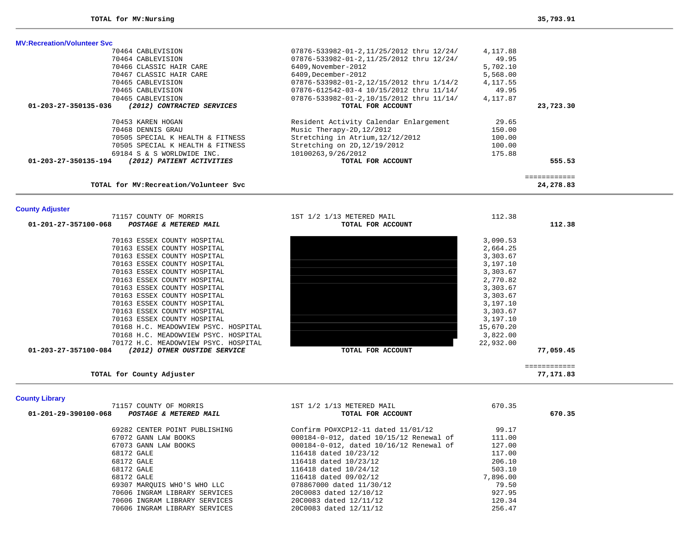| <b>MV:Recreation/Volunteer Svc</b>                 |                                           |          |                           |
|----------------------------------------------------|-------------------------------------------|----------|---------------------------|
| 70464 CABLEVISION                                  | 07876-533982-01-2,11/25/2012 thru 12/24/  | 4,117.88 |                           |
| 70464 CABLEVISION                                  | 07876-533982-01-2, 11/25/2012 thru 12/24/ | 49.95    |                           |
| 70466 CLASSIC HAIR CARE                            | 6409, November-2012                       | 5,702.10 |                           |
| 70467 CLASSIC HAIR CARE                            | 6409, December-2012                       | 5,568.00 |                           |
| 70465 CABLEVISION                                  | 07876-533982-01-2,12/15/2012 thru 1/14/2  | 4,117.55 |                           |
| 70465 CABLEVISION                                  | 07876-612542-03-4 10/15/2012 thru 11/14/  | 49.95    |                           |
| 70465 CABLEVISION                                  | 07876-533982-01-2,10/15/2012 thru 11/14/  | 4,117.87 |                           |
| 01-203-27-350135-036<br>(2012) CONTRACTED SERVICES | TOTAL FOR ACCOUNT                         |          | 23,723.30                 |
| 70453 KAREN HOGAN                                  | Resident Activity Calendar Enlargement    | 29.65    |                           |
| 70468 DENNIS GRAU                                  | Music Therapy-2D, 12/2012                 | 150.00   |                           |
| 70505 SPECIAL K HEALTH & FITNESS                   | Stretching in Atrium, 12/12/2012          | 100.00   |                           |
| 70505 SPECIAL K HEALTH & FITNESS                   | Stretching on 2D, 12/19/2012              | 100.00   |                           |
| 69184 S & S WORLDWIDE INC.                         | 10100263,9/26/2012                        | 175.88   |                           |
| 01-203-27-350135-194<br>(2012) PATIENT ACTIVITIES  | TOTAL FOR ACCOUNT                         |          | 555.53                    |
|                                                    |                                           |          |                           |
| TOTAL for MV: Recreation/Volunteer Svc             |                                           |          | ============<br>24,278.83 |

**County Adjuster** 

| 71157 COUNTY OF MORRIS                               | 1ST 1/2 1/13 METERED MAIL | 112.38       |
|------------------------------------------------------|---------------------------|--------------|
| 01-201-27-357100-068<br>POSTAGE & METERED MAIL       | TOTAL FOR ACCOUNT         | 112.38       |
| 70163 ESSEX COUNTY HOSPITAL                          |                           | 3,090.53     |
| 70163 ESSEX COUNTY HOSPITAL                          |                           | 2,664.25     |
| 70163 ESSEX COUNTY HOSPITAL                          |                           | 3,303.67     |
| 70163 ESSEX COUNTY HOSPITAL                          |                           | 3,197.10     |
| 70163 ESSEX COUNTY HOSPITAL                          |                           | 3,303.67     |
| 70163 ESSEX COUNTY HOSPITAL                          |                           | 2,770.82     |
| 70163 ESSEX COUNTY HOSPITAL                          |                           | 3,303.67     |
| 70163 ESSEX COUNTY HOSPITAL                          |                           | 3,303.67     |
| 70163 ESSEX COUNTY HOSPITAL                          |                           | 3,197.10     |
| 70163 ESSEX COUNTY HOSPITAL                          |                           | 3,303.67     |
| 70163 ESSEX COUNTY HOSPITAL                          |                           | 3,197.10     |
| 70168 H.C. MEADOWVIEW PSYC. HOSPITAL                 |                           | 15,670.20    |
| 70168 H.C. MEADOWVIEW PSYC. HOSPITAL                 |                           | 3,822.00     |
| 70172 H.C. MEADOWVIEW PSYC. HOSPITAL                 |                           | 22,932.00    |
| 01-203-27-357100-084<br>(2012) OTHER OUSTIDE SERVICE | TOTAL FOR ACCOUNT         | 77,059.45    |
|                                                      |                           | ============ |
| TOTAL for County Adjuster                            |                           | 77,171.83    |

|                      | 71157 COUNTY OF MORRIS        | 1ST 1/2 1/13 METERED MAIL               | 670.35   |        |
|----------------------|-------------------------------|-----------------------------------------|----------|--------|
| 01-201-29-390100-068 | POSTAGE & METERED MAIL        | TOTAL FOR ACCOUNT                       |          | 670.35 |
|                      |                               |                                         |          |        |
|                      | 69282 CENTER POINT PUBLISHING | Confirm PO#XCP12-11 dated 11/01/12      | 99.17    |        |
|                      | 67072 GANN LAW BOOKS          | 000184-0-012, dated 10/15/12 Renewal of | 111.00   |        |
|                      | 67073 GANN LAW BOOKS          | 000184-0-012, dated 10/16/12 Renewal of | 127.00   |        |
|                      | 68172 GALE                    | 116418 dated 10/23/12                   | 117.00   |        |
|                      | 68172 GALE                    | 116418 dated 10/23/12                   | 206.10   |        |
|                      | 68172 GALE                    | 116418 dated 10/24/12                   | 503.10   |        |
|                      | 68172 GALE                    | 116418 dated 09/02/12                   | 7,896.00 |        |
|                      | 69307 MAROUIS WHO'S WHO LLC   | 078867000 dated 11/30/12                | 79.50    |        |
|                      | 70606 INGRAM LIBRARY SERVICES | 20C0083 dated 12/10/12                  | 927.95   |        |
|                      | 70606 INGRAM LIBRARY SERVICES | 20C0083 dated 12/11/12                  | 120.34   |        |
|                      | 70606 INGRAM LIBRARY SERVICES | 20C0083 dated 12/11/12                  | 256.47   |        |
|                      |                               |                                         |          |        |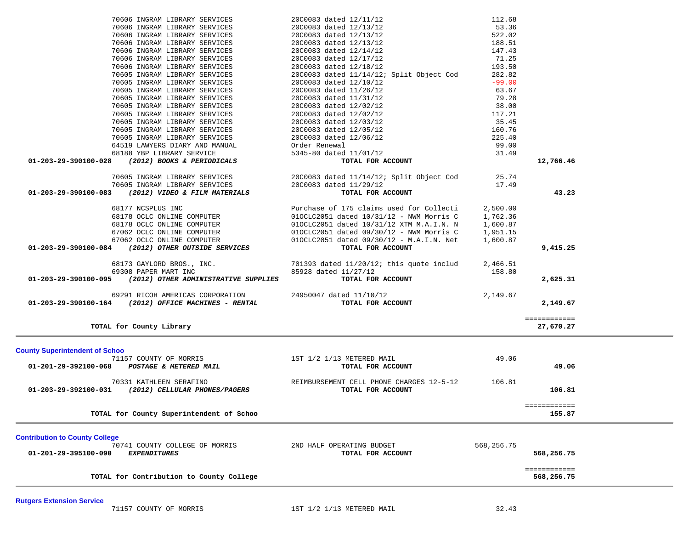| 70606 INGRAM LIBRARY SERVICES                                                        | 20C0083 dated 12/13/12                      | 188.51     |              |
|--------------------------------------------------------------------------------------|---------------------------------------------|------------|--------------|
| 70606 INGRAM LIBRARY SERVICES                                                        | 20C0083 dated 12/14/12                      | 147.43     |              |
| 70606 INGRAM LIBRARY SERVICES                                                        | 20C0083 dated 12/17/12                      | 71.25      |              |
| 70606 INGRAM LIBRARY SERVICES                                                        | 20C0083 dated 12/18/12                      | 193.50     |              |
| 70605 INGRAM LIBRARY SERVICES                                                        | 20C0083 dated 11/14/12; Split Object Cod    | 282.82     |              |
| 70605 INGRAM LIBRARY SERVICES                                                        | 20C0083 dated 12/10/12                      | $-99.00$   |              |
| 70605 INGRAM LIBRARY SERVICES                                                        | 20C0083 dated 11/26/12                      | 63.67      |              |
| 70605 INGRAM LIBRARY SERVICES                                                        | 20C0083 dated 11/31/12                      | 79.28      |              |
| 70605 INGRAM LIBRARY SERVICES                                                        | 20C0083 dated 12/02/12                      | 38.00      |              |
| 70605 INGRAM LIBRARY SERVICES                                                        | 20C0083 dated 12/02/12                      | 117.21     |              |
| 70605 INGRAM LIBRARY SERVICES                                                        | 20C0083 dated 12/03/12                      | 35.45      |              |
| 70605 INGRAM LIBRARY SERVICES                                                        | 20C0083 dated 12/05/12                      | 160.76     |              |
| 70605 INGRAM LIBRARY SERVICES                                                        | 20C0083 dated 12/06/12                      | 225.40     |              |
| 64519 LAWYERS DIARY AND MANUAL                                                       | Order Renewal                               | 99.00      |              |
| 68188 YBP LIBRARY SERVICE                                                            | 5345-80 dated 11/01/12                      | 31.49      |              |
| 01-203-29-390100-028 (2012) BOOKS & PERIODICALS                                      | TOTAL FOR ACCOUNT                           |            | 12,766.46    |
| 70605 INGRAM LIBRARY SERVICES                                                        | 2000083 dated 11/14/12; Split Object Cod    | 25.74      |              |
| 70605 INGRAM LIBRARY SERVICES                                                        | 20C0083 dated 11/29/12                      | 17.49      |              |
| 01-203-29-390100-083<br>(2012) VIDEO & FILM MATERIALS                                | TOTAL FOR ACCOUNT                           |            | 43.23        |
|                                                                                      |                                             |            |              |
| 68177 NCSPLUS INC                                                                    | Purchase of 175 claims used for Collecti    | 2,500.00   |              |
| 68178 OCLC ONLINE COMPUTER                                                           | 010CLC2051 dated 10/31/12 - NWM Morris C    | 1,762.36   |              |
| 68178 OCLC ONLINE COMPUTER                                                           | 010CLC2051 dated 10/31/12 XTM M.A.I.N. N    |            |              |
|                                                                                      |                                             | 1,600.87   |              |
| 67062 OCLC ONLINE COMPUTER<br>67062 OCLC ONLINE COMPUTER                             | 010CLC2051 dated 09/30/12 - NWM Morris C    | 1,951.15   |              |
| (2012) OTHER OUTSIDE SERVICES                                                        | 010CLC2051 dated 09/30/12 - M.A.I.N. Net    | 1,600.87   |              |
| 01-203-29-390100-084                                                                 | TOTAL FOR ACCOUNT                           |            | 9,415.25     |
| 68173 GAYLORD BROS., INC.                                                            | 701393 dated $11/20/12$ ; this quote includ | 2,466.51   |              |
| 69308 PAPER MART INC                                                                 | 85928 dated 11/27/12                        | 158.80     |              |
| (2012) OTHER ADMINISTRATIVE SUPPLIES<br>01-203-29-390100-095                         | TOTAL FOR ACCOUNT                           |            | 2,625.31     |
|                                                                                      |                                             |            |              |
| 69291 RICOH AMERICAS CORPORATION                                                     | 24950047 dated 11/10/12                     | 2,149.67   |              |
| 01-203-29-390100-164 (2012) OFFICE MACHINES - RENTAL                                 | TOTAL FOR ACCOUNT                           |            | 2,149.67     |
|                                                                                      |                                             |            |              |
|                                                                                      |                                             |            | ============ |
| TOTAL for County Library                                                             |                                             |            | 27,670.27    |
|                                                                                      |                                             |            |              |
| <b>County Superintendent of Schoo</b><br>71157 COUNTY OF MORRIS                      | 1ST 1/2 1/13 METERED MAIL                   | 49.06      |              |
| 01-201-29-392100-068<br><b>POSTAGE &amp; METERED MAIL</b>                            | TOTAL FOR ACCOUNT                           |            | 49.06        |
|                                                                                      |                                             |            |              |
| 70331 KATHLEEN SERAFINO                                                              | REIMBURSEMENT CELL PHONE CHARGES 12-5-12    | 106.81     |              |
|                                                                                      |                                             |            | 106.81       |
|                                                                                      |                                             |            |              |
| 01-203-29-392100-031 (2012) CELLULAR PHONES/PAGERS                                   | TOTAL FOR ACCOUNT                           |            |              |
|                                                                                      |                                             |            | ============ |
| TOTAL for County Superintendent of Schoo                                             |                                             |            | 155.87       |
|                                                                                      |                                             |            |              |
|                                                                                      |                                             |            |              |
| 70741 COUNTY COLLEGE OF MORRIS                                                       | 2ND HALF OPERATING BUDGET                   | 568,256.75 |              |
| <b>Contribution to County College</b><br>01-201-29-395100-090<br><b>EXPENDITURES</b> | TOTAL FOR ACCOUNT                           |            | 568,256.75   |
| TOTAL for Contribution to County College                                             |                                             |            | ============ |

71157 COUNTY OF MORRIS 1ST 1/2 1/13 METERED MAIL 32.43

 70606 INGRAM LIBRARY SERVICES 20C0083 dated 12/11/12 112.68 70606 INGRAM LIBRARY SERVICES 20C0083 dated 12/13/12 53.36 70606 INGRAM LIBRARY SERVICES 20C0083 dated 12/13/12 522.02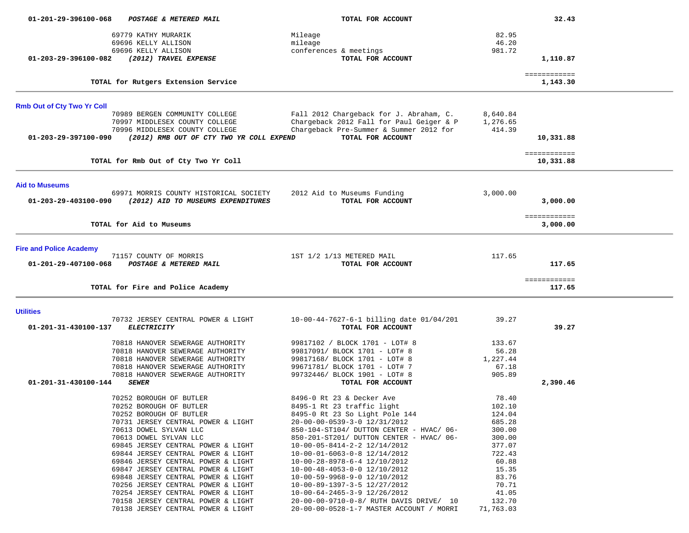| 01-201-29-396100-068              | POSTAGE & METERED MAIL                                                   | TOTAL FOR ACCOUNT                                                              |                  | 32.43                  |  |
|-----------------------------------|--------------------------------------------------------------------------|--------------------------------------------------------------------------------|------------------|------------------------|--|
|                                   | 69779 KATHY MURARIK                                                      | Mileage                                                                        | 82.95            |                        |  |
|                                   | 69696 KELLY ALLISON                                                      | mileage                                                                        | 46.20            |                        |  |
|                                   | 69696 KELLY ALLISON                                                      | conferences & meetings                                                         | 981.72           |                        |  |
| $01 - 203 - 29 - 396100 - 082$    | (2012) TRAVEL EXPENSE                                                    | TOTAL FOR ACCOUNT                                                              |                  | 1,110.87               |  |
|                                   |                                                                          |                                                                                |                  | ============           |  |
|                                   | TOTAL for Rutgers Extension Service                                      |                                                                                |                  | 1,143.30               |  |
| <b>Rmb Out of Cty Two Yr Coll</b> |                                                                          |                                                                                |                  |                        |  |
|                                   | 70989 BERGEN COMMUNITY COLLEGE                                           | Fall 2012 Chargeback for J. Abraham, C.                                        | 8,640.84         |                        |  |
|                                   | 70997 MIDDLESEX COUNTY COLLEGE                                           | Chargeback 2012 Fall for Paul Geiger & P                                       | 1,276.65         |                        |  |
|                                   | 70996 MIDDLESEX COUNTY COLLEGE                                           | Chargeback Pre-Summer & Summer 2012 for                                        | 414.39           |                        |  |
| 01-203-29-397100-090              | (2012) RMB OUT OF CTY TWO YR COLL EXPEND                                 | TOTAL FOR ACCOUNT                                                              |                  | 10,331.88              |  |
|                                   |                                                                          |                                                                                |                  | ============           |  |
|                                   | TOTAL for Rmb Out of Cty Two Yr Coll                                     |                                                                                |                  | 10,331.88              |  |
| <b>Aid to Museums</b>             |                                                                          |                                                                                |                  |                        |  |
|                                   | 69971 MORRIS COUNTY HISTORICAL SOCIETY                                   | 2012 Aid to Museums Funding                                                    | 3,000.00         |                        |  |
| 01-203-29-403100-090              | (2012) AID TO MUSEUMS EXPENDITURES                                       | TOTAL FOR ACCOUNT                                                              |                  | 3,000.00               |  |
|                                   |                                                                          |                                                                                |                  | ============           |  |
|                                   | TOTAL for Aid to Museums                                                 |                                                                                |                  | 3,000.00               |  |
|                                   |                                                                          |                                                                                |                  |                        |  |
| <b>Fire and Police Academy</b>    | 71157 COUNTY OF MORRIS                                                   | 1ST 1/2 1/13 METERED MAIL                                                      | 117.65           |                        |  |
| 01-201-29-407100-068              | POSTAGE & METERED MAIL                                                   | TOTAL FOR ACCOUNT                                                              |                  | 117.65                 |  |
|                                   |                                                                          |                                                                                |                  |                        |  |
|                                   | TOTAL for Fire and Police Academy                                        |                                                                                |                  | ============<br>117.65 |  |
|                                   |                                                                          |                                                                                |                  |                        |  |
| <b>Utilities</b>                  |                                                                          |                                                                                |                  |                        |  |
|                                   | 70732 JERSEY CENTRAL POWER & LIGHT                                       | 10-00-44-7627-6-1 billing date 01/04/201                                       | 39.27            |                        |  |
| 01-201-31-430100-137              | <b>ELECTRICITY</b>                                                       | TOTAL FOR ACCOUNT                                                              |                  | 39.27                  |  |
|                                   | 70818 HANOVER SEWERAGE AUTHORITY                                         | 99817102 / BLOCK 1701 - LOT# 8                                                 | 133.67           |                        |  |
|                                   | 70818 HANOVER SEWERAGE AUTHORITY                                         | 99817091/ BLOCK 1701 - LOT# 8                                                  | 56.28            |                        |  |
|                                   | 70818 HANOVER SEWERAGE AUTHORITY                                         | 99817168/ BLOCK 1701 - LOT# 8                                                  | 1,227.44         |                        |  |
|                                   | 70818 HANOVER SEWERAGE AUTHORITY                                         | 99671781/ BLOCK 1701 - LOT# 7                                                  | 67.18            |                        |  |
|                                   | 70818 HANOVER SEWERAGE AUTHORITY                                         | 99732446/ BLOCK 1901 - LOT# 8                                                  | 905.89           |                        |  |
| 01-201-31-430100-144              | <b>SEWER</b>                                                             | TOTAL FOR ACCOUNT                                                              |                  | 2,390.46               |  |
|                                   | 70252 BOROUGH OF BUTLER                                                  | 8496-0 Rt 23 & Decker Ave                                                      | 78.40            |                        |  |
|                                   | 70252 BOROUGH OF BUTLER                                                  | 8495-1 Rt 23 traffic light                                                     | 102.10           |                        |  |
|                                   | 70252 BOROUGH OF BUTLER                                                  | 8495-0 Rt 23 So Light Pole 144                                                 | 124.04           |                        |  |
|                                   | 70731 JERSEY CENTRAL POWER & LIGHT                                       | 20-00-00-0539-3-0 12/31/2012                                                   | 685.28           |                        |  |
|                                   | 70613 DOWEL SYLVAN LLC                                                   | 850-104-ST104/ DUTTON CENTER - HVAC/ 06-                                       | 300.00           |                        |  |
|                                   | 70613 DOWEL SYLVAN LLC                                                   | 850-201-ST201/ DUTTON CENTER - HVAC/ 06-                                       | 300.00<br>377.07 |                        |  |
|                                   | 69845 JERSEY CENTRAL POWER & LIGHT<br>69844 JERSEY CENTRAL POWER & LIGHT | $10-00-05-8414-2-2$ $12/14/2012$<br>$10 - 00 - 01 - 6063 - 0 - 8$ $12/14/2012$ | 722.43           |                        |  |
|                                   | 69846 JERSEY CENTRAL POWER & LIGHT                                       | $10 - 00 - 28 - 8978 - 6 - 4$ $12/10/2012$                                     | 60.88            |                        |  |
|                                   | 69847 JERSEY CENTRAL POWER & LIGHT                                       | $10 - 00 - 48 - 4053 - 0 - 0$ $12/10/2012$                                     | 15.35            |                        |  |
|                                   | 69848 JERSEY CENTRAL POWER & LIGHT                                       | 10-00-59-9968-9-0 12/10/2012                                                   | 83.76            |                        |  |
|                                   | 70256 JERSEY CENTRAL POWER & LIGHT                                       | 10-00-89-1397-3-5 12/27/2012                                                   | 70.71            |                        |  |
|                                   | 70254 JERSEY CENTRAL POWER & LIGHT                                       | $10 - 00 - 64 - 2465 - 3 - 9$ $12/26/2012$                                     | 41.05            |                        |  |
|                                   | 70158 JERSEY CENTRAL POWER & LIGHT                                       | 20-00-00-9710-0-8/ RUTH DAVIS DRIVE/ 10                                        | 132.70           |                        |  |
|                                   | 70138 JERSEY CENTRAL POWER & LIGHT                                       | 20-00-00-0528-1-7 MASTER ACCOUNT / MORRI                                       | 71,763.03        |                        |  |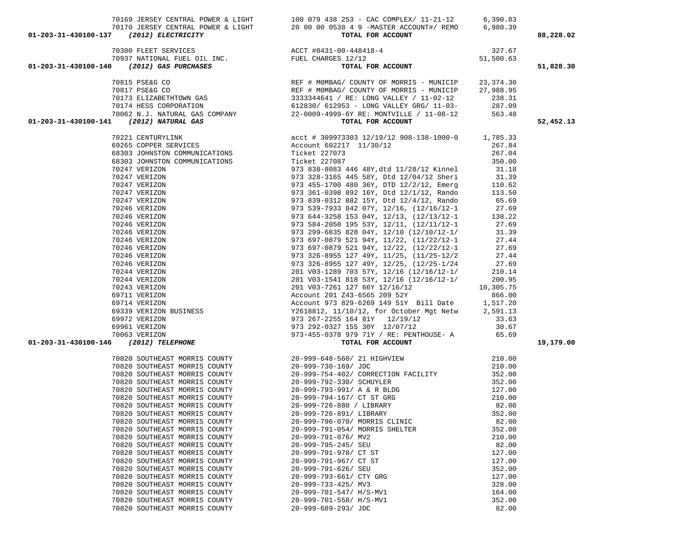|                                                                                                                                                                                                                               | 70169 JERSEY CENTRAL POWER & LIGHT 100 079 438 253 - CAC COMPLEX/ 11-21-12 6,390.83 |        |           |
|-------------------------------------------------------------------------------------------------------------------------------------------------------------------------------------------------------------------------------|-------------------------------------------------------------------------------------|--------|-----------|
|                                                                                                                                                                                                                               |                                                                                     |        |           |
|                                                                                                                                                                                                                               |                                                                                     |        | 88,228.02 |
|                                                                                                                                                                                                                               |                                                                                     |        |           |
|                                                                                                                                                                                                                               |                                                                                     |        |           |
|                                                                                                                                                                                                                               |                                                                                     |        |           |
|                                                                                                                                                                                                                               |                                                                                     |        | 51,828.30 |
|                                                                                                                                                                                                                               |                                                                                     |        |           |
|                                                                                                                                                                                                                               |                                                                                     |        |           |
|                                                                                                                                                                                                                               |                                                                                     |        |           |
|                                                                                                                                                                                                                               |                                                                                     |        |           |
|                                                                                                                                                                                                                               |                                                                                     |        |           |
|                                                                                                                                                                                                                               |                                                                                     |        |           |
|                                                                                                                                                                                                                               |                                                                                     |        | 52,452.13 |
|                                                                                                                                                                                                                               |                                                                                     |        |           |
|                                                                                                                                                                                                                               |                                                                                     |        |           |
|                                                                                                                                                                                                                               |                                                                                     |        |           |
|                                                                                                                                                                                                                               |                                                                                     |        |           |
|                                                                                                                                                                                                                               |                                                                                     |        |           |
|                                                                                                                                                                                                                               |                                                                                     |        |           |
|                                                                                                                                                                                                                               |                                                                                     |        |           |
|                                                                                                                                                                                                                               |                                                                                     |        |           |
|                                                                                                                                                                                                                               |                                                                                     |        |           |
|                                                                                                                                                                                                                               |                                                                                     |        |           |
|                                                                                                                                                                                                                               |                                                                                     |        |           |
|                                                                                                                                                                                                                               |                                                                                     |        |           |
|                                                                                                                                                                                                                               |                                                                                     |        |           |
|                                                                                                                                                                                                                               |                                                                                     |        |           |
|                                                                                                                                                                                                                               |                                                                                     |        |           |
|                                                                                                                                                                                                                               |                                                                                     |        |           |
|                                                                                                                                                                                                                               |                                                                                     |        |           |
|                                                                                                                                                                                                                               |                                                                                     |        |           |
|                                                                                                                                                                                                                               |                                                                                     |        |           |
|                                                                                                                                                                                                                               |                                                                                     |        |           |
|                                                                                                                                                                                                                               |                                                                                     |        |           |
|                                                                                                                                                                                                                               |                                                                                     |        |           |
|                                                                                                                                                                                                                               |                                                                                     |        |           |
|                                                                                                                                                                                                                               |                                                                                     |        |           |
|                                                                                                                                                                                                                               |                                                                                     |        |           |
|                                                                                                                                                                                                                               |                                                                                     |        |           |
|                                                                                                                                                                                                                               |                                                                                     |        |           |
|                                                                                                                                                                                                                               |                                                                                     |        |           |
|                                                                                                                                                                                                                               |                                                                                     |        | 19,179.00 |
|                                                                                                                                                                                                                               |                                                                                     |        |           |
|                                                                                                                                                                                                                               |                                                                                     |        |           |
| 01-231-11-431515-146 (Hence Yomes A. Some A. The Concert of the Concert of the Concert of the Concert of the Concert of the Concert of the Concert of the Concert of the Concert of the Concert of the Concert of the Concert |                                                                                     |        |           |
|                                                                                                                                                                                                                               |                                                                                     |        |           |
|                                                                                                                                                                                                                               |                                                                                     |        |           |
|                                                                                                                                                                                                                               |                                                                                     |        |           |
|                                                                                                                                                                                                                               |                                                                                     |        |           |
|                                                                                                                                                                                                                               |                                                                                     |        |           |
| 70820 SOUTHEAST MORRIS COUNTY                                                                                                                                                                                                 | 20-999-726-891/ LIBRARY                                                             | 352.00 |           |
| 70820 SOUTHEAST MORRIS COUNTY                                                                                                                                                                                                 | 20-999-796-070/ MORRIS CLINIC                                                       | 82.00  |           |
| 70820 SOUTHEAST MORRIS COUNTY                                                                                                                                                                                                 | 20-999-791-054/ MORRIS SHELTER                                                      | 352.00 |           |
| 70820 SOUTHEAST MORRIS COUNTY                                                                                                                                                                                                 | 20-999-791-076/ MV2                                                                 | 210.00 |           |
| 70820 SOUTHEAST MORRIS COUNTY                                                                                                                                                                                                 | 20-999-795-245/ SEU                                                                 | 82.00  |           |
| 70820 SOUTHEAST MORRIS COUNTY                                                                                                                                                                                                 | 20-999-791-978/ CT ST                                                               | 127.00 |           |
| 70820 SOUTHEAST MORRIS COUNTY                                                                                                                                                                                                 | 20-999-791-967/ CT ST                                                               | 127.00 |           |
| 70820 SOUTHEAST MORRIS COUNTY                                                                                                                                                                                                 | 20-999-791-626/ SEU                                                                 | 352.00 |           |
| 70820 SOUTHEAST MORRIS COUNTY                                                                                                                                                                                                 | 20-999-793-661/ CTY GRG                                                             | 127.00 |           |
| 70820 SOUTHEAST MORRIS COUNTY                                                                                                                                                                                                 | 20-999-733-425/ MV3                                                                 | 328.00 |           |
| 70820 SOUTHEAST MORRIS COUNTY                                                                                                                                                                                                 | 20-999-701-547/ H/S-MV1                                                             | 164.00 |           |
| 70820 SOUTHEAST MORRIS COUNTY                                                                                                                                                                                                 | 20-999-701-558/ H/S-MV1                                                             | 352.00 |           |
| 70820 SOUTHEAST MORRIS COUNTY                                                                                                                                                                                                 | 20-999-689-293/ JDC                                                                 | 82.00  |           |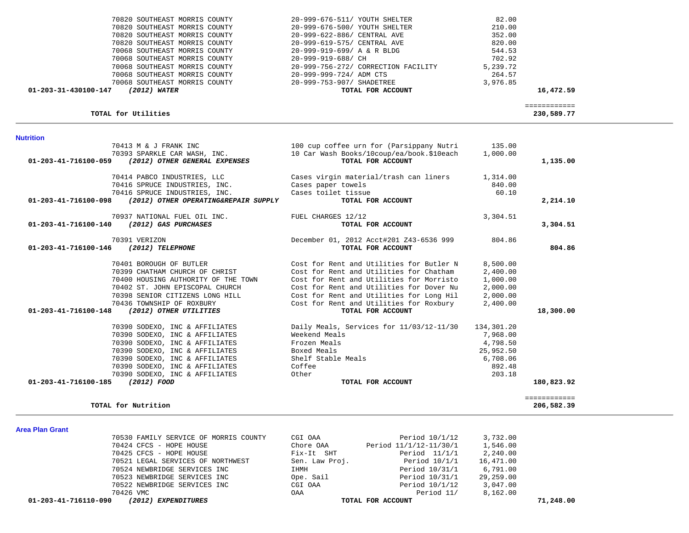| 01-203-41-716100-098           | (2012) OTHER OPERATING&REPAIR SUPPLY                           | TOTAL FOR ACCOUNT                                              |                 | 2,214.10     |  |
|--------------------------------|----------------------------------------------------------------|----------------------------------------------------------------|-----------------|--------------|--|
|                                | 70416 SPRUCE INDUSTRIES, INC.                                  | Cases toilet tissue                                            | 60.10           |              |  |
|                                | 70416 SPRUCE INDUSTRIES, INC.                                  | Cases paper towels                                             | 840.00          |              |  |
|                                | 70414 PABCO INDUSTRIES, LLC                                    | Cases virgin material/trash can liners                         | 1,314.00        |              |  |
| 01-203-41-716100-059           | (2012) OTHER GENERAL EXPENSES                                  | TOTAL FOR ACCOUNT                                              |                 | 1,135.00     |  |
|                                | 70393 SPARKLE CAR WASH, INC.                                   | 10 Car Wash Books/10coup/ea/book.\$10each                      | 1,000.00        |              |  |
|                                | 70413 M & J FRANK INC                                          | 100 cup coffee urn for (Parsippany Nutri                       | 135.00          |              |  |
| <b>Nutrition</b>               |                                                                |                                                                |                 |              |  |
|                                | TOTAL for Utilities                                            |                                                                |                 | 230,589.77   |  |
|                                |                                                                |                                                                |                 | ============ |  |
| $01 - 203 - 31 - 430100 - 147$ | (2012) WATER                                                   | TOTAL FOR ACCOUNT                                              |                 | 16,472.59    |  |
|                                | 70068 SOUTHEAST MORRIS COUNTY                                  | 20-999-753-907/ SHADETREE                                      | 3,976.85        |              |  |
|                                | 70068 SOUTHEAST MORRIS COUNTY                                  | 20-999-999-724/ ADM CTS                                        | 264.57          |              |  |
|                                | 70068 SOUTHEAST MORRIS COUNTY                                  | 20-999-756-272/ CORRECTION FACILITY                            | 5,239.72        |              |  |
|                                | 70068 SOUTHEAST MORRIS COUNTY                                  | 20-999-919-688/ CH                                             | 702.92          |              |  |
|                                | 70068 SOUTHEAST MORRIS COUNTY                                  | 20-999-919-699/ A & R BLDG                                     | 544.53          |              |  |
|                                | 70820 SOUTHEAST MORRIS COUNTY                                  | 20-999-619-575/ CENTRAL AVE                                    | 820.00          |              |  |
|                                | 70820 SOUTHEAST MORRIS COUNTY<br>70820 SOUTHEAST MORRIS COUNTY | 20-999-622-886/ CENTRAL AVE                                    | 352.00          |              |  |
|                                | 70820 SOUTHEAST MORRIS COUNTY                                  | 20-999-676-511/ YOUTH SHELTER<br>20-999-676-500/ YOUTH SHELTER | 82.00<br>210.00 |              |  |
|                                |                                                                |                                                                |                 |              |  |

|                                | 70416 SPRUCE INDUSTRIES, INC.         | Cases paper towels                       | 840.00     |              |
|--------------------------------|---------------------------------------|------------------------------------------|------------|--------------|
|                                | 70416 SPRUCE INDUSTRIES, INC.         | Cases toilet tissue                      | 60.10      |              |
| 01-203-41-716100-098           | (2012) OTHER OPERATING&REPAIR SUPPLY  | TOTAL FOR ACCOUNT                        |            | 2,214.10     |
|                                | 70937 NATIONAL FUEL OIL INC.          | FUEL CHARGES 12/12                       | 3,304.51   |              |
| 01-203-41-716100-140           | (2012) GAS PURCHASES                  | TOTAL FOR ACCOUNT                        |            | 3,304.51     |
|                                | 70391 VERIZON                         | December 01, 2012 Acct#201 Z43-6536 999  | 804.86     |              |
| 01-203-41-716100-146           | (2012) TELEPHONE                      | TOTAL FOR ACCOUNT                        |            | 804.86       |
|                                | 70401 BOROUGH OF BUTLER               | Cost for Rent and Utilities for Butler N | 8,500.00   |              |
|                                | 70399 CHATHAM CHURCH OF CHRIST        | Cost for Rent and Utilities for Chatham  | 2,400.00   |              |
|                                | 70400 HOUSING AUTHORITY OF THE TOWN   | Cost for Rent and Utilities for Morristo | 1,000.00   |              |
|                                | 70402 ST. JOHN EPISCOPAL CHURCH       | Cost for Rent and Utilities for Dover Nu | 2,000.00   |              |
|                                | 70398 SENIOR CITIZENS LONG HILL       | Cost for Rent and Utilities for Long Hil | 2,000.00   |              |
|                                | 70436 TOWNSHIP OF ROXBURY             | Cost for Rent and Utilities for Roxbury  | 2,400.00   |              |
| $01 - 203 - 41 - 716100 - 148$ | (2012) OTHER UTILITIES                | TOTAL FOR ACCOUNT                        |            | 18,300.00    |
|                                | 70390 SODEXO, INC & AFFILIATES        | Daily Meals, Services for 11/03/12-11/30 | 134,301.20 |              |
|                                | 70390 SODEXO, INC & AFFILIATES        | Weekend Meals                            | 7,968.00   |              |
|                                | 70390 SODEXO, INC & AFFILIATES        | Frozen Meals                             | 4,798.50   |              |
|                                | 70390 SODEXO, INC & AFFILIATES        | Boxed Meals                              | 25,952.50  |              |
|                                | 70390 SODEXO, INC & AFFILIATES        | Shelf Stable Meals                       | 6,708.06   |              |
|                                | 70390 SODEXO, INC & AFFILIATES        | Coffee                                   | 892.48     |              |
|                                | 70390 SODEXO, INC & AFFILIATES        | Other                                    | 203.18     |              |
| 01-203-41-716100-185           | (2012) FOOD                           | TOTAL FOR ACCOUNT                        |            | 180,823.92   |
|                                |                                       |                                          |            | ============ |
|                                | TOTAL for Nutrition                   |                                          |            | 206,582.39   |
| <b>Area Plan Grant</b>         |                                       |                                          |            |              |
|                                | 70530 FAMILY SERVICE OF MORRIS COUNTY | Period $10/1/12$<br>CGI OAA              | 3,732.00   |              |
|                                | 70424 CFCS - HOPE HOUSE               | Period 11/1/12-11/30/1<br>Chore OAA      | 1,546.00   |              |
|                                | $70425$ CFCS - HOPE HOUSE             | Fix-Tt SHT<br>Period 11/1/1              | 2.240.00   |              |

 $\sim$ 

| 01-203-41-716110-090 | (2012) EXPENDITURES                   |                | TOTAL FOR ACCOUNT      |           | 71,248.00 |
|----------------------|---------------------------------------|----------------|------------------------|-----------|-----------|
|                      | 70426 VMC                             | OAA            | Period 11/             | 8,162.00  |           |
|                      | 70522 NEWBRIDGE SERVICES INC          | CGI OAA        | Period $10/1/12$       | 3,047.00  |           |
|                      | 70523 NEWBRIDGE SERVICES INC          | Ope. Sail      | Period 10/31/1         | 29,259.00 |           |
|                      | 70524 NEWBRIDGE SERVICES INC          | IHMH           | Period 10/31/1         | 6,791.00  |           |
|                      | 70521 LEGAL SERVICES OF NORTHWEST     | Sen. Law Proj. | Period $10/1/1$        | 16,471.00 |           |
|                      | 70425 CFCS - HOPE HOUSE               | Fix-It SHT     | Period $11/1/1$        | 2,240.00  |           |
|                      | 70424 CFCS - HOPE HOUSE               | Chore OAA      | Period 11/1/12-11/30/1 | 1,546.00  |           |
|                      | 70530 FAMILY SERVICE OF MORRIS COUNTY | CGI OAA        | Period 10/1/12         | 3,732.00  |           |
| Area Pian Grant      |                                       |                |                        |           |           |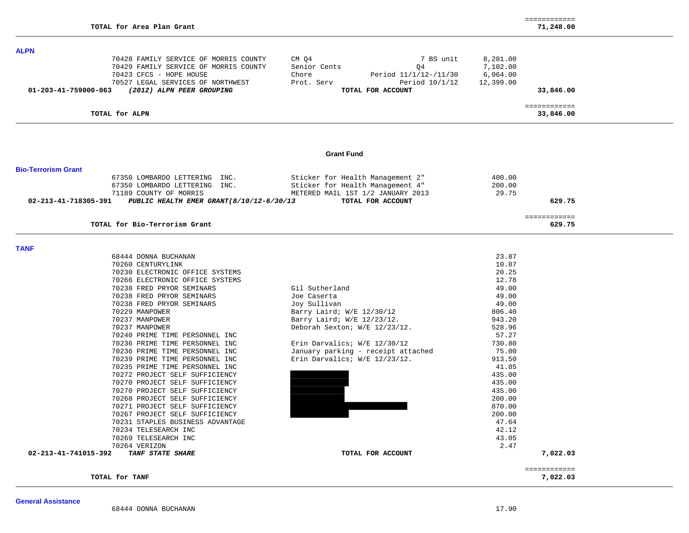| <b>ALPN</b>                                                                                                                                    |                                                                                                              |                                               |                           |
|------------------------------------------------------------------------------------------------------------------------------------------------|--------------------------------------------------------------------------------------------------------------|-----------------------------------------------|---------------------------|
| 70428 FAMILY SERVICE OF MORRIS COUNTY<br>70429 FAMILY SERVICE OF MORRIS COUNTY<br>70423 CFCS - HOPE HOUSE<br>70527 LEGAL SERVICES OF NORTHWEST | CM 04<br>7 BS unit<br>Senior Cents<br>O4<br>Chore<br>Period 11/1/12-/11/30<br>Prot. Serv<br>Period $10/1/12$ | 8,281.00<br>7,102.00<br>6,064.00<br>12,399.00 |                           |
| 01-203-41-759000-063<br>(2012) ALPN PEER GROUPING                                                                                              | TOTAL FOR ACCOUNT                                                                                            |                                               | 33,846.00                 |
| TOTAL for ALPN                                                                                                                                 |                                                                                                              |                                               | ============<br>33,846.00 |
|                                                                                                                                                |                                                                                                              |                                               |                           |
|                                                                                                                                                | <b>Grant Fund</b>                                                                                            |                                               |                           |
| <b>Bio-Terrorism Grant</b>                                                                                                                     |                                                                                                              |                                               |                           |
| 67350 LOMBARDO LETTERING INC.                                                                                                                  | Sticker for Health Management 2"                                                                             | 400.00                                        |                           |
| 67350 LOMBARDO LETTERING INC.                                                                                                                  | Sticker for Health Management 4"                                                                             | 200.00                                        |                           |
| 71189 COUNTY OF MORRIS                                                                                                                         | METERED MAIL 1ST 1/2 JANUARY 2013                                                                            | 29.75                                         |                           |
| 02-213-41-718305-391<br>PUBLIC HEALTH EMER GRANT (8/10/12-6/30/13                                                                              | TOTAL FOR ACCOUNT                                                                                            |                                               | 629.75                    |
|                                                                                                                                                |                                                                                                              |                                               | ============              |
| TOTAL for Bio-Terrorism Grant                                                                                                                  |                                                                                                              |                                               | 629.75                    |
| <b>TANF</b>                                                                                                                                    |                                                                                                              |                                               |                           |
| 68444 DONNA BUCHANAN                                                                                                                           |                                                                                                              | 23.87                                         |                           |
| 70260 CENTURYLINK                                                                                                                              |                                                                                                              | 10.87                                         |                           |
| 70230 ELECTRONIC OFFICE SYSTEMS                                                                                                                |                                                                                                              | 20.25                                         |                           |
| 70266 ELECTRONIC OFFICE SYSTEMS                                                                                                                |                                                                                                              | 12.78                                         |                           |
| 70238 FRED PRYOR SEMINARS                                                                                                                      | Gil Sutherland                                                                                               | 49.00                                         |                           |
| 70238 FRED PRYOR SEMINARS                                                                                                                      | Joe Caserta                                                                                                  | 49.00                                         |                           |
| 70238 FRED PRYOR SEMINARS                                                                                                                      | Joy Sullivan                                                                                                 | 49.00                                         |                           |
| 70229 MANPOWER                                                                                                                                 | Barry Laird; W/E 12/30/12                                                                                    | 806.40                                        |                           |
| 70237 MANPOWER                                                                                                                                 | Barry Laird; W/E 12/23/12.                                                                                   | 943.20                                        |                           |
| 70237 MANPOWER                                                                                                                                 | Deborah Sexton; W/E 12/23/12.                                                                                | 528.96                                        |                           |
| 70240 PRIME TIME PERSONNEL INC                                                                                                                 |                                                                                                              | 57.27                                         |                           |
| 70236 PRIME TIME PERSONNEL INC                                                                                                                 | Erin Darvalics; W/E 12/30/12                                                                                 | 730.80                                        |                           |
| 70236 PRIME TIME PERSONNEL INC                                                                                                                 | January parking - receipt attached                                                                           | 75.00                                         |                           |
| 70239 PRIME TIME PERSONNEL INC                                                                                                                 | Erin Darvalics; W/E 12/23/12.                                                                                | 913.50                                        |                           |
| 70235 PRIME TIME PERSONNEL INC                                                                                                                 |                                                                                                              | 41.85<br>435.00                               |                           |
| 70272 PROJECT SELF SUFFICIENCY<br>70270 PROJECT SELF SUFFICIENCY                                                                               |                                                                                                              | 435.00                                        |                           |
| 70270 PROJECT SELF SUFFICIENCY                                                                                                                 |                                                                                                              | 435.00                                        |                           |
| 70268 PROJECT SELF SUFFICIENCY                                                                                                                 |                                                                                                              | 200.00                                        |                           |
| 70271 PROJECT SELF SUFFICIENCY                                                                                                                 |                                                                                                              | 870.00                                        |                           |
| 70267 PROJECT SELF SUFFICIENCY                                                                                                                 |                                                                                                              | 200.00                                        |                           |
| 70231 STAPLES BUSINESS ADVANTAGE                                                                                                               |                                                                                                              | 47.64                                         |                           |
| 70234 TELESEARCH INC                                                                                                                           |                                                                                                              | 42.12                                         |                           |
| 70269 TELESEARCH INC                                                                                                                           |                                                                                                              | 43.05                                         |                           |
| 70264 VERIZON                                                                                                                                  |                                                                                                              | 2.47                                          |                           |
| 02-213-41-741015-392<br>TANF STATE SHARE                                                                                                       | TOTAL FOR ACCOUNT                                                                                            |                                               | 7,022.03                  |
|                                                                                                                                                |                                                                                                              |                                               | ============              |
| TOTAL for TANF                                                                                                                                 |                                                                                                              |                                               | 7,022.03                  |

**General Assistance**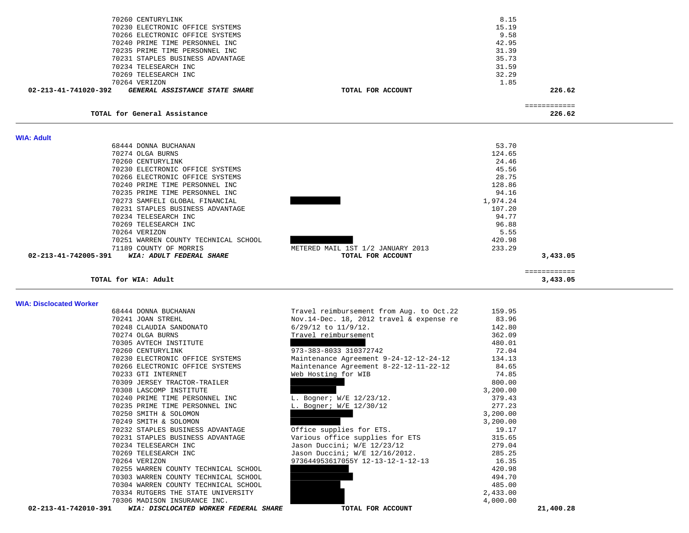| 70260 CENTURYLINK                                      | 8.15                                        |              |
|--------------------------------------------------------|---------------------------------------------|--------------|
| 70230 ELECTRONIC OFFICE SYSTEMS                        | 15.19                                       |              |
| 70266 ELECTRONIC OFFICE SYSTEMS                        | 9.58                                        |              |
| 70240 PRIME TIME PERSONNEL INC                         | 42.95                                       |              |
| 70235 PRIME TIME PERSONNEL INC                         | 31.39                                       |              |
| 70231 STAPLES BUSINESS ADVANTAGE                       | 35.73                                       |              |
| 70234 TELESEARCH INC                                   | 31.59                                       |              |
| 70269 TELESEARCH INC                                   | 32.29                                       |              |
| 70264 VERIZON                                          | 1.85                                        |              |
| 02-213-41-741020-392<br>GENERAL ASSISTANCE STATE SHARE | TOTAL FOR ACCOUNT                           | 226.62       |
|                                                        |                                             | ============ |
| TOTAL for General Assistance                           |                                             | 226.62       |
| <b>WIA: Adult</b>                                      |                                             |              |
| 68444 DONNA BUCHANAN                                   | 53.70                                       |              |
| 70274 OLGA BURNS                                       | 124.65                                      |              |
| 70260 CENTURYLINK                                      | 24.46                                       |              |
| 70230 ELECTRONIC OFFICE SYSTEMS                        | 45.56                                       |              |
| 70266 ELECTRONIC OFFICE SYSTEMS                        | 28.75                                       |              |
| 70240 PRIME TIME PERSONNEL INC                         | 128.86                                      |              |
| 70235 PRIME TIME PERSONNEL INC                         | 94.16                                       |              |
| 70273 SAMFELI GLOBAL FINANCIAL                         | 1,974.24                                    |              |
| 70231 STAPLES BUSINESS ADVANTAGE                       | 107.20                                      |              |
| 70234 TELESEARCH INC                                   | 94.77                                       |              |
| 70269 TELESEARCH INC                                   | 96.88                                       |              |
| 70264 VERIZON                                          | 5.55                                        |              |
| 70251 WARREN COUNTY TECHNICAL SCHOOL                   | 420.98                                      |              |
| 71189 COUNTY OF MORRIS                                 | METERED MAIL 1ST 1/2 JANUARY 2013<br>233.29 |              |
| 02-213-41-742005-391<br>WIA: ADULT FEDERAL SHARE       | TOTAL FOR ACCOUNT                           | 3,433.05     |
|                                                        |                                             | ============ |
| TOTAL for WIA: Adult                                   |                                             | 3,433.05     |

#### **WIA: Disclocated Worker**

| וטחוטות וועגוטטוסוט החוזו |                                  |                                       |                                          |          |           |
|---------------------------|----------------------------------|---------------------------------------|------------------------------------------|----------|-----------|
|                           | 68444 DONNA BUCHANAN             |                                       | Travel reimbursement from Aug. to Oct.22 | 159.95   |           |
|                           | 70241 JOAN STREHL                |                                       | Nov.14-Dec. 18, 2012 travel & expense re | 83.96    |           |
|                           | 70248 CLAUDIA SANDONATO          |                                       | $6/29/12$ to $11/9/12$ .                 | 142.80   |           |
|                           | 70274 OLGA BURNS                 |                                       | Travel reimbursement                     | 362.09   |           |
|                           | 70305 AVTECH INSTITUTE           |                                       |                                          | 480.01   |           |
|                           | 70260 CENTURYLINK                |                                       | 973-383-8033 310372742                   | 72.04    |           |
|                           |                                  | 70230 ELECTRONIC OFFICE SYSTEMS       | Maintenance Agreement 9-24-12-12-24-12   | 134.13   |           |
|                           |                                  | 70266 ELECTRONIC OFFICE SYSTEMS       | Maintenance Agreement 8-22-12-11-22-12   | 84.65    |           |
|                           | 70233 GTI INTERNET               |                                       | Web Hosting for WIB                      | 74.85    |           |
|                           | 70309 JERSEY TRACTOR-TRAILER     |                                       |                                          | 800.00   |           |
|                           | 70308 LASCOMP INSTITUTE          |                                       |                                          | 3,200.00 |           |
|                           |                                  | 70240 PRIME TIME PERSONNEL INC        | L. Bogner; W/E 12/23/12.                 | 379.43   |           |
|                           |                                  | 70235 PRIME TIME PERSONNEL INC        | L. Bogner; W/E 12/30/12                  | 277.23   |           |
|                           | 70250 SMITH & SOLOMON            |                                       |                                          | 3,200.00 |           |
|                           | 70249 SMITH & SOLOMON            |                                       |                                          | 3,200.00 |           |
|                           | 70232 STAPLES BUSINESS ADVANTAGE |                                       | Office supplies for ETS.                 | 19.17    |           |
|                           | 70231 STAPLES BUSINESS ADVANTAGE |                                       | Various office supplies for ETS          | 315.65   |           |
|                           | 70234 TELESEARCH INC             |                                       | Jason Duccini; W/E 12/23/12              | 279.04   |           |
|                           | 70269 TELESEARCH INC             |                                       | Jason Duccini; W/E 12/16/2012.           | 285.25   |           |
|                           | 70264 VERIZON                    |                                       | 973644953617055Y 12-13-12-1-12-13        | 16.35    |           |
|                           |                                  | 70255 WARREN COUNTY TECHNICAL SCHOOL  |                                          | 420.98   |           |
|                           |                                  | 70303 WARREN COUNTY TECHNICAL SCHOOL  |                                          | 494.70   |           |
|                           |                                  | 70304 WARREN COUNTY TECHNICAL SCHOOL  |                                          | 485.00   |           |
|                           |                                  | 70334 RUTGERS THE STATE UNIVERSITY    |                                          | 2,433.00 |           |
|                           | 70306 MADISON INSURANCE INC.     |                                       |                                          | 4,000.00 |           |
| 02-213-41-742010-391      |                                  | WIA: DISCLOCATED WORKER FEDERAL SHARE | TOTAL FOR ACCOUNT                        |          | 21,400.28 |
|                           |                                  |                                       |                                          |          |           |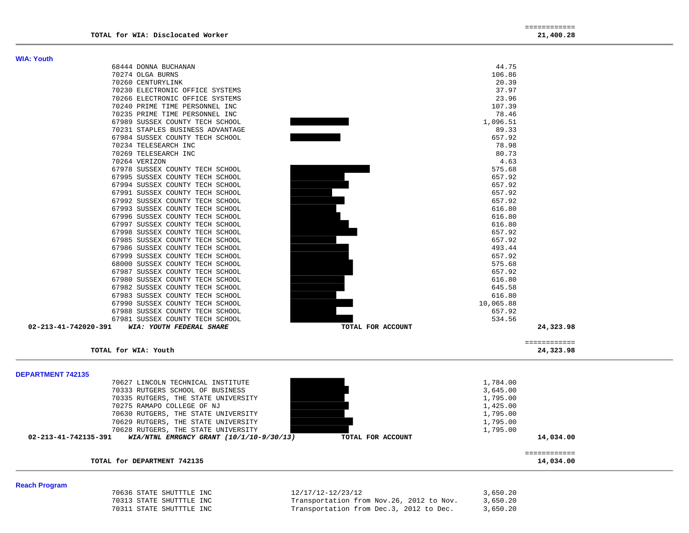| <b>WIA: Youth</b>                                                  |                   |              |
|--------------------------------------------------------------------|-------------------|--------------|
| 68444 DONNA BUCHANAN                                               | 44.75             |              |
| 70274 OLGA BURNS                                                   | 106.86            |              |
| 70260 CENTURYLINK                                                  | 20.39             |              |
| 70230 ELECTRONIC OFFICE SYSTEMS                                    | 37.97             |              |
| 70266 ELECTRONIC OFFICE SYSTEMS                                    | 23.96             |              |
| 70240 PRIME TIME PERSONNEL INC                                     | 107.39            |              |
| 70235 PRIME TIME PERSONNEL INC                                     | 78.46             |              |
| 67989 SUSSEX COUNTY TECH SCHOOL                                    | 1,096.51          |              |
| 70231 STAPLES BUSINESS ADVANTAGE                                   | 89.33             |              |
| 67984 SUSSEX COUNTY TECH SCHOOL                                    | 657.92            |              |
| 70234 TELESEARCH INC                                               | 78.98             |              |
| 70269 TELESEARCH INC                                               | 80.73             |              |
| 70264 VERIZON                                                      | 4.63              |              |
| 67978 SUSSEX COUNTY TECH SCHOOL                                    | 575.68            |              |
| 67995 SUSSEX COUNTY TECH SCHOOL                                    | 657.92            |              |
| 67994 SUSSEX COUNTY TECH SCHOOL                                    | 657.92            |              |
| 67991 SUSSEX COUNTY TECH SCHOOL                                    | 657.92            |              |
| 67992 SUSSEX COUNTY TECH SCHOOL                                    | 657.92            |              |
| 67993 SUSSEX COUNTY TECH SCHOOL                                    | 616.80            |              |
| 67996 SUSSEX COUNTY TECH SCHOOL                                    | 616.80            |              |
| 67997 SUSSEX COUNTY TECH SCHOOL                                    | 616.80            |              |
| 67998 SUSSEX COUNTY TECH SCHOOL                                    | 657.92            |              |
| 67985 SUSSEX COUNTY TECH SCHOOL                                    | 657.92            |              |
| 67986 SUSSEX COUNTY TECH SCHOOL                                    | 493.44            |              |
| 67999 SUSSEX COUNTY TECH SCHOOL                                    | 657.92            |              |
| 68000 SUSSEX COUNTY TECH SCHOOL                                    | 575.68            |              |
| 67987 SUSSEX COUNTY TECH SCHOOL                                    | 657.92            |              |
| 67980 SUSSEX COUNTY TECH SCHOOL                                    | 616.80            |              |
| 67982 SUSSEX COUNTY TECH SCHOOL                                    | 645.58            |              |
| 67983 SUSSEX COUNTY TECH SCHOOL                                    | 616.80            |              |
| 67990 SUSSEX COUNTY TECH SCHOOL                                    | 10,065.88         |              |
| 67988 SUSSEX COUNTY TECH SCHOOL                                    | 657.92            |              |
| 67981 SUSSEX COUNTY TECH SCHOOL                                    | 534.56            |              |
| 02-213-41-742020-391<br>WIA: YOUTH FEDERAL SHARE                   | TOTAL FOR ACCOUNT | 24,323.98    |
|                                                                    |                   |              |
|                                                                    |                   | ============ |
| TOTAL for WIA: Youth                                               |                   | 24,323.98    |
|                                                                    |                   |              |
| <b>DEPARTMENT 742135</b>                                           |                   |              |
| 70627 LINCOLN TECHNICAL INSTITUTE                                  | 1,784.00          |              |
| 70333 RUTGERS SCHOOL OF BUSINESS                                   | 3,645.00          |              |
| 70335 RUTGERS, THE STATE UNIVERSITY                                | 1,795.00          |              |
| 70275 RAMAPO COLLEGE OF NJ                                         | 1,425.00          |              |
| 70630 RUTGERS, THE STATE UNIVERSITY                                | 1,795.00          |              |
| 70629 RUTGERS, THE STATE UNIVERSITY                                | 1,795.00          |              |
| 70628 RUTGERS, THE STATE UNIVERSITY                                | 1,795.00          |              |
| 02-213-41-742135-391<br>WIA/NTNL EMRGNCY GRANT $(10/1/10-9/30/13)$ | TOTAL FOR ACCOUNT | 14,034.00    |
|                                                                    |                   | ============ |
| TOTAL for DEPARTMENT 742135                                        |                   | 14,034.00    |
|                                                                    |                   |              |
|                                                                    |                   |              |

## **Reach Program**

|  | 70636 STATE SHUTTTLE INC |  |
|--|--------------------------|--|
|  | 70313 STATE SHUTTTLE INC |  |
|  | 70311 STATE SHUTTTLE INC |  |

 $12/17/12-12/23/12$  3,650.20 Transportation from Nov.26, 2012 to Nov. Transportation from Dec.3, 2012 to Dec.

|  | 3,650.20 |  |
|--|----------|--|
|  | 3,650.20 |  |
|  | 3,650.20 |  |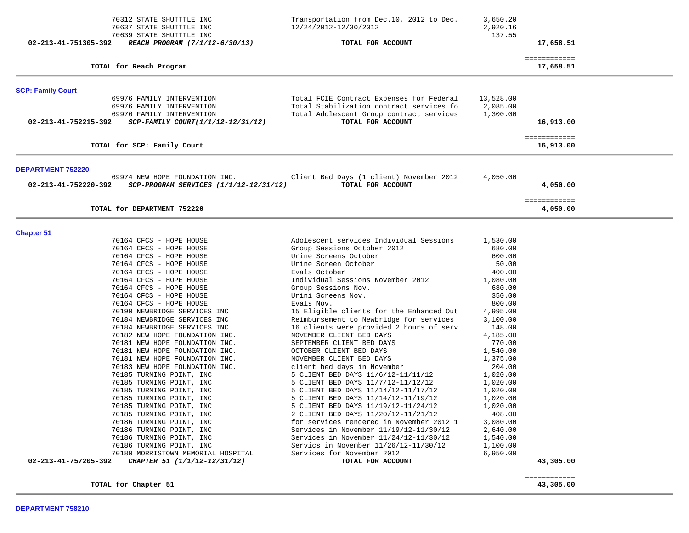|                          | 70312 STATE SHUTTTLE INC<br>70637 STATE SHUTTTLE INC<br>70639 STATE SHUTTTLE INC    | Transportation from Dec.10, 2012 to Dec.<br>12/24/2012-12/30/2012                                                                | 3,650.20<br>2,920.16<br>137.55    |                           |
|--------------------------|-------------------------------------------------------------------------------------|----------------------------------------------------------------------------------------------------------------------------------|-----------------------------------|---------------------------|
| 02-213-41-751305-392     | REACH PROGRAM (7/1/12-6/30/13)                                                      | TOTAL FOR ACCOUNT                                                                                                                |                                   | 17,658.51                 |
|                          | TOTAL for Reach Program                                                             |                                                                                                                                  |                                   | ============<br>17,658.51 |
| <b>SCP: Family Court</b> |                                                                                     |                                                                                                                                  |                                   |                           |
|                          | 69976 FAMILY INTERVENTION<br>69976 FAMILY INTERVENTION<br>69976 FAMILY INTERVENTION | Total FCIE Contract Expenses for Federal<br>Total Stabilization contract services fo<br>Total Adolescent Group contract services | 13,528.00<br>2,085.00<br>1,300.00 |                           |
| 02-213-41-752215-392     | SCP-FAMILY COURT(1/1/12-12/31/12)                                                   | TOTAL FOR ACCOUNT                                                                                                                |                                   | 16,913.00<br>============ |
|                          | TOTAL for SCP: Family Court                                                         |                                                                                                                                  |                                   | 16,913.00                 |
| <b>DEPARTMENT 752220</b> |                                                                                     |                                                                                                                                  |                                   |                           |
| 02-213-41-752220-392     | 69974 NEW HOPE FOUNDATION INC.<br>$SCP-PROGRAM$ SERVICES $(1/1/12-12/31/12)$        | Client Bed Days (1 client) November 2012<br>TOTAL FOR ACCOUNT                                                                    | 4,050.00                          | 4,050.00                  |
|                          | TOTAL for DEPARTMENT 752220                                                         |                                                                                                                                  |                                   | ============<br>4,050.00  |
| <b>Chapter 51</b>        |                                                                                     |                                                                                                                                  |                                   |                           |
|                          | 70164 CFCS - HOPE HOUSE                                                             | Adolescent services Individual Sessions                                                                                          | 1,530.00                          |                           |
|                          | 70164 CFCS - HOPE HOUSE<br>70164 CFCS - HOPE HOUSE                                  | Group Sessions October 2012<br>Urine Screens October                                                                             | 680.00<br>600.00                  |                           |
|                          | 70164 CFCS - HOPE HOUSE                                                             | Urine Screen October                                                                                                             | 50.00                             |                           |
|                          | 70164 CFCS - HOPE HOUSE                                                             | Evals October                                                                                                                    | 400.00                            |                           |
|                          | 70164 CFCS - HOPE HOUSE                                                             | Individual Sessions November 2012                                                                                                | 1,080.00                          |                           |
|                          | 70164 CFCS - HOPE HOUSE                                                             | Group Sessions Nov.                                                                                                              | 680.00                            |                           |
|                          | 70164 CFCS - HOPE HOUSE                                                             | Urini Screens Nov.                                                                                                               | 350.00                            |                           |
|                          | 70164 CFCS - HOPE HOUSE                                                             | Evals Nov.                                                                                                                       | 800.00                            |                           |
|                          | 70190 NEWBRIDGE SERVICES INC<br>70184 NEWBRIDGE SERVICES INC                        | 15 Eligible clients for the Enhanced Out<br>Reimbursement to Newbridge for services                                              | 4,995.00<br>3,100.00              |                           |
|                          | 70184 NEWBRIDGE SERVICES INC                                                        | 16 clients were provided 2 hours of serv                                                                                         | 148.00                            |                           |
|                          | 70182 NEW HOPE FOUNDATION INC.                                                      | NOVEMBER CLIENT BED DAYS                                                                                                         | 4,185.00                          |                           |
|                          | 70181 NEW HOPE FOUNDATION INC.                                                      | SEPTEMBER CLIENT BED DAYS                                                                                                        | 770.00                            |                           |
|                          | 70181 NEW HOPE FOUNDATION INC.                                                      | OCTOBER CLIENT BED DAYS                                                                                                          | 1,540.00                          |                           |
|                          | 70181 NEW HOPE FOUNDATION INC.                                                      | NOVEMBER CLIENT BED DAYS                                                                                                         | 1,375.00                          |                           |
|                          | 70183 NEW HOPE FOUNDATION INC.                                                      | client bed days in November                                                                                                      | 204.00                            |                           |
|                          | 70185 TURNING POINT, INC                                                            | 5 CLIENT BED DAYS 11/6/12-11/11/12                                                                                               | 1,020.00                          |                           |
|                          | 70185 TURNING POINT, INC<br>70185 TURNING POINT, INC                                | 5 CLIENT BED DAYS 11/7/12-11/12/12<br>5 CLIENT BED DAYS 11/14/12-11/17/12                                                        | 1,020.00<br>1,020.00              |                           |
|                          | 70185 TURNING POINT, INC                                                            | 5 CLIENT BED DAYS 11/14/12-11/19/12                                                                                              | 1,020.00                          |                           |
|                          | 70185 TURNING POINT, INC                                                            | 5 CLIENT BED DAYS 11/19/12-11/24/12                                                                                              | 1,020.00                          |                           |
|                          | 70185 TURNING POINT, INC                                                            | 2 CLIENT BED DAYS 11/20/12-11/21/12                                                                                              | 408.00                            |                           |
|                          | 70186 TURNING POINT, INC                                                            | for services rendered in November 2012 1                                                                                         | 3,080.00                          |                           |
|                          | 70186 TURNING POINT, INC                                                            | Services in November 11/19/12-11/30/12                                                                                           | 2,640.00                          |                           |
|                          | 70186 TURNING POINT, INC                                                            | Services in November 11/24/12-11/30/12                                                                                           | 1,540.00                          |                           |
|                          | 70186 TURNING POINT, INC<br>70180 MORRISTOWN MEMORIAL HOSPITAL                      | Servics in November 11/26/12-11/30/12<br>Services for November 2012                                                              | 1,100.00<br>6,950.00              |                           |
| 02-213-41-757205-392     | CHAPTER 51 (1/1/12-12/31/12)                                                        | TOTAL FOR ACCOUNT                                                                                                                |                                   | 43,305.00                 |
|                          | TOTAL for Chapter 51                                                                |                                                                                                                                  |                                   | ============<br>43,305.00 |

**DEPARTMENT 758210**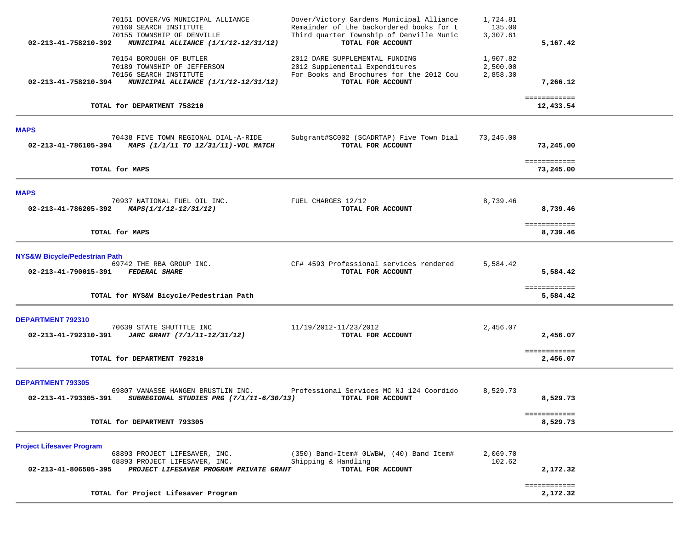| 70151 DOVER/VG MUNICIPAL ALLIANCE<br>70160 SEARCH INSTITUTE<br>70155 TOWNSHIP OF DENVILLE<br>02-213-41-758210-392<br>MUNICIPAL ALLIANCE (1/1/12-12/31/12)<br>70154 BOROUGH OF BUTLER<br>70189 TOWNSHIP OF JEFFERSON | Dover/Victory Gardens Municipal Alliance<br>Remainder of the backordered books for t<br>Third quarter Township of Denville Munic<br>TOTAL FOR ACCOUNT<br>2012 DARE SUPPLEMENTAL FUNDING<br>2012 Supplemental Expenditures | 1,724.81<br>135.00<br>3,307.61<br>1,907.82<br>2,500.00 | 5,167.42                                   |  |
|---------------------------------------------------------------------------------------------------------------------------------------------------------------------------------------------------------------------|---------------------------------------------------------------------------------------------------------------------------------------------------------------------------------------------------------------------------|--------------------------------------------------------|--------------------------------------------|--|
| 70156 SEARCH INSTITUTE<br>02-213-41-758210-394<br>MUNICIPAL ALLIANCE (1/1/12-12/31/12)                                                                                                                              | For Books and Brochures for the 2012 Cou<br>TOTAL FOR ACCOUNT                                                                                                                                                             | 2,858.30                                               | 7,266.12                                   |  |
| TOTAL for DEPARTMENT 758210                                                                                                                                                                                         |                                                                                                                                                                                                                           |                                                        | ============<br>12,433.54                  |  |
| <b>MAPS</b><br>70438 FIVE TOWN REGIONAL DIAL-A-RIDE<br>02-213-41-786105-394<br>MAPS (1/1/11 TO 12/31/11)-VOL MATCH                                                                                                  | Subgrant#SC002 (SCADRTAP) Five Town Dial<br>TOTAL FOR ACCOUNT                                                                                                                                                             | 73,245.00                                              | 73,245.00                                  |  |
| TOTAL for MAPS                                                                                                                                                                                                      |                                                                                                                                                                                                                           |                                                        | ============<br>73,245.00                  |  |
| <b>MAPS</b><br>70937 NATIONAL FUEL OIL INC.<br>02-213-41-786205-392<br>MAPS(1/1/12-12/31/12)                                                                                                                        | FUEL CHARGES 12/12<br>TOTAL FOR ACCOUNT                                                                                                                                                                                   | 8,739.46                                               | 8,739.46                                   |  |
| TOTAL for MAPS                                                                                                                                                                                                      |                                                                                                                                                                                                                           |                                                        | ============<br>8,739.46                   |  |
| <b>NYS&amp;W Bicycle/Pedestrian Path</b><br>69742 THE RBA GROUP INC.<br>02-213-41-790015-391 FEDERAL SHARE                                                                                                          | CF# 4593 Professional services rendered<br>TOTAL FOR ACCOUNT                                                                                                                                                              | 5,584.42                                               | 5,584.42<br>============                   |  |
| TOTAL for NYS&W Bicycle/Pedestrian Path                                                                                                                                                                             |                                                                                                                                                                                                                           |                                                        | 5,584.42                                   |  |
| DEPARTMENT 792310<br>70639 STATE SHUTTTLE INC<br>02-213-41-792310-391<br>JARC GRANT (7/1/11-12/31/12)<br>TOTAL for DEPARTMENT 792310                                                                                | 11/19/2012-11/23/2012<br>TOTAL FOR ACCOUNT                                                                                                                                                                                | 2,456.07                                               | 2,456.07<br>============<br>2,456.07       |  |
| <b>DEPARTMENT 793305</b><br>69807 VANASSE HANGEN BRUSTLIN INC.<br>02-213-41-793305-391<br>SUBREGIONAL STUDIES PRG (7/1/11-6/30/13)<br>TOTAL for DEPARTMENT 793305                                                   | Professional Services MC NJ 124 Coordido<br>TOTAL FOR ACCOUNT                                                                                                                                                             | 8,529.73                                               | 8,529.73<br><b>EEEEEEEEEEE</b><br>8,529.73 |  |
| <b>Project Lifesaver Program</b><br>68893 PROJECT LIFESAVER, INC.<br>68893 PROJECT LIFESAVER, INC.<br>PROJECT LIFESAVER PROGRAM PRIVATE GRANT<br>02-213-41-806505-395<br>TOTAL for Project Lifesaver Program        | (350) Band-Item# 0LWBW, (40) Band Item#<br>Shipping & Handling<br>TOTAL FOR ACCOUNT                                                                                                                                       | 2,069.70<br>102.62                                     | 2,172.32<br>============<br>2,172.32       |  |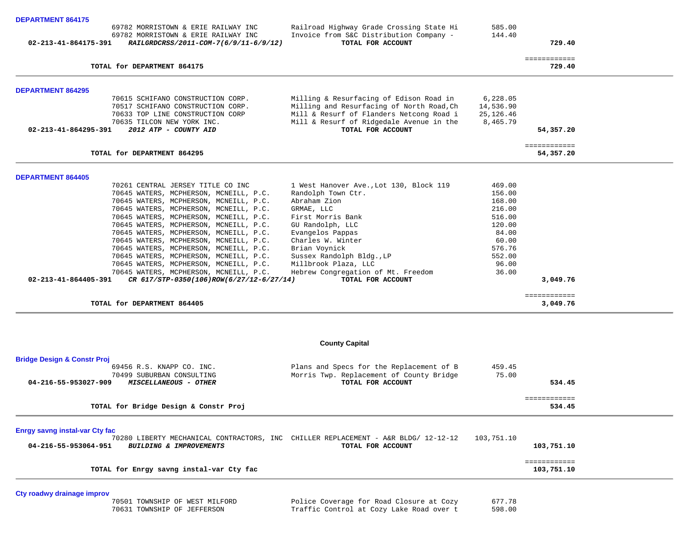| <b>DEPARTMENT 864175</b>                                                                                                                                                                                                                                                                                                                                                                                                                                                                                                                                                                                                                       |                                                                                                                                                                                                                                                                                                                |                                                                                                                  |                                      |  |
|------------------------------------------------------------------------------------------------------------------------------------------------------------------------------------------------------------------------------------------------------------------------------------------------------------------------------------------------------------------------------------------------------------------------------------------------------------------------------------------------------------------------------------------------------------------------------------------------------------------------------------------------|----------------------------------------------------------------------------------------------------------------------------------------------------------------------------------------------------------------------------------------------------------------------------------------------------------------|------------------------------------------------------------------------------------------------------------------|--------------------------------------|--|
| 69782 MORRISTOWN & ERIE RAILWAY INC<br>69782 MORRISTOWN & ERIE RAILWAY INC<br>02-213-41-864175-391<br>RAILGRDCRSS/2011-COM-7(6/9/11-6/9/12)                                                                                                                                                                                                                                                                                                                                                                                                                                                                                                    | Railroad Highway Grade Crossing State Hi<br>Invoice from S&C Distribution Company -<br>TOTAL FOR ACCOUNT                                                                                                                                                                                                       | 585.00<br>144.40                                                                                                 | 729.40                               |  |
| TOTAL for DEPARTMENT 864175                                                                                                                                                                                                                                                                                                                                                                                                                                                                                                                                                                                                                    |                                                                                                                                                                                                                                                                                                                |                                                                                                                  | ============<br>729.40               |  |
|                                                                                                                                                                                                                                                                                                                                                                                                                                                                                                                                                                                                                                                |                                                                                                                                                                                                                                                                                                                |                                                                                                                  |                                      |  |
| <b>DEPARTMENT 864295</b>                                                                                                                                                                                                                                                                                                                                                                                                                                                                                                                                                                                                                       |                                                                                                                                                                                                                                                                                                                |                                                                                                                  |                                      |  |
| 70615 SCHIFANO CONSTRUCTION CORP.<br>70517 SCHIFANO CONSTRUCTION CORP.<br>70633 TOP LINE CONSTRUCTION CORP<br>70635 TILCON NEW YORK INC.                                                                                                                                                                                                                                                                                                                                                                                                                                                                                                       | Milling & Resurfacing of Edison Road in<br>Milling and Resurfacing of North Road, Ch<br>Mill & Resurf of Flanders Netcong Road i<br>Mill & Resurf of Ridgedale Avenue in the                                                                                                                                   | 6,228.05<br>14,536.90<br>25,126.46<br>8,465.79                                                                   |                                      |  |
| 2012 ATP - COUNTY AID<br>02-213-41-864295-391                                                                                                                                                                                                                                                                                                                                                                                                                                                                                                                                                                                                  | TOTAL FOR ACCOUNT                                                                                                                                                                                                                                                                                              |                                                                                                                  | 54,357.20                            |  |
| TOTAL for DEPARTMENT 864295                                                                                                                                                                                                                                                                                                                                                                                                                                                                                                                                                                                                                    |                                                                                                                                                                                                                                                                                                                |                                                                                                                  | ============<br>54,357.20            |  |
|                                                                                                                                                                                                                                                                                                                                                                                                                                                                                                                                                                                                                                                |                                                                                                                                                                                                                                                                                                                |                                                                                                                  |                                      |  |
| <b>DEPARTMENT 864405</b><br>70261 CENTRAL JERSEY TITLE CO INC<br>70645 WATERS, MCPHERSON, MCNEILL, P.C.<br>70645 WATERS, MCPHERSON, MCNEILL, P.C.<br>70645 WATERS, MCPHERSON, MCNEILL, P.C.<br>70645 WATERS, MCPHERSON, MCNEILL, P.C.<br>70645 WATERS, MCPHERSON, MCNEILL, P.C.<br>70645 WATERS, MCPHERSON, MCNEILL, P.C.<br>70645 WATERS, MCPHERSON, MCNEILL, P.C.<br>70645 WATERS, MCPHERSON, MCNEILL, P.C.<br>70645 WATERS, MCPHERSON, MCNEILL, P.C.<br>70645 WATERS, MCPHERSON, MCNEILL, P.C.<br>70645 WATERS, MCPHERSON, MCNEILL, P.C.<br>02-213-41-864405-391<br>CR 617/STP-0350(106)ROW(6/27/12-6/27/14)<br>TOTAL for DEPARTMENT 864405 | 1 West Hanover Ave., Lot 130, Block 119<br>Randolph Town Ctr.<br>Abraham Zion<br>GRMAE, LLC<br>First Morris Bank<br>GU Randolph, LLC<br>Evangelos Pappas<br>Charles W. Winter<br>Brian Voynick<br>Sussex Randolph Bldg., LP<br>Millbrook Plaza, LLC<br>Hebrew Congregation of Mt. Freedom<br>TOTAL FOR ACCOUNT | 469.00<br>156.00<br>168.00<br>216.00<br>516.00<br>120.00<br>84.00<br>60.00<br>576.76<br>552.00<br>96.00<br>36.00 | 3,049.76<br>============<br>3,049.76 |  |
|                                                                                                                                                                                                                                                                                                                                                                                                                                                                                                                                                                                                                                                | <b>County Capital</b>                                                                                                                                                                                                                                                                                          |                                                                                                                  |                                      |  |
| <b>Bridge Design &amp; Constr Proj</b><br>69456 R.S. KNAPP CO. INC.<br>70499 SUBURBAN CONSULTING<br>04-216-55-953027-909<br>MISCELLANEOUS - OTHER                                                                                                                                                                                                                                                                                                                                                                                                                                                                                              | Plans and Specs for the Replacement of B<br>Morris Twp. Replacement of County Bridge<br>TOTAL FOR ACCOUNT                                                                                                                                                                                                      | 459.45<br>75.00                                                                                                  | 534.45<br>============               |  |
| TOTAL for Bridge Design & Constr Proj                                                                                                                                                                                                                                                                                                                                                                                                                                                                                                                                                                                                          |                                                                                                                                                                                                                                                                                                                |                                                                                                                  | 534.45                               |  |
| <b>Enrgy savng instal-var Cty fac</b><br>BUILDING & IMPROVEMENTS<br>04-216-55-953064-951                                                                                                                                                                                                                                                                                                                                                                                                                                                                                                                                                       | 70280 LIBERTY MECHANICAL CONTRACTORS, INC CHILLER REPLACEMENT - A&R BLDG/ 12-12-12<br>TOTAL FOR ACCOUNT                                                                                                                                                                                                        | 103,751.10                                                                                                       | 103,751.10                           |  |
| TOTAL for Enrgy savng instal-var Cty fac                                                                                                                                                                                                                                                                                                                                                                                                                                                                                                                                                                                                       |                                                                                                                                                                                                                                                                                                                |                                                                                                                  | ============<br>103,751.10           |  |
| Cty roadwy drainage improv                                                                                                                                                                                                                                                                                                                                                                                                                                                                                                                                                                                                                     |                                                                                                                                                                                                                                                                                                                |                                                                                                                  |                                      |  |

| '0501 TOWNSHIP OF WEST MILFORD |  |  |
|--------------------------------|--|--|
| '0631 TOWNSHIP OF JEFFERSON    |  |  |

 70501 TOWNSHIP OF WEST MILFORD Police Coverage for Road Closure at Cozy 677.78 70631 TOWNSHIP OF JEFFERSON Traffic Control at Cozy Lake Road over t 598.00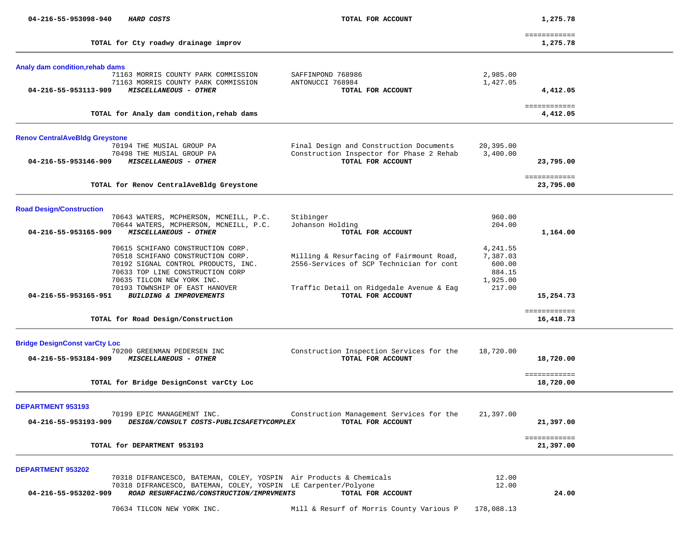| 04-216-55-953098-940                  | HARD COSTS                                                         | TOTAL FOR ACCOUNT                                             |           | 1,275.78                  |  |
|---------------------------------------|--------------------------------------------------------------------|---------------------------------------------------------------|-----------|---------------------------|--|
|                                       | TOTAL for Cty roadwy drainage improv                               |                                                               |           | ============<br>1,275.78  |  |
| Analy dam condition, rehab dams       |                                                                    |                                                               |           |                           |  |
|                                       | 71163 MORRIS COUNTY PARK COMMISSION                                | SAFFINPOND 768986                                             | 2,985.00  |                           |  |
|                                       | 71163 MORRIS COUNTY PARK COMMISSION                                | ANTONUCCI 768984                                              | 1,427.05  |                           |  |
| 04-216-55-953113-909                  | MISCELLANEOUS - OTHER                                              | TOTAL FOR ACCOUNT                                             |           | 4,412.05                  |  |
|                                       | TOTAL for Analy dam condition, rehab dams                          |                                                               |           | ============<br>4,412.05  |  |
| <b>Renov CentralAveBldg Greystone</b> |                                                                    |                                                               |           |                           |  |
|                                       | 70194 THE MUSIAL GROUP PA                                          | Final Design and Construction Documents                       | 20,395.00 |                           |  |
|                                       | 70498 THE MUSIAL GROUP PA                                          | Construction Inspector for Phase 2 Rehab                      | 3,400.00  |                           |  |
| 04-216-55-953146-909                  | <b>MISCELLANEOUS - OTHER</b>                                       | TOTAL FOR ACCOUNT                                             |           | 23,795.00                 |  |
|                                       | TOTAL for Renov CentralAveBldg Greystone                           |                                                               |           | ============<br>23,795.00 |  |
| <b>Road Design/Construction</b>       |                                                                    |                                                               |           |                           |  |
|                                       | 70643 WATERS, MCPHERSON, MCNEILL, P.C.                             | Stibinger                                                     | 960.00    |                           |  |
|                                       | 70644 WATERS, MCPHERSON, MCNEILL, P.C.                             | Johanson Holding                                              | 204.00    |                           |  |
| 04-216-55-953165-909                  | MISCELLANEOUS - OTHER                                              | TOTAL FOR ACCOUNT                                             |           | 1,164.00                  |  |
|                                       | 70615 SCHIFANO CONSTRUCTION CORP.                                  |                                                               | 4,241.55  |                           |  |
|                                       | 70518 SCHIFANO CONSTRUCTION CORP.                                  | Milling & Resurfacing of Fairmount Road,                      | 7,387.03  |                           |  |
|                                       | 70192 SIGNAL CONTROL PRODUCTS, INC.                                | 2556-Services of SCP Technician for cont                      | 600.00    |                           |  |
|                                       | 70633 TOP LINE CONSTRUCTION CORP                                   |                                                               | 884.15    |                           |  |
|                                       | 70635 TILCON NEW YORK INC.                                         |                                                               | 1,925.00  |                           |  |
| 04-216-55-953165-951                  | 70193 TOWNSHIP OF EAST HANOVER<br>BUILDING & IMPROVEMENTS          | Traffic Detail on Ridgedale Avenue & Eag<br>TOTAL FOR ACCOUNT | 217.00    | 15,254.73                 |  |
|                                       |                                                                    |                                                               |           |                           |  |
|                                       | TOTAL for Road Design/Construction                                 |                                                               |           | ============<br>16,418.73 |  |
| <b>Bridge DesignConst varCty Loc</b>  |                                                                    |                                                               |           |                           |  |
|                                       | 70200 GREENMAN PEDERSEN INC                                        | Construction Inspection Services for the                      | 18,720.00 |                           |  |
| 04-216-55-953184-909                  | <b>MISCELLANEOUS - OTHER</b>                                       | TOTAL FOR ACCOUNT                                             |           | 18,720.00                 |  |
|                                       | TOTAL for Bridge DesignConst varCty Loc                            |                                                               |           | ============<br>18,720.00 |  |
|                                       |                                                                    |                                                               |           |                           |  |
| DEPARTMENT 953193                     | 70199 EPIC MANAGEMENT INC.                                         | Construction Management Services for the                      | 21,397.00 |                           |  |
|                                       | 04-216-55-953193-909 DESIGN/CONSULT COSTS-PUBLICSAFETYCOMPLEX      | TOTAL FOR ACCOUNT                                             |           | 21,397.00                 |  |
|                                       | TOTAL for DEPARTMENT 953193                                        |                                                               |           | ============<br>21,397.00 |  |
| <b>DEPARTMENT 953202</b>              |                                                                    |                                                               |           |                           |  |
|                                       | 70318 DIFRANCESCO, BATEMAN, COLEY, YOSPIN Air Products & Chemicals |                                                               | 12.00     |                           |  |
|                                       | 70318 DIFRANCESCO, BATEMAN, COLEY, YOSPIN LE Carpenter/Polyone     |                                                               | 12.00     |                           |  |
| 04-216-55-953202-909                  | ROAD RESURFACING/CONSTRUCTION/IMPRVMENTS                           | TOTAL FOR ACCOUNT                                             |           | 24.00                     |  |
|                                       | 70634 TILCON NEW YORK INC.                                         | Mill & Resurf of Morris County Various P 178,088.13           |           |                           |  |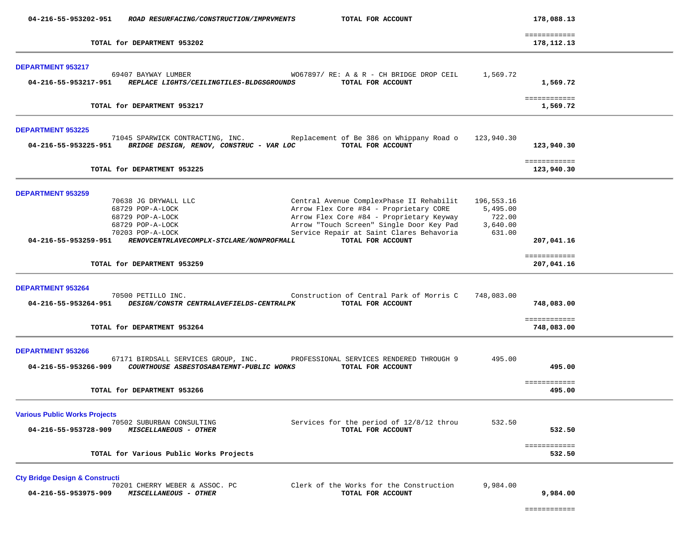| 04-216-55-953202-951                                         | ROAD RESURFACING/CONSTRUCTION/IMPRVMENTS                                                                                                                                        | TOTAL FOR ACCOUNT                                                                                                                                                                                                                           |                                                        | 178,088.13                               |  |
|--------------------------------------------------------------|---------------------------------------------------------------------------------------------------------------------------------------------------------------------------------|---------------------------------------------------------------------------------------------------------------------------------------------------------------------------------------------------------------------------------------------|--------------------------------------------------------|------------------------------------------|--|
|                                                              | TOTAL for DEPARTMENT 953202                                                                                                                                                     |                                                                                                                                                                                                                                             |                                                        | ============<br>178,112.13               |  |
| <b>DEPARTMENT 953217</b>                                     | 69407 BAYWAY LUMBER<br>04-216-55-953217-951 REPLACE LIGHTS/CEILINGTILES-BLDGSGROUNDS                                                                                            | WO67897/ RE: A & R - CH BRIDGE DROP CEIL<br>TOTAL FOR ACCOUNT                                                                                                                                                                               | 1,569.72                                               | 1,569.72<br>============                 |  |
|                                                              | TOTAL for DEPARTMENT 953217                                                                                                                                                     |                                                                                                                                                                                                                                             |                                                        | 1,569.72                                 |  |
| <b>DEPARTMENT 953225</b><br>04-216-55-953225-951             | 71045 SPARWICK CONTRACTING, INC.<br>BRIDGE DESIGN, RENOV, CONSTRUC - VAR LOC                                                                                                    | Replacement of Be 386 on Whippany Road o 123,940.30<br>TOTAL FOR ACCOUNT                                                                                                                                                                    |                                                        | 123,940.30                               |  |
|                                                              | TOTAL for DEPARTMENT 953225                                                                                                                                                     |                                                                                                                                                                                                                                             |                                                        | ============<br>123,940.30               |  |
| <b>DEPARTMENT 953259</b><br>04-216-55-953259-951             | 70638 JG DRYWALL LLC<br>68729 POP-A-LOCK<br>68729 POP-A-LOCK<br>68729 POP-A-LOCK<br>70203 POP-A-LOCK<br>RENOVCENTRLAVECOMPLX-STCLARE/NONPROFMALL<br>TOTAL for DEPARTMENT 953259 | Central Avenue ComplexPhase II Rehabilit<br>Arrow Flex Core #84 - Proprietary CORE<br>Arrow Flex Core #84 - Proprietary Keyway<br>Arrow "Touch Screen" Single Door Key Pad<br>Service Repair at Saint Clares Behavoria<br>TOTAL FOR ACCOUNT | 196,553.16<br>5,495.00<br>722.00<br>3,640.00<br>631.00 | 207,041.16<br>============<br>207,041.16 |  |
| <b>DEPARTMENT 953264</b><br>04-216-55-953264-951             | 70500 PETILLO INC.<br>DESIGN/CONSTR CENTRALAVEFIELDS-CENTRALPK<br>TOTAL for DEPARTMENT 953264                                                                                   | Construction of Central Park of Morris C<br>TOTAL FOR ACCOUNT                                                                                                                                                                               | 748,083.00                                             | 748,083.00<br>============<br>748,083.00 |  |
| <b>DEPARTMENT 953266</b><br>04-216-55-953266-909             | 67171 BIRDSALL SERVICES GROUP, INC.<br>COURTHOUSE ASBESTOSABATEMNT-PUBLIC WORKS<br>TOTAL for DEPARTMENT 953266                                                                  | PROFESSIONAL SERVICES RENDERED THROUGH 9<br>TOTAL FOR ACCOUNT                                                                                                                                                                               | 495.00                                                 | 495.00<br>============<br>495.00         |  |
| <b>Various Public Works Projects</b><br>04-216-55-953728-909 | 70502 SUBURBAN CONSULTING<br>MISCELLANEOUS - OTHER<br>TOTAL for Various Public Works Projects                                                                                   | Services for the period of 12/8/12 throu<br>TOTAL FOR ACCOUNT                                                                                                                                                                               | 532.50                                                 | 532.50<br>============<br>532.50         |  |
| <b>Cty Bridge Design &amp; Constructi</b>                    | 70201 CHERRY WEBER & ASSOC. PC                                                                                                                                                  | Clerk of the Works for the Construction                                                                                                                                                                                                     | 9,984.00                                               |                                          |  |

 **04-216-55-953975-909** *MISCELLANEOUS - OTHER* **TOTAL FOR ACCOUNT 9,984.00**

============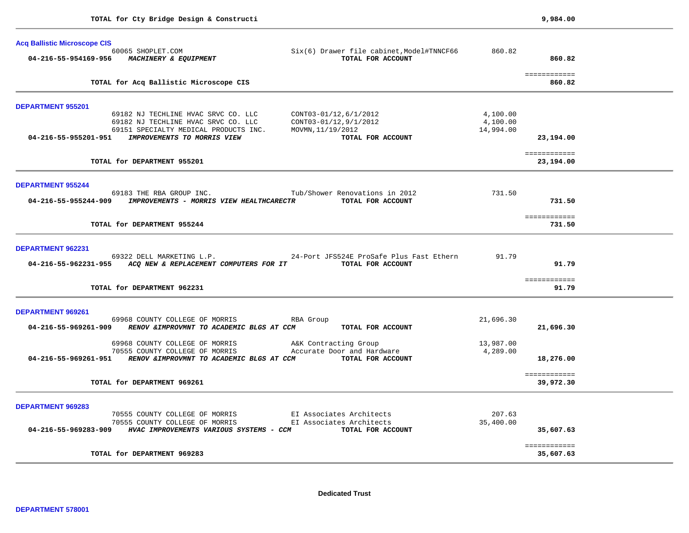| <b>Acq Ballistic Microscope CIS</b>                                                                 |                                                                |           |                           |  |
|-----------------------------------------------------------------------------------------------------|----------------------------------------------------------------|-----------|---------------------------|--|
| 60065 SHOPLET.COM<br>04-216-55-954169-956 MACHINERY & EQUIPMENT                                     | Six(6) Drawer file cabinet, Model#TNNCF66<br>TOTAL FOR ACCOUNT | 860.82    | 860.82                    |  |
|                                                                                                     |                                                                |           |                           |  |
|                                                                                                     |                                                                |           | <b>EEEEEEEEEEE</b>        |  |
| TOTAL for Acq Ballistic Microscope CIS                                                              |                                                                |           | 860.82                    |  |
| <b>DEPARTMENT 955201</b>                                                                            |                                                                |           |                           |  |
| 69182 NJ TECHLINE HVAC SRVC CO. LLC                                                                 | CONT03-01/12,6/1/2012                                          | 4,100.00  |                           |  |
| 69182 NJ TECHLINE HVAC SRVC CO. LLC                                                                 | CONT03-01/12,9/1/2012                                          | 4,100.00  |                           |  |
| 69151 SPECIALTY MEDICAL PRODUCTS INC.<br>04-216-55-955201-951<br><i>IMPROVEMENTS TO MORRIS VIEW</i> | MOVMN, 11/19/2012<br>TOTAL FOR ACCOUNT                         | 14,994.00 | 23,194.00                 |  |
|                                                                                                     |                                                                |           |                           |  |
| TOTAL for DEPARTMENT 955201                                                                         |                                                                |           | ============<br>23,194.00 |  |
|                                                                                                     |                                                                |           |                           |  |
| <b>DEPARTMENT 955244</b>                                                                            |                                                                |           |                           |  |
| 69183 THE RBA GROUP INC.                                                                            | Tub/Shower Renovations in 2012                                 | 731.50    |                           |  |
| 04-216-55-955244-909 IMPROVEMENTS - MORRIS VIEW HEALTHCARECTR                                       | TOTAL FOR ACCOUNT                                              |           | 731.50                    |  |
|                                                                                                     |                                                                |           | ============              |  |
| TOTAL for DEPARTMENT 955244                                                                         |                                                                |           | 731.50                    |  |
|                                                                                                     |                                                                |           |                           |  |
| DEPARTMENT 962231<br>69322 DELL MARKETING L.P.                                                      | 24-Port JFS524E ProSafe Plus Fast Ethern                       | 91.79     |                           |  |
| 04-216-55-962231-955 ACQ NEW & REPLACEMENT COMPUTERS FOR IT TOTAL FOR ACCOUNT                       |                                                                |           | 91.79                     |  |
|                                                                                                     |                                                                |           | ============              |  |
| TOTAL for DEPARTMENT 962231                                                                         |                                                                |           | 91.79                     |  |
| <b>DEPARTMENT 969261</b>                                                                            |                                                                |           |                           |  |
| 69968 COUNTY COLLEGE OF MORRIS                                                                      | RBA Group                                                      | 21,696.30 |                           |  |
| 04-216-55-969261-909 RENOV & IMPROVMNT TO ACADEMIC BLGS AT CCM                                      | TOTAL FOR ACCOUNT                                              |           | 21,696.30                 |  |
| 69968 COUNTY COLLEGE OF MORRIS                                                                      | A&K Contracting Group                                          | 13,987.00 |                           |  |
| 70555 COUNTY COLLEGE OF MORRIS                                                                      | Accurate Door and Hardware                                     | 4,289.00  |                           |  |
| 04-216-55-969261-951 RENOV & IMPROVMNT TO ACADEMIC BLGS AT CCM                                      | TOTAL FOR ACCOUNT                                              |           | 18,276.00                 |  |
|                                                                                                     |                                                                |           | ============              |  |
| TOTAL for DEPARTMENT 969261                                                                         |                                                                |           | 39,972.30                 |  |
| DEPARTMENT 969283                                                                                   |                                                                |           |                           |  |
| 70555 COUNTY COLLEGE OF MORRIS                                                                      | EI Associates Architects                                       | 207.63    |                           |  |
| 70555 COUNTY COLLEGE OF MORRIS                                                                      | EI Associates Architects                                       | 35,400.00 |                           |  |
| 04-216-55-969283-909 HVAC IMPROVEMENTS VARIOUS SYSTEMS - CCM                                        | TOTAL FOR ACCOUNT                                              |           | 35,607.63                 |  |
| TOTAL for DEPARTMENT 969283                                                                         |                                                                |           | ============<br>35,607.63 |  |
|                                                                                                     |                                                                |           |                           |  |

**Dedicated Trust**